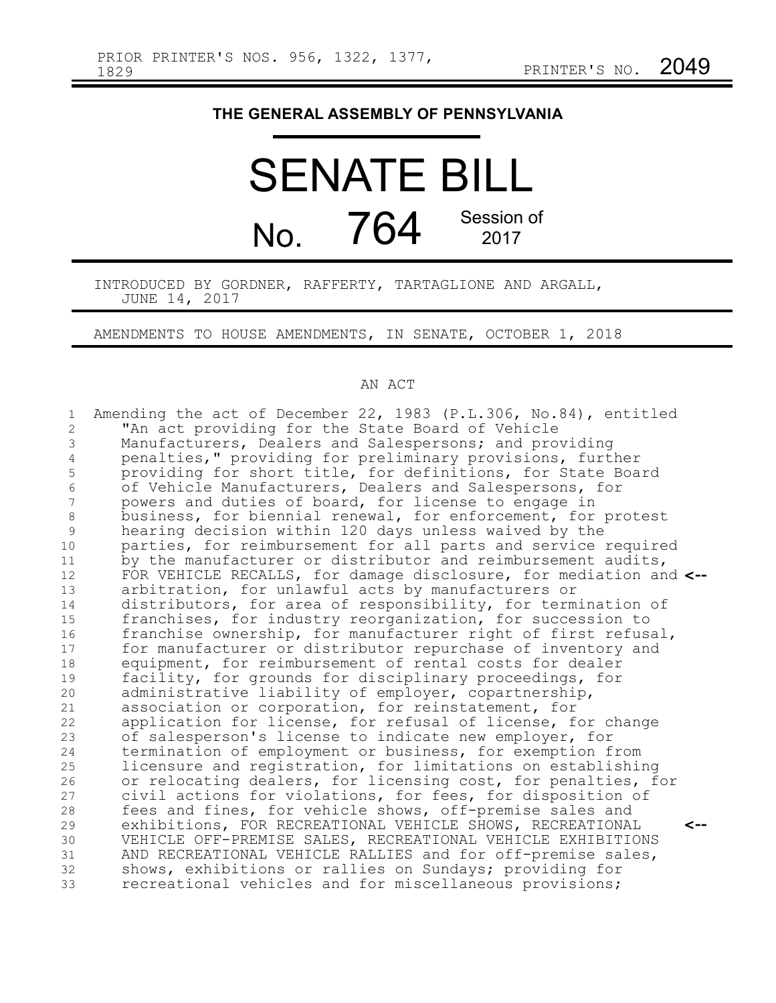## **THE GENERAL ASSEMBLY OF PENNSYLVANIA**

SENATE BILL No. 764 Session of 2017

INTRODUCED BY GORDNER, RAFFERTY, TARTAGLIONE AND ARGALL, JUNE 14, 2017

AMENDMENTS TO HOUSE AMENDMENTS, IN SENATE, OCTOBER 1, 2018

## AN ACT

| 1              | Amending the act of December 22, 1983 (P.L.306, No.84), entitled  |
|----------------|-------------------------------------------------------------------|
| $\overline{2}$ | "An act providing for the State Board of Vehicle                  |
| 3              | Manufacturers, Dealers and Salespersons; and providing            |
| 4              | penalties," providing for preliminary provisions, further         |
| 5              | providing for short title, for definitions, for State Board       |
| 6              | of Vehicle Manufacturers, Dealers and Salespersons, for           |
| 7              | powers and duties of board, for license to engage in              |
| 8              | business, for biennial renewal, for enforcement, for protest      |
| $\overline{9}$ | hearing decision within 120 days unless waived by the             |
| 10             | parties, for reimbursement for all parts and service required     |
| 11             | by the manufacturer or distributor and reimbursement audits,      |
| 12             | FOR VEHICLE RECALLS, for damage disclosure, for mediation and <-- |
| 13             | arbitration, for unlawful acts by manufacturers or                |
| 14             | distributors, for area of responsibility, for termination of      |
| 15             | franchises, for industry reorganization, for succession to        |
| 16             | franchise ownership, for manufacturer right of first refusal,     |
| 17             | for manufacturer or distributor repurchase of inventory and       |
| 18             | equipment, for reimbursement of rental costs for dealer           |
| 19             | facility, for grounds for disciplinary proceedings, for           |
| 20             | administrative liability of employer, copartnership,              |
| 21             | association or corporation, for reinstatement, for                |
| 22             | application for license, for refusal of license, for change       |
| 23             | of salesperson's license to indicate new employer, for            |
| 24             | termination of employment or business, for exemption from         |
| 25             | licensure and registration, for limitations on establishing       |
| 26             | or relocating dealers, for licensing cost, for penalties, for     |
| 27             | civil actions for violations, for fees, for disposition of        |
| 28             | fees and fines, for vehicle shows, off-premise sales and          |
| 29             | exhibitions, FOR RECREATIONAL VEHICLE SHOWS, RECREATIONAL<br><--  |
| 30             | VEHICLE OFF-PREMISE SALES, RECREATIONAL VEHICLE EXHIBITIONS       |
| 31             | AND RECREATIONAL VEHICLE RALLIES and for off-premise sales,       |
| 32             | shows, exhibitions or rallies on Sundays; providing for           |
| 33             | recreational vehicles and for miscellaneous provisions;           |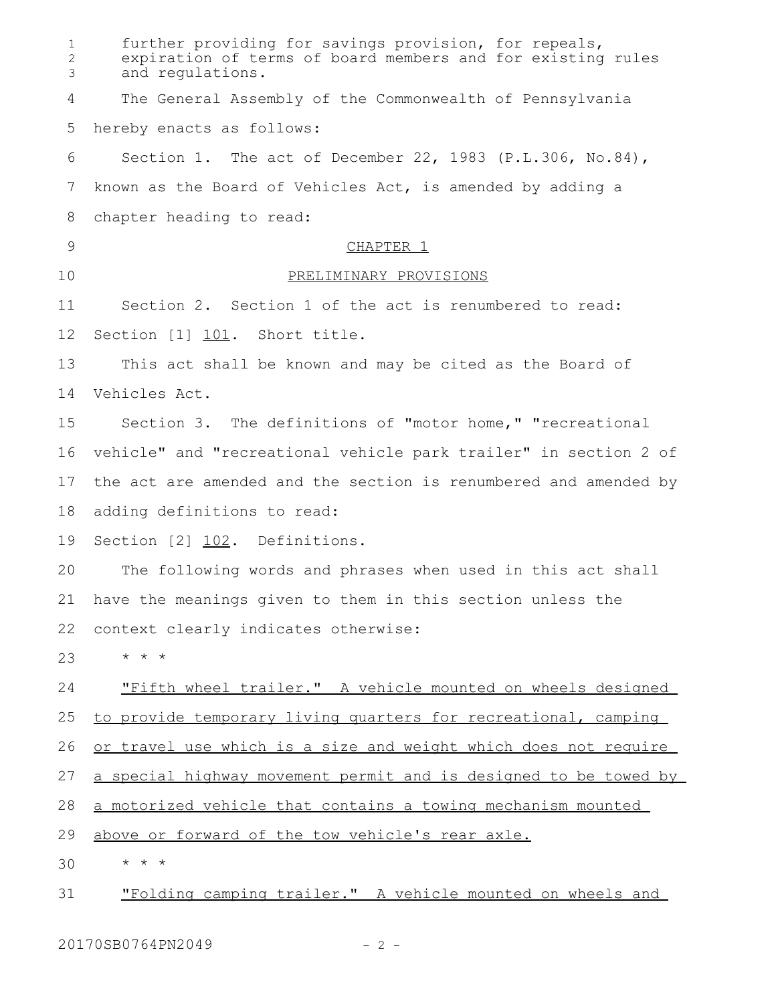| 1<br>$\overline{2}$<br>3 | further providing for savings provision, for repeals,<br>expiration of terms of board members and for existing rules<br>and regulations. |
|--------------------------|------------------------------------------------------------------------------------------------------------------------------------------|
| 4                        | The General Assembly of the Commonwealth of Pennsylvania                                                                                 |
| 5                        | hereby enacts as follows:                                                                                                                |
| 6                        | Section 1. The act of December 22, 1983 (P.L.306, No.84),                                                                                |
| 7                        | known as the Board of Vehicles Act, is amended by adding a                                                                               |
| 8                        | chapter heading to read:                                                                                                                 |
| $\mathcal{G}$            | CHAPTER 1                                                                                                                                |
| 10                       | PRELIMINARY PROVISIONS                                                                                                                   |
| 11                       | Section 2. Section 1 of the act is renumbered to read:                                                                                   |
| 12                       | Section [1] 101. Short title.                                                                                                            |
| 13                       | This act shall be known and may be cited as the Board of                                                                                 |
| 14                       | Vehicles Act.                                                                                                                            |
| 15                       | Section 3. The definitions of "motor home," "recreational                                                                                |
| 16                       | vehicle" and "recreational vehicle park trailer" in section 2 of                                                                         |
| 17                       | the act are amended and the section is renumbered and amended by                                                                         |
| 18                       | adding definitions to read:                                                                                                              |
| 19                       | Section [2] 102. Definitions.                                                                                                            |
| 20                       | The following words and phrases when used in this act shall                                                                              |
| 21                       | have the meanings given to them in this section unless the                                                                               |
| 22                       | context clearly indicates otherwise:                                                                                                     |
| 23                       | $\star$ $\star$ $\star$                                                                                                                  |
| 24                       | "Fifth wheel trailer." A vehicle mounted on wheels designed                                                                              |
| 25                       | to provide temporary living quarters for recreational, camping                                                                           |
| 26                       | or travel use which is a size and weight which does not require                                                                          |
| 27                       | a special highway movement permit and is designed to be towed by                                                                         |
| 28                       | a motorized vehicle that contains a towing mechanism mounted                                                                             |
| 29                       | above or forward of the tow vehicle's rear axle.                                                                                         |
| 30                       | * * *                                                                                                                                    |
| 31                       | "Folding camping trailer." A vehicle mounted on wheels and                                                                               |

20170SB0764PN2049 - 2 -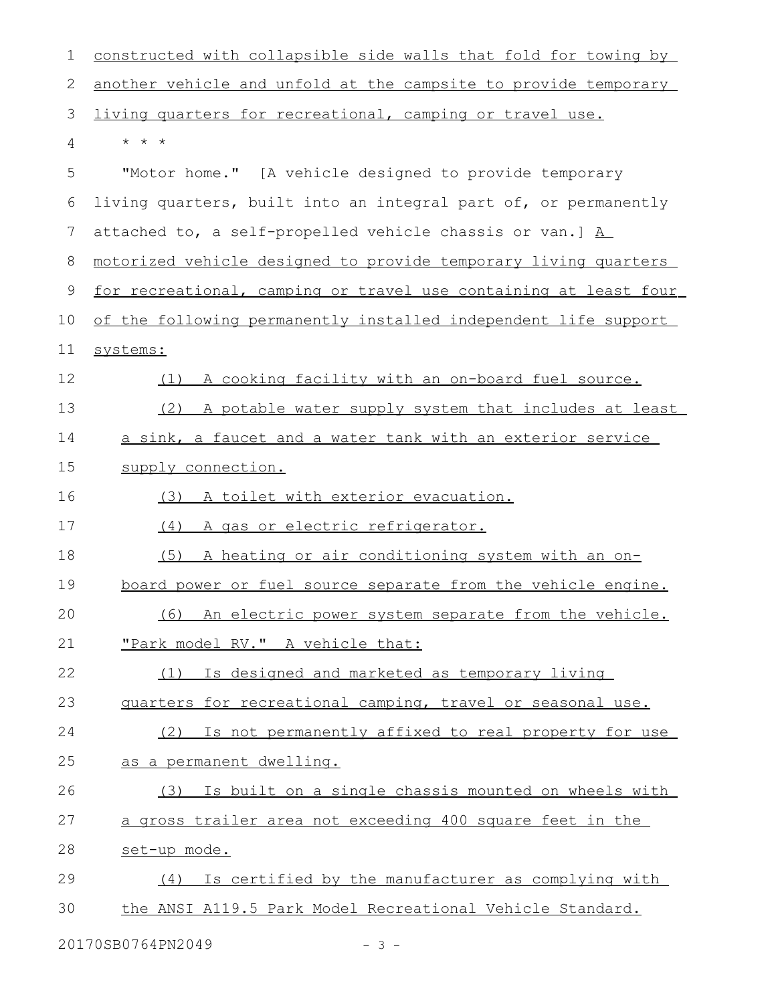| 1  | constructed with collapsible side walls that fold for towing by        |
|----|------------------------------------------------------------------------|
| 2  | another vehicle and unfold at the campsite to provide temporary        |
| 3  | living quarters for recreational, camping or travel use.               |
| 4  | $\star$ $\star$ $\star$                                                |
| 5  | "Motor home." [A vehicle designed to provide temporary                 |
| 6  | living quarters, built into an integral part of, or permanently        |
| 7  | attached to, a self-propelled vehicle chassis or van.] $\underline{A}$ |
| 8  | motorized vehicle designed to provide temporary living quarters        |
| 9  | for recreational, camping or travel use containing at least four       |
| 10 | of the following permanently installed independent life support        |
| 11 | systems:                                                               |
| 12 | (1) A cooking facility with an on-board fuel source.                   |
| 13 | (2) A potable water supply system that includes at least               |
| 14 | a sink, a faucet and a water tank with an exterior service             |
| 15 | supply connection.                                                     |
| 16 | A toilet with exterior evacuation.<br>(3)                              |
| 17 | (4) A gas or electric refrigerator.                                    |
| 18 | (5)<br>A heating or air conditioning system with an on-                |
| 19 | board power or fuel source separate from the vehicle engine.           |
| 20 | (6) An electric power system separate from the vehicle.                |
| 21 | "Park model RV." A vehicle that:                                       |
| 22 | (1) Is designed and marketed as temporary living                       |
| 23 | guarters for recreational camping, travel or seasonal use.             |
| 24 | (2) Is not permanently affixed to real property for use                |
| 25 | <u>as a permanent dwelling.</u>                                        |
| 26 | (3) Is built on a single chassis mounted on wheels with                |
| 27 | a gross trailer area not exceeding 400 square feet in the              |
| 28 | set-up mode.                                                           |
| 29 | (4) Is certified by the manufacturer as complying with                 |
| 30 | the ANSI A119.5 Park Model Recreational Vehicle Standard.              |
|    |                                                                        |

20170SB0764PN2049 - 3 -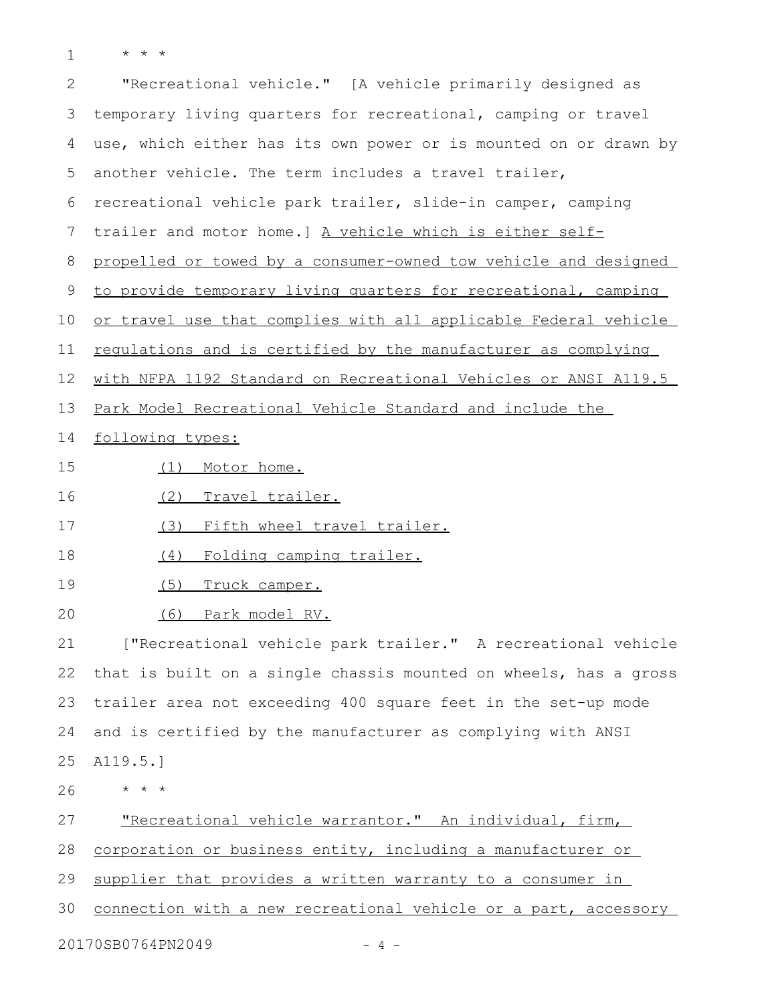\* \* \* 1

| $\mathbf{2}$ | "Recreational vehicle." [A vehicle primarily designed as         |
|--------------|------------------------------------------------------------------|
| 3            | temporary living quarters for recreational, camping or travel    |
| 4            | use, which either has its own power or is mounted on or drawn by |
| 5            | another vehicle. The term includes a travel trailer,             |
| 6            | recreational vehicle park trailer, slide-in camper, camping      |
| 7            | trailer and motor home.] A vehicle which is either self-         |
| 8            | propelled or towed by a consumer-owned tow vehicle and designed  |
| 9            | to provide temporary living quarters for recreational, camping   |
| 10           | or travel use that complies with all applicable Federal vehicle  |
| 11           | requlations and is certified by the manufacturer as complying    |
| 12           | with NFPA 1192 Standard on Recreational Vehicles or ANSI A119.5  |
| 13           | Park Model Recreational Vehicle Standard and include the         |
| 14           | following types:                                                 |
| 15           | Motor home.<br>(1)                                               |
| 16           | (2)<br><u>Travel trailer.</u>                                    |
| 17           | Fifth wheel travel trailer.<br>(3)                               |
| 18           | Folding camping trailer.<br>(4)                                  |
| 19           | (5)<br>Truck camper.                                             |
| 20           | <u>Park model RV.</u><br>(6)                                     |
| 21           | ["Recreational vehicle park trailer." A recreational vehicle     |
| 22           | that is built on a single chassis mounted on wheels, has a gross |
| 23           | trailer area not exceeding 400 square feet in the set-up mode    |
| 24           | and is certified by the manufacturer as complying with ANSI      |
| 25           | A119.5.]                                                         |
| 26           | $\star$ $\star$ $\star$                                          |
| 27           | "Recreational vehicle warrantor." An individual, firm,           |
| 28           | corporation or business entity, including a manufacturer or      |
| 29           | supplier that provides a written warranty to a consumer in       |
| 30           | connection with a new recreational vehicle or a part, accessory  |
|              | 20170SB0764PN2049<br>- 4 -                                       |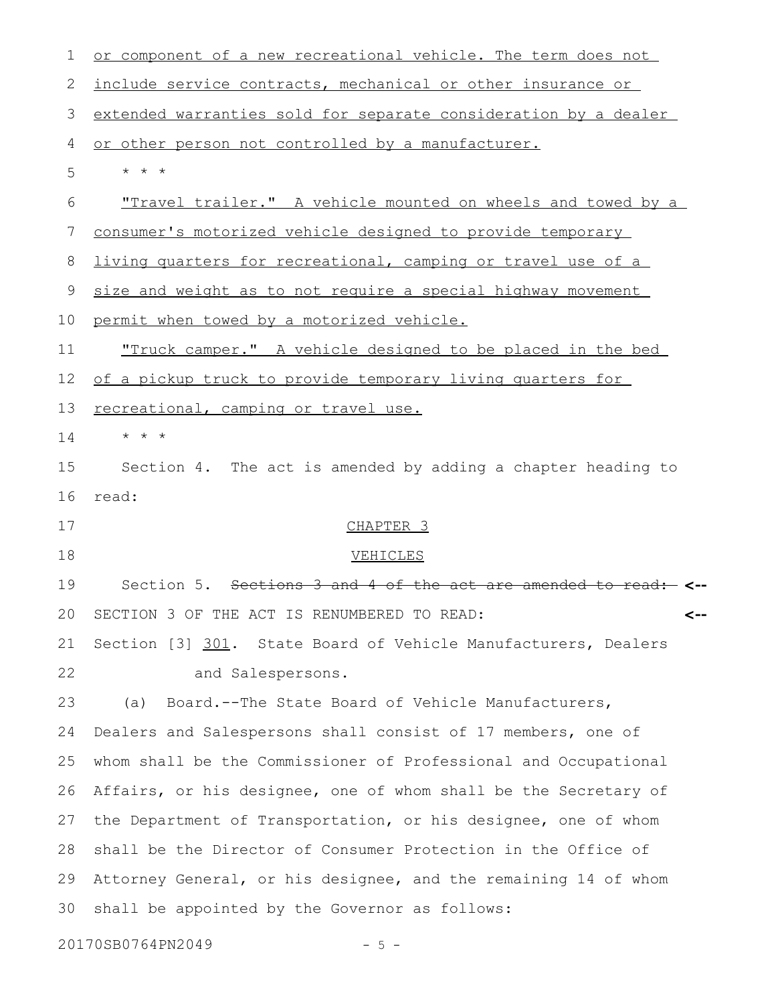| $\mathbf 1$ | or component of a new recreational vehicle. The term does not                           |
|-------------|-----------------------------------------------------------------------------------------|
| 2           | include service contracts, mechanical or other insurance or                             |
| 3           | extended warranties sold for separate consideration by a dealer                         |
| 4           | or other person not controlled by a manufacturer.                                       |
| 5           | $\star$ $\star$ $\star$                                                                 |
| 6           | <u>"Travel trailer." A vehicle mounted on wheels and towed by a</u>                     |
| 7           | consumer's motorized vehicle designed to provide temporary                              |
| 8           | <u>living quarters for recreational, camping or travel use of a</u>                     |
| 9           | size and weight as to not require a special highway movement                            |
| 10          | permit when towed by a motorized vehicle.                                               |
| 11          | "Truck camper." A vehicle designed to be placed in the bed                              |
| 12          | of a pickup truck to provide temporary living quarters for                              |
| 13          | recreational, camping or travel use.                                                    |
| 14          | $\star$ $\star$ $\star$                                                                 |
| 15          | Section 4. The act is amended by adding a chapter heading to                            |
| 16          | read:                                                                                   |
| 17          | CHAPTER <sub>3</sub>                                                                    |
| 18          | VEHICLES                                                                                |
| 19          | Section 5. Sections 3 and 4 of the act are amended<br><del>to read: <b>&lt;--</b></del> |
| 20          | SECTION 3 OF THE ACT IS RENUMBERED TO READ:<br><--                                      |
| 21          | Section [3] 301. State Board of Vehicle Manufacturers, Dealers                          |
| 22          | and Salespersons.                                                                       |
| 23          | Board.--The State Board of Vehicle Manufacturers,<br>(a)                                |
| 24          | Dealers and Salespersons shall consist of 17 members, one of                            |
| 25          | whom shall be the Commissioner of Professional and Occupational                         |
| 26          | Affairs, or his designee, one of whom shall be the Secretary of                         |
| 27          | the Department of Transportation, or his designee, one of whom                          |
| 28          | shall be the Director of Consumer Protection in the Office of                           |
| 29          | Attorney General, or his designee, and the remaining 14 of whom                         |
| 30          | shall be appointed by the Governor as follows:                                          |
|             | 20170SB0764PN2049                                                                       |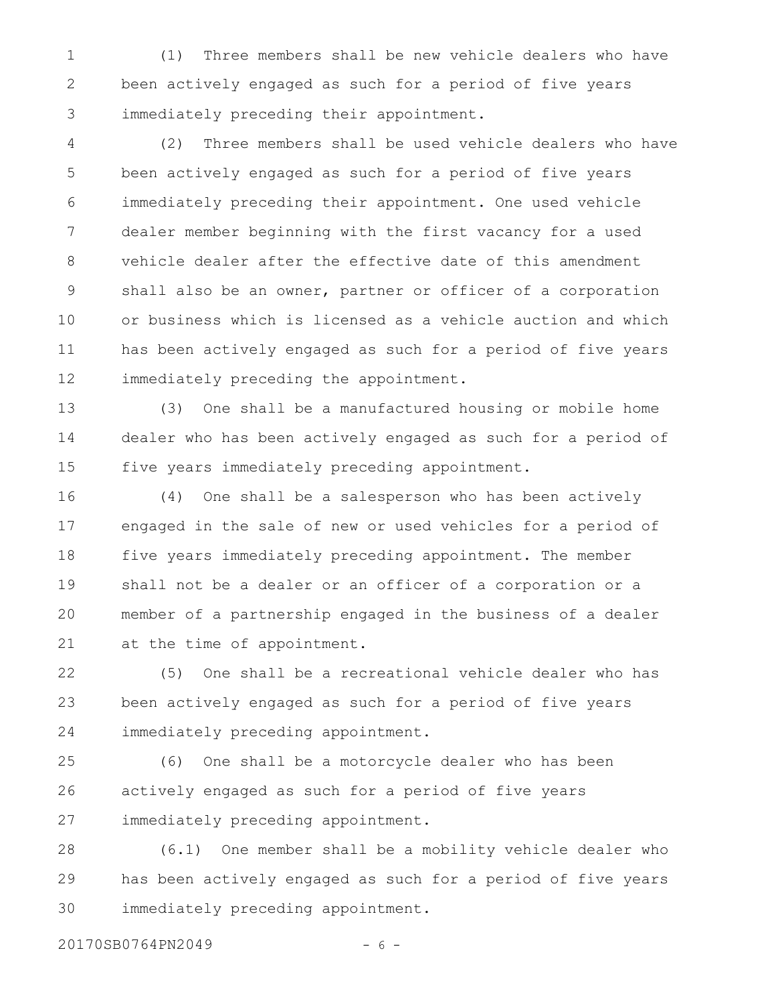(1) Three members shall be new vehicle dealers who have been actively engaged as such for a period of five years immediately preceding their appointment. 1 2 3

(2) Three members shall be used vehicle dealers who have been actively engaged as such for a period of five years immediately preceding their appointment. One used vehicle dealer member beginning with the first vacancy for a used vehicle dealer after the effective date of this amendment shall also be an owner, partner or officer of a corporation or business which is licensed as a vehicle auction and which has been actively engaged as such for a period of five years immediately preceding the appointment. 4 5 6 7 8 9 10 11 12

(3) One shall be a manufactured housing or mobile home dealer who has been actively engaged as such for a period of five years immediately preceding appointment. 13 14 15

(4) One shall be a salesperson who has been actively engaged in the sale of new or used vehicles for a period of five years immediately preceding appointment. The member shall not be a dealer or an officer of a corporation or a member of a partnership engaged in the business of a dealer at the time of appointment. 16 17 18 19 20 21

(5) One shall be a recreational vehicle dealer who has been actively engaged as such for a period of five years immediately preceding appointment. 22 23 24

(6) One shall be a motorcycle dealer who has been actively engaged as such for a period of five years immediately preceding appointment. 25 26 27

(6.1) One member shall be a mobility vehicle dealer who has been actively engaged as such for a period of five years immediately preceding appointment. 28 29 30

20170SB0764PN2049 - 6 -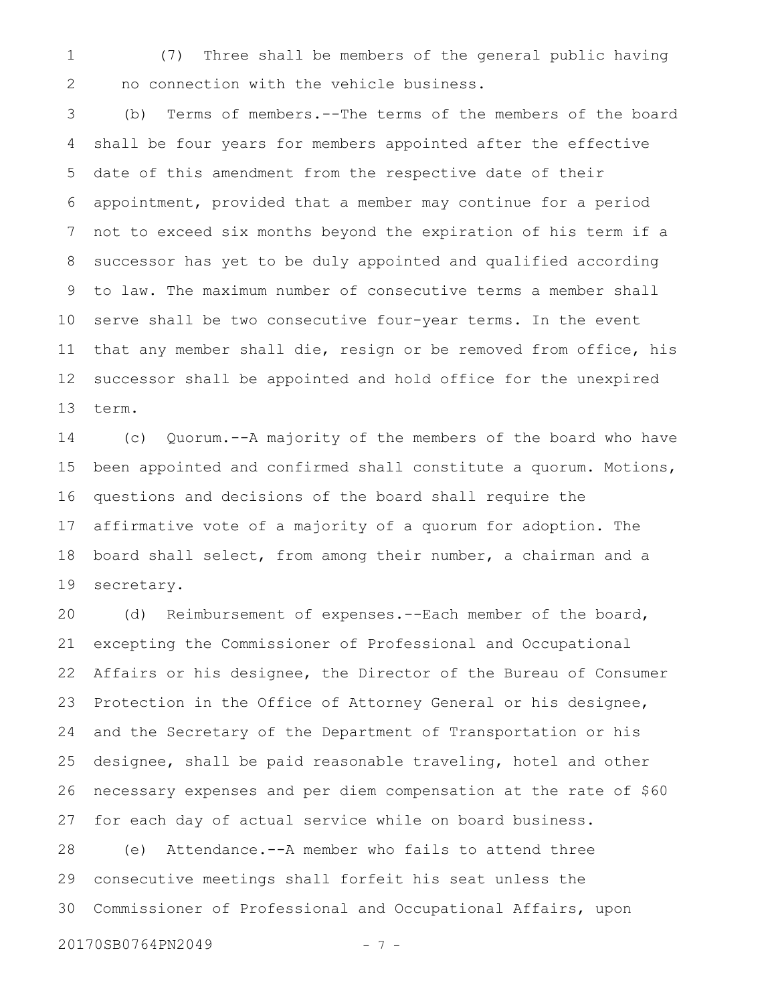(7) Three shall be members of the general public having no connection with the vehicle business. 1 2

(b) Terms of members.--The terms of the members of the board shall be four years for members appointed after the effective date of this amendment from the respective date of their appointment, provided that a member may continue for a period not to exceed six months beyond the expiration of his term if a successor has yet to be duly appointed and qualified according to law. The maximum number of consecutive terms a member shall serve shall be two consecutive four-year terms. In the event that any member shall die, resign or be removed from office, his successor shall be appointed and hold office for the unexpired term. 3 4 5 6 7 8 9 10 11 12 13

(c) Quorum.--A majority of the members of the board who have been appointed and confirmed shall constitute a quorum. Motions, questions and decisions of the board shall require the affirmative vote of a majority of a quorum for adoption. The board shall select, from among their number, a chairman and a secretary. 14 15 16 17 18 19

(d) Reimbursement of expenses.--Each member of the board, excepting the Commissioner of Professional and Occupational Affairs or his designee, the Director of the Bureau of Consumer Protection in the Office of Attorney General or his designee, and the Secretary of the Department of Transportation or his designee, shall be paid reasonable traveling, hotel and other necessary expenses and per diem compensation at the rate of \$60 for each day of actual service while on board business. (e) Attendance.--A member who fails to attend three 20 21 22 23 24 25 26 27 28

consecutive meetings shall forfeit his seat unless the Commissioner of Professional and Occupational Affairs, upon 29 30

20170SB0764PN2049 - 7 -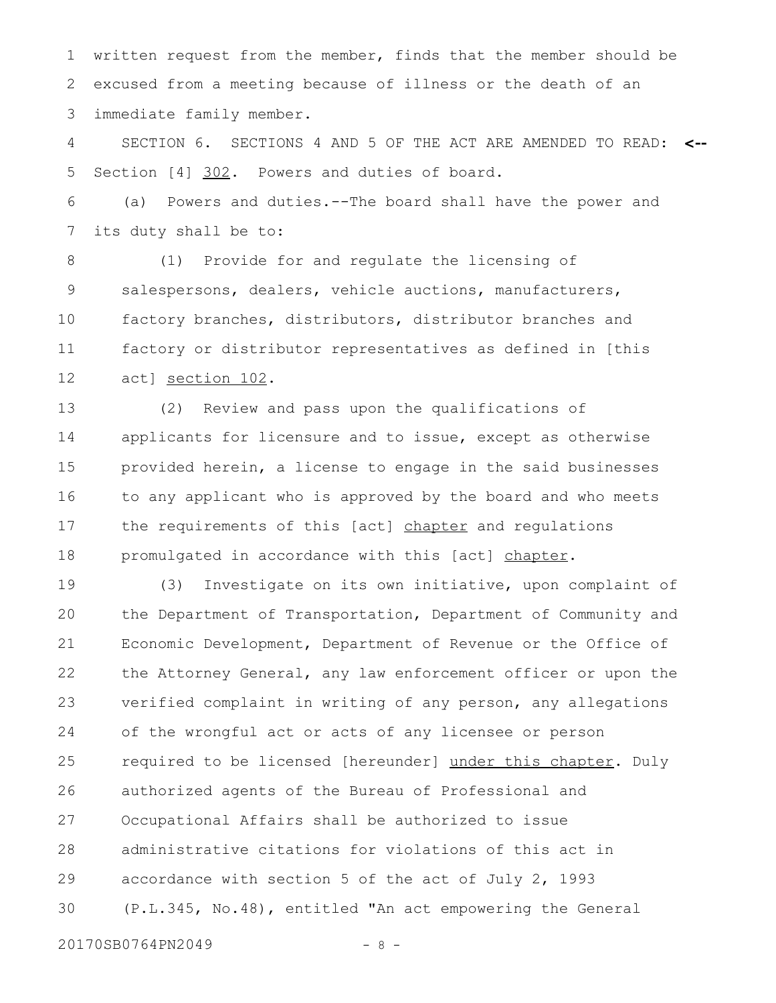written request from the member, finds that the member should be excused from a meeting because of illness or the death of an immediate family member. 1 2 3

SECTION 6. SECTIONS 4 AND 5 OF THE ACT ARE AMENDED TO READ: **<--** Section [4] 302. Powers and duties of board. 4 5

(a) Powers and duties.--The board shall have the power and its duty shall be to: 6 7

(1) Provide for and regulate the licensing of salespersons, dealers, vehicle auctions, manufacturers, factory branches, distributors, distributor branches and factory or distributor representatives as defined in [this act] section 102. 8 9 10 11 12

(2) Review and pass upon the qualifications of applicants for licensure and to issue, except as otherwise provided herein, a license to engage in the said businesses to any applicant who is approved by the board and who meets the requirements of this [act] chapter and regulations promulgated in accordance with this [act] chapter. 13 14 15 16 17 18

(3) Investigate on its own initiative, upon complaint of the Department of Transportation, Department of Community and Economic Development, Department of Revenue or the Office of the Attorney General, any law enforcement officer or upon the verified complaint in writing of any person, any allegations of the wrongful act or acts of any licensee or person required to be licensed [hereunder] under this chapter. Duly authorized agents of the Bureau of Professional and Occupational Affairs shall be authorized to issue administrative citations for violations of this act in accordance with section 5 of the act of July 2, 1993 (P.L.345, No.48), entitled "An act empowering the General 19 20 21 22 23 24 25 26 27 28 29 30

20170SB0764PN2049 - 8 -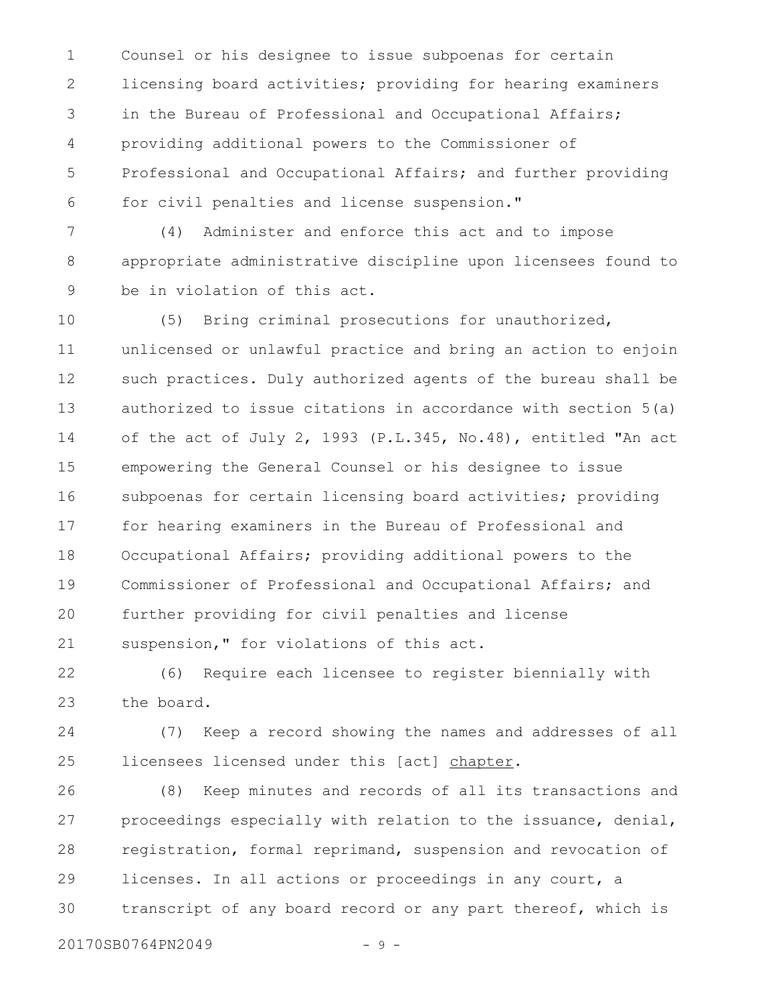Counsel or his designee to issue subpoenas for certain licensing board activities; providing for hearing examiners in the Bureau of Professional and Occupational Affairs; providing additional powers to the Commissioner of Professional and Occupational Affairs; and further providing for civil penalties and license suspension." 1 2 3 4 5 6

(4) Administer and enforce this act and to impose appropriate administrative discipline upon licensees found to be in violation of this act. 7 8 9

(5) Bring criminal prosecutions for unauthorized, unlicensed or unlawful practice and bring an action to enjoin such practices. Duly authorized agents of the bureau shall be authorized to issue citations in accordance with section 5(a) of the act of July 2, 1993 (P.L.345, No.48), entitled "An act empowering the General Counsel or his designee to issue subpoenas for certain licensing board activities; providing for hearing examiners in the Bureau of Professional and Occupational Affairs; providing additional powers to the Commissioner of Professional and Occupational Affairs; and further providing for civil penalties and license suspension," for violations of this act. 10 11 12 13 14 15 16 17 18 19 20 21

(6) Require each licensee to register biennially with the board. 22 23

(7) Keep a record showing the names and addresses of all licensees licensed under this [act] chapter. 24 25

(8) Keep minutes and records of all its transactions and proceedings especially with relation to the issuance, denial, registration, formal reprimand, suspension and revocation of licenses. In all actions or proceedings in any court, a transcript of any board record or any part thereof, which is 26 27 28 29 30

20170SB0764PN2049 - 9 -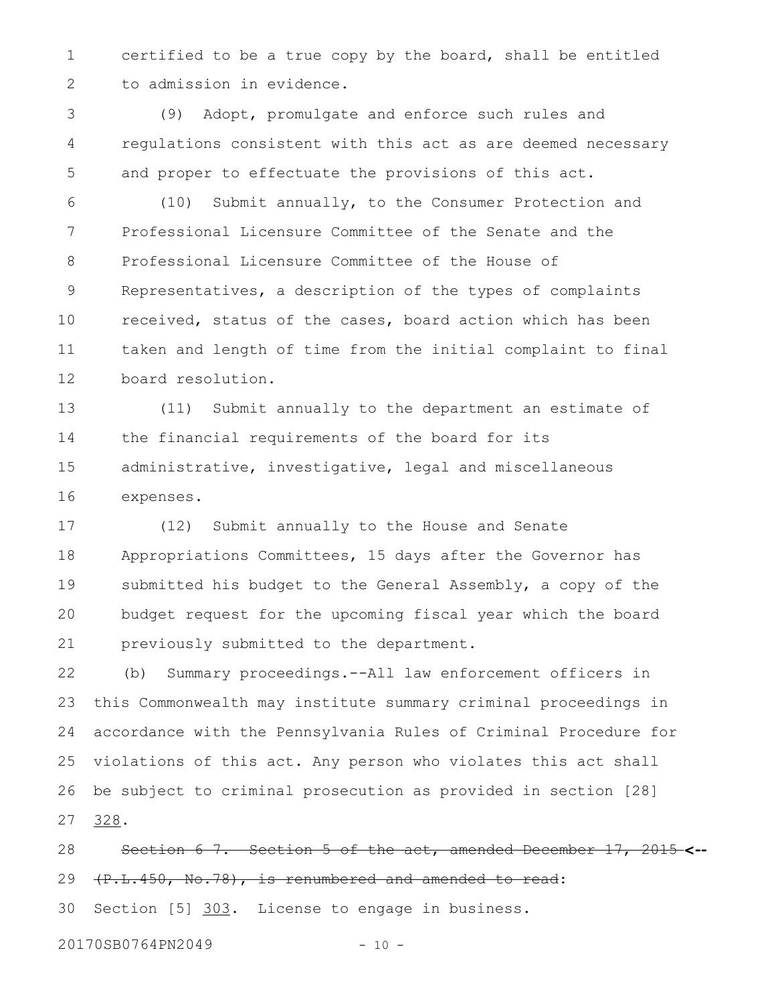certified to be a true copy by the board, shall be entitled to admission in evidence. 1 2

(9) Adopt, promulgate and enforce such rules and regulations consistent with this act as are deemed necessary and proper to effectuate the provisions of this act. 3 4 5

(10) Submit annually, to the Consumer Protection and Professional Licensure Committee of the Senate and the Professional Licensure Committee of the House of Representatives, a description of the types of complaints received, status of the cases, board action which has been taken and length of time from the initial complaint to final board resolution. 6 7 8 9 10 11 12

(11) Submit annually to the department an estimate of the financial requirements of the board for its administrative, investigative, legal and miscellaneous expenses. 13 14 15 16

(12) Submit annually to the House and Senate Appropriations Committees, 15 days after the Governor has submitted his budget to the General Assembly, a copy of the budget request for the upcoming fiscal year which the board previously submitted to the department. 17 18 19 20 21

(b) Summary proceedings.--All law enforcement officers in this Commonwealth may institute summary criminal proceedings in accordance with the Pennsylvania Rules of Criminal Procedure for violations of this act. Any person who violates this act shall be subject to criminal prosecution as provided in section [28] 328. 22 23 24 25 26 27

Section 6 7. Section 5 of the act, amended December 17, 2015 **<--** (P.L.450, No.78), is renumbered and amended to read: 28 29

Section [5] 303. License to engage in business. 30

20170SB0764PN2049 - 10 -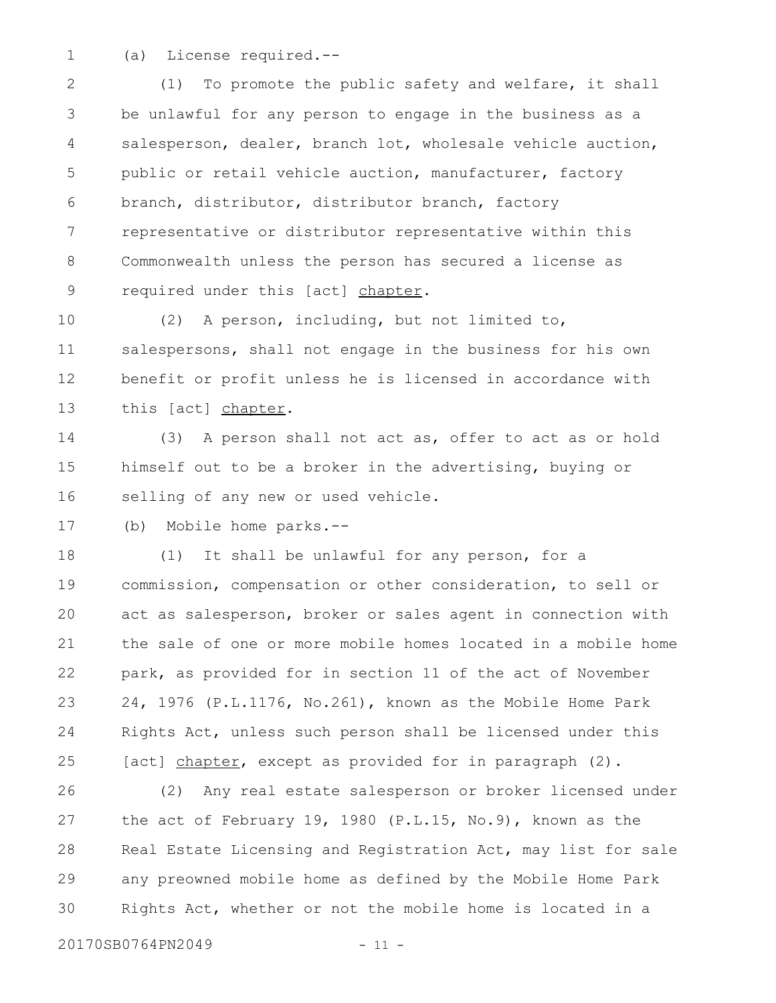1

(a) License required.--

(1) To promote the public safety and welfare, it shall be unlawful for any person to engage in the business as a salesperson, dealer, branch lot, wholesale vehicle auction, public or retail vehicle auction, manufacturer, factory branch, distributor, distributor branch, factory representative or distributor representative within this Commonwealth unless the person has secured a license as required under this [act] chapter. 2 3 4 5 6 7 8 9

(2) A person, including, but not limited to, salespersons, shall not engage in the business for his own benefit or profit unless he is licensed in accordance with this [act] chapter. 10 11 12 13

(3) A person shall not act as, offer to act as or hold himself out to be a broker in the advertising, buying or selling of any new or used vehicle. 14 15 16

(b) Mobile home parks.-- 17

(1) It shall be unlawful for any person, for a commission, compensation or other consideration, to sell or act as salesperson, broker or sales agent in connection with the sale of one or more mobile homes located in a mobile home park, as provided for in section 11 of the act of November 24, 1976 (P.L.1176, No.261), known as the Mobile Home Park Rights Act, unless such person shall be licensed under this [act] chapter, except as provided for in paragraph (2). 18 19 20 21 22 23 24 25

(2) Any real estate salesperson or broker licensed under the act of February 19, 1980 (P.L.15, No.9), known as the Real Estate Licensing and Registration Act, may list for sale any preowned mobile home as defined by the Mobile Home Park Rights Act, whether or not the mobile home is located in a 26 27 28 29 30

20170SB0764PN2049 - 11 -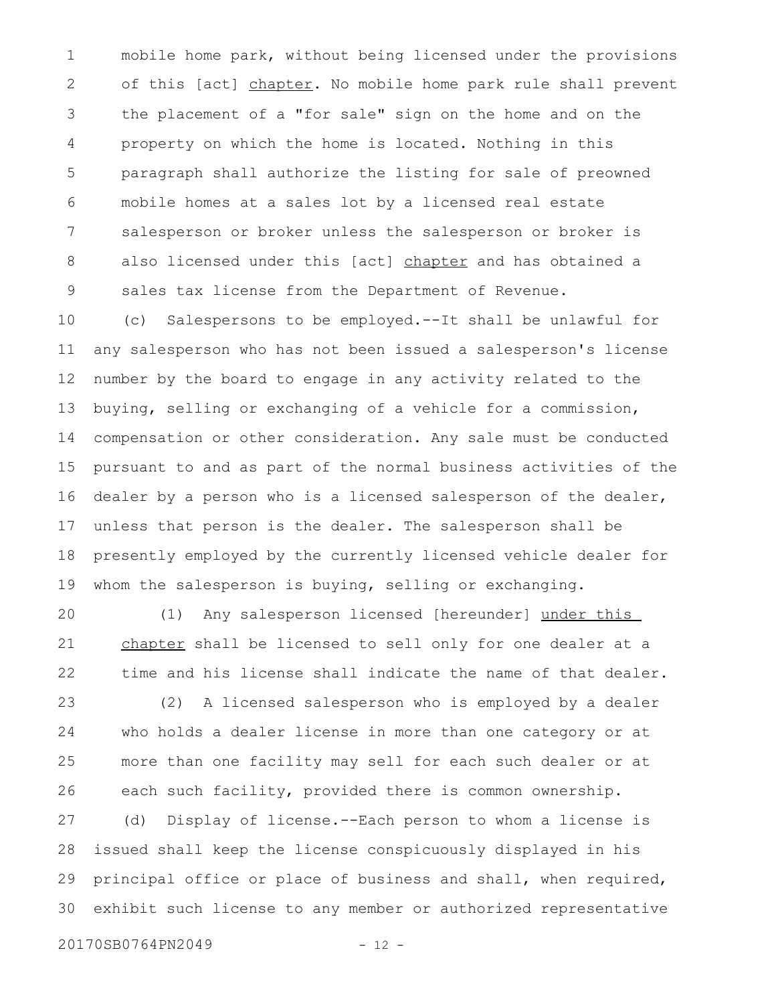mobile home park, without being licensed under the provisions of this [act] chapter. No mobile home park rule shall prevent the placement of a "for sale" sign on the home and on the property on which the home is located. Nothing in this paragraph shall authorize the listing for sale of preowned mobile homes at a sales lot by a licensed real estate salesperson or broker unless the salesperson or broker is also licensed under this [act] chapter and has obtained a sales tax license from the Department of Revenue. 1 2 3 4 5 6 7 8 9

(c) Salespersons to be employed.--It shall be unlawful for any salesperson who has not been issued a salesperson's license number by the board to engage in any activity related to the buying, selling or exchanging of a vehicle for a commission, compensation or other consideration. Any sale must be conducted pursuant to and as part of the normal business activities of the dealer by a person who is a licensed salesperson of the dealer, unless that person is the dealer. The salesperson shall be presently employed by the currently licensed vehicle dealer for whom the salesperson is buying, selling or exchanging. 10 11 12 13 14 15 16 17 18 19

(1) Any salesperson licensed [hereunder] under this chapter shall be licensed to sell only for one dealer at a time and his license shall indicate the name of that dealer. 20 21 22

(2) A licensed salesperson who is employed by a dealer who holds a dealer license in more than one category or at more than one facility may sell for each such dealer or at each such facility, provided there is common ownership. 23 24 25 26

(d) Display of license.--Each person to whom a license is issued shall keep the license conspicuously displayed in his principal office or place of business and shall, when required, exhibit such license to any member or authorized representative 27 28 29 30

20170SB0764PN2049 - 12 -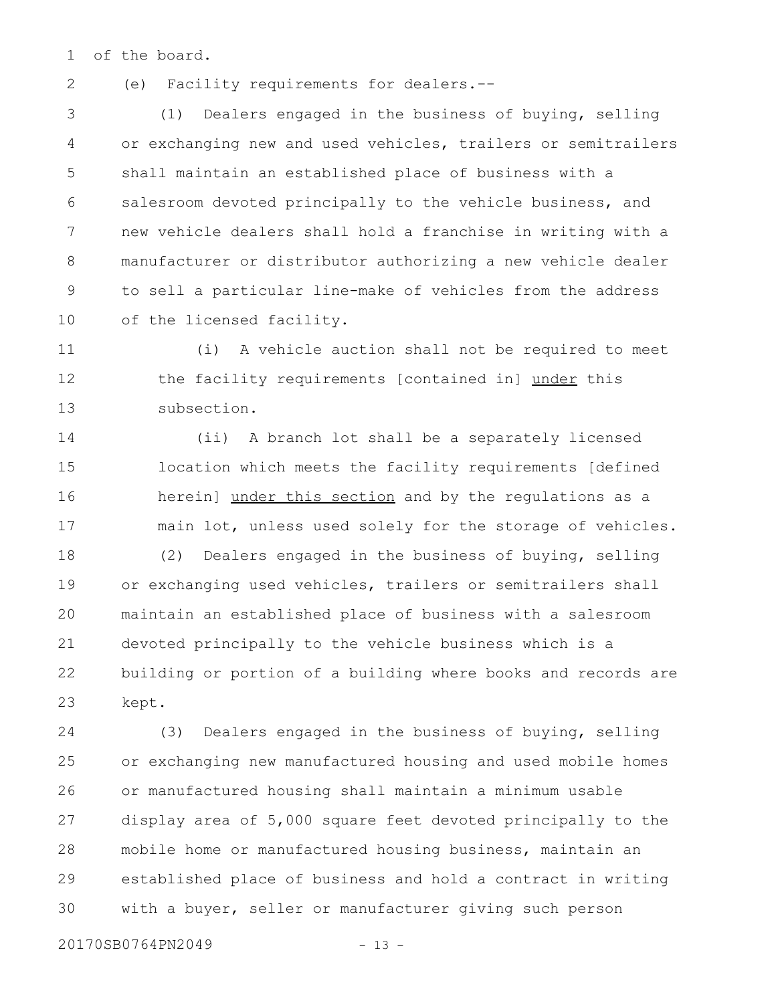of the board. 1

2

(e) Facility requirements for dealers.--

(1) Dealers engaged in the business of buying, selling or exchanging new and used vehicles, trailers or semitrailers shall maintain an established place of business with a salesroom devoted principally to the vehicle business, and new vehicle dealers shall hold a franchise in writing with a manufacturer or distributor authorizing a new vehicle dealer to sell a particular line-make of vehicles from the address of the licensed facility. 3 4 5 6 7 8 9 10

(i) A vehicle auction shall not be required to meet the facility requirements [contained in] under this subsection. 11 12 13

(ii) A branch lot shall be a separately licensed location which meets the facility requirements [defined herein] under this section and by the regulations as a main lot, unless used solely for the storage of vehicles. 14 15 16 17

(2) Dealers engaged in the business of buying, selling or exchanging used vehicles, trailers or semitrailers shall maintain an established place of business with a salesroom devoted principally to the vehicle business which is a building or portion of a building where books and records are kept. 18 19 20 21 22 23

(3) Dealers engaged in the business of buying, selling or exchanging new manufactured housing and used mobile homes or manufactured housing shall maintain a minimum usable display area of 5,000 square feet devoted principally to the mobile home or manufactured housing business, maintain an established place of business and hold a contract in writing with a buyer, seller or manufacturer giving such person 24 25 26 27 28 29 30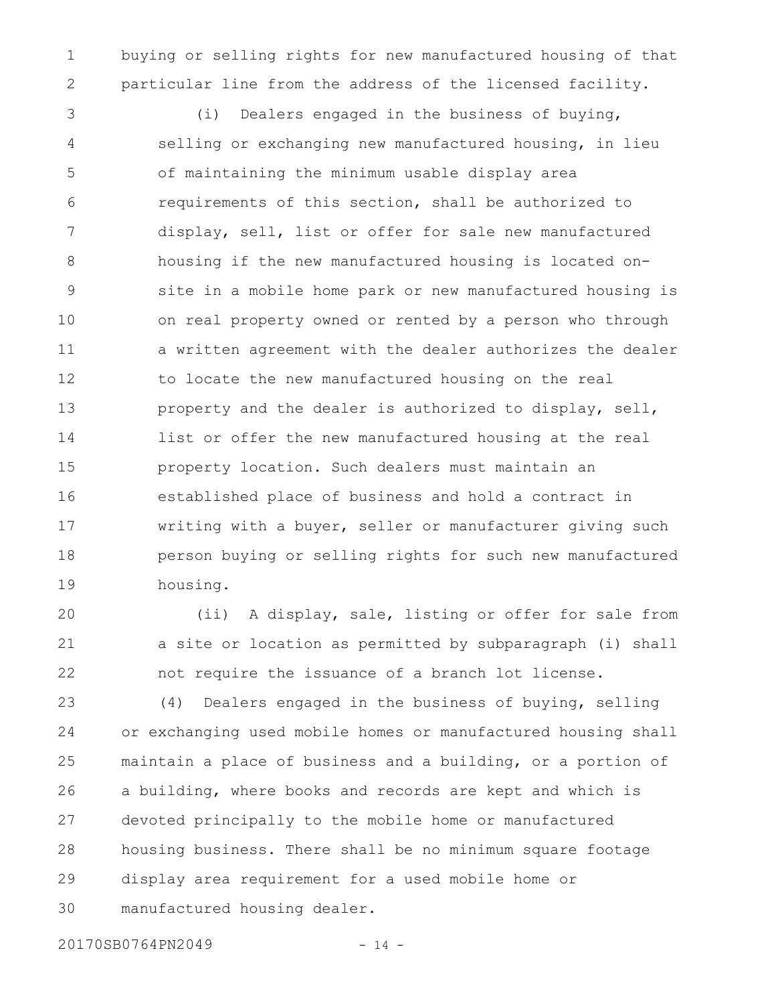buying or selling rights for new manufactured housing of that particular line from the address of the licensed facility. 1 2

(i) Dealers engaged in the business of buying, selling or exchanging new manufactured housing, in lieu of maintaining the minimum usable display area requirements of this section, shall be authorized to display, sell, list or offer for sale new manufactured housing if the new manufactured housing is located onsite in a mobile home park or new manufactured housing is on real property owned or rented by a person who through a written agreement with the dealer authorizes the dealer to locate the new manufactured housing on the real property and the dealer is authorized to display, sell, list or offer the new manufactured housing at the real property location. Such dealers must maintain an established place of business and hold a contract in writing with a buyer, seller or manufacturer giving such person buying or selling rights for such new manufactured housing. 3 4 5 6 7 8 9 10 11 12 13 14 15 16 17 18 19

(ii) A display, sale, listing or offer for sale from a site or location as permitted by subparagraph (i) shall not require the issuance of a branch lot license. 20 21 22

(4) Dealers engaged in the business of buying, selling or exchanging used mobile homes or manufactured housing shall maintain a place of business and a building, or a portion of a building, where books and records are kept and which is devoted principally to the mobile home or manufactured housing business. There shall be no minimum square footage display area requirement for a used mobile home or manufactured housing dealer. 23 24 25 26 27 28 29 30

20170SB0764PN2049 - 14 -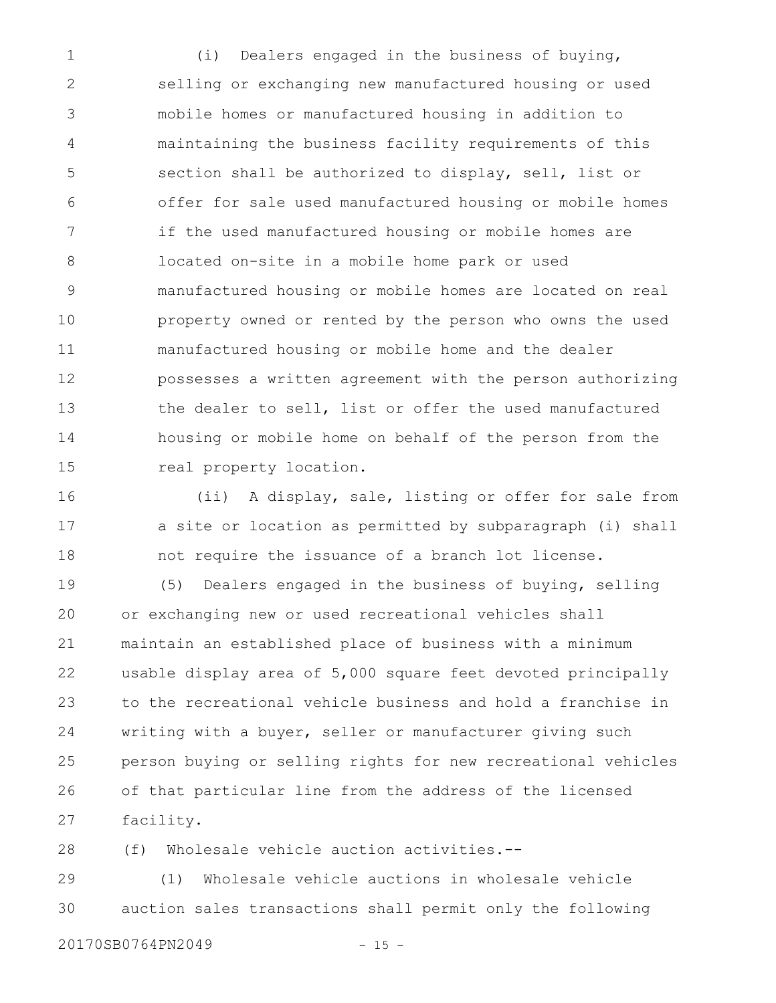(i) Dealers engaged in the business of buying, selling or exchanging new manufactured housing or used mobile homes or manufactured housing in addition to maintaining the business facility requirements of this section shall be authorized to display, sell, list or offer for sale used manufactured housing or mobile homes if the used manufactured housing or mobile homes are located on-site in a mobile home park or used manufactured housing or mobile homes are located on real property owned or rented by the person who owns the used manufactured housing or mobile home and the dealer possesses a written agreement with the person authorizing the dealer to sell, list or offer the used manufactured housing or mobile home on behalf of the person from the real property location. 1 2 3 4 5 6 7 8 9 10 11 12 13 14 15

(ii) A display, sale, listing or offer for sale from a site or location as permitted by subparagraph (i) shall not require the issuance of a branch lot license. 16 17 18

(5) Dealers engaged in the business of buying, selling or exchanging new or used recreational vehicles shall maintain an established place of business with a minimum usable display area of 5,000 square feet devoted principally to the recreational vehicle business and hold a franchise in writing with a buyer, seller or manufacturer giving such person buying or selling rights for new recreational vehicles of that particular line from the address of the licensed facility. 19 20 21 22 23 24 25 26 27

(f) Wholesale vehicle auction activities.-- 28

(1) Wholesale vehicle auctions in wholesale vehicle auction sales transactions shall permit only the following 29 30

20170SB0764PN2049 - 15 -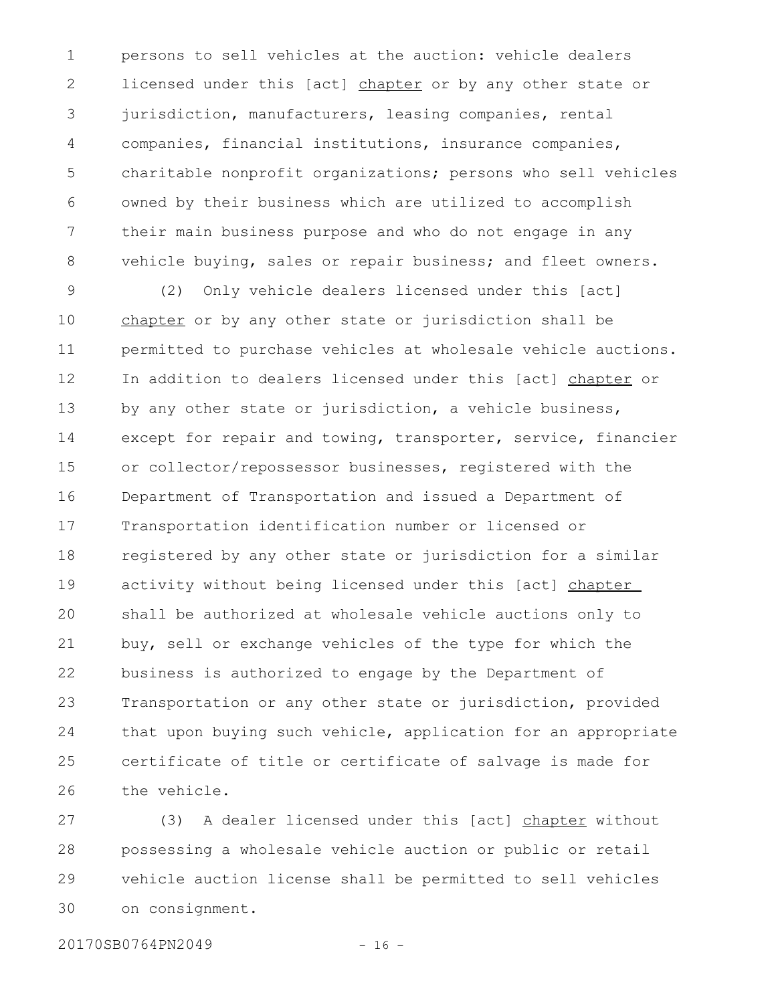persons to sell vehicles at the auction: vehicle dealers licensed under this [act] chapter or by any other state or jurisdiction, manufacturers, leasing companies, rental companies, financial institutions, insurance companies, charitable nonprofit organizations; persons who sell vehicles owned by their business which are utilized to accomplish their main business purpose and who do not engage in any vehicle buying, sales or repair business; and fleet owners. 1 2 3 4 5 6 7 8

(2) Only vehicle dealers licensed under this [act] chapter or by any other state or jurisdiction shall be permitted to purchase vehicles at wholesale vehicle auctions. In addition to dealers licensed under this [act] chapter or by any other state or jurisdiction, a vehicle business, except for repair and towing, transporter, service, financier or collector/repossessor businesses, registered with the Department of Transportation and issued a Department of Transportation identification number or licensed or registered by any other state or jurisdiction for a similar activity without being licensed under this [act] chapter shall be authorized at wholesale vehicle auctions only to buy, sell or exchange vehicles of the type for which the business is authorized to engage by the Department of Transportation or any other state or jurisdiction, provided that upon buying such vehicle, application for an appropriate certificate of title or certificate of salvage is made for the vehicle. 9 10 11 12 13 14 15 16 17 18 19 20 21 22 23 24 25 26

(3) A dealer licensed under this [act] chapter without possessing a wholesale vehicle auction or public or retail vehicle auction license shall be permitted to sell vehicles on consignment. 27 28 29 30

20170SB0764PN2049 - 16 -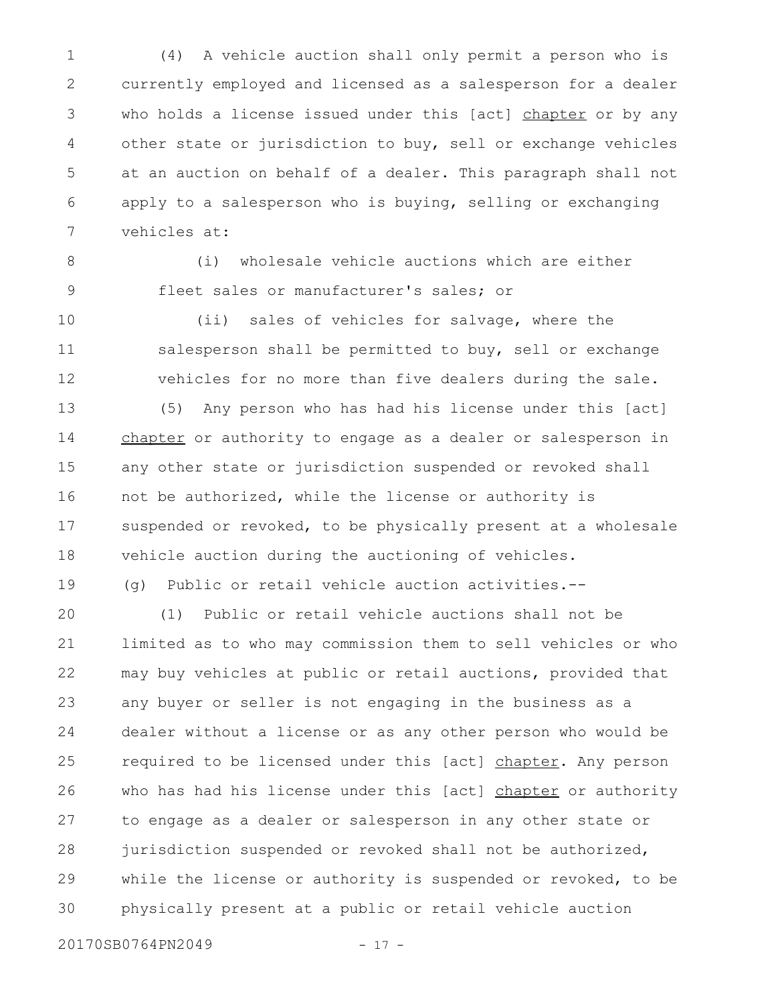(4) A vehicle auction shall only permit a person who is currently employed and licensed as a salesperson for a dealer who holds a license issued under this [act] chapter or by any other state or jurisdiction to buy, sell or exchange vehicles at an auction on behalf of a dealer. This paragraph shall not apply to a salesperson who is buying, selling or exchanging vehicles at: 1 2 3 4 5 6 7

8

9

19

(i) wholesale vehicle auctions which are either fleet sales or manufacturer's sales; or

(ii) sales of vehicles for salvage, where the salesperson shall be permitted to buy, sell or exchange vehicles for no more than five dealers during the sale. 10 11 12

(5) Any person who has had his license under this [act] chapter or authority to engage as a dealer or salesperson in any other state or jurisdiction suspended or revoked shall not be authorized, while the license or authority is suspended or revoked, to be physically present at a wholesale vehicle auction during the auctioning of vehicles. 13 14 15 16 17 18

(g) Public or retail vehicle auction activities.--

(1) Public or retail vehicle auctions shall not be limited as to who may commission them to sell vehicles or who may buy vehicles at public or retail auctions, provided that any buyer or seller is not engaging in the business as a dealer without a license or as any other person who would be required to be licensed under this [act] chapter. Any person who has had his license under this [act] chapter or authority to engage as a dealer or salesperson in any other state or jurisdiction suspended or revoked shall not be authorized, while the license or authority is suspended or revoked, to be physically present at a public or retail vehicle auction 20 21 22 23 24 25 26 27 28 29 30

20170SB0764PN2049 - 17 -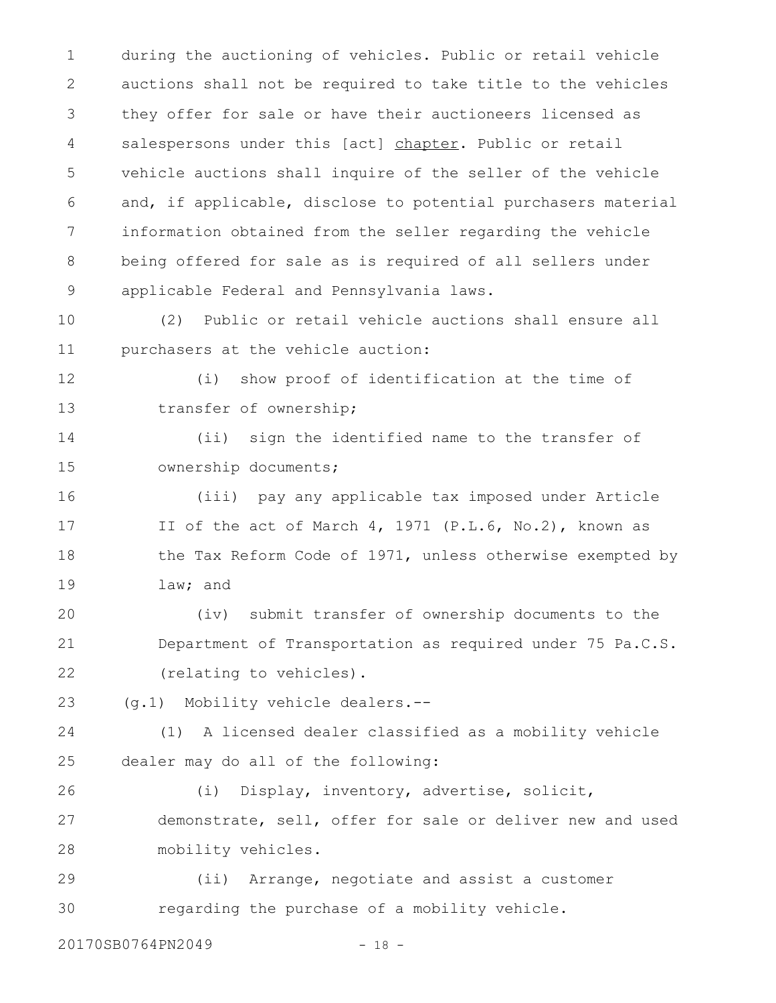during the auctioning of vehicles. Public or retail vehicle auctions shall not be required to take title to the vehicles they offer for sale or have their auctioneers licensed as salespersons under this [act] chapter. Public or retail vehicle auctions shall inquire of the seller of the vehicle and, if applicable, disclose to potential purchasers material information obtained from the seller regarding the vehicle being offered for sale as is required of all sellers under applicable Federal and Pennsylvania laws. 1 2 3 4 5 6 7 8 9

(2) Public or retail vehicle auctions shall ensure all purchasers at the vehicle auction: 10 11

12 13

(i) show proof of identification at the time of transfer of ownership;

(ii) sign the identified name to the transfer of ownership documents; 14 15

(iii) pay any applicable tax imposed under Article II of the act of March 4, 1971 (P.L.6, No.2), known as the Tax Reform Code of 1971, unless otherwise exempted by law; and 16 17 18 19

(iv) submit transfer of ownership documents to the Department of Transportation as required under 75 Pa.C.S. (relating to vehicles). 20 21 22

(g.1) Mobility vehicle dealers.-- 23

(1) A licensed dealer classified as a mobility vehicle dealer may do all of the following: 24 25

(i) Display, inventory, advertise, solicit, demonstrate, sell, offer for sale or deliver new and used mobility vehicles. 26 27 28

(ii) Arrange, negotiate and assist a customer regarding the purchase of a mobility vehicle. 29 30

20170SB0764PN2049 - 18 -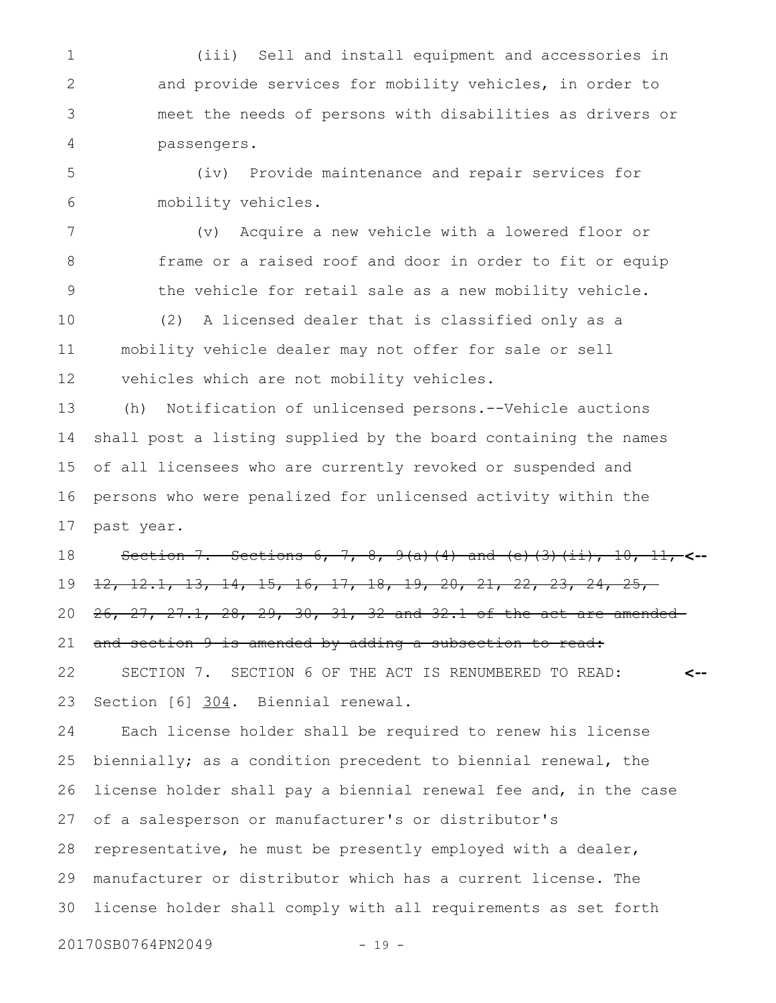(iii) Sell and install equipment and accessories in and provide services for mobility vehicles, in order to meet the needs of persons with disabilities as drivers or passengers. 1 2 3 4

(iv) Provide maintenance and repair services for mobility vehicles. 5 6

(v) Acquire a new vehicle with a lowered floor or frame or a raised roof and door in order to fit or equip the vehicle for retail sale as a new mobility vehicle. 7 8 9

(2) A licensed dealer that is classified only as a mobility vehicle dealer may not offer for sale or sell vehicles which are not mobility vehicles. 10 11 12

(h) Notification of unlicensed persons.--Vehicle auctions shall post a listing supplied by the board containing the names of all licensees who are currently revoked or suspended and persons who were penalized for unlicensed activity within the past year. 13 14 15 16 17

Section 7. Sections 6, 7, 8, 9(a)(4) and (e)(3)(ii), 10, 11, **<--** 12, 12.1, 13, 14, 15, 16, 17, 18, 19, 20, 21, 22, 23, 24, 25, 26, 27, 27.1, 28, 29, 30, 31, 32 and 32.1 of the act are amended and section 9 is amended by adding a subsection to read: SECTION 7. SECTION 6 OF THE ACT IS RENUMBERED TO READ: **<--** 18 19 20 21 22

Section [6] 304. Biennial renewal. 23

Each license holder shall be required to renew his license biennially; as a condition precedent to biennial renewal, the license holder shall pay a biennial renewal fee and, in the case of a salesperson or manufacturer's or distributor's representative, he must be presently employed with a dealer, manufacturer or distributor which has a current license. The license holder shall comply with all requirements as set forth 24 25 26 27 28 29 30

20170SB0764PN2049 - 19 -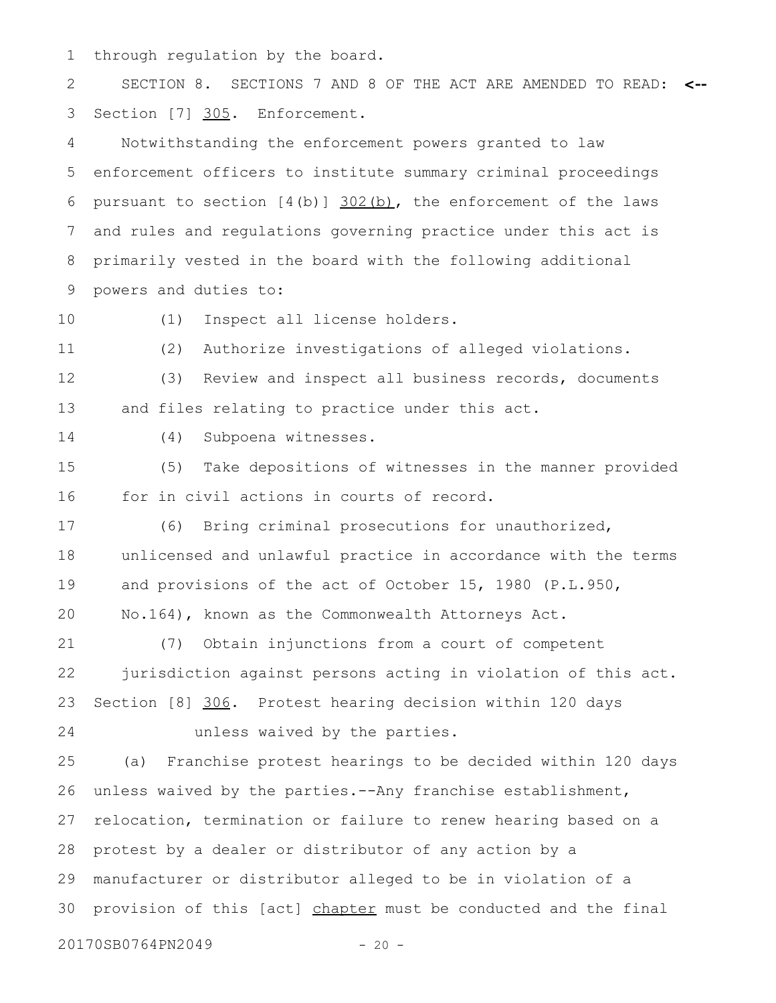through regulation by the board. 1

SECTION 8. SECTIONS 7 AND 8 OF THE ACT ARE AMENDED TO READ: **<--** Section [7] 305. Enforcement. 2 3

Notwithstanding the enforcement powers granted to law enforcement officers to institute summary criminal proceedings pursuant to section  $[4(b)]$   $302(b)$ , the enforcement of the laws and rules and regulations governing practice under this act is primarily vested in the board with the following additional powers and duties to: 4 5 6 7 8 9

10

(1) Inspect all license holders.

11

(2) Authorize investigations of alleged violations.

(3) Review and inspect all business records, documents and files relating to practice under this act. 12 13

14

(4) Subpoena witnesses.

(5) Take depositions of witnesses in the manner provided for in civil actions in courts of record. 15 16

(6) Bring criminal prosecutions for unauthorized, unlicensed and unlawful practice in accordance with the terms and provisions of the act of October 15, 1980 (P.L.950, No.164), known as the Commonwealth Attorneys Act. 17 18 19 20

(7) Obtain injunctions from a court of competent jurisdiction against persons acting in violation of this act. Section [8] 306. Protest hearing decision within 120 days unless waived by the parties. 21 22 23 24

(a) Franchise protest hearings to be decided within 120 days unless waived by the parties.--Any franchise establishment, relocation, termination or failure to renew hearing based on a protest by a dealer or distributor of any action by a manufacturer or distributor alleged to be in violation of a provision of this [act] chapter must be conducted and the final 25 26 27 28 29 30

20170SB0764PN2049 - 20 -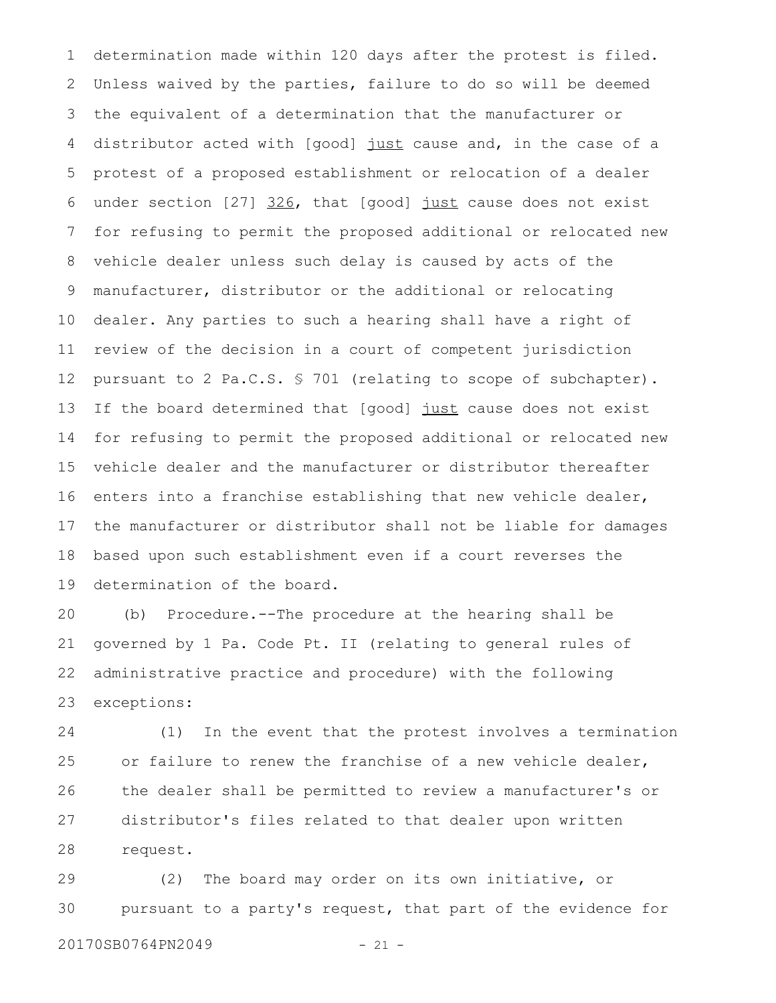determination made within 120 days after the protest is filed. Unless waived by the parties, failure to do so will be deemed the equivalent of a determination that the manufacturer or distributor acted with [good] just cause and, in the case of a protest of a proposed establishment or relocation of a dealer under section [27] 326, that [good] just cause does not exist for refusing to permit the proposed additional or relocated new vehicle dealer unless such delay is caused by acts of the manufacturer, distributor or the additional or relocating dealer. Any parties to such a hearing shall have a right of review of the decision in a court of competent jurisdiction pursuant to 2 Pa.C.S. § 701 (relating to scope of subchapter). If the board determined that [good] just cause does not exist for refusing to permit the proposed additional or relocated new vehicle dealer and the manufacturer or distributor thereafter enters into a franchise establishing that new vehicle dealer, the manufacturer or distributor shall not be liable for damages based upon such establishment even if a court reverses the determination of the board. 1 2 3 4 5 6 7 8 9 10 11 12 13 14 15 16 17 18 19

(b) Procedure.--The procedure at the hearing shall be governed by 1 Pa. Code Pt. II (relating to general rules of administrative practice and procedure) with the following exceptions: 20 21 22 23

(1) In the event that the protest involves a termination or failure to renew the franchise of a new vehicle dealer, the dealer shall be permitted to review a manufacturer's or distributor's files related to that dealer upon written request. 24 25 26 27 28

(2) The board may order on its own initiative, or pursuant to a party's request, that part of the evidence for 29 30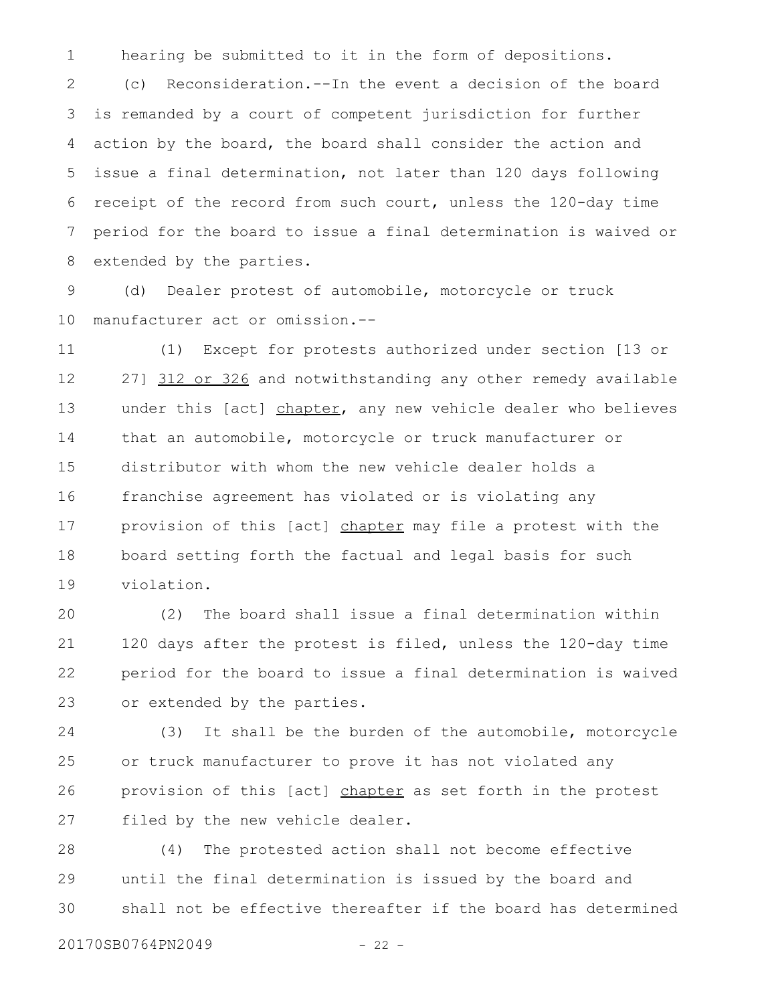hearing be submitted to it in the form of depositions. 1

(c) Reconsideration.--In the event a decision of the board is remanded by a court of competent jurisdiction for further action by the board, the board shall consider the action and issue a final determination, not later than 120 days following receipt of the record from such court, unless the 120-day time period for the board to issue a final determination is waived or extended by the parties. 2 3 4 5 6 7 8

(d) Dealer protest of automobile, motorcycle or truck manufacturer act or omission.-- 9 10

(1) Except for protests authorized under section [13 or 27] 312 or 326 and notwithstanding any other remedy available under this [act] chapter, any new vehicle dealer who believes that an automobile, motorcycle or truck manufacturer or distributor with whom the new vehicle dealer holds a franchise agreement has violated or is violating any provision of this [act] chapter may file a protest with the board setting forth the factual and legal basis for such violation. 11 12 13 14 15 16 17 18 19

(2) The board shall issue a final determination within 120 days after the protest is filed, unless the 120-day time period for the board to issue a final determination is waived or extended by the parties. 20 21 22 23

(3) It shall be the burden of the automobile, motorcycle or truck manufacturer to prove it has not violated any provision of this [act] chapter as set forth in the protest filed by the new vehicle dealer. 24 25 26 27

(4) The protested action shall not become effective until the final determination is issued by the board and shall not be effective thereafter if the board has determined 28 29 30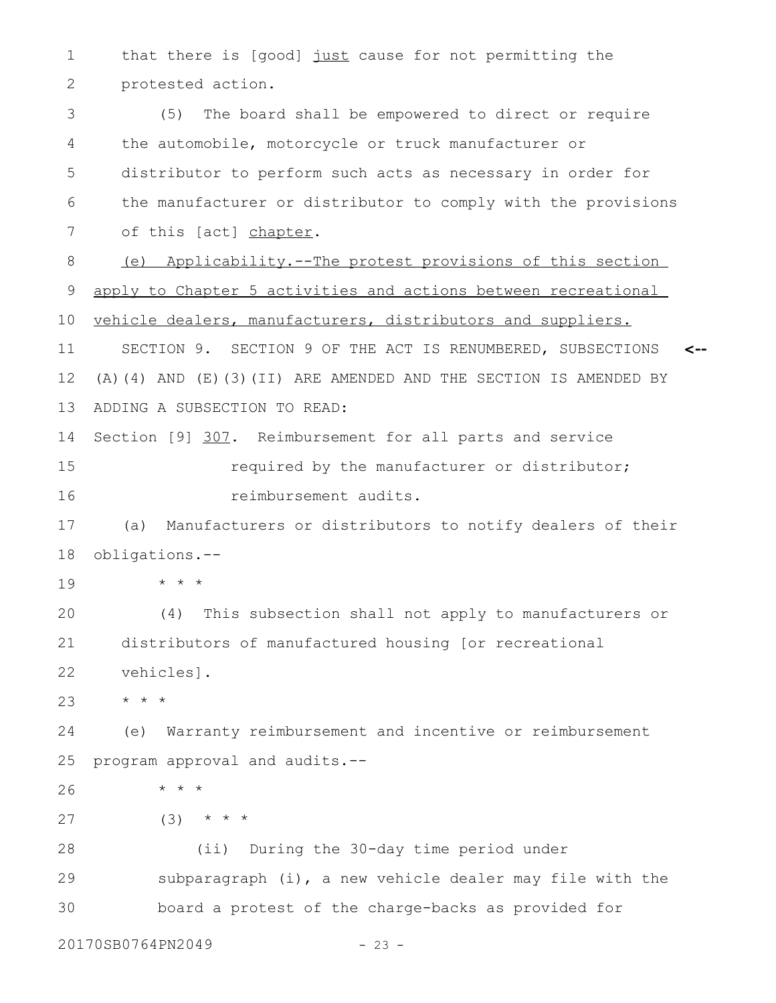that there is [good] just cause for not permitting the protested action. 1 2

(5) The board shall be empowered to direct or require the automobile, motorcycle or truck manufacturer or distributor to perform such acts as necessary in order for the manufacturer or distributor to comply with the provisions of this [act] chapter. (e) Applicability.--The protest provisions of this section apply to Chapter 5 activities and actions between recreational vehicle dealers, manufacturers, distributors and suppliers. SECTION 9. SECTION 9 OF THE ACT IS RENUMBERED, SUBSECTIONS (A)(4) AND (E)(3)(II) ARE AMENDED AND THE SECTION IS AMENDED BY ADDING A SUBSECTION TO READ: Section [9] 307. Reimbursement for all parts and service required by the manufacturer or distributor; reimbursement audits. (a) Manufacturers or distributors to notify dealers of their obligations.-- \* \* \* (4) This subsection shall not apply to manufacturers or distributors of manufactured housing [or recreational vehicles]. \* \* \* (e) Warranty reimbursement and incentive or reimbursement program approval and audits.-- \* \* \*  $(3)$  \* \* \* (ii) During the 30-day time period under subparagraph (i), a new vehicle dealer may file with the board a protest of the charge-backs as provided for **<--** 3 4 5 6 7 8 9 10 11 12 13 14 15 16 17 18 19 20 21 22 23 24 25 26 27 28 29 30

20170SB0764PN2049 - 23 -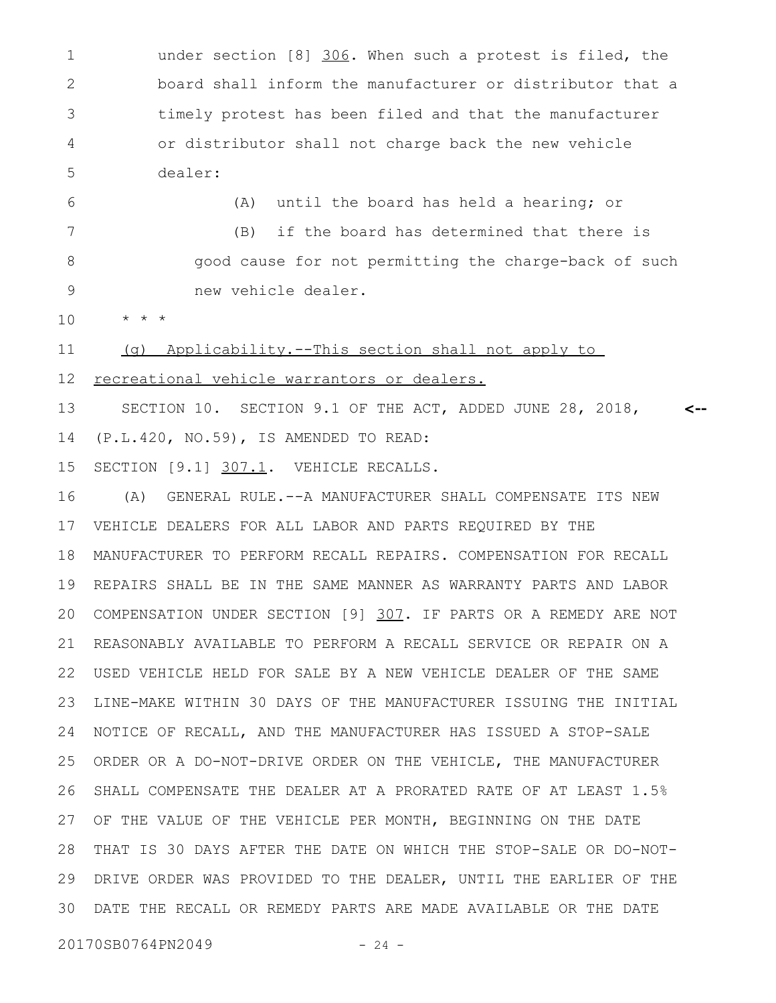under section [8] 306. When such a protest is filed, the board shall inform the manufacturer or distributor that a timely protest has been filed and that the manufacturer or distributor shall not charge back the new vehicle dealer: 1 2 3 4 5

(A) until the board has held a hearing; or (B) if the board has determined that there is good cause for not permitting the charge-back of such new vehicle dealer. 6 7 8 9

\* \* \* 10

(g) Applicability.--This section shall not apply to 11

 recreational vehicle warrantors or dealers. 12

SECTION 10. SECTION 9.1 OF THE ACT, ADDED JUNE 28, 2018, (P.L.420, NO.59), IS AMENDED TO READ: **<--** 13 14

SECTION [9.1] 307.1. VEHICLE RECALLS. 15

(A) GENERAL RULE.--A MANUFACTURER SHALL COMPENSATE ITS NEW VEHICLE DEALERS FOR ALL LABOR AND PARTS REQUIRED BY THE MANUFACTURER TO PERFORM RECALL REPAIRS. COMPENSATION FOR RECALL REPAIRS SHALL BE IN THE SAME MANNER AS WARRANTY PARTS AND LABOR COMPENSATION UNDER SECTION [9] 307. IF PARTS OR A REMEDY ARE NOT REASONABLY AVAILABLE TO PERFORM A RECALL SERVICE OR REPAIR ON A USED VEHICLE HELD FOR SALE BY A NEW VEHICLE DEALER OF THE SAME LINE-MAKE WITHIN 30 DAYS OF THE MANUFACTURER ISSUING THE INITIAL NOTICE OF RECALL, AND THE MANUFACTURER HAS ISSUED A STOP-SALE ORDER OR A DO-NOT-DRIVE ORDER ON THE VEHICLE, THE MANUFACTURER SHALL COMPENSATE THE DEALER AT A PRORATED RATE OF AT LEAST 1.5% OF THE VALUE OF THE VEHICLE PER MONTH, BEGINNING ON THE DATE THAT IS 30 DAYS AFTER THE DATE ON WHICH THE STOP-SALE OR DO-NOT-28 DRIVE ORDER WAS PROVIDED TO THE DEALER, UNTIL THE EARLIER OF THE DATE THE RECALL OR REMEDY PARTS ARE MADE AVAILABLE OR THE DATE 3016 17 18 19 20 21 22 23 24 25 26 27 29

20170SB0764PN2049 - 24 -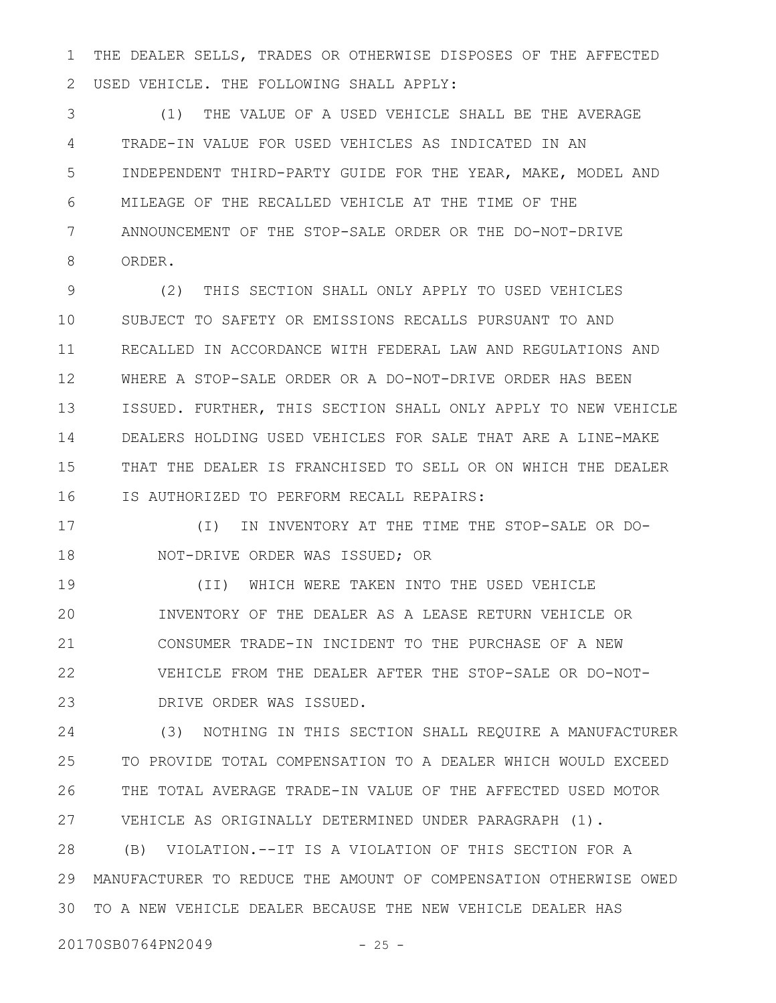THE DEALER SELLS, TRADES OR OTHERWISE DISPOSES OF THE AFFECTED USED VEHICLE. THE FOLLOWING SHALL APPLY: 1 2

(1) THE VALUE OF A USED VEHICLE SHALL BE THE AVERAGE TRADE-IN VALUE FOR USED VEHICLES AS INDICATED IN AN INDEPENDENT THIRD-PARTY GUIDE FOR THE YEAR, MAKE, MODEL AND MILEAGE OF THE RECALLED VEHICLE AT THE TIME OF THE ANNOUNCEMENT OF THE STOP-SALE ORDER OR THE DO-NOT-DRIVE ORDER. 3 4 5 6 7 8

(2) THIS SECTION SHALL ONLY APPLY TO USED VEHICLES SUBJECT TO SAFETY OR EMISSIONS RECALLS PURSUANT TO AND RECALLED IN ACCORDANCE WITH FEDERAL LAW AND REGULATIONS AND WHERE A STOP-SALE ORDER OR A DO-NOT-DRIVE ORDER HAS BEEN ISSUED. FURTHER, THIS SECTION SHALL ONLY APPLY TO NEW VEHICLE DEALERS HOLDING USED VEHICLES FOR SALE THAT ARE A LINE-MAKE THAT THE DEALER IS FRANCHISED TO SELL OR ON WHICH THE DEALER IS AUTHORIZED TO PERFORM RECALL REPAIRS: 9 10 11 12 13 14 15 16

(I) IN INVENTORY AT THE TIME THE STOP-SALE OR DO-NOT-DRIVE ORDER WAS ISSUED; OR 17 18

(II) WHICH WERE TAKEN INTO THE USED VEHICLE INVENTORY OF THE DEALER AS A LEASE RETURN VEHICLE OR CONSUMER TRADE-IN INCIDENT TO THE PURCHASE OF A NEW VEHICLE FROM THE DEALER AFTER THE STOP-SALE OR DO-NOT-DRIVE ORDER WAS ISSUED. 19 20 21 22 23

(3) NOTHING IN THIS SECTION SHALL REQUIRE A MANUFACTURER TO PROVIDE TOTAL COMPENSATION TO A DEALER WHICH WOULD EXCEED THE TOTAL AVERAGE TRADE-IN VALUE OF THE AFFECTED USED MOTOR VEHICLE AS ORIGINALLY DETERMINED UNDER PARAGRAPH (1). 24 25 26 27

(B) VIOLATION.--IT IS A VIOLATION OF THIS SECTION FOR A MANUFACTURER TO REDUCE THE AMOUNT OF COMPENSATION OTHERWISE OWED TO A NEW VEHICLE DEALER BECAUSE THE NEW VEHICLE DEALER HAS 3028 29

20170SB0764PN2049 - 25 -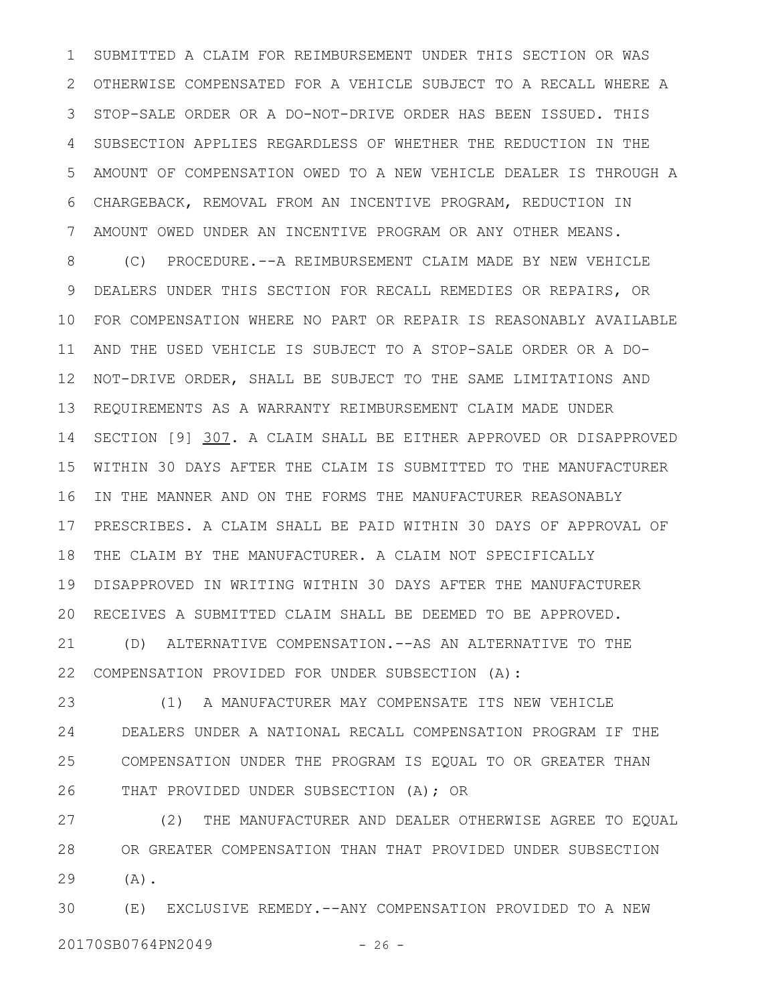SUBMITTED A CLAIM FOR REIMBURSEMENT UNDER THIS SECTION OR WAS OTHERWISE COMPENSATED FOR A VEHICLE SUBJECT TO A RECALL WHERE A STOP-SALE ORDER OR A DO-NOT-DRIVE ORDER HAS BEEN ISSUED. THIS SUBSECTION APPLIES REGARDLESS OF WHETHER THE REDUCTION IN THE AMOUNT OF COMPENSATION OWED TO A NEW VEHICLE DEALER IS THROUGH A CHARGEBACK, REMOVAL FROM AN INCENTIVE PROGRAM, REDUCTION IN AMOUNT OWED UNDER AN INCENTIVE PROGRAM OR ANY OTHER MEANS. 1 2 3 4 5 6 7

(C) PROCEDURE.--A REIMBURSEMENT CLAIM MADE BY NEW VEHICLE DEALERS UNDER THIS SECTION FOR RECALL REMEDIES OR REPAIRS, OR FOR COMPENSATION WHERE NO PART OR REPAIR IS REASONABLY AVAILABLE AND THE USED VEHICLE IS SUBJECT TO A STOP-SALE ORDER OR A DO-NOT-DRIVE ORDER, SHALL BE SUBJECT TO THE SAME LIMITATIONS AND REQUIREMENTS AS A WARRANTY REIMBURSEMENT CLAIM MADE UNDER SECTION [9] 307. A CLAIM SHALL BE EITHER APPROVED OR DISAPPROVED WITHIN 30 DAYS AFTER THE CLAIM IS SUBMITTED TO THE MANUFACTURER IN THE MANNER AND ON THE FORMS THE MANUFACTURER REASONABLY PRESCRIBES. A CLAIM SHALL BE PAID WITHIN 30 DAYS OF APPROVAL OF THE CLAIM BY THE MANUFACTURER. A CLAIM NOT SPECIFICALLY DISAPPROVED IN WRITING WITHIN 30 DAYS AFTER THE MANUFACTURER RECEIVES A SUBMITTED CLAIM SHALL BE DEEMED TO BE APPROVED. (D) ALTERNATIVE COMPENSATION.--AS AN ALTERNATIVE TO THE 8 9 10 11 12 13 14 15 16 17 18 19 20 21

COMPENSATION PROVIDED FOR UNDER SUBSECTION (A): 22

(1) A MANUFACTURER MAY COMPENSATE ITS NEW VEHICLE DEALERS UNDER A NATIONAL RECALL COMPENSATION PROGRAM IF THE COMPENSATION UNDER THE PROGRAM IS EQUAL TO OR GREATER THAN THAT PROVIDED UNDER SUBSECTION (A); OR 23 24 25 26

(2) THE MANUFACTURER AND DEALER OTHERWISE AGREE TO EQUAL OR GREATER COMPENSATION THAN THAT PROVIDED UNDER SUBSECTION  $(A)$ . 27 28 29

(E) EXCLUSIVE REMEDY.--ANY COMPENSATION PROVIDED TO A NEW 20170SB0764PN2049 - 26 -30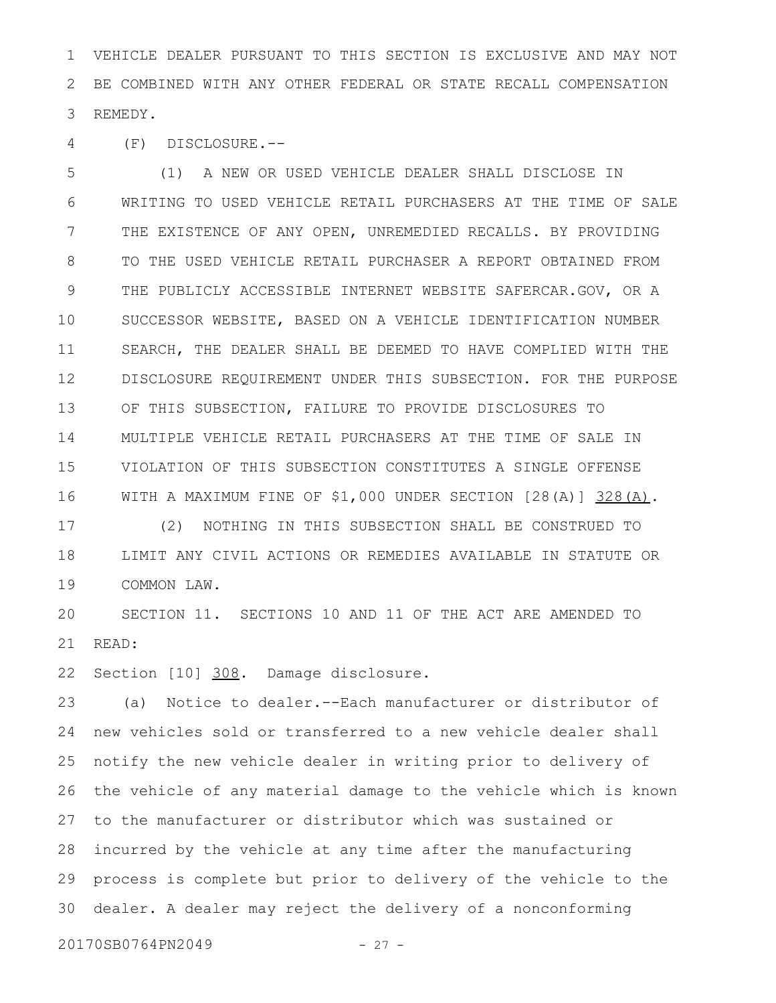VEHICLE DEALER PURSUANT TO THIS SECTION IS EXCLUSIVE AND MAY NOT BE COMBINED WITH ANY OTHER FEDERAL OR STATE RECALL COMPENSATION REMEDY. 1 2 3

(F) DISCLOSURE.-- 4

(1) A NEW OR USED VEHICLE DEALER SHALL DISCLOSE IN WRITING TO USED VEHICLE RETAIL PURCHASERS AT THE TIME OF SALE THE EXISTENCE OF ANY OPEN, UNREMEDIED RECALLS. BY PROVIDING TO THE USED VEHICLE RETAIL PURCHASER A REPORT OBTAINED FROM THE PUBLICLY ACCESSIBLE INTERNET WEBSITE SAFERCAR.GOV, OR A SUCCESSOR WEBSITE, BASED ON A VEHICLE IDENTIFICATION NUMBER SEARCH, THE DEALER SHALL BE DEEMED TO HAVE COMPLIED WITH THE DISCLOSURE REQUIREMENT UNDER THIS SUBSECTION. FOR THE PURPOSE OF THIS SUBSECTION, FAILURE TO PROVIDE DISCLOSURES TO MULTIPLE VEHICLE RETAIL PURCHASERS AT THE TIME OF SALE IN VIOLATION OF THIS SUBSECTION CONSTITUTES A SINGLE OFFENSE WITH A MAXIMUM FINE OF \$1,000 UNDER SECTION [28(A)] 328(A). 5 6 7 8 9 10 11 12 13 14 15 16

(2) NOTHING IN THIS SUBSECTION SHALL BE CONSTRUED TO LIMIT ANY CIVIL ACTIONS OR REMEDIES AVAILABLE IN STATUTE OR COMMON LAW. 17 18 19

SECTION 11. SECTIONS 10 AND 11 OF THE ACT ARE AMENDED TO READ: 20 21

Section [10] 308. Damage disclosure. 22

(a) Notice to dealer.--Each manufacturer or distributor of new vehicles sold or transferred to a new vehicle dealer shall notify the new vehicle dealer in writing prior to delivery of the vehicle of any material damage to the vehicle which is known to the manufacturer or distributor which was sustained or incurred by the vehicle at any time after the manufacturing process is complete but prior to delivery of the vehicle to the dealer. A dealer may reject the delivery of a nonconforming 23 24 25 26 27 28 29 30

20170SB0764PN2049 - 27 -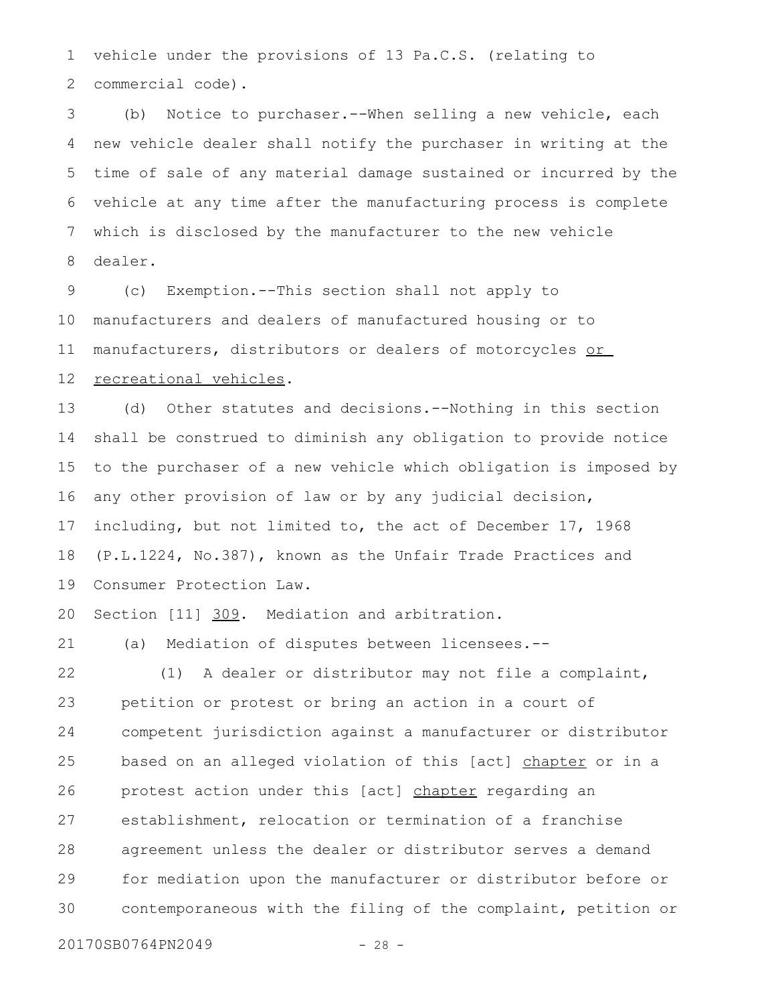vehicle under the provisions of 13 Pa.C.S. (relating to commercial code). 1 2

(b) Notice to purchaser.--When selling a new vehicle, each new vehicle dealer shall notify the purchaser in writing at the time of sale of any material damage sustained or incurred by the vehicle at any time after the manufacturing process is complete which is disclosed by the manufacturer to the new vehicle dealer. 3 4 5 6 7 8

(c) Exemption.--This section shall not apply to manufacturers and dealers of manufactured housing or to manufacturers, distributors or dealers of motorcycles or recreational vehicles. 9 10 11 12

(d) Other statutes and decisions.--Nothing in this section shall be construed to diminish any obligation to provide notice to the purchaser of a new vehicle which obligation is imposed by any other provision of law or by any judicial decision, including, but not limited to, the act of December 17, 1968 (P.L.1224, No.387), known as the Unfair Trade Practices and Consumer Protection Law. 13 14 15 16 17 18 19

Section [11] 309. Mediation and arbitration. 20

(a) Mediation of disputes between licensees.-- 21

(1) A dealer or distributor may not file a complaint, petition or protest or bring an action in a court of competent jurisdiction against a manufacturer or distributor based on an alleged violation of this [act] chapter or in a protest action under this [act] chapter regarding an establishment, relocation or termination of a franchise agreement unless the dealer or distributor serves a demand for mediation upon the manufacturer or distributor before or contemporaneous with the filing of the complaint, petition or 22 23 24 25 26 27 28 29 30

20170SB0764PN2049 - 28 -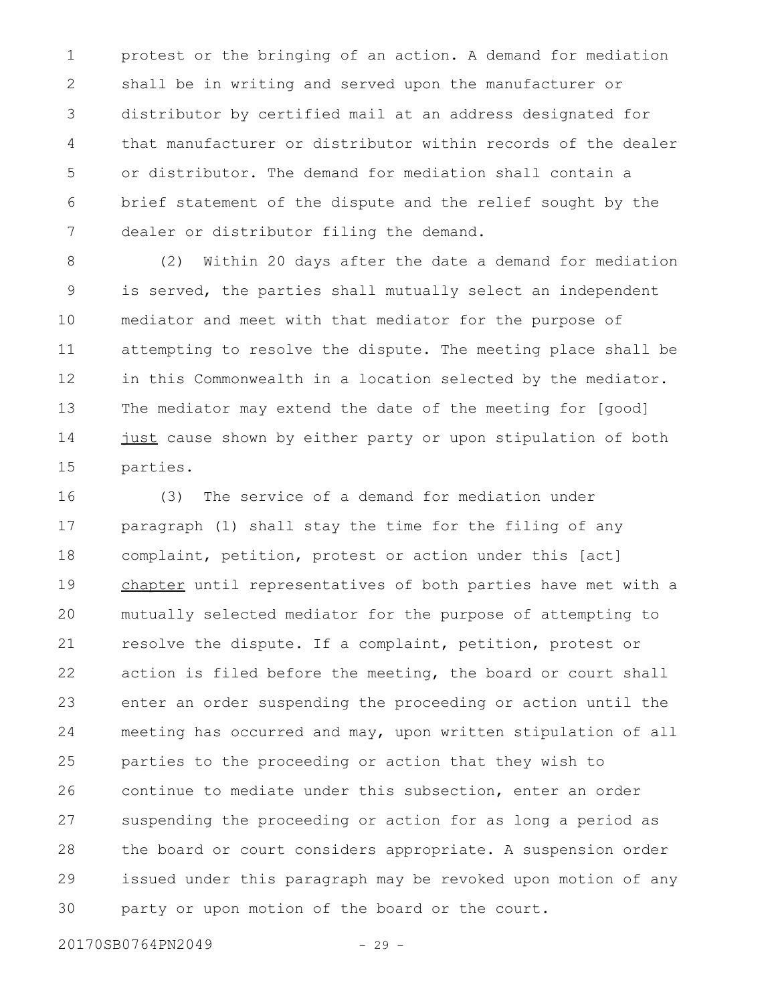protest or the bringing of an action. A demand for mediation shall be in writing and served upon the manufacturer or distributor by certified mail at an address designated for that manufacturer or distributor within records of the dealer or distributor. The demand for mediation shall contain a brief statement of the dispute and the relief sought by the dealer or distributor filing the demand. 1 2 3 4 5 6 7

(2) Within 20 days after the date a demand for mediation is served, the parties shall mutually select an independent mediator and meet with that mediator for the purpose of attempting to resolve the dispute. The meeting place shall be in this Commonwealth in a location selected by the mediator. The mediator may extend the date of the meeting for [good] just cause shown by either party or upon stipulation of both parties. 8 9 10 11 12 13 14 15

(3) The service of a demand for mediation under paragraph (1) shall stay the time for the filing of any complaint, petition, protest or action under this [act] chapter until representatives of both parties have met with a mutually selected mediator for the purpose of attempting to resolve the dispute. If a complaint, petition, protest or action is filed before the meeting, the board or court shall enter an order suspending the proceeding or action until the meeting has occurred and may, upon written stipulation of all parties to the proceeding or action that they wish to continue to mediate under this subsection, enter an order suspending the proceeding or action for as long a period as the board or court considers appropriate. A suspension order issued under this paragraph may be revoked upon motion of any party or upon motion of the board or the court. 16 17 18 19 20 21 22 23 24 25 26 27 28 29 30

20170SB0764PN2049 - 29 -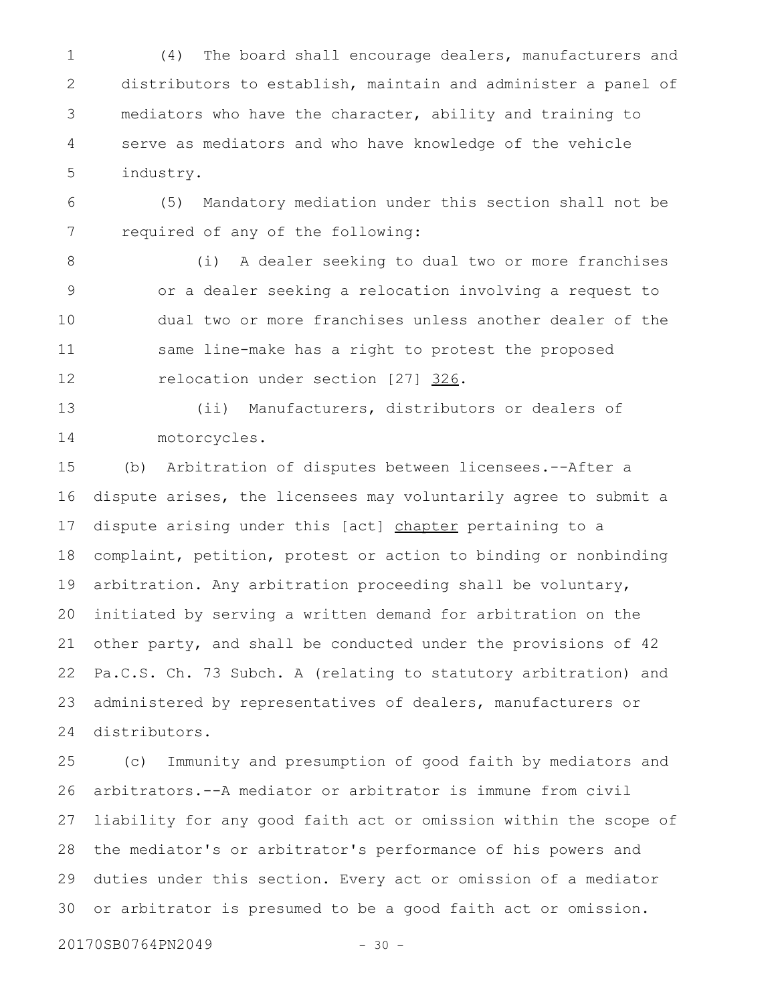(4) The board shall encourage dealers, manufacturers and distributors to establish, maintain and administer a panel of mediators who have the character, ability and training to serve as mediators and who have knowledge of the vehicle industry. 1 2 3 4 5

(5) Mandatory mediation under this section shall not be required of any of the following: 6 7

(i) A dealer seeking to dual two or more franchises or a dealer seeking a relocation involving a request to dual two or more franchises unless another dealer of the same line-make has a right to protest the proposed relocation under section [27] 326. 8 9 10 11 12

13

(ii) Manufacturers, distributors or dealers of motorcycles. 14

(b) Arbitration of disputes between licensees.--After a dispute arises, the licensees may voluntarily agree to submit a dispute arising under this [act] chapter pertaining to a complaint, petition, protest or action to binding or nonbinding arbitration. Any arbitration proceeding shall be voluntary, initiated by serving a written demand for arbitration on the other party, and shall be conducted under the provisions of 42 Pa.C.S. Ch. 73 Subch. A (relating to statutory arbitration) and administered by representatives of dealers, manufacturers or distributors. 15 16 17 18 19 20 21 22 23 24

(c) Immunity and presumption of good faith by mediators and arbitrators.--A mediator or arbitrator is immune from civil liability for any good faith act or omission within the scope of the mediator's or arbitrator's performance of his powers and duties under this section. Every act or omission of a mediator or arbitrator is presumed to be a good faith act or omission. 25 26 27 28 29 30

20170SB0764PN2049 - 30 -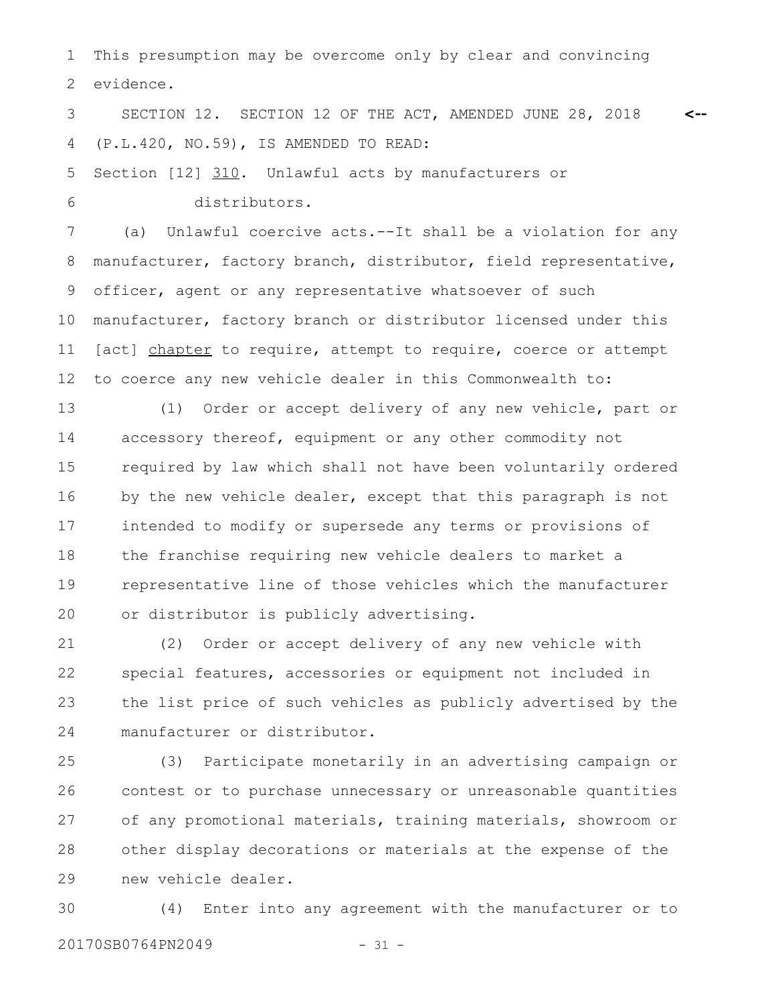This presumption may be overcome only by clear and convincing evidence. 1 2

SECTION 12. SECTION 12 OF THE ACT, AMENDED JUNE 28, 2018 (P.L.420, NO.59), IS AMENDED TO READ: **<--** 3 4

Section [12] 310. Unlawful acts by manufacturers or distributors. 5 6

(a) Unlawful coercive acts.--It shall be a violation for any manufacturer, factory branch, distributor, field representative, officer, agent or any representative whatsoever of such manufacturer, factory branch or distributor licensed under this [act] chapter to require, attempt to require, coerce or attempt to coerce any new vehicle dealer in this Commonwealth to: 7 8 9 10 11 12

(1) Order or accept delivery of any new vehicle, part or accessory thereof, equipment or any other commodity not required by law which shall not have been voluntarily ordered by the new vehicle dealer, except that this paragraph is not intended to modify or supersede any terms or provisions of the franchise requiring new vehicle dealers to market a representative line of those vehicles which the manufacturer or distributor is publicly advertising. 13 14 15 16 17 18 19 20

(2) Order or accept delivery of any new vehicle with special features, accessories or equipment not included in the list price of such vehicles as publicly advertised by the manufacturer or distributor. 21 22 23 24

(3) Participate monetarily in an advertising campaign or contest or to purchase unnecessary or unreasonable quantities of any promotional materials, training materials, showroom or other display decorations or materials at the expense of the new vehicle dealer. 25 26 27 28 29

(4) Enter into any agreement with the manufacturer or to 20170SB0764PN2049 - 31 -30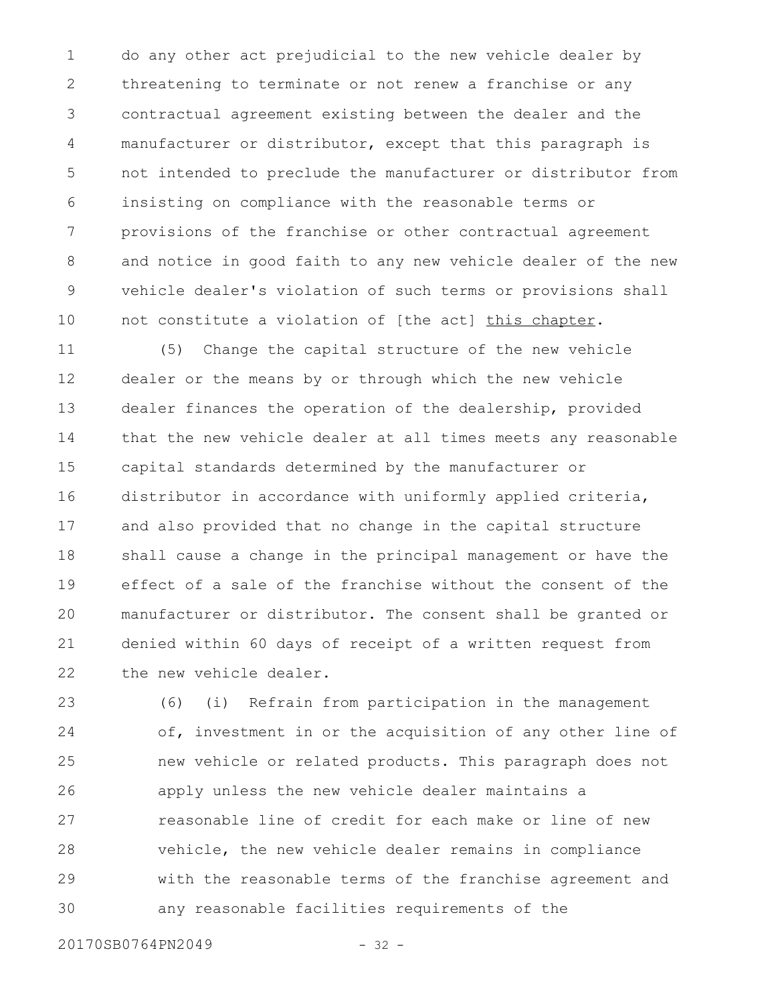do any other act prejudicial to the new vehicle dealer by threatening to terminate or not renew a franchise or any contractual agreement existing between the dealer and the manufacturer or distributor, except that this paragraph is not intended to preclude the manufacturer or distributor from insisting on compliance with the reasonable terms or provisions of the franchise or other contractual agreement and notice in good faith to any new vehicle dealer of the new vehicle dealer's violation of such terms or provisions shall not constitute a violation of [the act] this chapter. 1 2 3 4 5 6 7 8 9 10

(5) Change the capital structure of the new vehicle dealer or the means by or through which the new vehicle dealer finances the operation of the dealership, provided that the new vehicle dealer at all times meets any reasonable capital standards determined by the manufacturer or distributor in accordance with uniformly applied criteria, and also provided that no change in the capital structure shall cause a change in the principal management or have the effect of a sale of the franchise without the consent of the manufacturer or distributor. The consent shall be granted or denied within 60 days of receipt of a written request from the new vehicle dealer. 11 12 13 14 15 16 17 18 19 20 21 22

(6) (i) Refrain from participation in the management of, investment in or the acquisition of any other line of new vehicle or related products. This paragraph does not apply unless the new vehicle dealer maintains a reasonable line of credit for each make or line of new vehicle, the new vehicle dealer remains in compliance with the reasonable terms of the franchise agreement and any reasonable facilities requirements of the 23 24 25 26 27 28 29 30

20170SB0764PN2049 - 32 -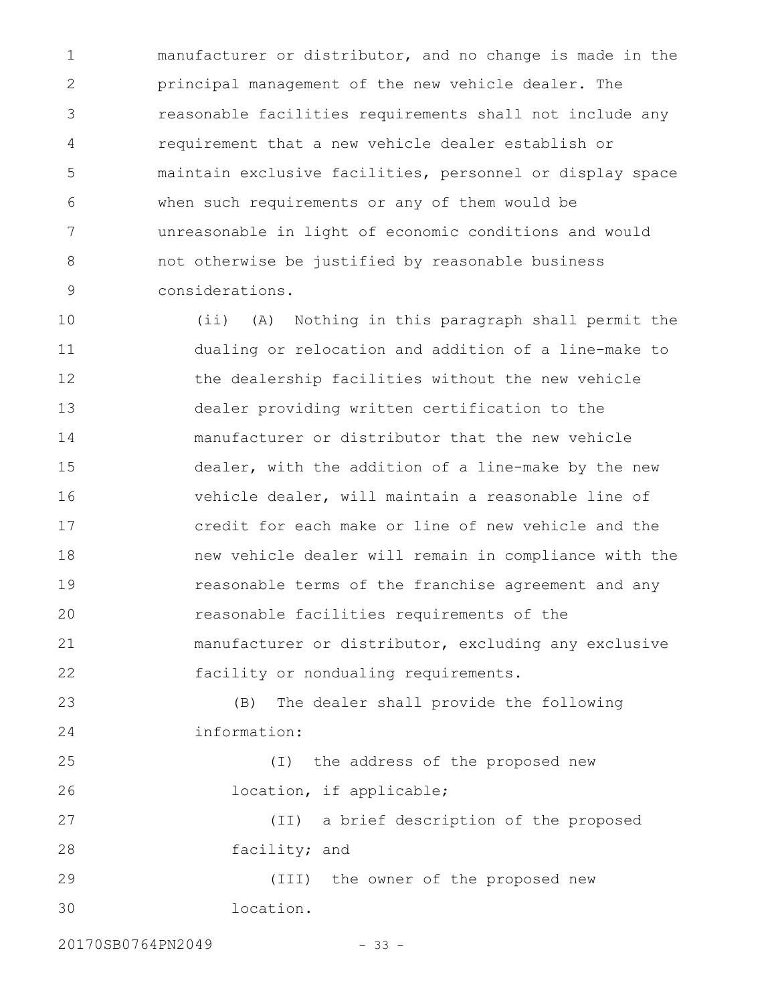manufacturer or distributor, and no change is made in the principal management of the new vehicle dealer. The reasonable facilities requirements shall not include any requirement that a new vehicle dealer establish or maintain exclusive facilities, personnel or display space when such requirements or any of them would be unreasonable in light of economic conditions and would not otherwise be justified by reasonable business considerations. 1 2 3 4 5 6 7 8 9

(ii) (A) Nothing in this paragraph shall permit the dualing or relocation and addition of a line-make to the dealership facilities without the new vehicle dealer providing written certification to the manufacturer or distributor that the new vehicle dealer, with the addition of a line-make by the new vehicle dealer, will maintain a reasonable line of credit for each make or line of new vehicle and the new vehicle dealer will remain in compliance with the reasonable terms of the franchise agreement and any reasonable facilities requirements of the manufacturer or distributor, excluding any exclusive facility or nondualing requirements. 10 11 12 13 14 15 16 17 18 19 20 21 22

(B) The dealer shall provide the following information: 23 24

(I) the address of the proposed new location, if applicable; (II) a brief description of the proposed 25 26 27

facility; and 28

(III) the owner of the proposed new location. 29 30

20170SB0764PN2049 - 33 -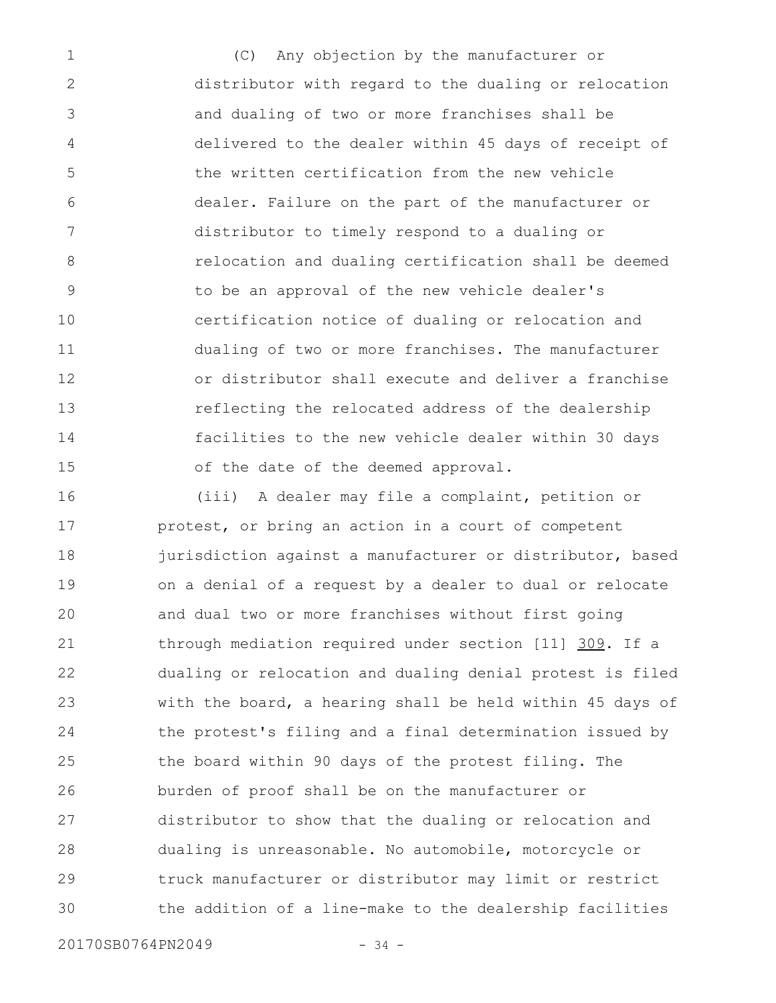(C) Any objection by the manufacturer or distributor with regard to the dualing or relocation and dualing of two or more franchises shall be delivered to the dealer within 45 days of receipt of the written certification from the new vehicle dealer. Failure on the part of the manufacturer or distributor to timely respond to a dualing or relocation and dualing certification shall be deemed to be an approval of the new vehicle dealer's certification notice of dualing or relocation and dualing of two or more franchises. The manufacturer or distributor shall execute and deliver a franchise reflecting the relocated address of the dealership facilities to the new vehicle dealer within 30 days of the date of the deemed approval. 1 2 3 4 5 6 7 8 9 10 11 12 13 14 15

(iii) A dealer may file a complaint, petition or protest, or bring an action in a court of competent jurisdiction against a manufacturer or distributor, based on a denial of a request by a dealer to dual or relocate and dual two or more franchises without first going through mediation required under section [11] 309. If a dualing or relocation and dualing denial protest is filed with the board, a hearing shall be held within 45 days of the protest's filing and a final determination issued by the board within 90 days of the protest filing. The burden of proof shall be on the manufacturer or distributor to show that the dualing or relocation and dualing is unreasonable. No automobile, motorcycle or truck manufacturer or distributor may limit or restrict the addition of a line-make to the dealership facilities 16 17 18 19 20 21 22 23 24 25 26 27 28 29 30

20170SB0764PN2049 - 34 -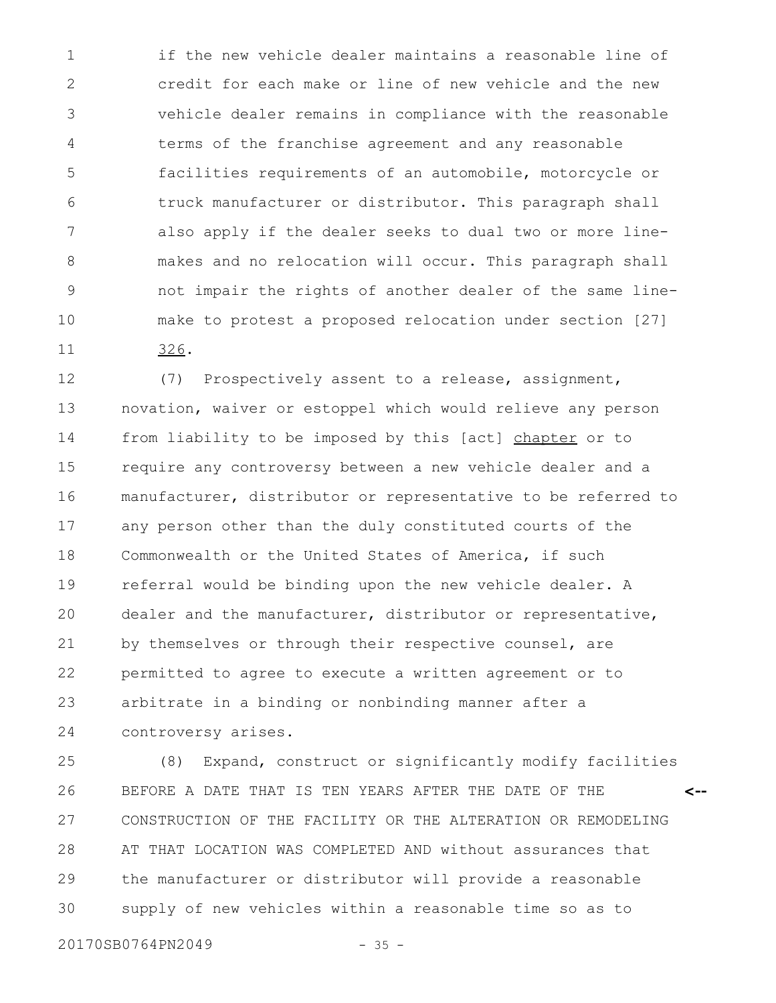if the new vehicle dealer maintains a reasonable line of credit for each make or line of new vehicle and the new vehicle dealer remains in compliance with the reasonable terms of the franchise agreement and any reasonable facilities requirements of an automobile, motorcycle or truck manufacturer or distributor. This paragraph shall also apply if the dealer seeks to dual two or more linemakes and no relocation will occur. This paragraph shall not impair the rights of another dealer of the same linemake to protest a proposed relocation under section [27] 326. 1 2 3 4 5 6 7 8 9 10 11

(7) Prospectively assent to a release, assignment, novation, waiver or estoppel which would relieve any person from liability to be imposed by this [act] chapter or to require any controversy between a new vehicle dealer and a manufacturer, distributor or representative to be referred to any person other than the duly constituted courts of the Commonwealth or the United States of America, if such referral would be binding upon the new vehicle dealer. A dealer and the manufacturer, distributor or representative, by themselves or through their respective counsel, are permitted to agree to execute a written agreement or to arbitrate in a binding or nonbinding manner after a controversy arises. 12 13 14 15 16 17 18 19 20 21 22 23 24

(8) Expand, construct or significantly modify facilities BEFORE A DATE THAT IS TEN YEARS AFTER THE DATE OF THE CONSTRUCTION OF THE FACILITY OR THE ALTERATION OR REMODELING AT THAT LOCATION WAS COMPLETED AND without assurances that the manufacturer or distributor will provide a reasonable supply of new vehicles within a reasonable time so as to **<--** 25 26 27 28 29 30

20170SB0764PN2049 - 35 -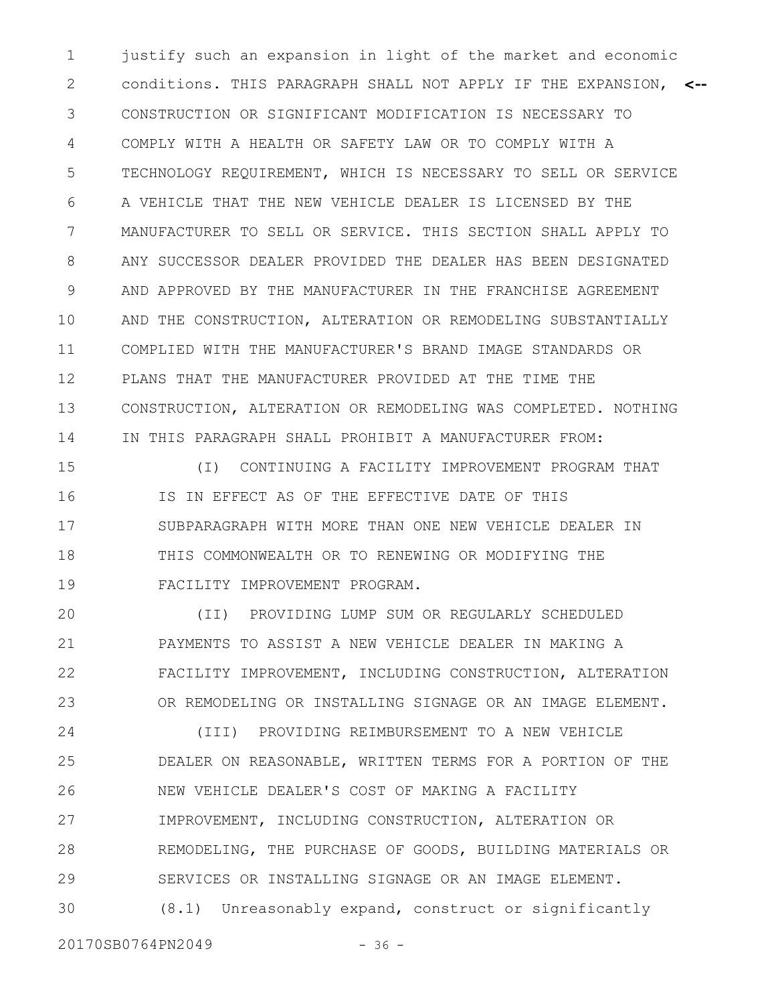justify such an expansion in light of the market and economic conditions. THIS PARAGRAPH SHALL NOT APPLY IF THE EXPANSION, **<--** CONSTRUCTION OR SIGNIFICANT MODIFICATION IS NECESSARY TO COMPLY WITH A HEALTH OR SAFETY LAW OR TO COMPLY WITH A TECHNOLOGY REQUIREMENT, WHICH IS NECESSARY TO SELL OR SERVICE A VEHICLE THAT THE NEW VEHICLE DEALER IS LICENSED BY THE MANUFACTURER TO SELL OR SERVICE. THIS SECTION SHALL APPLY TO ANY SUCCESSOR DEALER PROVIDED THE DEALER HAS BEEN DESIGNATED AND APPROVED BY THE MANUFACTURER IN THE FRANCHISE AGREEMENT AND THE CONSTRUCTION, ALTERATION OR REMODELING SUBSTANTIALLY COMPLIED WITH THE MANUFACTURER'S BRAND IMAGE STANDARDS OR PLANS THAT THE MANUFACTURER PROVIDED AT THE TIME THE CONSTRUCTION, ALTERATION OR REMODELING WAS COMPLETED. NOTHING IN THIS PARAGRAPH SHALL PROHIBIT A MANUFACTURER FROM: 1 2 3 4 5 6 7 8 9 10 11 12 13 14

(I) CONTINUING A FACILITY IMPROVEMENT PROGRAM THAT IS IN EFFECT AS OF THE EFFECTIVE DATE OF THIS SUBPARAGRAPH WITH MORE THAN ONE NEW VEHICLE DEALER IN THIS COMMONWEALTH OR TO RENEWING OR MODIFYING THE FACILITY IMPROVEMENT PROGRAM. 15 16 17 18 19

(II) PROVIDING LUMP SUM OR REGULARLY SCHEDULED PAYMENTS TO ASSIST A NEW VEHICLE DEALER IN MAKING A FACILITY IMPROVEMENT, INCLUDING CONSTRUCTION, ALTERATION OR REMODELING OR INSTALLING SIGNAGE OR AN IMAGE ELEMENT. 20 21 22 23

(III) PROVIDING REIMBURSEMENT TO A NEW VEHICLE DEALER ON REASONABLE, WRITTEN TERMS FOR A PORTION OF THE NEW VEHICLE DEALER'S COST OF MAKING A FACILITY IMPROVEMENT, INCLUDING CONSTRUCTION, ALTERATION OR REMODELING, THE PURCHASE OF GOODS, BUILDING MATERIALS OR SERVICES OR INSTALLING SIGNAGE OR AN IMAGE ELEMENT. (8.1) Unreasonably expand, construct or significantly 24 25 26 27 28 29 30

20170SB0764PN2049 - 36 -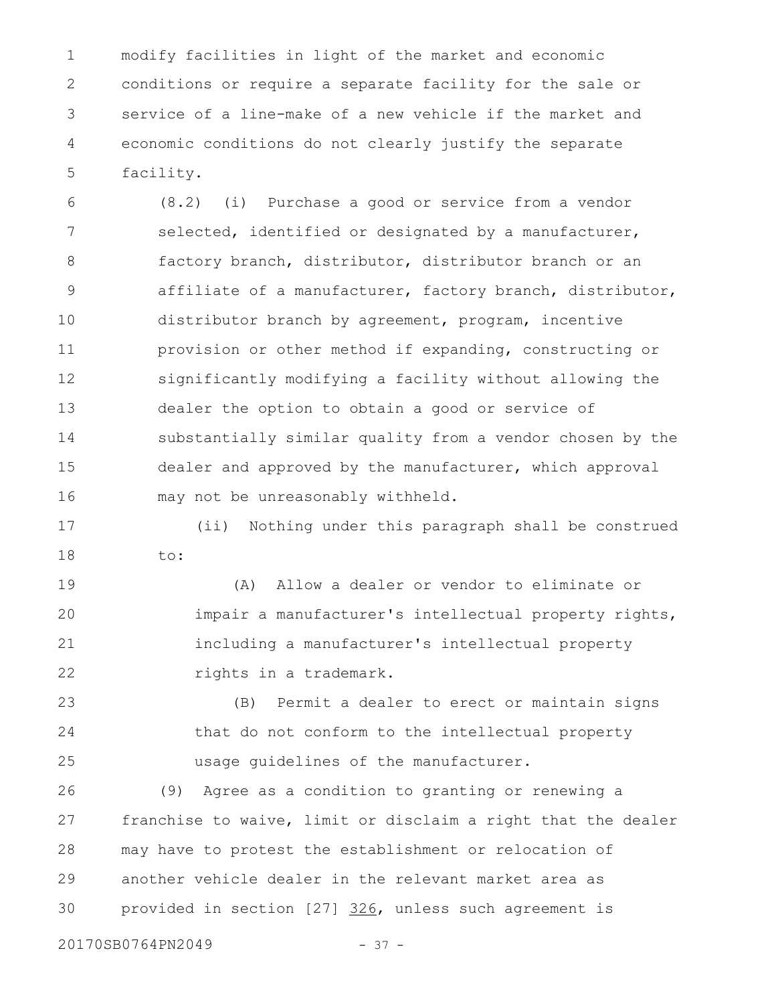modify facilities in light of the market and economic conditions or require a separate facility for the sale or service of a line-make of a new vehicle if the market and economic conditions do not clearly justify the separate facility. 1 2 3 4 5

(8.2) (i) Purchase a good or service from a vendor selected, identified or designated by a manufacturer, factory branch, distributor, distributor branch or an affiliate of a manufacturer, factory branch, distributor, distributor branch by agreement, program, incentive provision or other method if expanding, constructing or significantly modifying a facility without allowing the dealer the option to obtain a good or service of substantially similar quality from a vendor chosen by the dealer and approved by the manufacturer, which approval may not be unreasonably withheld. 6 7 8 9 10 11 12 13 14 15 16

(ii) Nothing under this paragraph shall be construed to: 17 18

(A) Allow a dealer or vendor to eliminate or impair a manufacturer's intellectual property rights, including a manufacturer's intellectual property rights in a trademark. 19 20 21 22

(B) Permit a dealer to erect or maintain signs that do not conform to the intellectual property usage guidelines of the manufacturer. 23 24 25

(9) Agree as a condition to granting or renewing a franchise to waive, limit or disclaim a right that the dealer may have to protest the establishment or relocation of another vehicle dealer in the relevant market area as provided in section [27] 326, unless such agreement is 26 27 28 29 30

20170SB0764PN2049 - 37 -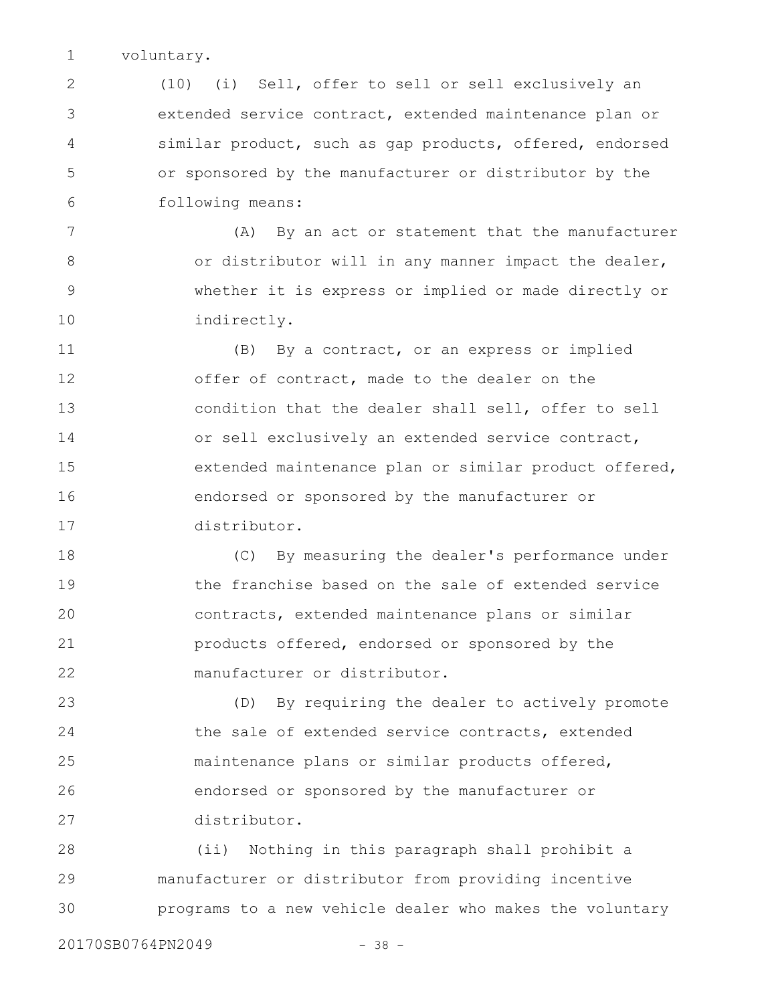voluntary. 1

(10) (i) Sell, offer to sell or sell exclusively an extended service contract, extended maintenance plan or similar product, such as gap products, offered, endorsed or sponsored by the manufacturer or distributor by the following means: 2 3 4 5 6

(A) By an act or statement that the manufacturer or distributor will in any manner impact the dealer, whether it is express or implied or made directly or indirectly. 7 8 9 10

(B) By a contract, or an express or implied offer of contract, made to the dealer on the condition that the dealer shall sell, offer to sell or sell exclusively an extended service contract, extended maintenance plan or similar product offered, endorsed or sponsored by the manufacturer or distributor. 11 12 13 14 15 16 17

(C) By measuring the dealer's performance under the franchise based on the sale of extended service contracts, extended maintenance plans or similar products offered, endorsed or sponsored by the manufacturer or distributor. 18 19 20 21 22

(D) By requiring the dealer to actively promote the sale of extended service contracts, extended maintenance plans or similar products offered, endorsed or sponsored by the manufacturer or distributor. 23 24 25 26 27

(ii) Nothing in this paragraph shall prohibit a manufacturer or distributor from providing incentive programs to a new vehicle dealer who makes the voluntary 28 29 30

20170SB0764PN2049 - 38 -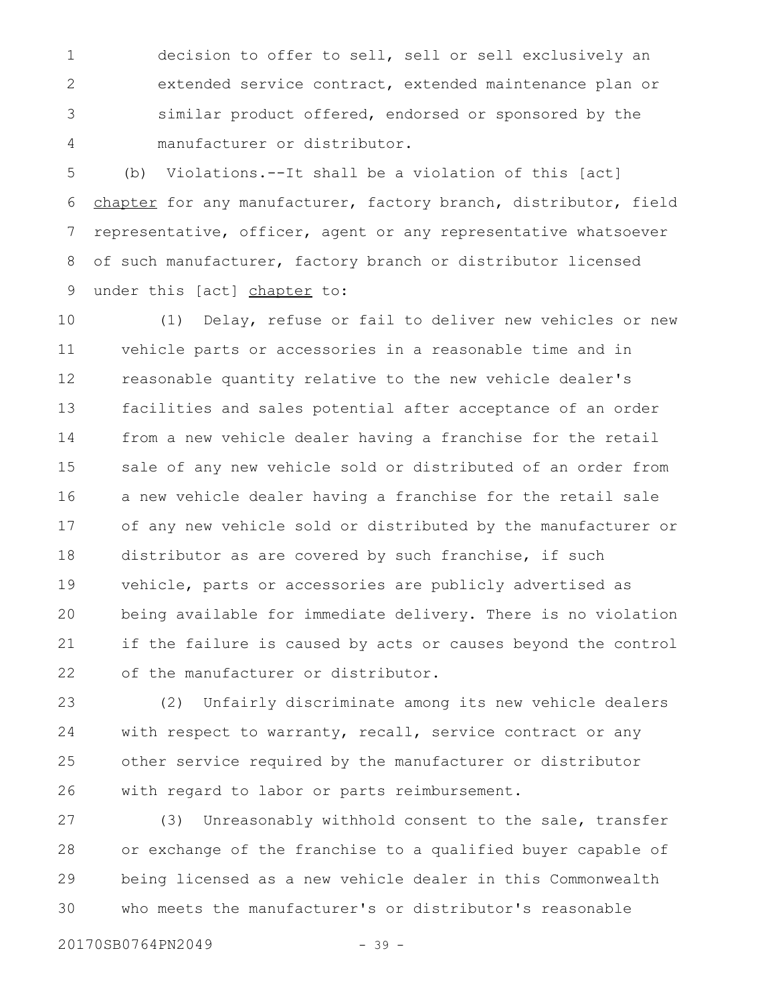decision to offer to sell, sell or sell exclusively an extended service contract, extended maintenance plan or similar product offered, endorsed or sponsored by the manufacturer or distributor. 1 2 3 4

(b) Violations.--It shall be a violation of this [act] chapter for any manufacturer, factory branch, distributor, field representative, officer, agent or any representative whatsoever of such manufacturer, factory branch or distributor licensed under this [act] chapter to: 5 6 7 8 9

(1) Delay, refuse or fail to deliver new vehicles or new vehicle parts or accessories in a reasonable time and in reasonable quantity relative to the new vehicle dealer's facilities and sales potential after acceptance of an order from a new vehicle dealer having a franchise for the retail sale of any new vehicle sold or distributed of an order from a new vehicle dealer having a franchise for the retail sale of any new vehicle sold or distributed by the manufacturer or distributor as are covered by such franchise, if such vehicle, parts or accessories are publicly advertised as being available for immediate delivery. There is no violation if the failure is caused by acts or causes beyond the control of the manufacturer or distributor. 10 11 12 13 14 15 16 17 18 19 20 21 22

(2) Unfairly discriminate among its new vehicle dealers with respect to warranty, recall, service contract or any other service required by the manufacturer or distributor with regard to labor or parts reimbursement. 23 24 25 26

(3) Unreasonably withhold consent to the sale, transfer or exchange of the franchise to a qualified buyer capable of being licensed as a new vehicle dealer in this Commonwealth who meets the manufacturer's or distributor's reasonable 27 28 29 30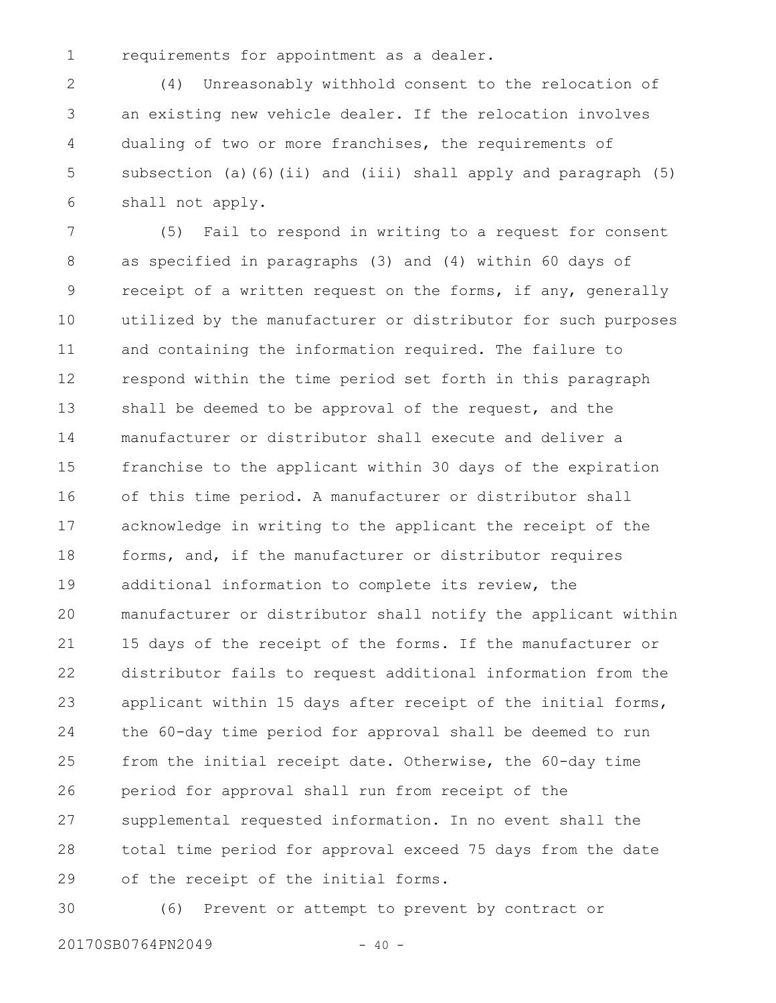1

requirements for appointment as a dealer.

(4) Unreasonably withhold consent to the relocation of an existing new vehicle dealer. If the relocation involves dualing of two or more franchises, the requirements of subsection (a)(6)(ii) and (iii) shall apply and paragraph (5) shall not apply. 2 3 4 5 6

(5) Fail to respond in writing to a request for consent as specified in paragraphs (3) and (4) within 60 days of receipt of a written request on the forms, if any, generally utilized by the manufacturer or distributor for such purposes and containing the information required. The failure to respond within the time period set forth in this paragraph shall be deemed to be approval of the request, and the manufacturer or distributor shall execute and deliver a franchise to the applicant within 30 days of the expiration of this time period. A manufacturer or distributor shall acknowledge in writing to the applicant the receipt of the forms, and, if the manufacturer or distributor requires additional information to complete its review, the manufacturer or distributor shall notify the applicant within 15 days of the receipt of the forms. If the manufacturer or distributor fails to request additional information from the applicant within 15 days after receipt of the initial forms, the 60-day time period for approval shall be deemed to run from the initial receipt date. Otherwise, the 60-day time period for approval shall run from receipt of the supplemental requested information. In no event shall the total time period for approval exceed 75 days from the date of the receipt of the initial forms. 7 8 9 10 11 12 13 14 15 16 17 18 19 20 21 22 23 24 25 26 27 28 29

30

(6) Prevent or attempt to prevent by contract or

20170SB0764PN2049 - 40 -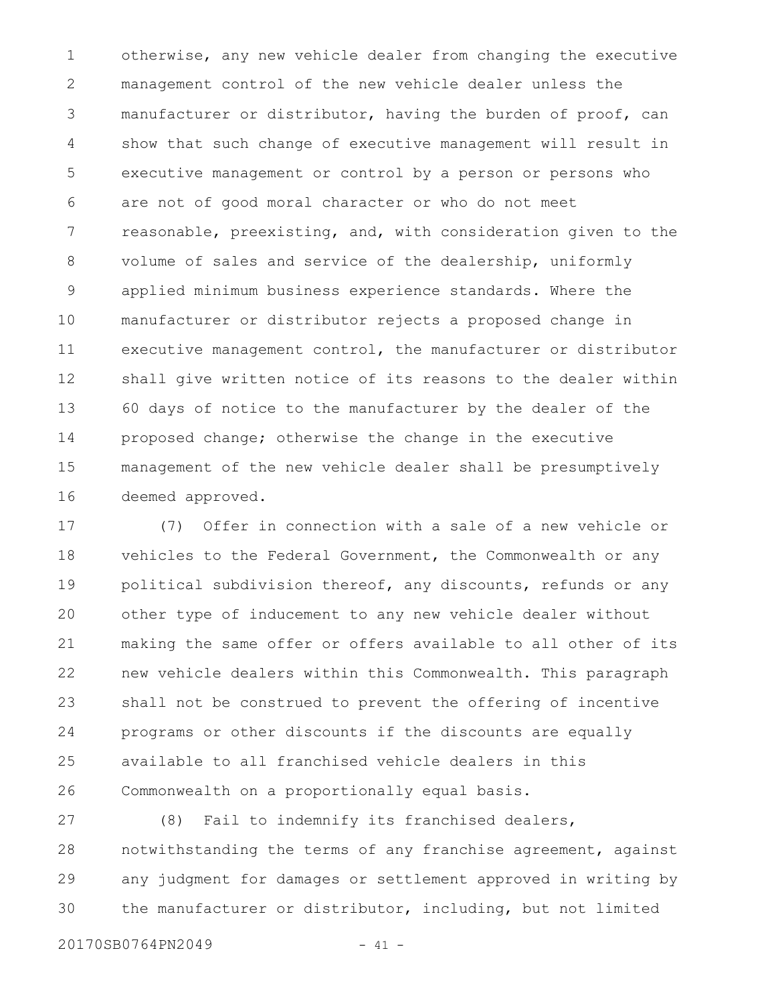otherwise, any new vehicle dealer from changing the executive management control of the new vehicle dealer unless the manufacturer or distributor, having the burden of proof, can show that such change of executive management will result in executive management or control by a person or persons who are not of good moral character or who do not meet reasonable, preexisting, and, with consideration given to the volume of sales and service of the dealership, uniformly applied minimum business experience standards. Where the manufacturer or distributor rejects a proposed change in executive management control, the manufacturer or distributor shall give written notice of its reasons to the dealer within 60 days of notice to the manufacturer by the dealer of the proposed change; otherwise the change in the executive management of the new vehicle dealer shall be presumptively deemed approved. 1 2 3 4 5 6 7 8 9 10 11 12 13 14 15 16

(7) Offer in connection with a sale of a new vehicle or vehicles to the Federal Government, the Commonwealth or any political subdivision thereof, any discounts, refunds or any other type of inducement to any new vehicle dealer without making the same offer or offers available to all other of its new vehicle dealers within this Commonwealth. This paragraph shall not be construed to prevent the offering of incentive programs or other discounts if the discounts are equally available to all franchised vehicle dealers in this Commonwealth on a proportionally equal basis. 17 18 19 20 21 22 23 24 25 26

(8) Fail to indemnify its franchised dealers, notwithstanding the terms of any franchise agreement, against any judgment for damages or settlement approved in writing by the manufacturer or distributor, including, but not limited 27 28 29 30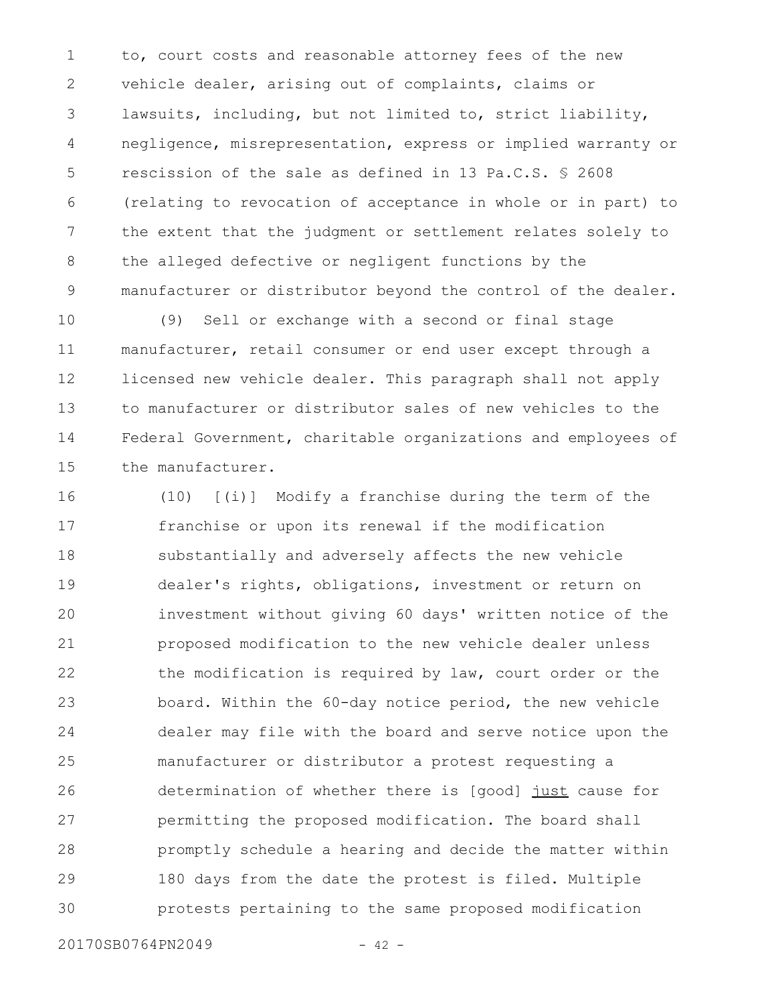to, court costs and reasonable attorney fees of the new vehicle dealer, arising out of complaints, claims or lawsuits, including, but not limited to, strict liability, negligence, misrepresentation, express or implied warranty or rescission of the sale as defined in 13 Pa.C.S. § 2608 (relating to revocation of acceptance in whole or in part) to the extent that the judgment or settlement relates solely to the alleged defective or negligent functions by the manufacturer or distributor beyond the control of the dealer. 1 2 3 4 5 6 7 8 9

(9) Sell or exchange with a second or final stage manufacturer, retail consumer or end user except through a licensed new vehicle dealer. This paragraph shall not apply to manufacturer or distributor sales of new vehicles to the Federal Government, charitable organizations and employees of the manufacturer. 10 11 12 13 14 15

(10) [(i)] Modify a franchise during the term of the franchise or upon its renewal if the modification substantially and adversely affects the new vehicle dealer's rights, obligations, investment or return on investment without giving 60 days' written notice of the proposed modification to the new vehicle dealer unless the modification is required by law, court order or the board. Within the 60-day notice period, the new vehicle dealer may file with the board and serve notice upon the manufacturer or distributor a protest requesting a determination of whether there is [good] just cause for permitting the proposed modification. The board shall promptly schedule a hearing and decide the matter within 180 days from the date the protest is filed. Multiple protests pertaining to the same proposed modification 16 17 18 19 20 21 22 23 24 25 26 27 28 29 30

20170SB0764PN2049 - 42 -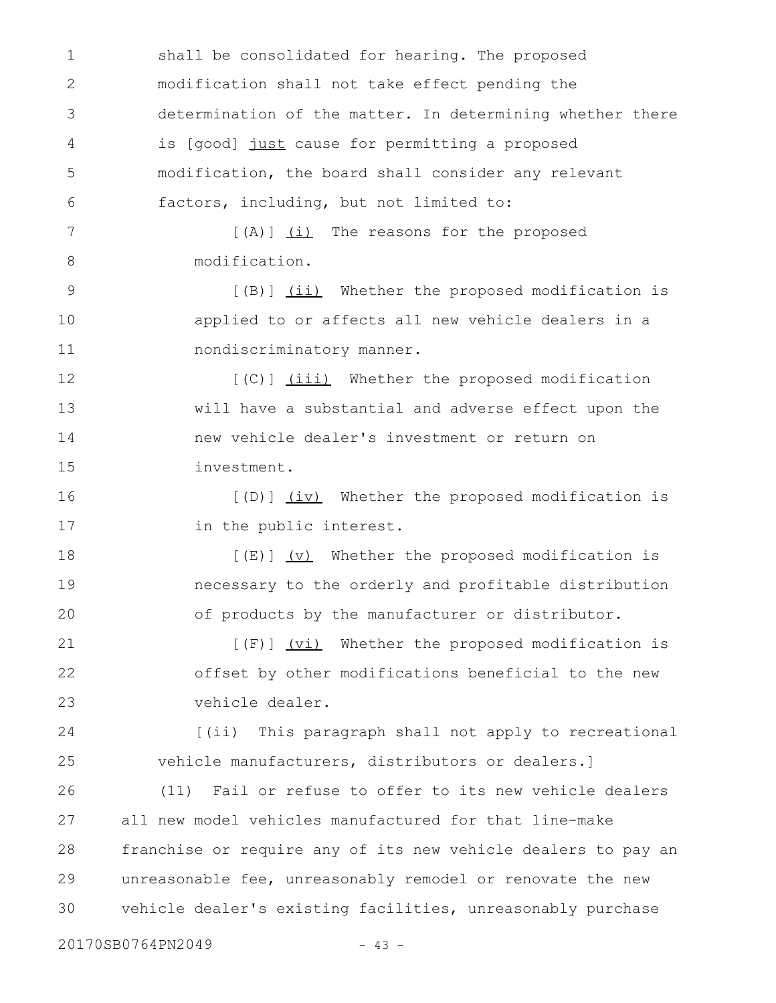shall be consolidated for hearing. The proposed modification shall not take effect pending the determination of the matter. In determining whether there is [good] just cause for permitting a proposed modification, the board shall consider any relevant factors, including, but not limited to: [(A)] (i) The reasons for the proposed modification. [(B)] (ii) Whether the proposed modification is applied to or affects all new vehicle dealers in a nondiscriminatory manner. [(C)] (iii) Whether the proposed modification will have a substantial and adverse effect upon the new vehicle dealer's investment or return on investment. [(D)] (iv) Whether the proposed modification is in the public interest.  $[(E)]$   $(V)$  Whether the proposed modification is necessary to the orderly and profitable distribution of products by the manufacturer or distributor. [(F)] (vi) Whether the proposed modification is offset by other modifications beneficial to the new vehicle dealer. [(ii) This paragraph shall not apply to recreational vehicle manufacturers, distributors or dealers.] (11) Fail or refuse to offer to its new vehicle dealers all new model vehicles manufactured for that line-make franchise or require any of its new vehicle dealers to pay an unreasonable fee, unreasonably remodel or renovate the new vehicle dealer's existing facilities, unreasonably purchase 20170SB0764PN2049 - 43 -1 2 3 4 5 6 7 8 9 10 11 12 13 14 15 16 17 18 19 20 21 22 23 24 25 26 27 28 29 30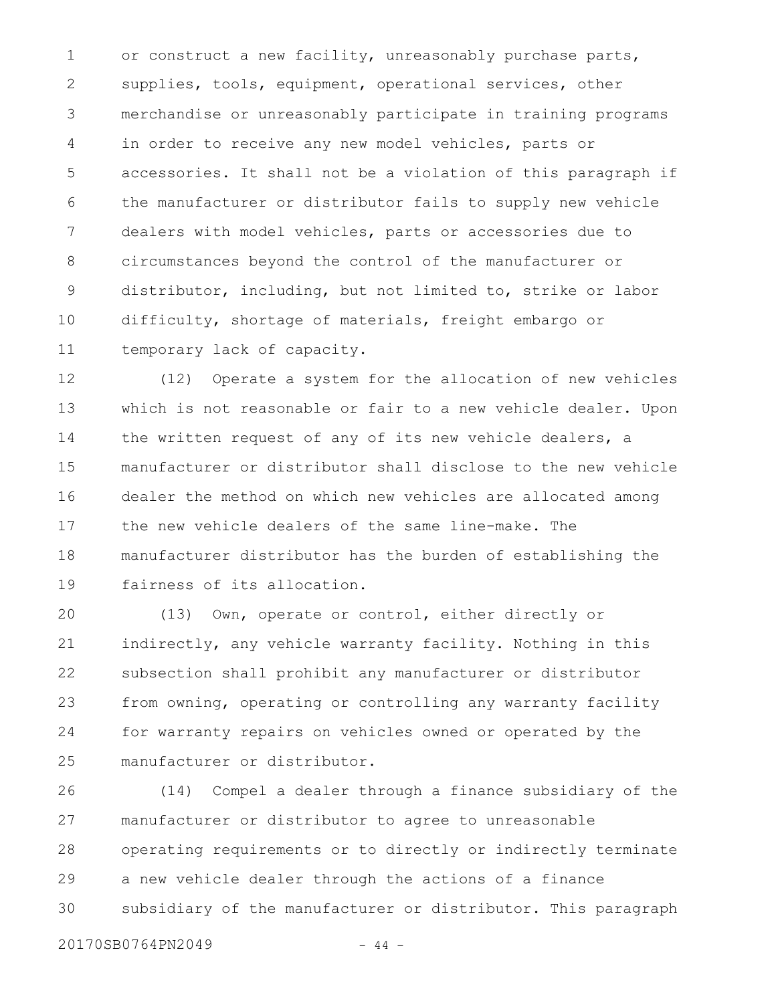or construct a new facility, unreasonably purchase parts, supplies, tools, equipment, operational services, other merchandise or unreasonably participate in training programs in order to receive any new model vehicles, parts or accessories. It shall not be a violation of this paragraph if the manufacturer or distributor fails to supply new vehicle dealers with model vehicles, parts or accessories due to circumstances beyond the control of the manufacturer or distributor, including, but not limited to, strike or labor difficulty, shortage of materials, freight embargo or temporary lack of capacity. 1 2 3 4 5 6 7 8 9 10 11

(12) Operate a system for the allocation of new vehicles which is not reasonable or fair to a new vehicle dealer. Upon the written request of any of its new vehicle dealers, a manufacturer or distributor shall disclose to the new vehicle dealer the method on which new vehicles are allocated among the new vehicle dealers of the same line-make. The manufacturer distributor has the burden of establishing the fairness of its allocation. 12 13 14 15 16 17 18 19

(13) Own, operate or control, either directly or indirectly, any vehicle warranty facility. Nothing in this subsection shall prohibit any manufacturer or distributor from owning, operating or controlling any warranty facility for warranty repairs on vehicles owned or operated by the manufacturer or distributor. 20 21 22 23 24 25

(14) Compel a dealer through a finance subsidiary of the manufacturer or distributor to agree to unreasonable operating requirements or to directly or indirectly terminate a new vehicle dealer through the actions of a finance subsidiary of the manufacturer or distributor. This paragraph 26 27 28 29 30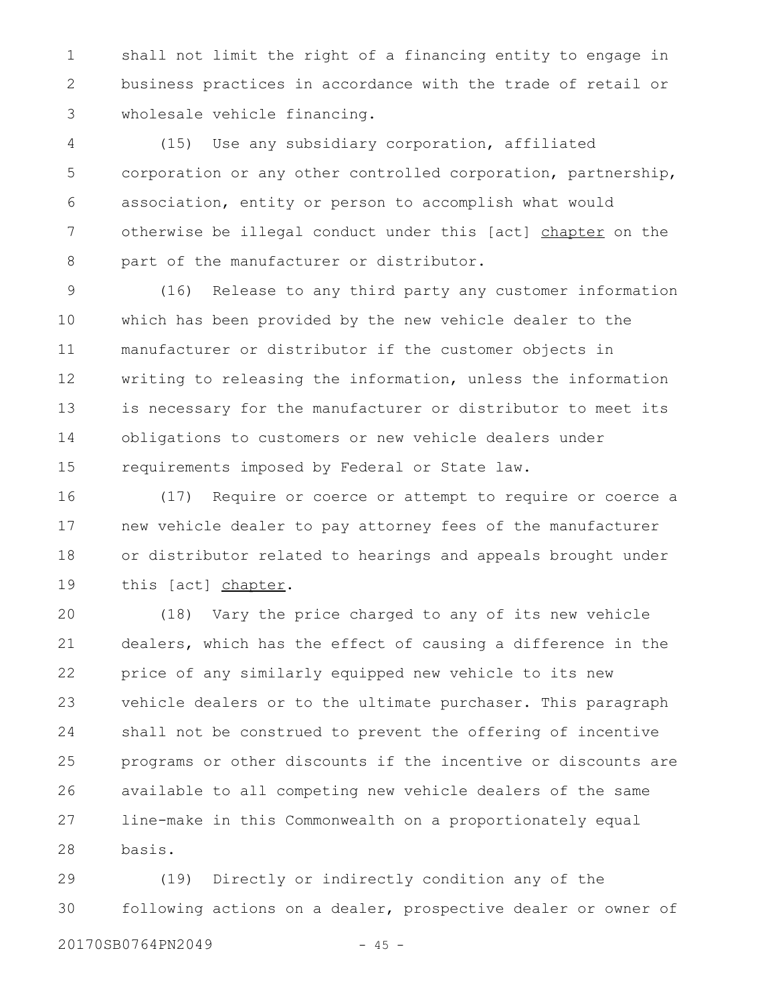shall not limit the right of a financing entity to engage in business practices in accordance with the trade of retail or wholesale vehicle financing. 1 2 3

(15) Use any subsidiary corporation, affiliated corporation or any other controlled corporation, partnership, association, entity or person to accomplish what would otherwise be illegal conduct under this [act] chapter on the part of the manufacturer or distributor. 4 5 6 7 8

(16) Release to any third party any customer information which has been provided by the new vehicle dealer to the manufacturer or distributor if the customer objects in writing to releasing the information, unless the information is necessary for the manufacturer or distributor to meet its obligations to customers or new vehicle dealers under requirements imposed by Federal or State law. 9 10 11 12 13 14 15

(17) Require or coerce or attempt to require or coerce a new vehicle dealer to pay attorney fees of the manufacturer or distributor related to hearings and appeals brought under this [act] chapter. 16 17 18 19

(18) Vary the price charged to any of its new vehicle dealers, which has the effect of causing a difference in the price of any similarly equipped new vehicle to its new vehicle dealers or to the ultimate purchaser. This paragraph shall not be construed to prevent the offering of incentive programs or other discounts if the incentive or discounts are available to all competing new vehicle dealers of the same line-make in this Commonwealth on a proportionately equal basis. 20 21 22 23 24 25 26 27 28

(19) Directly or indirectly condition any of the following actions on a dealer, prospective dealer or owner of 29 30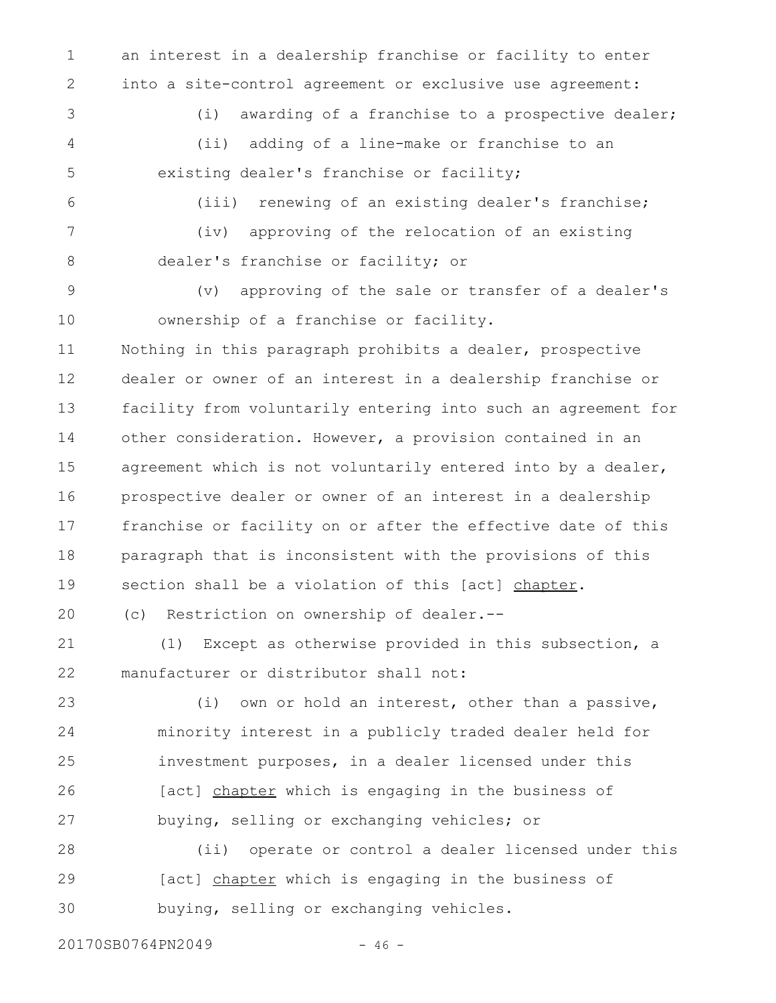1 2

an interest in a dealership franchise or facility to enter into a site-control agreement or exclusive use agreement:

3

4

5

(i) awarding of a franchise to a prospective dealer; (ii) adding of a line-make or franchise to an existing dealer's franchise or facility;

6

7

8

(iii) renewing of an existing dealer's franchise; (iv) approving of the relocation of an existing dealer's franchise or facility; or

(v) approving of the sale or transfer of a dealer's ownership of a franchise or facility. 9 10

Nothing in this paragraph prohibits a dealer, prospective dealer or owner of an interest in a dealership franchise or facility from voluntarily entering into such an agreement for other consideration. However, a provision contained in an agreement which is not voluntarily entered into by a dealer, prospective dealer or owner of an interest in a dealership franchise or facility on or after the effective date of this paragraph that is inconsistent with the provisions of this section shall be a violation of this [act] chapter. 11 12 13 14 15 16 17 18 19

(c) Restriction on ownership of dealer.-- 20

(1) Except as otherwise provided in this subsection, a manufacturer or distributor shall not: 21 22

(i) own or hold an interest, other than a passive, minority interest in a publicly traded dealer held for investment purposes, in a dealer licensed under this [act] chapter which is engaging in the business of buying, selling or exchanging vehicles; or 23 24 25 26 27

(ii) operate or control a dealer licensed under this [act] chapter which is engaging in the business of buying, selling or exchanging vehicles. 28 29 30

20170SB0764PN2049 - 46 -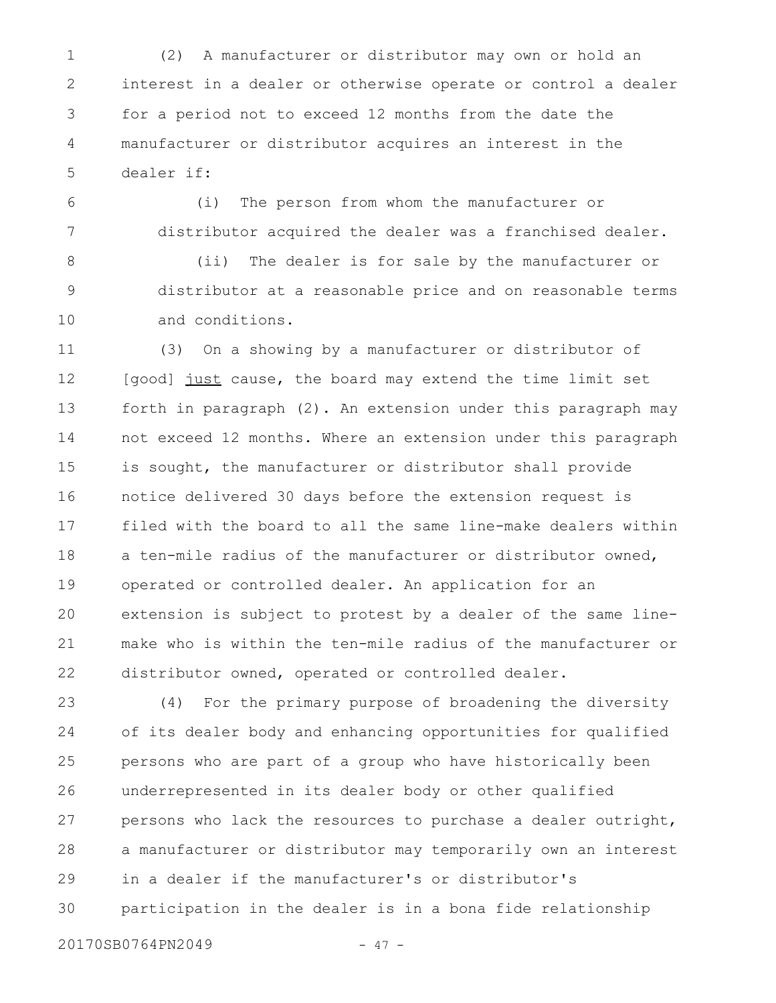(2) A manufacturer or distributor may own or hold an interest in a dealer or otherwise operate or control a dealer for a period not to exceed 12 months from the date the manufacturer or distributor acquires an interest in the dealer if: 1 2 3 4 5

(i) The person from whom the manufacturer or distributor acquired the dealer was a franchised dealer. 6 7

(ii) The dealer is for sale by the manufacturer or distributor at a reasonable price and on reasonable terms and conditions. 8 9 10

(3) On a showing by a manufacturer or distributor of [good] just cause, the board may extend the time limit set forth in paragraph (2). An extension under this paragraph may not exceed 12 months. Where an extension under this paragraph is sought, the manufacturer or distributor shall provide notice delivered 30 days before the extension request is filed with the board to all the same line-make dealers within a ten-mile radius of the manufacturer or distributor owned, operated or controlled dealer. An application for an extension is subject to protest by a dealer of the same linemake who is within the ten-mile radius of the manufacturer or distributor owned, operated or controlled dealer. 11 12 13 14 15 16 17 18 19 20 21 22

(4) For the primary purpose of broadening the diversity of its dealer body and enhancing opportunities for qualified persons who are part of a group who have historically been underrepresented in its dealer body or other qualified persons who lack the resources to purchase a dealer outright, a manufacturer or distributor may temporarily own an interest in a dealer if the manufacturer's or distributor's participation in the dealer is in a bona fide relationship 23 24 25 26 27 28 29 30

20170SB0764PN2049 - 47 -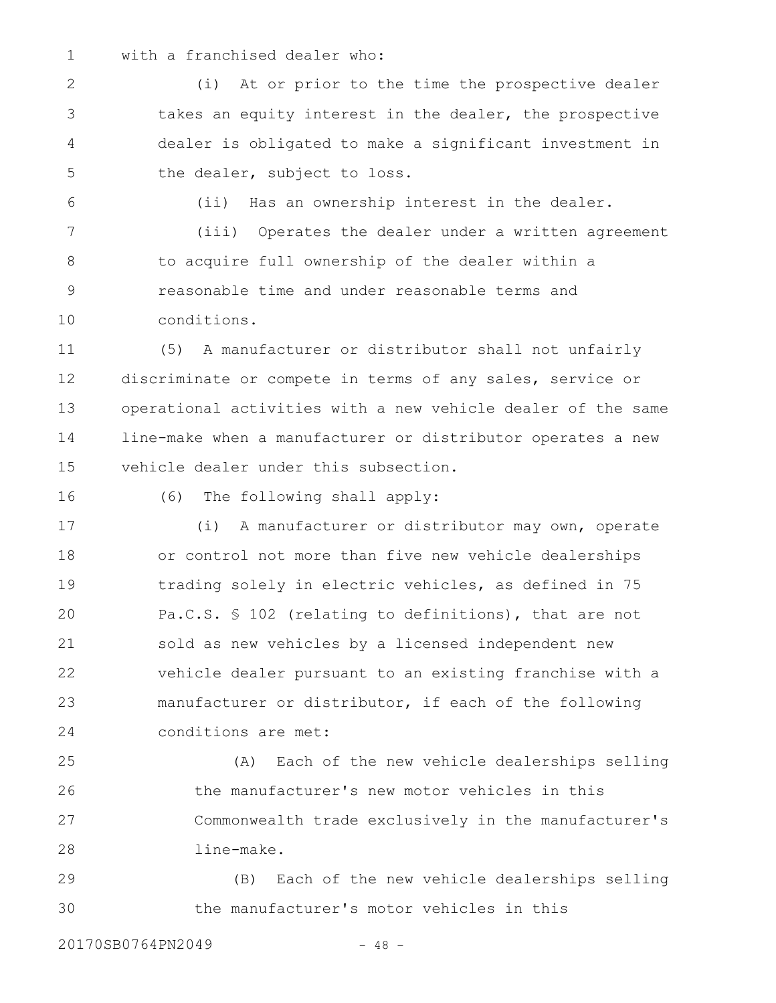1

6

## with a franchised dealer who:

(i) At or prior to the time the prospective dealer takes an equity interest in the dealer, the prospective dealer is obligated to make a significant investment in the dealer, subject to loss. 2 3 4 5

(ii) Has an ownership interest in the dealer.

(iii) Operates the dealer under a written agreement to acquire full ownership of the dealer within a reasonable time and under reasonable terms and conditions. 7 8 9 10

(5) A manufacturer or distributor shall not unfairly discriminate or compete in terms of any sales, service or operational activities with a new vehicle dealer of the same line-make when a manufacturer or distributor operates a new vehicle dealer under this subsection. 11 12 13 14 15

16

(6) The following shall apply:

(i) A manufacturer or distributor may own, operate or control not more than five new vehicle dealerships trading solely in electric vehicles, as defined in 75 Pa.C.S. § 102 (relating to definitions), that are not sold as new vehicles by a licensed independent new vehicle dealer pursuant to an existing franchise with a manufacturer or distributor, if each of the following conditions are met: 17 18 19 20 21 22 23 24

(A) Each of the new vehicle dealerships selling the manufacturer's new motor vehicles in this Commonwealth trade exclusively in the manufacturer's line-make. 25 26 27 28

(B) Each of the new vehicle dealerships selling the manufacturer's motor vehicles in this 29 30

20170SB0764PN2049 - 48 -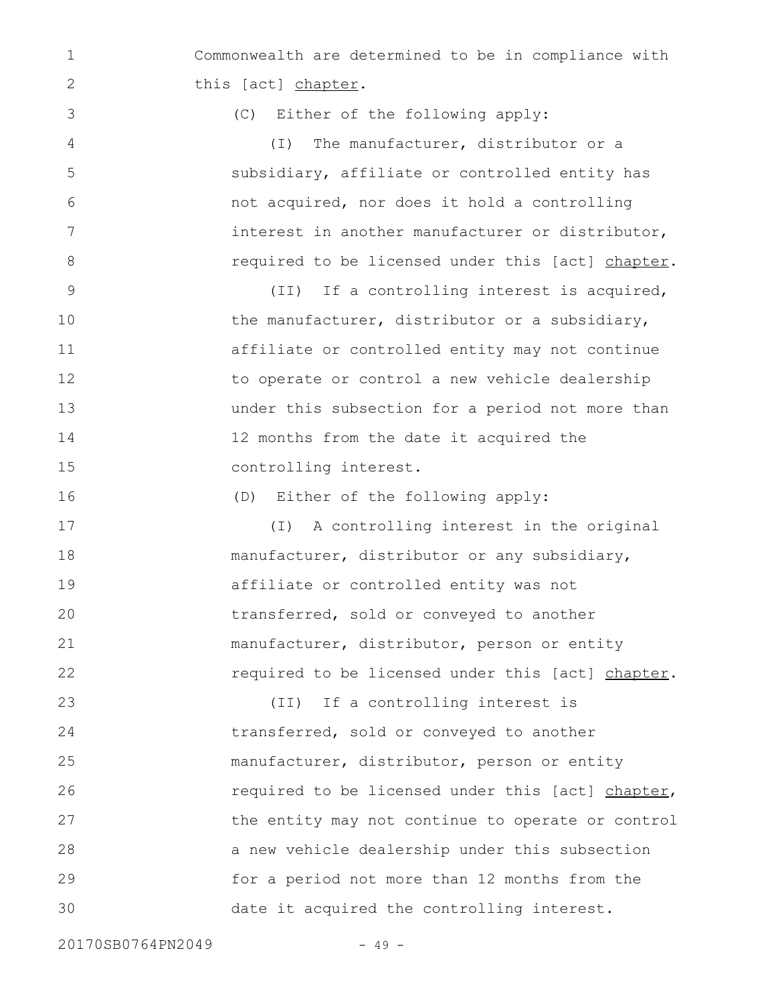Commonwealth are determined to be in compliance with this [act] chapter. 1 2

(C) Either of the following apply:

(I) The manufacturer, distributor or a subsidiary, affiliate or controlled entity has not acquired, nor does it hold a controlling interest in another manufacturer or distributor, required to be licensed under this [act] chapter.

(II) If a controlling interest is acquired, the manufacturer, distributor or a subsidiary, affiliate or controlled entity may not continue to operate or control a new vehicle dealership under this subsection for a period not more than 12 months from the date it acquired the controlling interest. 9 10 11 12 13 14 15

(D) Either of the following apply:

(I) A controlling interest in the original manufacturer, distributor or any subsidiary, affiliate or controlled entity was not transferred, sold or conveyed to another manufacturer, distributor, person or entity required to be licensed under this [act] chapter. 17 18 19 20 21 22

(II) If a controlling interest is transferred, sold or conveyed to another manufacturer, distributor, person or entity required to be licensed under this [act] chapter, the entity may not continue to operate or control a new vehicle dealership under this subsection for a period not more than 12 months from the date it acquired the controlling interest. 23 24 25 26 27 28 29 30

20170SB0764PN2049 - 49 -

3

4

5

6

7

8

16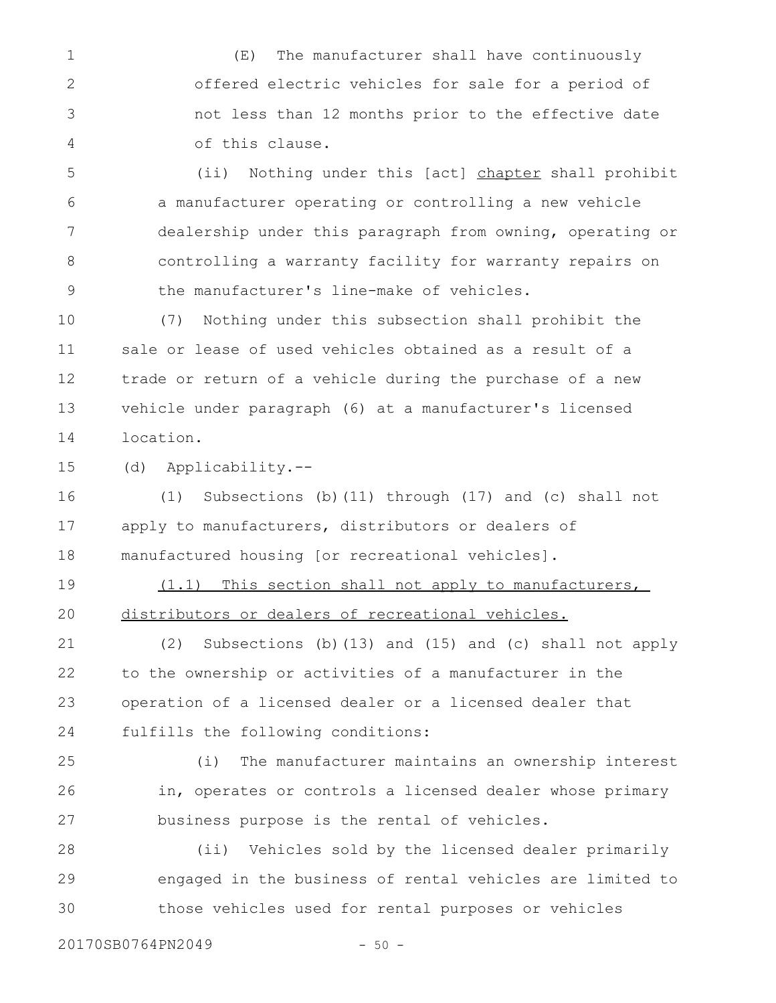(E) The manufacturer shall have continuously offered electric vehicles for sale for a period of not less than 12 months prior to the effective date of this clause. 1 2 3 4

(ii) Nothing under this [act] chapter shall prohibit a manufacturer operating or controlling a new vehicle dealership under this paragraph from owning, operating or controlling a warranty facility for warranty repairs on the manufacturer's line-make of vehicles. 5 6 7 8 9

(7) Nothing under this subsection shall prohibit the sale or lease of used vehicles obtained as a result of a trade or return of a vehicle during the purchase of a new vehicle under paragraph (6) at a manufacturer's licensed location. 10 11 12 13 14

(d) Applicability.-- 15

(1) Subsections (b)(11) through (17) and (c) shall not apply to manufacturers, distributors or dealers of manufactured housing [or recreational vehicles]. 16 17 18

(1.1) This section shall not apply to manufacturers, distributors or dealers of recreational vehicles. 19 20

(2) Subsections (b)(13) and (15) and (c) shall not apply to the ownership or activities of a manufacturer in the operation of a licensed dealer or a licensed dealer that fulfills the following conditions: 21 22 23 24

(i) The manufacturer maintains an ownership interest in, operates or controls a licensed dealer whose primary business purpose is the rental of vehicles. 25 26 27

(ii) Vehicles sold by the licensed dealer primarily engaged in the business of rental vehicles are limited to those vehicles used for rental purposes or vehicles 28 29 30

20170SB0764PN2049 - 50 -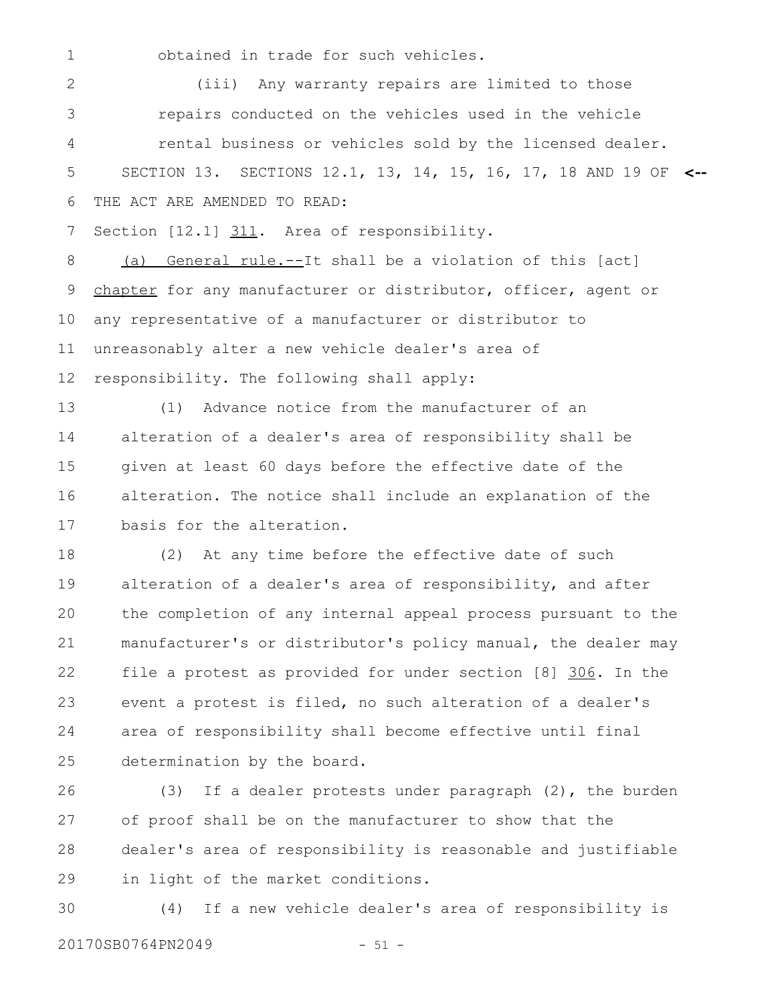1

obtained in trade for such vehicles.

(iii) Any warranty repairs are limited to those repairs conducted on the vehicles used in the vehicle rental business or vehicles sold by the licensed dealer. SECTION 13. SECTIONS 12.1, 13, 14, 15, 16, 17, 18 AND 19 OF **<--** THE ACT ARE AMENDED TO READ: 2 3 4 5 6

Section [12.1] 311. Area of responsibility. 7

(a) General rule.--It shall be a violation of this [act] chapter for any manufacturer or distributor, officer, agent or any representative of a manufacturer or distributor to unreasonably alter a new vehicle dealer's area of responsibility. The following shall apply: 8 9 10 11 12

(1) Advance notice from the manufacturer of an alteration of a dealer's area of responsibility shall be given at least 60 days before the effective date of the alteration. The notice shall include an explanation of the basis for the alteration. 13 14 15 16 17

(2) At any time before the effective date of such alteration of a dealer's area of responsibility, and after the completion of any internal appeal process pursuant to the manufacturer's or distributor's policy manual, the dealer may file a protest as provided for under section [8] 306. In the event a protest is filed, no such alteration of a dealer's area of responsibility shall become effective until final determination by the board. 18 19 20 21 22 23 24 25

(3) If a dealer protests under paragraph (2), the burden of proof shall be on the manufacturer to show that the dealer's area of responsibility is reasonable and justifiable in light of the market conditions. 26 27 28 29

(4) If a new vehicle dealer's area of responsibility is 20170SB0764PN2049 - 51 -30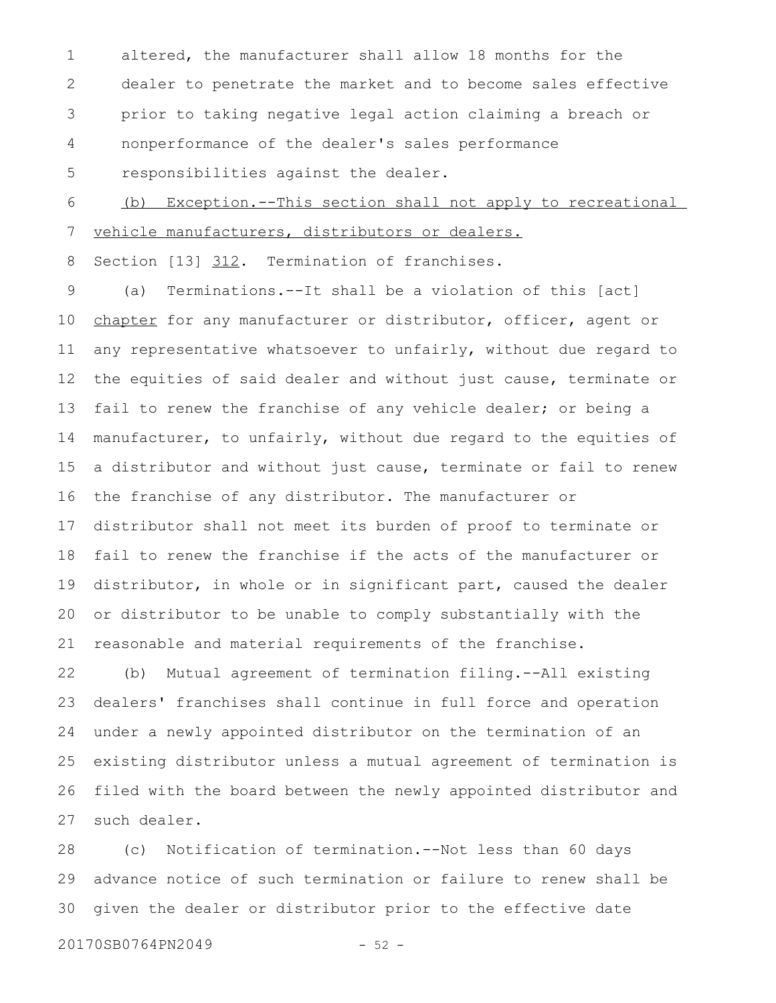altered, the manufacturer shall allow 18 months for the dealer to penetrate the market and to become sales effective prior to taking negative legal action claiming a breach or nonperformance of the dealer's sales performance responsibilities against the dealer. 1 2 3 4 5

(b) Exception.--This section shall not apply to recreational vehicle manufacturers, distributors or dealers. 6 7

Section [13] 312. Termination of franchises. 8

(a) Terminations.--It shall be a violation of this [act] chapter for any manufacturer or distributor, officer, agent or any representative whatsoever to unfairly, without due regard to the equities of said dealer and without just cause, terminate or fail to renew the franchise of any vehicle dealer; or being a manufacturer, to unfairly, without due regard to the equities of a distributor and without just cause, terminate or fail to renew the franchise of any distributor. The manufacturer or distributor shall not meet its burden of proof to terminate or fail to renew the franchise if the acts of the manufacturer or distributor, in whole or in significant part, caused the dealer or distributor to be unable to comply substantially with the reasonable and material requirements of the franchise. 9 10 11 12 13 14 15 16 17 18 19 20 21

(b) Mutual agreement of termination filing.--All existing dealers' franchises shall continue in full force and operation under a newly appointed distributor on the termination of an existing distributor unless a mutual agreement of termination is filed with the board between the newly appointed distributor and such dealer. 22 23 24 25 26 27

(c) Notification of termination.--Not less than 60 days advance notice of such termination or failure to renew shall be given the dealer or distributor prior to the effective date 28 29 30

20170SB0764PN2049 - 52 -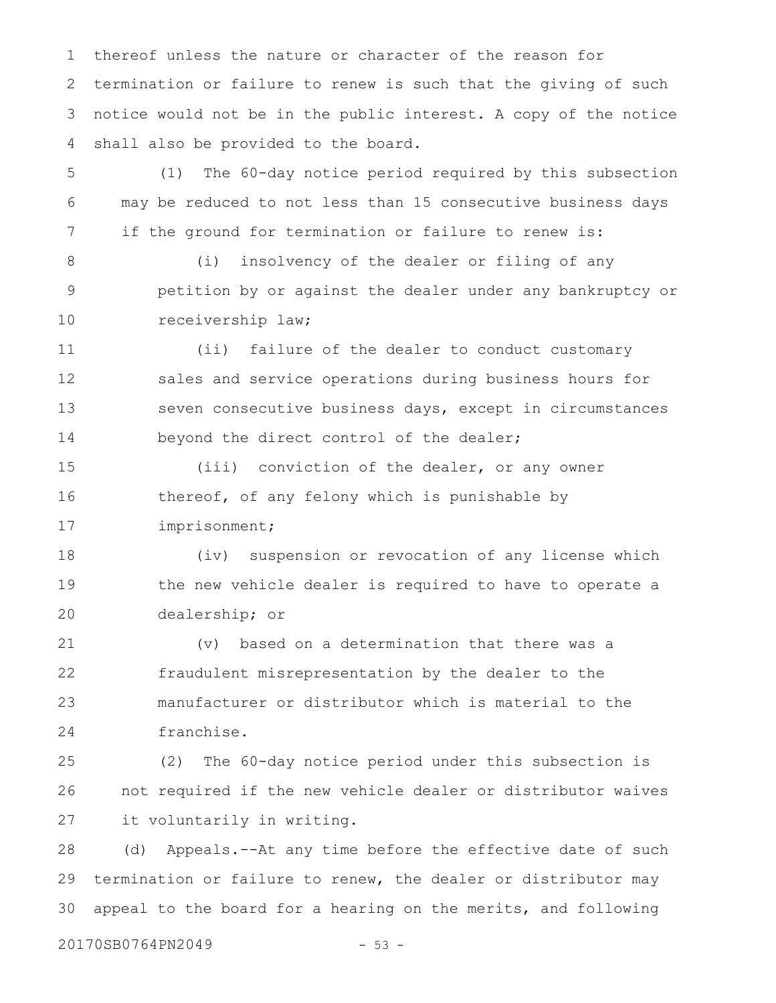thereof unless the nature or character of the reason for termination or failure to renew is such that the giving of such notice would not be in the public interest. A copy of the notice shall also be provided to the board. 1 2 3 4

(1) The 60-day notice period required by this subsection may be reduced to not less than 15 consecutive business days if the ground for termination or failure to renew is: 5 6 7

(i) insolvency of the dealer or filing of any petition by or against the dealer under any bankruptcy or receivership law; 8 9 10

(ii) failure of the dealer to conduct customary sales and service operations during business hours for seven consecutive business days, except in circumstances beyond the direct control of the dealer; 11 12 13 14

(iii) conviction of the dealer, or any owner thereof, of any felony which is punishable by imprisonment; 15 16 17

(iv) suspension or revocation of any license which the new vehicle dealer is required to have to operate a dealership; or 18 19 20

(v) based on a determination that there was a fraudulent misrepresentation by the dealer to the manufacturer or distributor which is material to the franchise. 21 22 23 24

(2) The 60-day notice period under this subsection is not required if the new vehicle dealer or distributor waives it voluntarily in writing. 25 26 27

(d) Appeals.--At any time before the effective date of such termination or failure to renew, the dealer or distributor may appeal to the board for a hearing on the merits, and following 28 29 30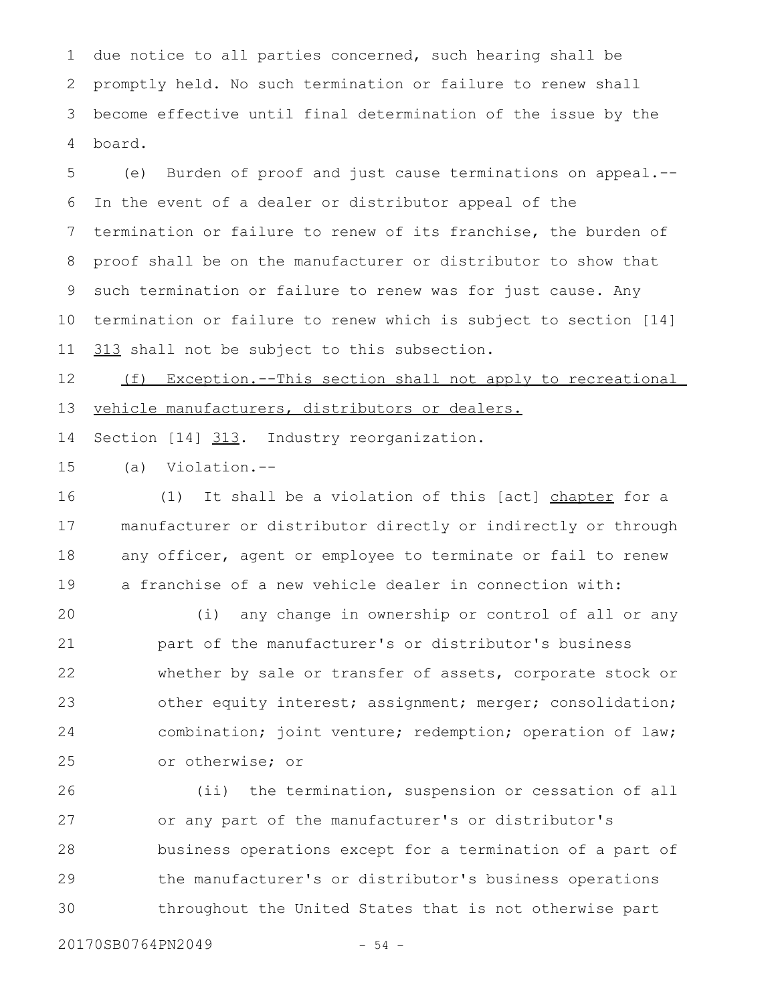due notice to all parties concerned, such hearing shall be promptly held. No such termination or failure to renew shall become effective until final determination of the issue by the board. 1 2 3 4

(e) Burden of proof and just cause terminations on appeal.-- In the event of a dealer or distributor appeal of the termination or failure to renew of its franchise, the burden of proof shall be on the manufacturer or distributor to show that such termination or failure to renew was for just cause. Any termination or failure to renew which is subject to section [14] 313 shall not be subject to this subsection. 5 6 7 8 9 10 11

(f) Exception.--This section shall not apply to recreational vehicle manufacturers, distributors or dealers. 12 13

Section [14] 313. Industry reorganization. 14

(a) Violation.-- 15

(1) It shall be a violation of this [act] chapter for a manufacturer or distributor directly or indirectly or through any officer, agent or employee to terminate or fail to renew a franchise of a new vehicle dealer in connection with: 16 17 18 19

(i) any change in ownership or control of all or any part of the manufacturer's or distributor's business whether by sale or transfer of assets, corporate stock or other equity interest; assignment; merger; consolidation; combination; joint venture; redemption; operation of law; or otherwise; or 20 21 22 23 24 25

(ii) the termination, suspension or cessation of all or any part of the manufacturer's or distributor's business operations except for a termination of a part of the manufacturer's or distributor's business operations throughout the United States that is not otherwise part 26 27 28 29 30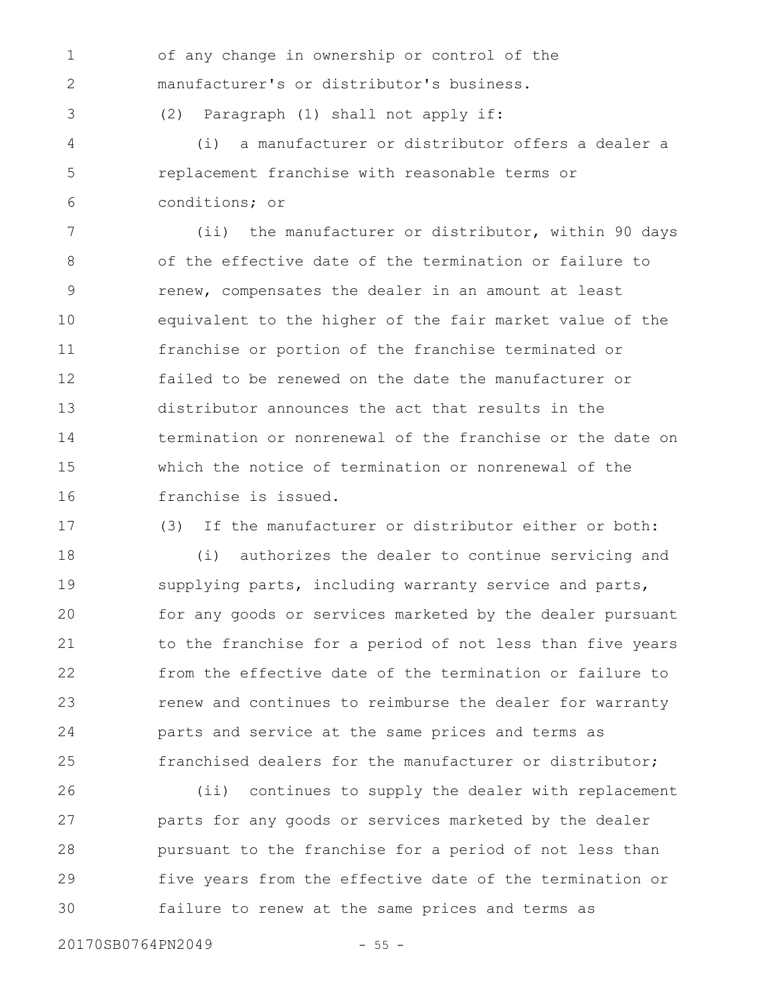of any change in ownership or control of the manufacturer's or distributor's business.

(2) Paragraph (1) shall not apply if:

(i) a manufacturer or distributor offers a dealer a replacement franchise with reasonable terms or conditions; or 4 5 6

(ii) the manufacturer or distributor, within 90 days of the effective date of the termination or failure to renew, compensates the dealer in an amount at least equivalent to the higher of the fair market value of the franchise or portion of the franchise terminated or failed to be renewed on the date the manufacturer or distributor announces the act that results in the termination or nonrenewal of the franchise or the date on which the notice of termination or nonrenewal of the franchise is issued. 7 8 9 10 11 12 13 14 15 16

17

1

2

3

(3) If the manufacturer or distributor either or both:

(i) authorizes the dealer to continue servicing and supplying parts, including warranty service and parts, for any goods or services marketed by the dealer pursuant to the franchise for a period of not less than five years from the effective date of the termination or failure to renew and continues to reimburse the dealer for warranty parts and service at the same prices and terms as franchised dealers for the manufacturer or distributor; 18 19 20 21 22 23 24 25

(ii) continues to supply the dealer with replacement parts for any goods or services marketed by the dealer pursuant to the franchise for a period of not less than five years from the effective date of the termination or failure to renew at the same prices and terms as 26 27 28 29 30

20170SB0764PN2049 - 55 -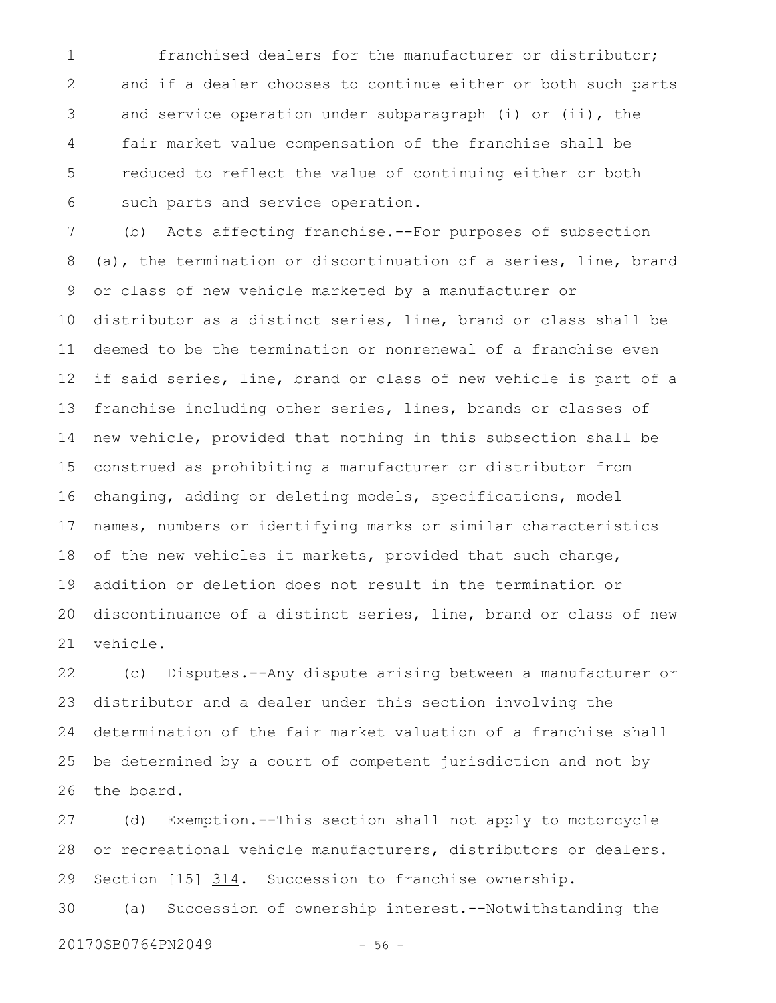franchised dealers for the manufacturer or distributor; and if a dealer chooses to continue either or both such parts and service operation under subparagraph (i) or (ii), the fair market value compensation of the franchise shall be reduced to reflect the value of continuing either or both such parts and service operation. 1 2 3 4 5 6

(b) Acts affecting franchise.--For purposes of subsection (a), the termination or discontinuation of a series, line, brand or class of new vehicle marketed by a manufacturer or distributor as a distinct series, line, brand or class shall be deemed to be the termination or nonrenewal of a franchise even if said series, line, brand or class of new vehicle is part of a franchise including other series, lines, brands or classes of new vehicle, provided that nothing in this subsection shall be construed as prohibiting a manufacturer or distributor from changing, adding or deleting models, specifications, model names, numbers or identifying marks or similar characteristics of the new vehicles it markets, provided that such change, addition or deletion does not result in the termination or discontinuance of a distinct series, line, brand or class of new vehicle. 7 8 9 10 11 12 13 14 15 16 17 18 19 20 21

(c) Disputes.--Any dispute arising between a manufacturer or distributor and a dealer under this section involving the determination of the fair market valuation of a franchise shall be determined by a court of competent jurisdiction and not by the board. 22 23 24 25 26

(d) Exemption.--This section shall not apply to motorcycle or recreational vehicle manufacturers, distributors or dealers. Section [15] 314. Succession to franchise ownership. 27 28 29

(a) Succession of ownership interest.--Notwithstanding the 20170SB0764PN2049 - 56 -30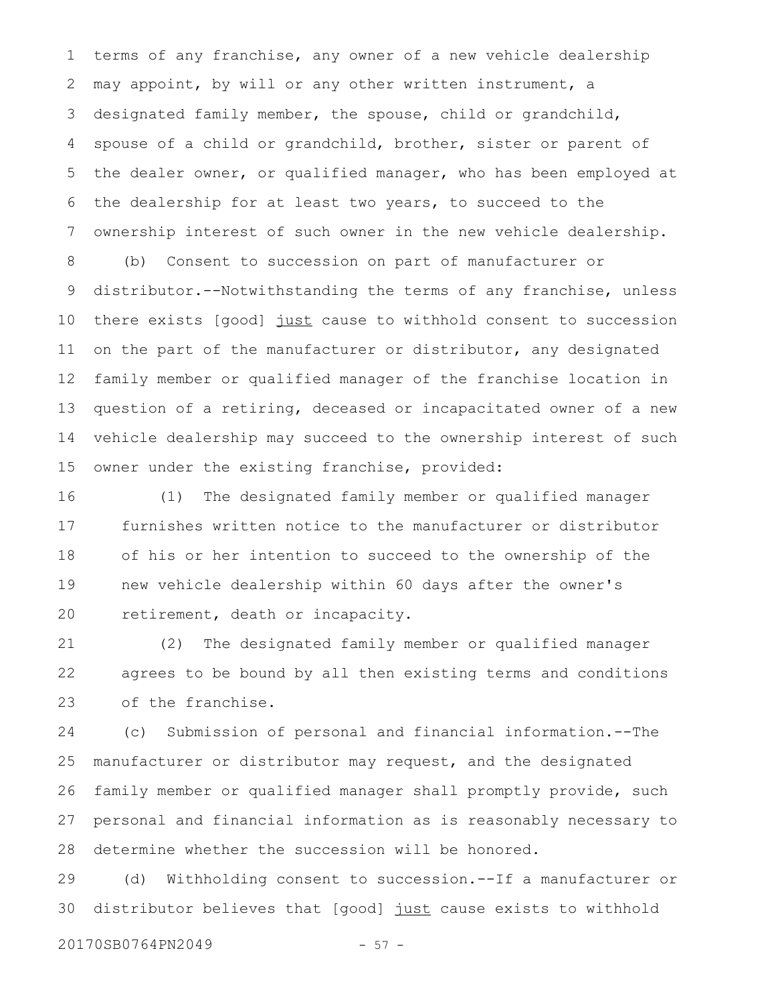terms of any franchise, any owner of a new vehicle dealership may appoint, by will or any other written instrument, a designated family member, the spouse, child or grandchild, spouse of a child or grandchild, brother, sister or parent of the dealer owner, or qualified manager, who has been employed at the dealership for at least two years, to succeed to the ownership interest of such owner in the new vehicle dealership. 1 2 3 4 5 6 7

(b) Consent to succession on part of manufacturer or distributor.--Notwithstanding the terms of any franchise, unless there exists [good] just cause to withhold consent to succession on the part of the manufacturer or distributor, any designated family member or qualified manager of the franchise location in question of a retiring, deceased or incapacitated owner of a new vehicle dealership may succeed to the ownership interest of such owner under the existing franchise, provided: 8 9 10 11 12 13 14 15

(1) The designated family member or qualified manager furnishes written notice to the manufacturer or distributor of his or her intention to succeed to the ownership of the new vehicle dealership within 60 days after the owner's retirement, death or incapacity. 16 17 18 19 20

(2) The designated family member or qualified manager agrees to be bound by all then existing terms and conditions of the franchise. 21 22 23

(c) Submission of personal and financial information.--The manufacturer or distributor may request, and the designated family member or qualified manager shall promptly provide, such personal and financial information as is reasonably necessary to determine whether the succession will be honored. 24 25 26 27 28

(d) Withholding consent to succession.--If a manufacturer or distributor believes that [good] just cause exists to withhold 29 30

20170SB0764PN2049 - 57 -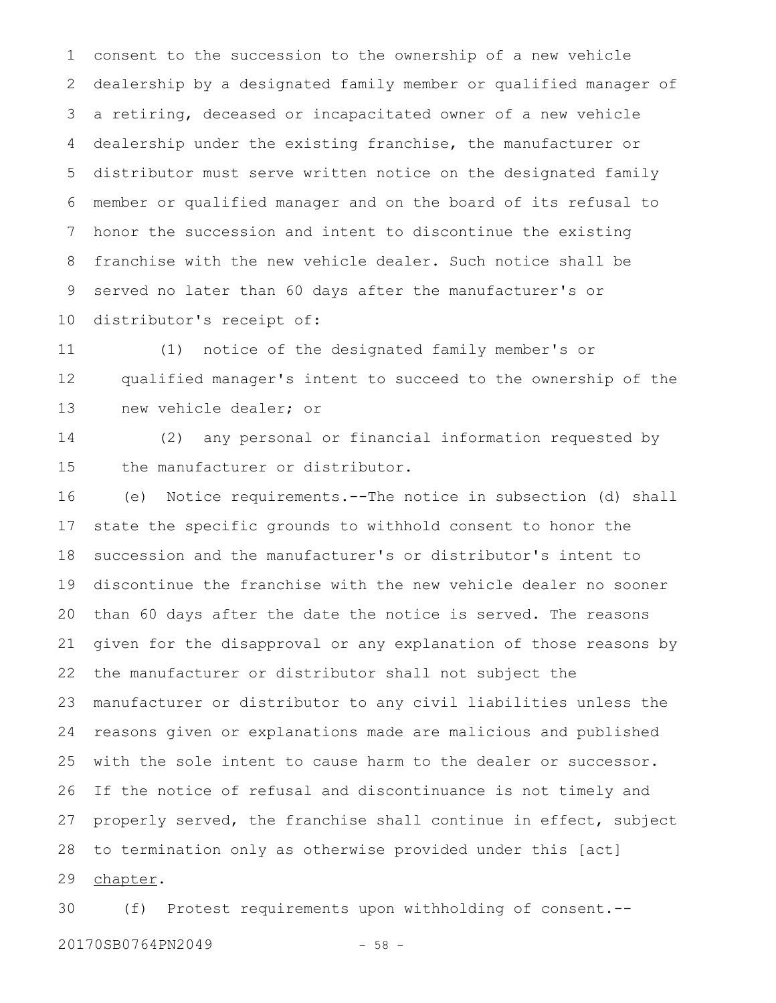consent to the succession to the ownership of a new vehicle dealership by a designated family member or qualified manager of a retiring, deceased or incapacitated owner of a new vehicle dealership under the existing franchise, the manufacturer or distributor must serve written notice on the designated family member or qualified manager and on the board of its refusal to honor the succession and intent to discontinue the existing franchise with the new vehicle dealer. Such notice shall be served no later than 60 days after the manufacturer's or distributor's receipt of: 1 2 3 4 5 6 7 8 9 10

(1) notice of the designated family member's or qualified manager's intent to succeed to the ownership of the new vehicle dealer; or 11 12 13

(2) any personal or financial information requested by the manufacturer or distributor. 14 15

(e) Notice requirements.--The notice in subsection (d) shall state the specific grounds to withhold consent to honor the succession and the manufacturer's or distributor's intent to discontinue the franchise with the new vehicle dealer no sooner than 60 days after the date the notice is served. The reasons given for the disapproval or any explanation of those reasons by the manufacturer or distributor shall not subject the manufacturer or distributor to any civil liabilities unless the reasons given or explanations made are malicious and published with the sole intent to cause harm to the dealer or successor. If the notice of refusal and discontinuance is not timely and properly served, the franchise shall continue in effect, subject to termination only as otherwise provided under this [act] chapter. 16 17 18 19 20 21 22 23 24 25 26 27 28 29

(f) Protest requirements upon withholding of consent.-- 30

20170SB0764PN2049 - 58 -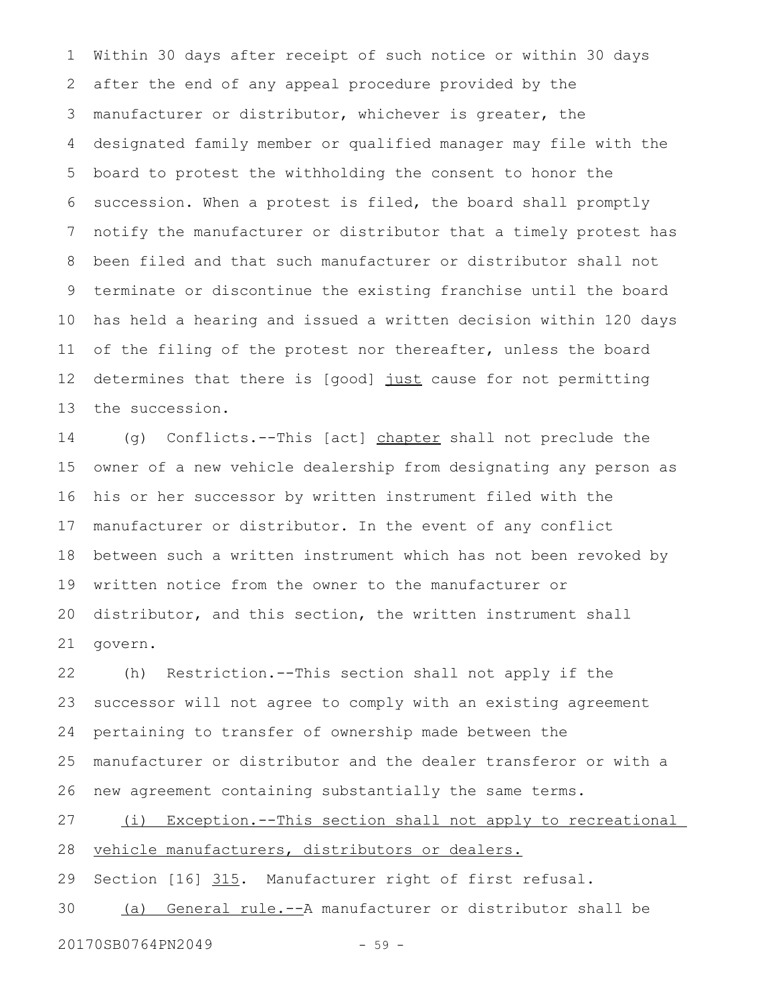Within 30 days after receipt of such notice or within 30 days after the end of any appeal procedure provided by the manufacturer or distributor, whichever is greater, the designated family member or qualified manager may file with the board to protest the withholding the consent to honor the succession. When a protest is filed, the board shall promptly notify the manufacturer or distributor that a timely protest has been filed and that such manufacturer or distributor shall not terminate or discontinue the existing franchise until the board has held a hearing and issued a written decision within 120 days of the filing of the protest nor thereafter, unless the board determines that there is [good] just cause for not permitting the succession. 1 2 3 4 5 6 7 8 9 10 11 12 13

(g) Conflicts.--This [act] chapter shall not preclude the owner of a new vehicle dealership from designating any person as his or her successor by written instrument filed with the manufacturer or distributor. In the event of any conflict between such a written instrument which has not been revoked by written notice from the owner to the manufacturer or distributor, and this section, the written instrument shall govern. 14 15 16 17 18 19 20 21

(h) Restriction.--This section shall not apply if the successor will not agree to comply with an existing agreement pertaining to transfer of ownership made between the manufacturer or distributor and the dealer transferor or with a new agreement containing substantially the same terms. 22 23 24 25 26

(i) Exception.--This section shall not apply to recreational vehicle manufacturers, distributors or dealers. 27 28

Section [16] 315. Manufacturer right of first refusal. 29

(a) General rule.--A manufacturer or distributor shall be 30

20170SB0764PN2049 - 59 -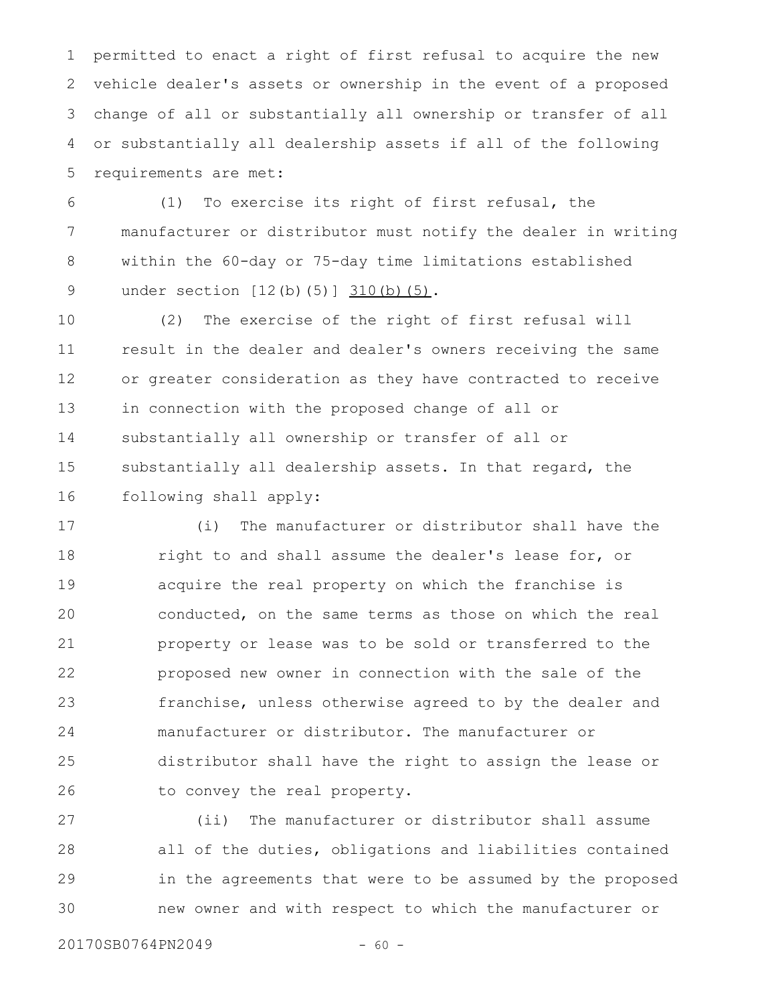permitted to enact a right of first refusal to acquire the new vehicle dealer's assets or ownership in the event of a proposed change of all or substantially all ownership or transfer of all or substantially all dealership assets if all of the following requirements are met: 1 2 3 4 5

(1) To exercise its right of first refusal, the manufacturer or distributor must notify the dealer in writing within the 60-day or 75-day time limitations established under section [12(b)(5)] 310(b)(5). 6 7 8 9

(2) The exercise of the right of first refusal will result in the dealer and dealer's owners receiving the same or greater consideration as they have contracted to receive in connection with the proposed change of all or substantially all ownership or transfer of all or substantially all dealership assets. In that regard, the following shall apply: 10 11 12 13 14 15 16

(i) The manufacturer or distributor shall have the right to and shall assume the dealer's lease for, or acquire the real property on which the franchise is conducted, on the same terms as those on which the real property or lease was to be sold or transferred to the proposed new owner in connection with the sale of the franchise, unless otherwise agreed to by the dealer and manufacturer or distributor. The manufacturer or distributor shall have the right to assign the lease or to convey the real property. 17 18 19 20 21 22 23 24 25 26

(ii) The manufacturer or distributor shall assume all of the duties, obligations and liabilities contained in the agreements that were to be assumed by the proposed new owner and with respect to which the manufacturer or 27 28 29 30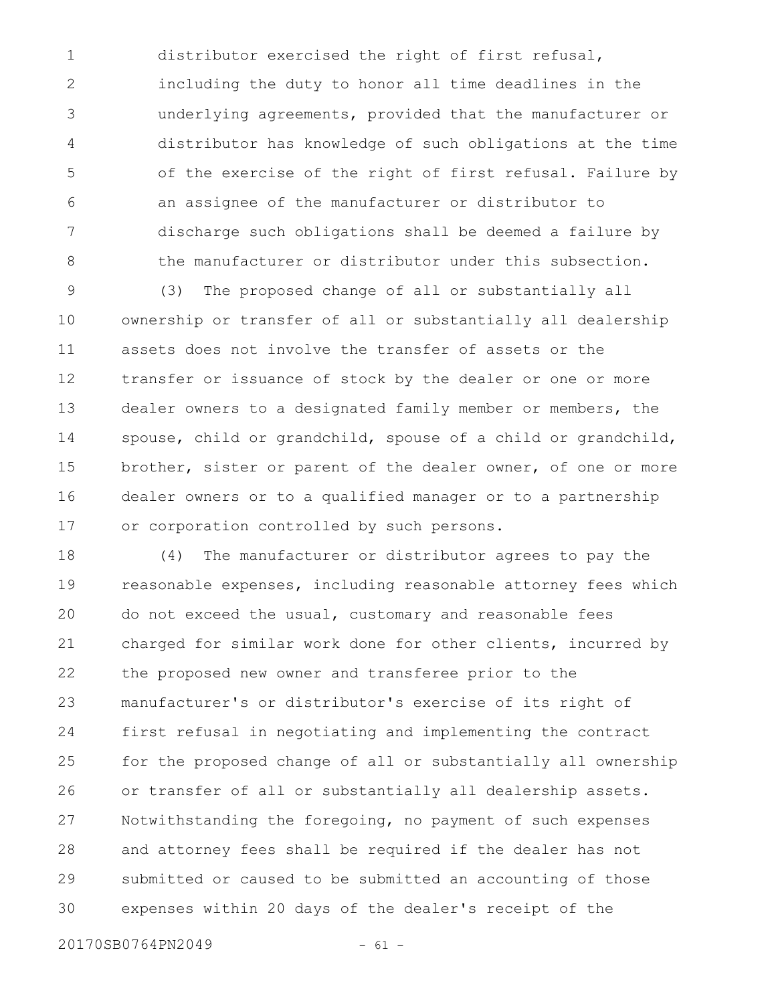distributor exercised the right of first refusal, including the duty to honor all time deadlines in the underlying agreements, provided that the manufacturer or distributor has knowledge of such obligations at the time of the exercise of the right of first refusal. Failure by an assignee of the manufacturer or distributor to discharge such obligations shall be deemed a failure by the manufacturer or distributor under this subsection. 1 2 3 4 5 6 7 8

(3) The proposed change of all or substantially all ownership or transfer of all or substantially all dealership assets does not involve the transfer of assets or the transfer or issuance of stock by the dealer or one or more dealer owners to a designated family member or members, the spouse, child or grandchild, spouse of a child or grandchild, brother, sister or parent of the dealer owner, of one or more dealer owners or to a qualified manager or to a partnership or corporation controlled by such persons. 9 10 11 12 13 14 15 16 17

(4) The manufacturer or distributor agrees to pay the reasonable expenses, including reasonable attorney fees which do not exceed the usual, customary and reasonable fees charged for similar work done for other clients, incurred by the proposed new owner and transferee prior to the manufacturer's or distributor's exercise of its right of first refusal in negotiating and implementing the contract for the proposed change of all or substantially all ownership or transfer of all or substantially all dealership assets. Notwithstanding the foregoing, no payment of such expenses and attorney fees shall be required if the dealer has not submitted or caused to be submitted an accounting of those expenses within 20 days of the dealer's receipt of the 18 19 20 21 22 23 24 25 26 27 28 29 30

20170SB0764PN2049 - 61 -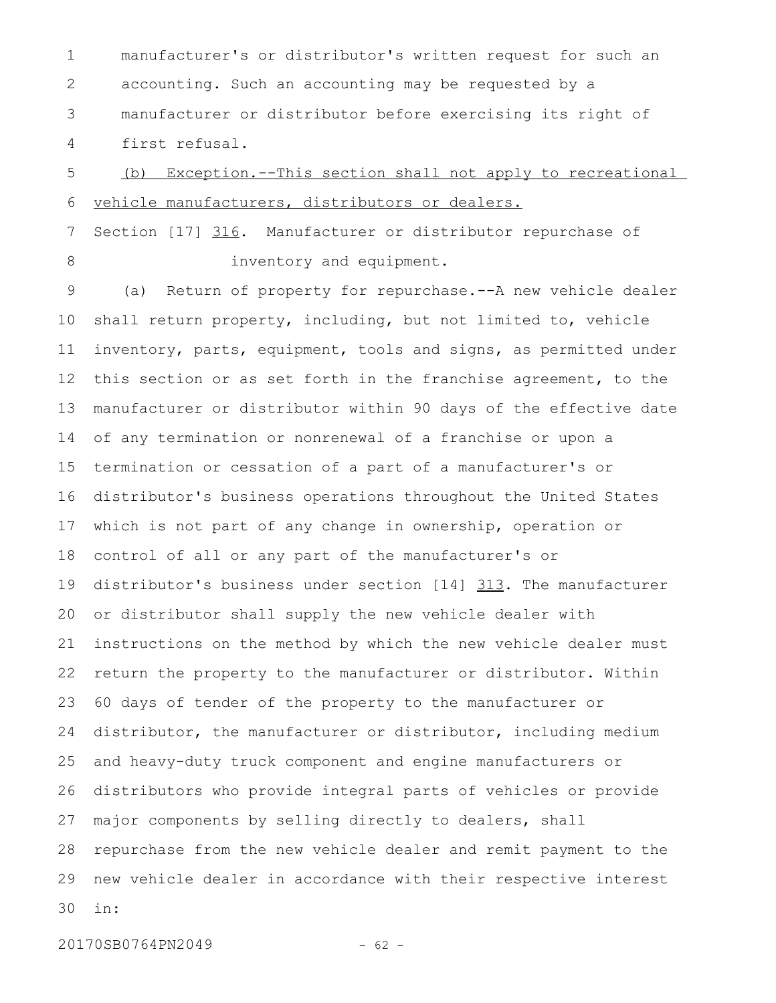manufacturer's or distributor's written request for such an accounting. Such an accounting may be requested by a manufacturer or distributor before exercising its right of first refusal. 1 2 3 4

(b) Exception.--This section shall not apply to recreational vehicle manufacturers, distributors or dealers. 5 6

Section [17] 316. Manufacturer or distributor repurchase of inventory and equipment. 7 8

(a) Return of property for repurchase.--A new vehicle dealer shall return property, including, but not limited to, vehicle inventory, parts, equipment, tools and signs, as permitted under this section or as set forth in the franchise agreement, to the manufacturer or distributor within 90 days of the effective date of any termination or nonrenewal of a franchise or upon a termination or cessation of a part of a manufacturer's or distributor's business operations throughout the United States which is not part of any change in ownership, operation or control of all or any part of the manufacturer's or distributor's business under section [14] 313. The manufacturer or distributor shall supply the new vehicle dealer with instructions on the method by which the new vehicle dealer must return the property to the manufacturer or distributor. Within 60 days of tender of the property to the manufacturer or distributor, the manufacturer or distributor, including medium and heavy-duty truck component and engine manufacturers or distributors who provide integral parts of vehicles or provide major components by selling directly to dealers, shall repurchase from the new vehicle dealer and remit payment to the new vehicle dealer in accordance with their respective interest in: 9 10 11 12 13 14 15 16 17 18 19 20 21 22 23 24 25 26 27 28 29 30

20170SB0764PN2049 - 62 -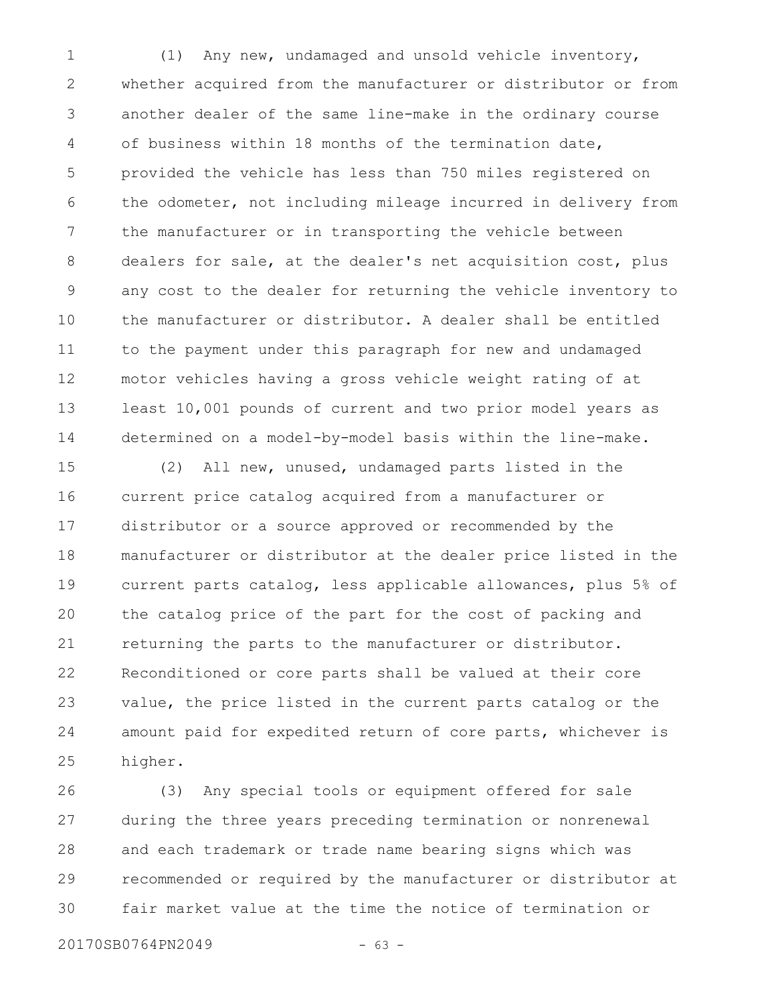(1) Any new, undamaged and unsold vehicle inventory, whether acquired from the manufacturer or distributor or from another dealer of the same line-make in the ordinary course of business within 18 months of the termination date, provided the vehicle has less than 750 miles registered on the odometer, not including mileage incurred in delivery from the manufacturer or in transporting the vehicle between dealers for sale, at the dealer's net acquisition cost, plus any cost to the dealer for returning the vehicle inventory to the manufacturer or distributor. A dealer shall be entitled to the payment under this paragraph for new and undamaged motor vehicles having a gross vehicle weight rating of at least 10,001 pounds of current and two prior model years as determined on a model-by-model basis within the line-make. 1 2 3 4 5 6 7 8 9 10 11 12 13 14

(2) All new, unused, undamaged parts listed in the current price catalog acquired from a manufacturer or distributor or a source approved or recommended by the manufacturer or distributor at the dealer price listed in the current parts catalog, less applicable allowances, plus 5% of the catalog price of the part for the cost of packing and returning the parts to the manufacturer or distributor. Reconditioned or core parts shall be valued at their core value, the price listed in the current parts catalog or the amount paid for expedited return of core parts, whichever is higher. 15 16 17 18 19 20 21 22 23 24 25

(3) Any special tools or equipment offered for sale during the three years preceding termination or nonrenewal and each trademark or trade name bearing signs which was recommended or required by the manufacturer or distributor at fair market value at the time the notice of termination or 26 27 28 29 30

20170SB0764PN2049 - 63 -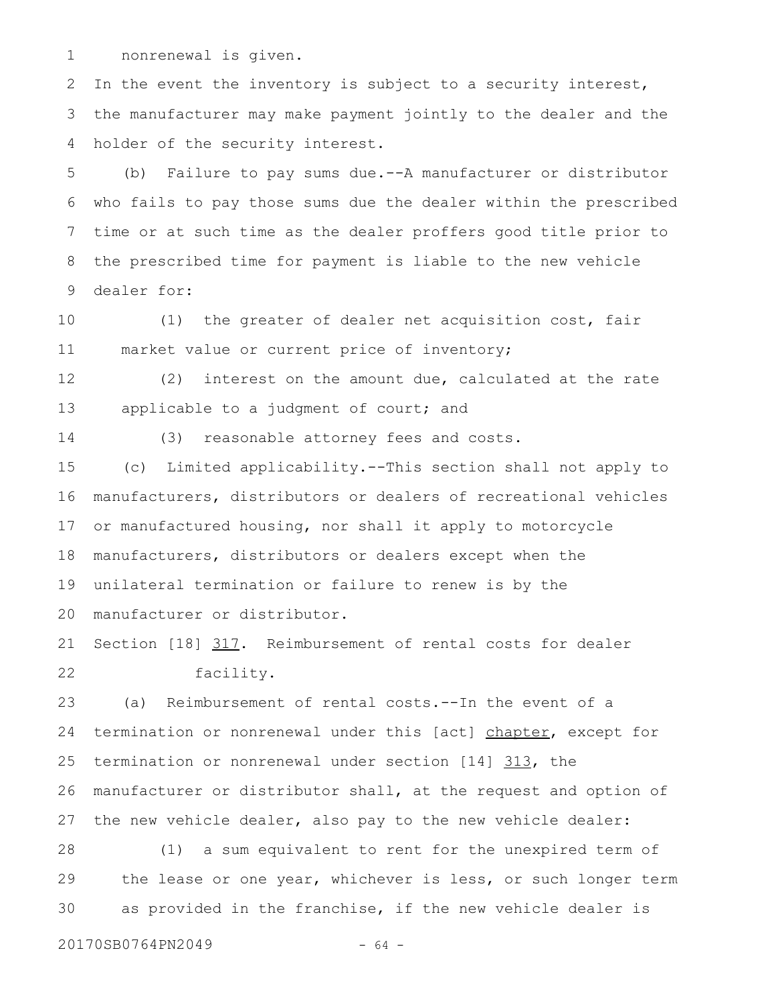nonrenewal is given. 1

In the event the inventory is subject to a security interest, the manufacturer may make payment jointly to the dealer and the holder of the security interest. 2 3 4

(b) Failure to pay sums due.--A manufacturer or distributor who fails to pay those sums due the dealer within the prescribed time or at such time as the dealer proffers good title prior to the prescribed time for payment is liable to the new vehicle dealer for: 5 6 7 8 9

(1) the greater of dealer net acquisition cost, fair market value or current price of inventory; 10 11

(2) interest on the amount due, calculated at the rate applicable to a judgment of court; and 12 13

14

(3) reasonable attorney fees and costs.

(c) Limited applicability.--This section shall not apply to manufacturers, distributors or dealers of recreational vehicles or manufactured housing, nor shall it apply to motorcycle manufacturers, distributors or dealers except when the unilateral termination or failure to renew is by the manufacturer or distributor. 15 16 17 18 19 20

Section [18] 317. Reimbursement of rental costs for dealer facility. 21 22

(a) Reimbursement of rental costs.--In the event of a termination or nonrenewal under this [act] chapter, except for termination or nonrenewal under section [14] 313, the manufacturer or distributor shall, at the request and option of the new vehicle dealer, also pay to the new vehicle dealer: 23 24 25 26 27

(1) a sum equivalent to rent for the unexpired term of the lease or one year, whichever is less, or such longer term as provided in the franchise, if the new vehicle dealer is 28 29 30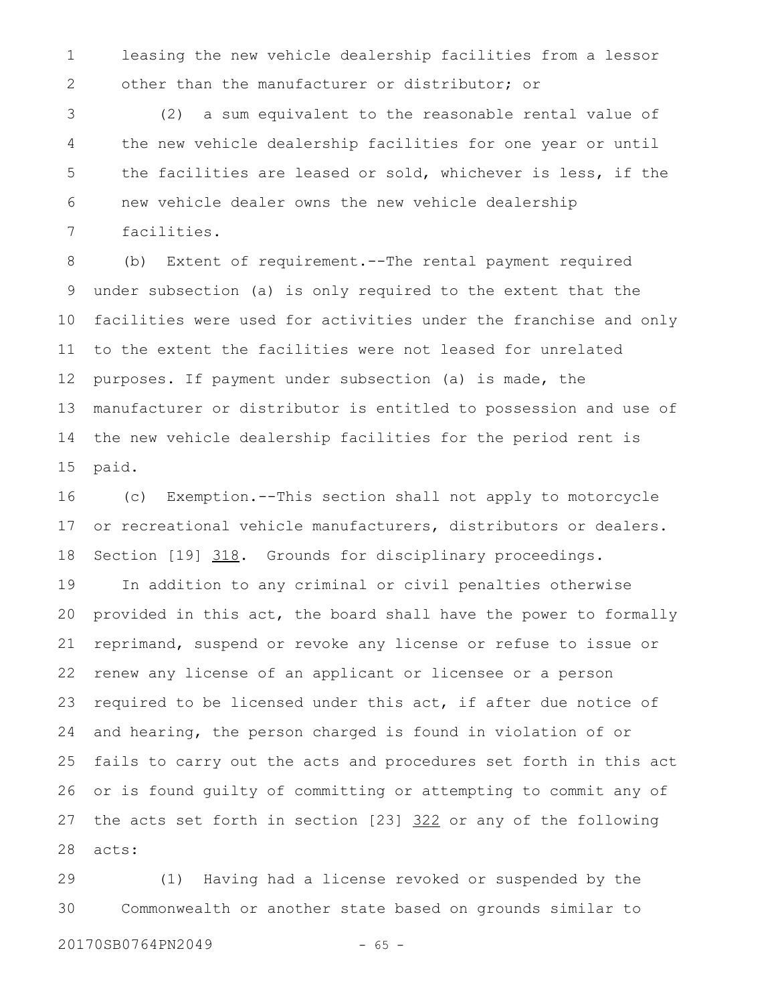leasing the new vehicle dealership facilities from a lessor other than the manufacturer or distributor; or 1 2

(2) a sum equivalent to the reasonable rental value of the new vehicle dealership facilities for one year or until the facilities are leased or sold, whichever is less, if the new vehicle dealer owns the new vehicle dealership facilities. 3 4 5 6 7

(b) Extent of requirement.--The rental payment required under subsection (a) is only required to the extent that the facilities were used for activities under the franchise and only to the extent the facilities were not leased for unrelated purposes. If payment under subsection (a) is made, the manufacturer or distributor is entitled to possession and use of the new vehicle dealership facilities for the period rent is paid. 8 9 10 11 12 13 14 15

(c) Exemption.--This section shall not apply to motorcycle or recreational vehicle manufacturers, distributors or dealers. Section [19] 318. Grounds for disciplinary proceedings. In addition to any criminal or civil penalties otherwise provided in this act, the board shall have the power to formally reprimand, suspend or revoke any license or refuse to issue or renew any license of an applicant or licensee or a person required to be licensed under this act, if after due notice of and hearing, the person charged is found in violation of or fails to carry out the acts and procedures set forth in this act or is found guilty of committing or attempting to commit any of the acts set forth in section [23] 322 or any of the following acts: 16 17 18 19 20 21 22 23 24 25 26 27 28

(1) Having had a license revoked or suspended by the Commonwealth or another state based on grounds similar to 29 30

20170SB0764PN2049 - 65 -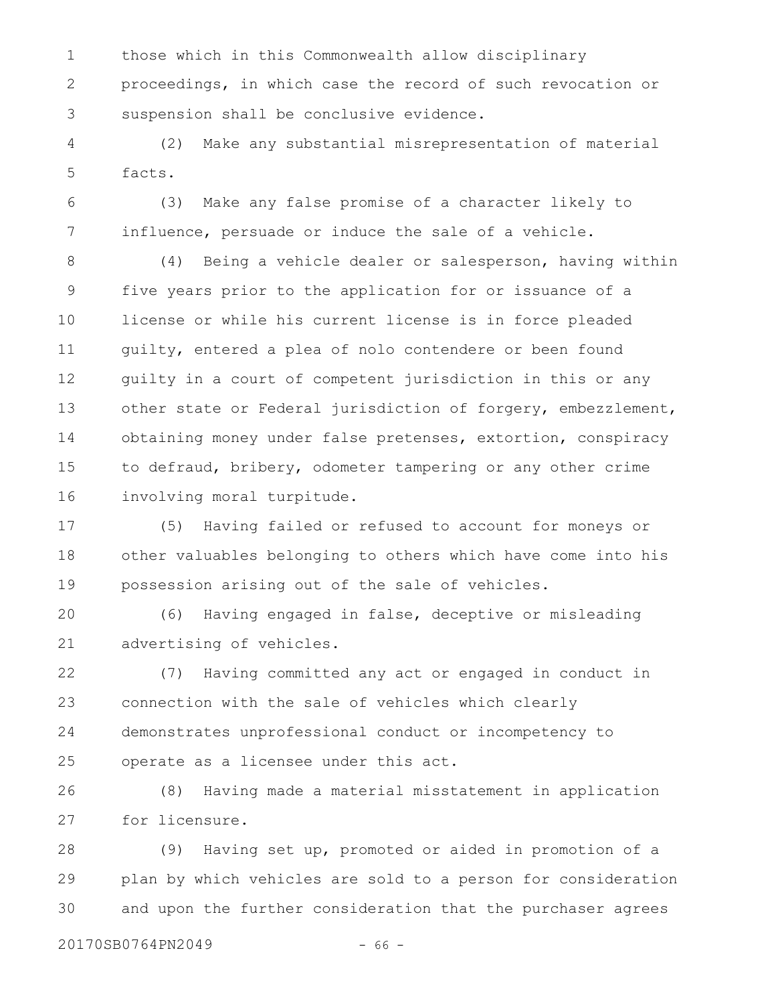those which in this Commonwealth allow disciplinary proceedings, in which case the record of such revocation or suspension shall be conclusive evidence. 1 2 3

(2) Make any substantial misrepresentation of material facts. 4 5

(3) Make any false promise of a character likely to influence, persuade or induce the sale of a vehicle. 6 7

(4) Being a vehicle dealer or salesperson, having within five years prior to the application for or issuance of a license or while his current license is in force pleaded guilty, entered a plea of nolo contendere or been found guilty in a court of competent jurisdiction in this or any other state or Federal jurisdiction of forgery, embezzlement, obtaining money under false pretenses, extortion, conspiracy to defraud, bribery, odometer tampering or any other crime involving moral turpitude. 8 9 10 11 12 13 14 15 16

(5) Having failed or refused to account for moneys or other valuables belonging to others which have come into his possession arising out of the sale of vehicles. 17 18 19

(6) Having engaged in false, deceptive or misleading advertising of vehicles. 20 21

(7) Having committed any act or engaged in conduct in connection with the sale of vehicles which clearly demonstrates unprofessional conduct or incompetency to operate as a licensee under this act. 22 23 24 25

(8) Having made a material misstatement in application for licensure. 26 27

(9) Having set up, promoted or aided in promotion of a plan by which vehicles are sold to a person for consideration and upon the further consideration that the purchaser agrees 28 29 30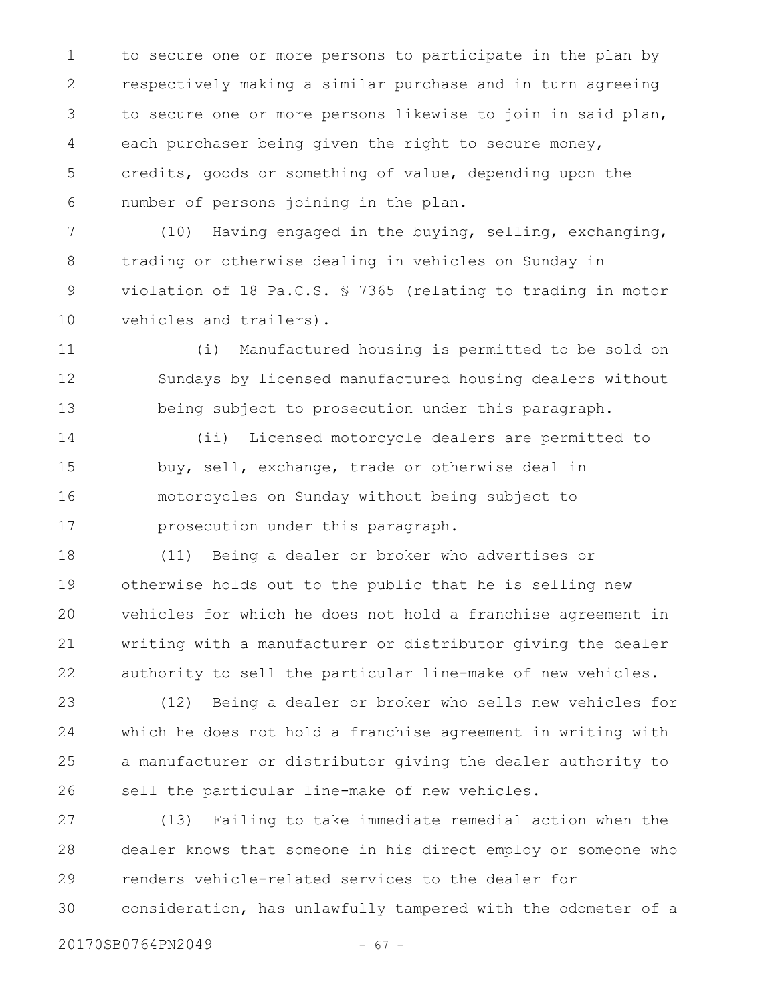to secure one or more persons to participate in the plan by respectively making a similar purchase and in turn agreeing to secure one or more persons likewise to join in said plan, each purchaser being given the right to secure money, credits, goods or something of value, depending upon the number of persons joining in the plan. 1 2 3 4 5 6

(10) Having engaged in the buying, selling, exchanging, trading or otherwise dealing in vehicles on Sunday in violation of 18 Pa.C.S. § 7365 (relating to trading in motor vehicles and trailers). 7 8 9 10

(i) Manufactured housing is permitted to be sold on Sundays by licensed manufactured housing dealers without being subject to prosecution under this paragraph. 11 12 13

(ii) Licensed motorcycle dealers are permitted to buy, sell, exchange, trade or otherwise deal in motorcycles on Sunday without being subject to prosecution under this paragraph. 14 15 16 17

(11) Being a dealer or broker who advertises or otherwise holds out to the public that he is selling new vehicles for which he does not hold a franchise agreement in writing with a manufacturer or distributor giving the dealer authority to sell the particular line-make of new vehicles. 18 19 20 21 22

(12) Being a dealer or broker who sells new vehicles for which he does not hold a franchise agreement in writing with a manufacturer or distributor giving the dealer authority to sell the particular line-make of new vehicles. 23 24 25 26

(13) Failing to take immediate remedial action when the dealer knows that someone in his direct employ or someone who renders vehicle-related services to the dealer for consideration, has unlawfully tampered with the odometer of a 27 28 29 30

20170SB0764PN2049 - 67 -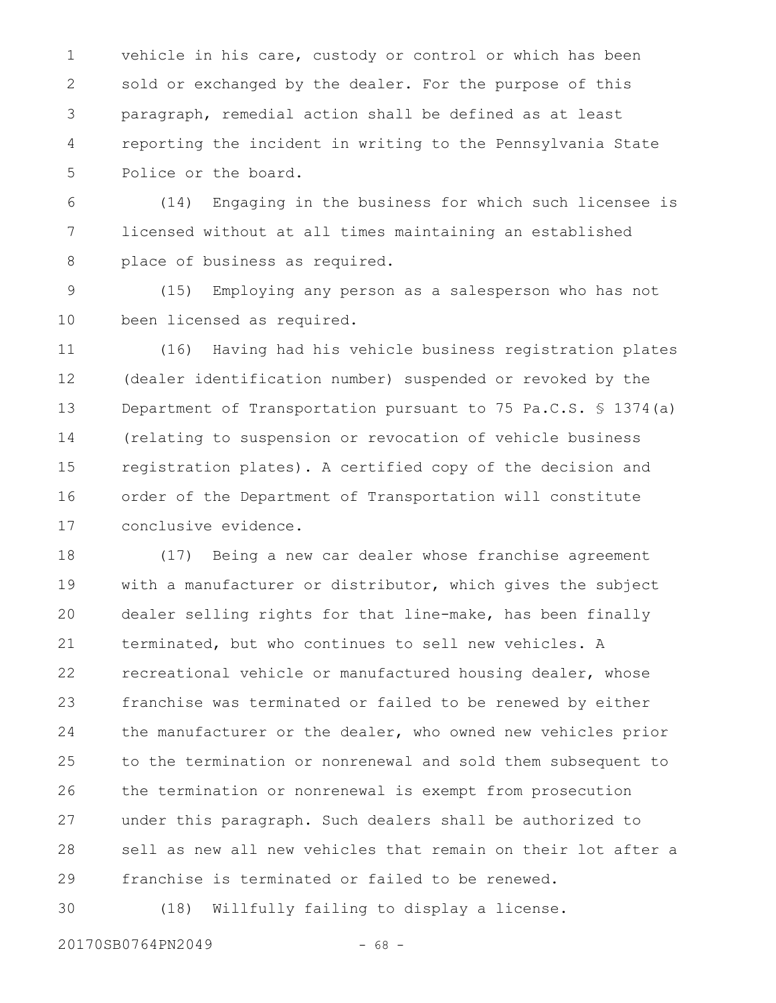vehicle in his care, custody or control or which has been sold or exchanged by the dealer. For the purpose of this paragraph, remedial action shall be defined as at least reporting the incident in writing to the Pennsylvania State Police or the board. 1 2 3 4 5

(14) Engaging in the business for which such licensee is licensed without at all times maintaining an established place of business as required. 6 7 8

(15) Employing any person as a salesperson who has not been licensed as required. 9 10

(16) Having had his vehicle business registration plates (dealer identification number) suspended or revoked by the Department of Transportation pursuant to 75 Pa.C.S. § 1374(a) (relating to suspension or revocation of vehicle business registration plates). A certified copy of the decision and order of the Department of Transportation will constitute conclusive evidence. 11 12 13 14 15 16 17

(17) Being a new car dealer whose franchise agreement with a manufacturer or distributor, which gives the subject dealer selling rights for that line-make, has been finally terminated, but who continues to sell new vehicles. A recreational vehicle or manufactured housing dealer, whose franchise was terminated or failed to be renewed by either the manufacturer or the dealer, who owned new vehicles prior to the termination or nonrenewal and sold them subsequent to the termination or nonrenewal is exempt from prosecution under this paragraph. Such dealers shall be authorized to sell as new all new vehicles that remain on their lot after a franchise is terminated or failed to be renewed. 18 19 20 21 22 23 24 25 26 27 28 29

(18) Willfully failing to display a license. 30

20170SB0764PN2049 - 68 -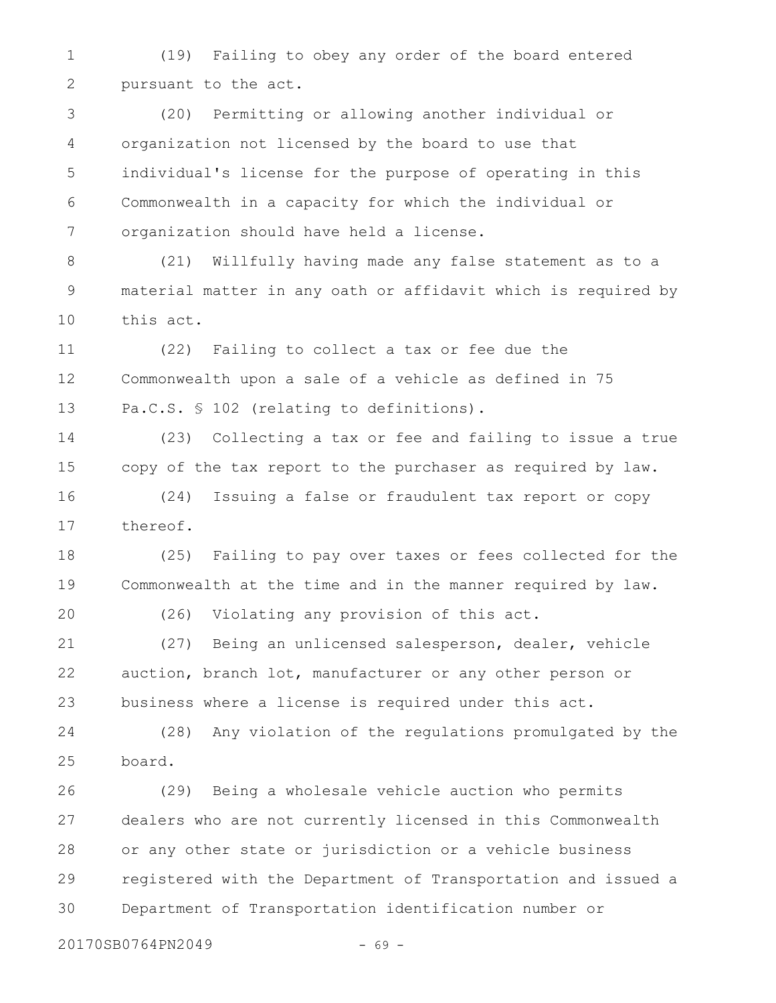(19) Failing to obey any order of the board entered pursuant to the act. 1 2

(20) Permitting or allowing another individual or organization not licensed by the board to use that individual's license for the purpose of operating in this Commonwealth in a capacity for which the individual or organization should have held a license. 3 4 5 6 7

(21) Willfully having made any false statement as to a material matter in any oath or affidavit which is required by this act. 8 9 10

(22) Failing to collect a tax or fee due the Commonwealth upon a sale of a vehicle as defined in 75 Pa.C.S. § 102 (relating to definitions). 11 12 13

(23) Collecting a tax or fee and failing to issue a true copy of the tax report to the purchaser as required by law. 14 15

(24) Issuing a false or fraudulent tax report or copy thereof. 16 17

(25) Failing to pay over taxes or fees collected for the Commonwealth at the time and in the manner required by law. 18 19

20

(26) Violating any provision of this act.

(27) Being an unlicensed salesperson, dealer, vehicle auction, branch lot, manufacturer or any other person or business where a license is required under this act. 21 22 23

(28) Any violation of the regulations promulgated by the board. 24 25

(29) Being a wholesale vehicle auction who permits dealers who are not currently licensed in this Commonwealth or any other state or jurisdiction or a vehicle business registered with the Department of Transportation and issued a Department of Transportation identification number or 26 27 28 29 30

20170SB0764PN2049 - 69 -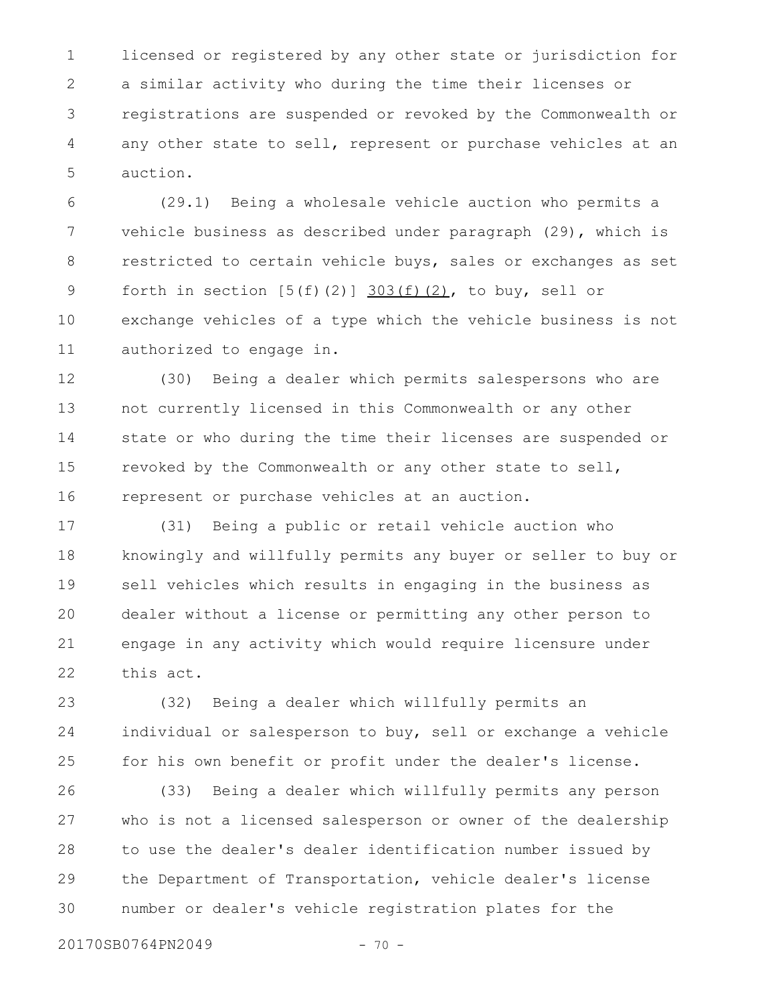licensed or registered by any other state or jurisdiction for a similar activity who during the time their licenses or registrations are suspended or revoked by the Commonwealth or any other state to sell, represent or purchase vehicles at an auction. 1 2 3 4 5

(29.1) Being a wholesale vehicle auction who permits a vehicle business as described under paragraph (29), which is restricted to certain vehicle buys, sales or exchanges as set forth in section  $[5(f)(2)]$  303(f)(2), to buy, sell or exchange vehicles of a type which the vehicle business is not authorized to engage in. 6 7 8 9 10 11

(30) Being a dealer which permits salespersons who are not currently licensed in this Commonwealth or any other state or who during the time their licenses are suspended or revoked by the Commonwealth or any other state to sell, represent or purchase vehicles at an auction. 12 13 14 15 16

(31) Being a public or retail vehicle auction who knowingly and willfully permits any buyer or seller to buy or sell vehicles which results in engaging in the business as dealer without a license or permitting any other person to engage in any activity which would require licensure under this act. 17 18 19 20 21 22

(32) Being a dealer which willfully permits an individual or salesperson to buy, sell or exchange a vehicle for his own benefit or profit under the dealer's license. 23 24 25

(33) Being a dealer which willfully permits any person who is not a licensed salesperson or owner of the dealership to use the dealer's dealer identification number issued by the Department of Transportation, vehicle dealer's license number or dealer's vehicle registration plates for the 26 27 28 29 30

20170SB0764PN2049 - 70 -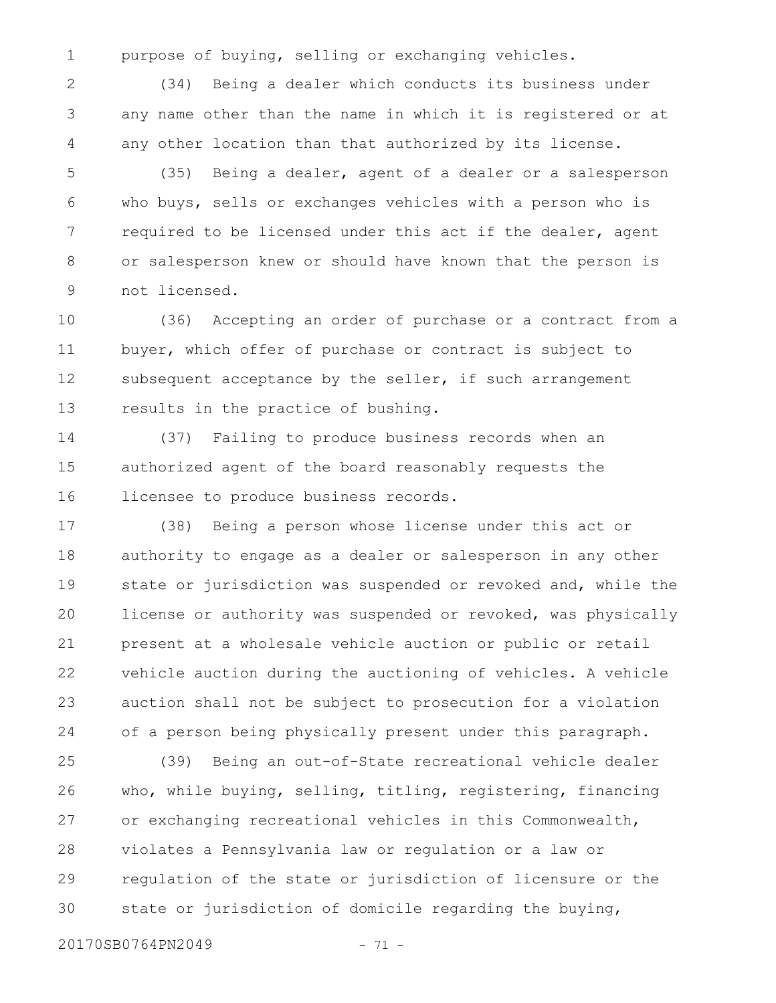1

purpose of buying, selling or exchanging vehicles.

(34) Being a dealer which conducts its business under any name other than the name in which it is registered or at any other location than that authorized by its license. 2 3 4

(35) Being a dealer, agent of a dealer or a salesperson who buys, sells or exchanges vehicles with a person who is required to be licensed under this act if the dealer, agent or salesperson knew or should have known that the person is not licensed. 5 6 7 8 9

(36) Accepting an order of purchase or a contract from a buyer, which offer of purchase or contract is subject to subsequent acceptance by the seller, if such arrangement results in the practice of bushing. 10 11 12 13

(37) Failing to produce business records when an authorized agent of the board reasonably requests the licensee to produce business records. 14 15 16

(38) Being a person whose license under this act or authority to engage as a dealer or salesperson in any other state or jurisdiction was suspended or revoked and, while the license or authority was suspended or revoked, was physically present at a wholesale vehicle auction or public or retail vehicle auction during the auctioning of vehicles. A vehicle auction shall not be subject to prosecution for a violation of a person being physically present under this paragraph. 17 18 19 20 21 22 23 24

(39) Being an out-of-State recreational vehicle dealer who, while buying, selling, titling, registering, financing or exchanging recreational vehicles in this Commonwealth, violates a Pennsylvania law or regulation or a law or regulation of the state or jurisdiction of licensure or the state or jurisdiction of domicile regarding the buying, 25 26 27 28 29 30

20170SB0764PN2049 - 71 -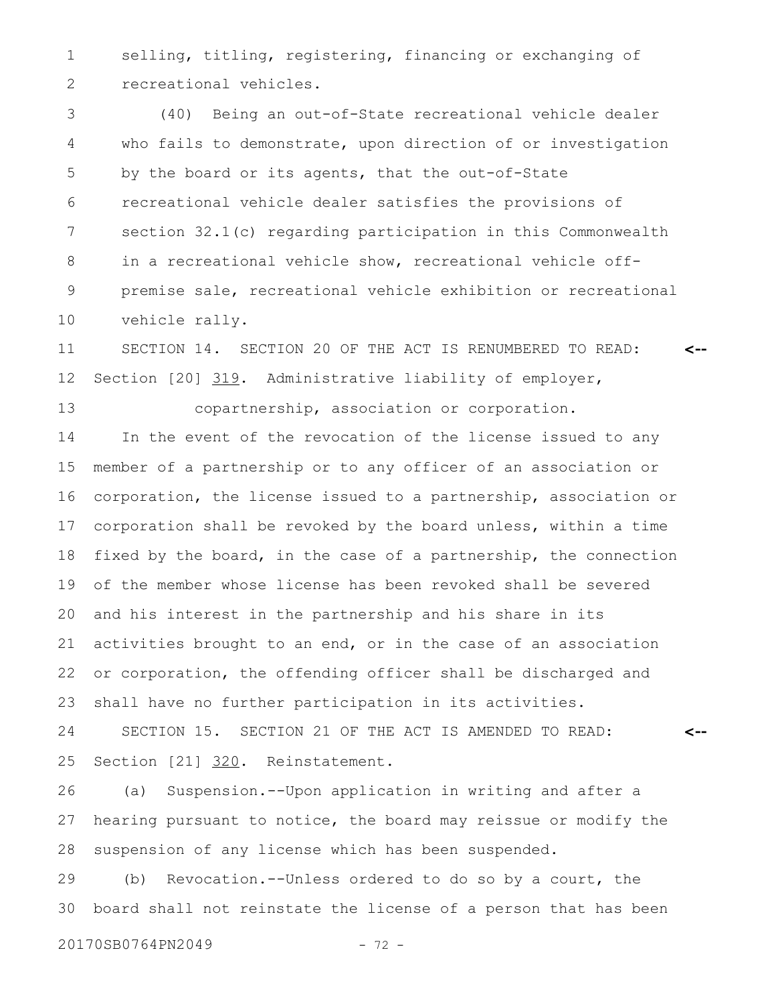selling, titling, registering, financing or exchanging of recreational vehicles. 1 2

(40) Being an out-of-State recreational vehicle dealer who fails to demonstrate, upon direction of or investigation by the board or its agents, that the out-of-State recreational vehicle dealer satisfies the provisions of section 32.1(c) regarding participation in this Commonwealth in a recreational vehicle show, recreational vehicle offpremise sale, recreational vehicle exhibition or recreational vehicle rally. 3 4 5 6 7 8 9 10

SECTION 14. SECTION 20 OF THE ACT IS RENUMBERED TO READ: Section [20] 319. Administrative liability of employer, **<--** 11 12

copartnership, association or corporation. In the event of the revocation of the license issued to any member of a partnership or to any officer of an association or corporation, the license issued to a partnership, association or corporation shall be revoked by the board unless, within a time fixed by the board, in the case of a partnership, the connection of the member whose license has been revoked shall be severed and his interest in the partnership and his share in its activities brought to an end, or in the case of an association or corporation, the offending officer shall be discharged and shall have no further participation in its activities. SECTION 15. SECTION 21 OF THE ACT IS AMENDED TO READ: 13 14 15 16 17 18 19 20 21 22 23 24

Section [21] 320. Reinstatement. **<--** 25

(a) Suspension.--Upon application in writing and after a hearing pursuant to notice, the board may reissue or modify the suspension of any license which has been suspended. 26 27 28

(b) Revocation.--Unless ordered to do so by a court, the board shall not reinstate the license of a person that has been 29 30

20170SB0764PN2049 - 72 -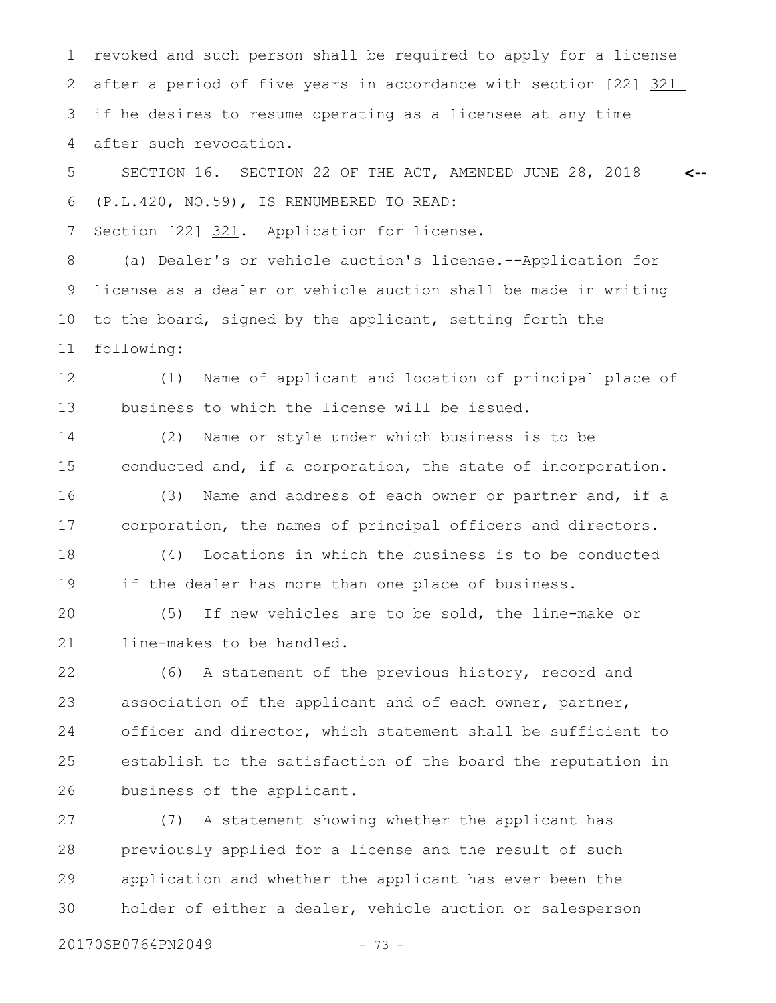revoked and such person shall be required to apply for a license after a period of five years in accordance with section [22] 321 if he desires to resume operating as a licensee at any time after such revocation. 1 2 3 4

SECTION 16. SECTION 22 OF THE ACT, AMENDED JUNE 28, 2018 (P.L.420, NO.59), IS RENUMBERED TO READ: **<--** 5 6

Section [22] 321. Application for license. 7

(a) Dealer's or vehicle auction's license.--Application for license as a dealer or vehicle auction shall be made in writing to the board, signed by the applicant, setting forth the following: 8 9 10 11

(1) Name of applicant and location of principal place of business to which the license will be issued. 12 13

(2) Name or style under which business is to be conducted and, if a corporation, the state of incorporation. 14 15

(3) Name and address of each owner or partner and, if a corporation, the names of principal officers and directors. 16 17

(4) Locations in which the business is to be conducted if the dealer has more than one place of business. 18 19

(5) If new vehicles are to be sold, the line-make or line-makes to be handled. 20 21

(6) A statement of the previous history, record and association of the applicant and of each owner, partner, officer and director, which statement shall be sufficient to establish to the satisfaction of the board the reputation in business of the applicant. 22 23 24 25 26

(7) A statement showing whether the applicant has previously applied for a license and the result of such application and whether the applicant has ever been the holder of either a dealer, vehicle auction or salesperson 27 28 29 30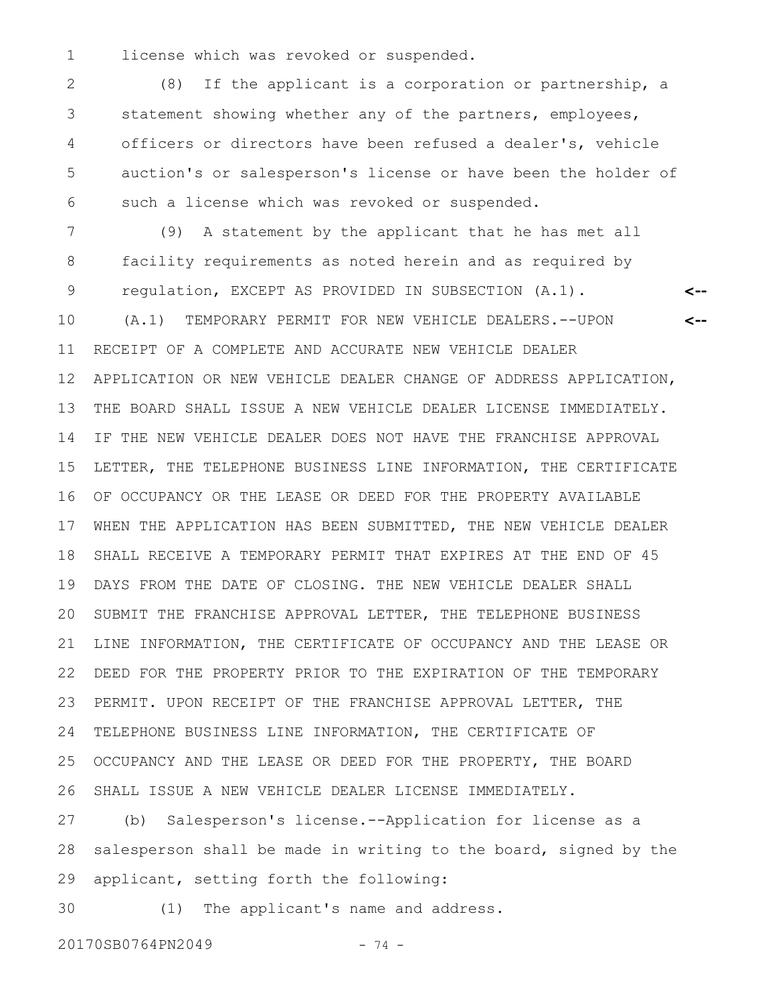license which was revoked or suspended. 1

(8) If the applicant is a corporation or partnership, a statement showing whether any of the partners, employees, officers or directors have been refused a dealer's, vehicle auction's or salesperson's license or have been the holder of such a license which was revoked or suspended. 2 3 4 5 6

(9) A statement by the applicant that he has met all facility requirements as noted herein and as required by regulation, EXCEPT AS PROVIDED IN SUBSECTION (A.1). (A.1) TEMPORARY PERMIT FOR NEW VEHICLE DEALERS.--UPON RECEIPT OF A COMPLETE AND ACCURATE NEW VEHICLE DEALER APPLICATION OR NEW VEHICLE DEALER CHANGE OF ADDRESS APPLICATION, THE BOARD SHALL ISSUE A NEW VEHICLE DEALER LICENSE IMMEDIATELY. IF THE NEW VEHICLE DEALER DOES NOT HAVE THE FRANCHISE APPROVAL LETTER, THE TELEPHONE BUSINESS LINE INFORMATION, THE CERTIFICATE OF OCCUPANCY OR THE LEASE OR DEED FOR THE PROPERTY AVAILABLE WHEN THE APPLICATION HAS BEEN SUBMITTED, THE NEW VEHICLE DEALER SHALL RECEIVE A TEMPORARY PERMIT THAT EXPIRES AT THE END OF 45 DAYS FROM THE DATE OF CLOSING. THE NEW VEHICLE DEALER SHALL SUBMIT THE FRANCHISE APPROVAL LETTER, THE TELEPHONE BUSINESS LINE INFORMATION, THE CERTIFICATE OF OCCUPANCY AND THE LEASE OR DEED FOR THE PROPERTY PRIOR TO THE EXPIRATION OF THE TEMPORARY PERMIT. UPON RECEIPT OF THE FRANCHISE APPROVAL LETTER, THE TELEPHONE BUSINESS LINE INFORMATION, THE CERTIFICATE OF OCCUPANCY AND THE LEASE OR DEED FOR THE PROPERTY, THE BOARD SHALL ISSUE A NEW VEHICLE DEALER LICENSE IMMEDIATELY. **<-- <--** 7 8 9 10 11 12 13 14 15 16 17 18 19 20 21 22 23 24 25 26

(b) Salesperson's license.--Application for license as a salesperson shall be made in writing to the board, signed by the applicant, setting forth the following: 27 28 29

(1) The applicant's name and address. 30

20170SB0764PN2049 - 74 -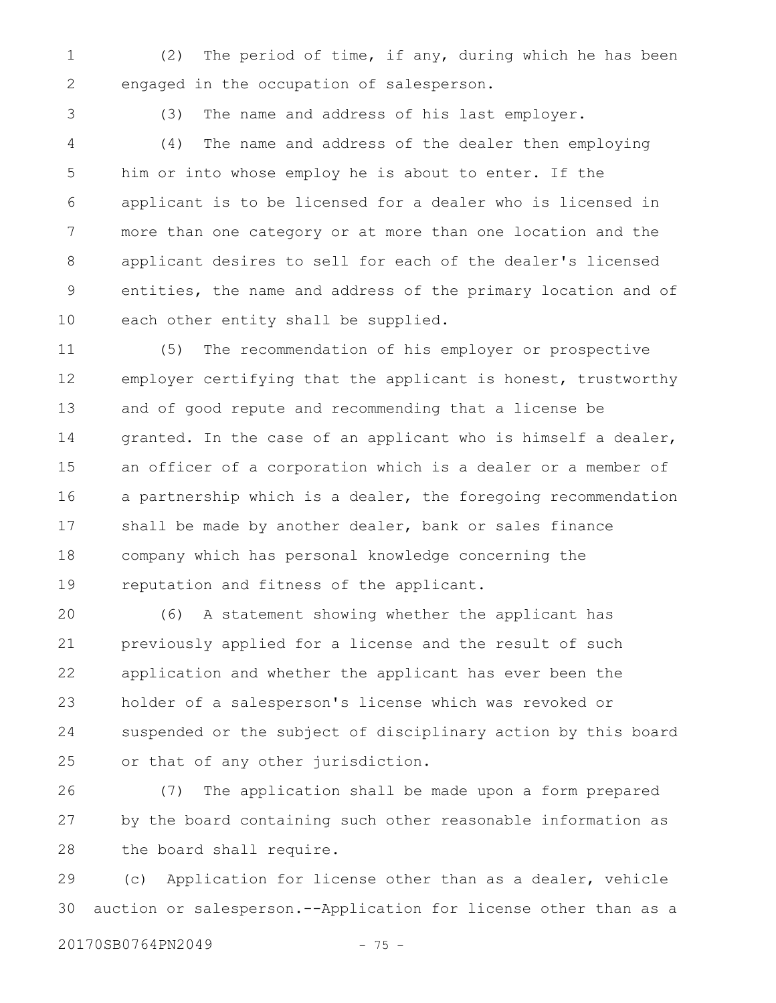(2) The period of time, if any, during which he has been engaged in the occupation of salesperson. 1 2

3

(3) The name and address of his last employer.

(4) The name and address of the dealer then employing him or into whose employ he is about to enter. If the applicant is to be licensed for a dealer who is licensed in more than one category or at more than one location and the applicant desires to sell for each of the dealer's licensed entities, the name and address of the primary location and of each other entity shall be supplied. 4 5 6 7 8 9 10

(5) The recommendation of his employer or prospective employer certifying that the applicant is honest, trustworthy and of good repute and recommending that a license be granted. In the case of an applicant who is himself a dealer, an officer of a corporation which is a dealer or a member of a partnership which is a dealer, the foregoing recommendation shall be made by another dealer, bank or sales finance company which has personal knowledge concerning the reputation and fitness of the applicant. 11 12 13 14 15 16 17 18 19

(6) A statement showing whether the applicant has previously applied for a license and the result of such application and whether the applicant has ever been the holder of a salesperson's license which was revoked or suspended or the subject of disciplinary action by this board or that of any other jurisdiction. 20 21 22 23 24 25

(7) The application shall be made upon a form prepared by the board containing such other reasonable information as the board shall require. 26 27 28

(c) Application for license other than as a dealer, vehicle auction or salesperson.--Application for license other than as a 29 30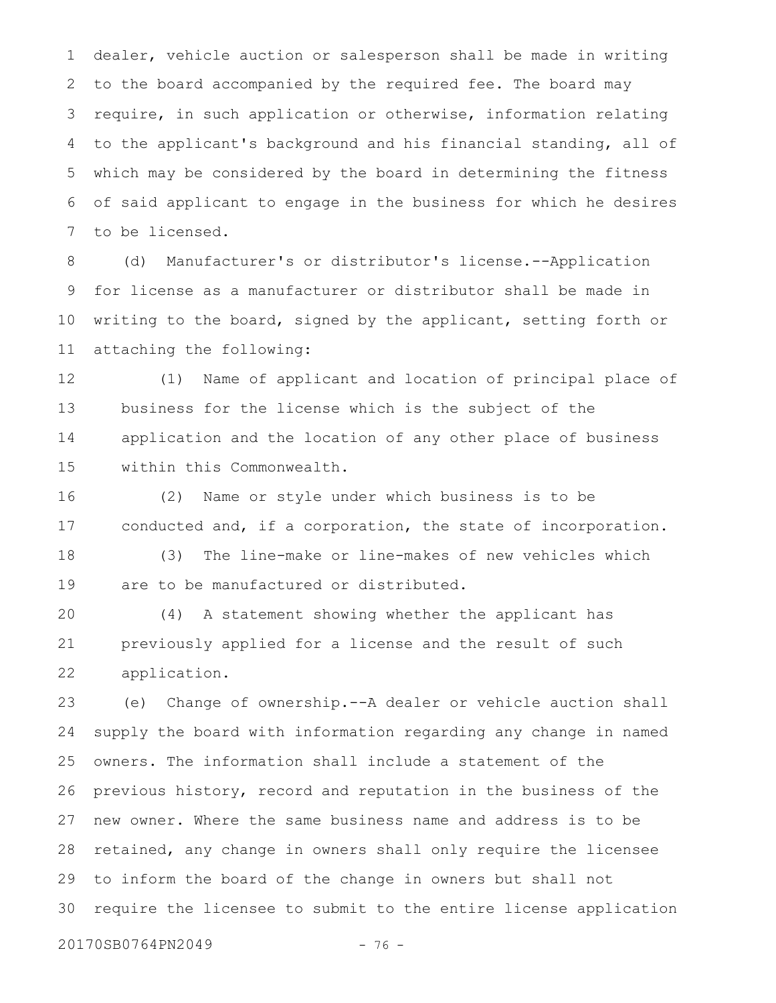dealer, vehicle auction or salesperson shall be made in writing to the board accompanied by the required fee. The board may require, in such application or otherwise, information relating to the applicant's background and his financial standing, all of which may be considered by the board in determining the fitness of said applicant to engage in the business for which he desires to be licensed. 1 2 3 4 5 6 7

(d) Manufacturer's or distributor's license.--Application for license as a manufacturer or distributor shall be made in writing to the board, signed by the applicant, setting forth or attaching the following: 8 9 10 11

(1) Name of applicant and location of principal place of business for the license which is the subject of the application and the location of any other place of business within this Commonwealth. 12 13 14 15

(2) Name or style under which business is to be conducted and, if a corporation, the state of incorporation. 16 17

(3) The line-make or line-makes of new vehicles which are to be manufactured or distributed. 18 19

(4) A statement showing whether the applicant has previously applied for a license and the result of such application. 20 21 22

(e) Change of ownership.--A dealer or vehicle auction shall supply the board with information regarding any change in named owners. The information shall include a statement of the previous history, record and reputation in the business of the new owner. Where the same business name and address is to be retained, any change in owners shall only require the licensee to inform the board of the change in owners but shall not require the licensee to submit to the entire license application 23 24 25 26 27 28 29 30

20170SB0764PN2049 - 76 -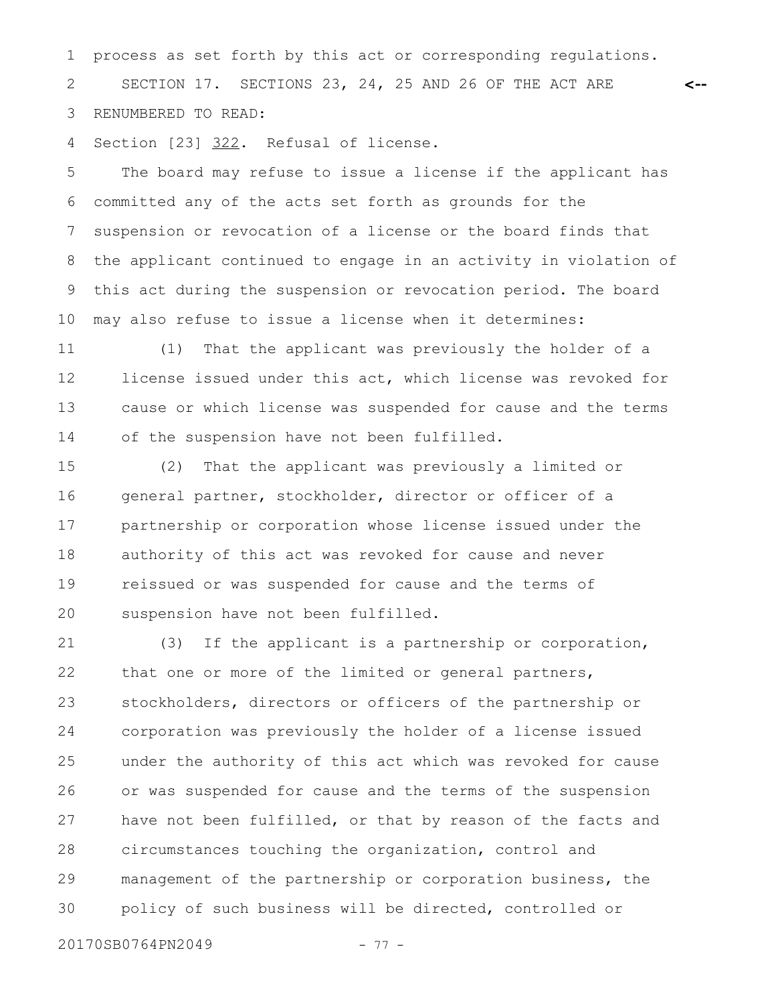process as set forth by this act or corresponding regulations. SECTION 17. SECTIONS 23, 24, 25 AND 26 OF THE ACT ARE RENUMBERED TO READ: 1 2 3

**<--**

Section [23] 322. Refusal of license. 4

The board may refuse to issue a license if the applicant has committed any of the acts set forth as grounds for the suspension or revocation of a license or the board finds that the applicant continued to engage in an activity in violation of this act during the suspension or revocation period. The board may also refuse to issue a license when it determines: 5 6 7 8 9 10

(1) That the applicant was previously the holder of a license issued under this act, which license was revoked for cause or which license was suspended for cause and the terms of the suspension have not been fulfilled. 11 12 13 14

(2) That the applicant was previously a limited or general partner, stockholder, director or officer of a partnership or corporation whose license issued under the authority of this act was revoked for cause and never reissued or was suspended for cause and the terms of suspension have not been fulfilled. 15 16 17 18 19 20

(3) If the applicant is a partnership or corporation, that one or more of the limited or general partners, stockholders, directors or officers of the partnership or corporation was previously the holder of a license issued under the authority of this act which was revoked for cause or was suspended for cause and the terms of the suspension have not been fulfilled, or that by reason of the facts and circumstances touching the organization, control and management of the partnership or corporation business, the policy of such business will be directed, controlled or 21 22 23 24 25 26 27 28 29 30

20170SB0764PN2049 - 77 -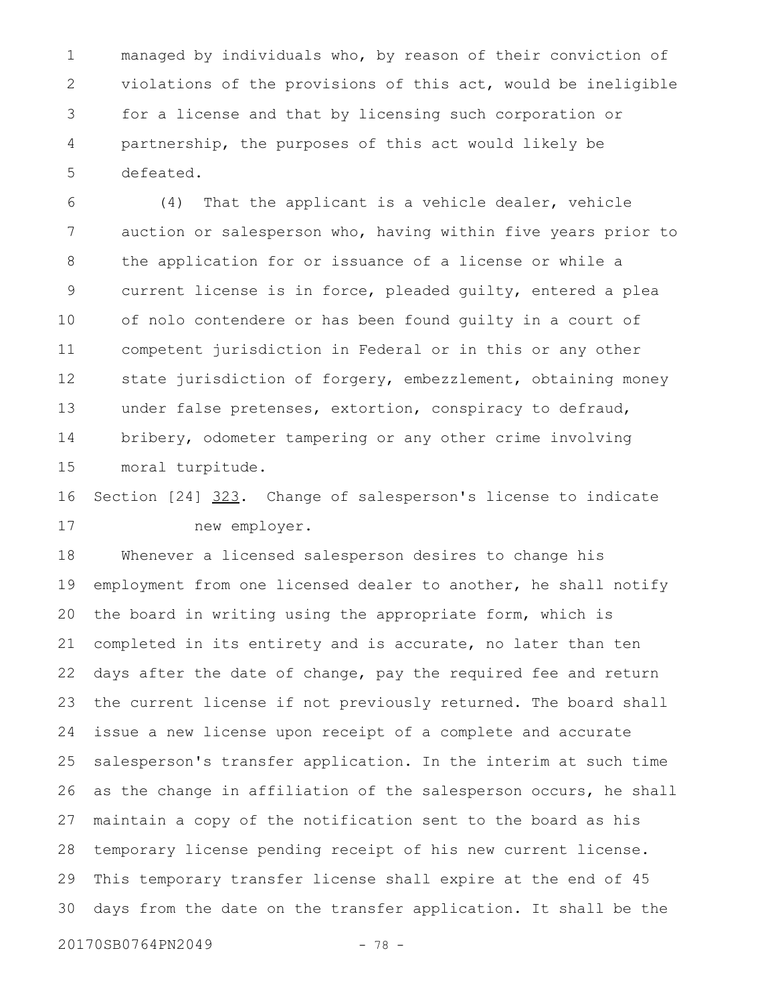managed by individuals who, by reason of their conviction of violations of the provisions of this act, would be ineligible for a license and that by licensing such corporation or partnership, the purposes of this act would likely be defeated. 1 2 3 4 5

(4) That the applicant is a vehicle dealer, vehicle auction or salesperson who, having within five years prior to the application for or issuance of a license or while a current license is in force, pleaded guilty, entered a plea of nolo contendere or has been found guilty in a court of competent jurisdiction in Federal or in this or any other state jurisdiction of forgery, embezzlement, obtaining money under false pretenses, extortion, conspiracy to defraud, bribery, odometer tampering or any other crime involving moral turpitude. 6 7 8 9 10 11 12 13 14 15

Section [24] 323. Change of salesperson's license to indicate new employer. 16 17

Whenever a licensed salesperson desires to change his employment from one licensed dealer to another, he shall notify the board in writing using the appropriate form, which is completed in its entirety and is accurate, no later than ten days after the date of change, pay the required fee and return the current license if not previously returned. The board shall issue a new license upon receipt of a complete and accurate salesperson's transfer application. In the interim at such time as the change in affiliation of the salesperson occurs, he shall maintain a copy of the notification sent to the board as his temporary license pending receipt of his new current license. This temporary transfer license shall expire at the end of 45 days from the date on the transfer application. It shall be the 18 19 20 21 22 23 24 25 26 27 28 29 30

20170SB0764PN2049 - 78 -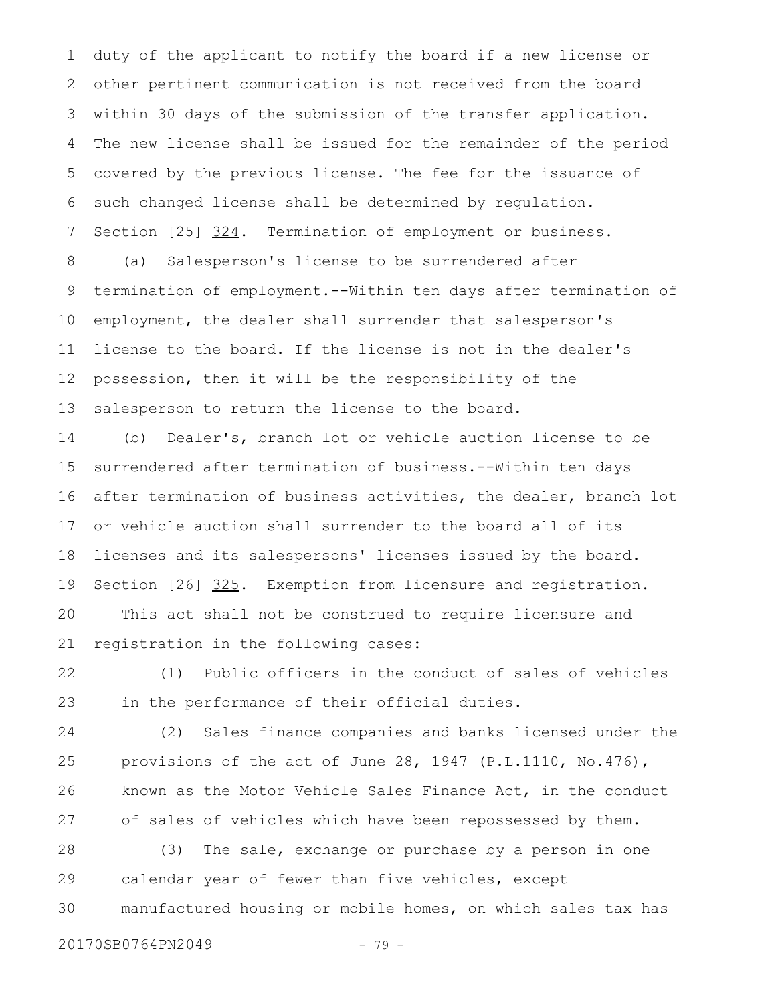duty of the applicant to notify the board if a new license or other pertinent communication is not received from the board within 30 days of the submission of the transfer application. The new license shall be issued for the remainder of the period covered by the previous license. The fee for the issuance of such changed license shall be determined by regulation. Section [25] 324. Termination of employment or business. 1 2 3 4 5 6 7

(a) Salesperson's license to be surrendered after termination of employment.--Within ten days after termination of employment, the dealer shall surrender that salesperson's license to the board. If the license is not in the dealer's possession, then it will be the responsibility of the salesperson to return the license to the board. 8 9 10 11 12 13

(b) Dealer's, branch lot or vehicle auction license to be surrendered after termination of business.--Within ten days after termination of business activities, the dealer, branch lot or vehicle auction shall surrender to the board all of its licenses and its salespersons' licenses issued by the board. Section [26] 325. Exemption from licensure and registration. This act shall not be construed to require licensure and registration in the following cases: 14 15 16 17 18 19 20 21

(1) Public officers in the conduct of sales of vehicles in the performance of their official duties. 22 23

(2) Sales finance companies and banks licensed under the provisions of the act of June 28, 1947 (P.L.1110, No.476), known as the Motor Vehicle Sales Finance Act, in the conduct of sales of vehicles which have been repossessed by them. 24 25 26 27

(3) The sale, exchange or purchase by a person in one calendar year of fewer than five vehicles, except manufactured housing or mobile homes, on which sales tax has 28 29 30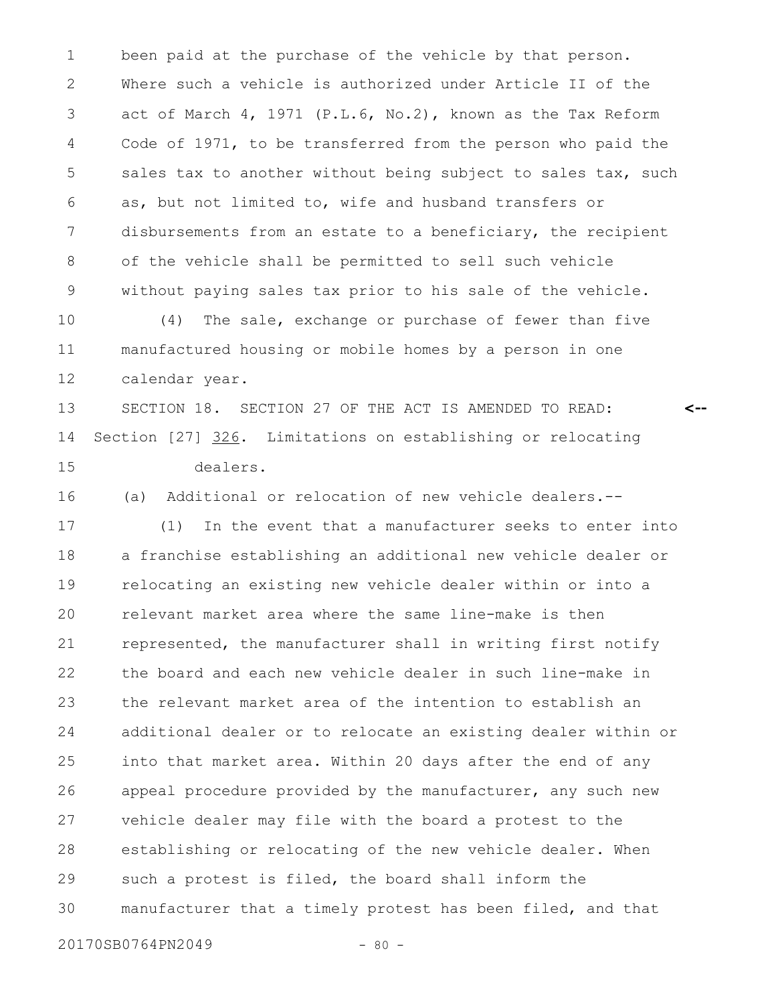been paid at the purchase of the vehicle by that person. Where such a vehicle is authorized under Article II of the act of March 4, 1971 (P.L.6, No.2), known as the Tax Reform Code of 1971, to be transferred from the person who paid the sales tax to another without being subject to sales tax, such as, but not limited to, wife and husband transfers or disbursements from an estate to a beneficiary, the recipient of the vehicle shall be permitted to sell such vehicle without paying sales tax prior to his sale of the vehicle. 1 2 3 4 5 6 7 8 9

(4) The sale, exchange or purchase of fewer than five manufactured housing or mobile homes by a person in one calendar year. 10 11 12

SECTION 18. SECTION 27 OF THE ACT IS AMENDED TO READ: Section [27] 326. Limitations on establishing or relocating dealers. 13 14 15

**<--**

16

(a) Additional or relocation of new vehicle dealers.--

(1) In the event that a manufacturer seeks to enter into a franchise establishing an additional new vehicle dealer or relocating an existing new vehicle dealer within or into a relevant market area where the same line-make is then represented, the manufacturer shall in writing first notify the board and each new vehicle dealer in such line-make in the relevant market area of the intention to establish an additional dealer or to relocate an existing dealer within or into that market area. Within 20 days after the end of any appeal procedure provided by the manufacturer, any such new vehicle dealer may file with the board a protest to the establishing or relocating of the new vehicle dealer. When such a protest is filed, the board shall inform the manufacturer that a timely protest has been filed, and that 17 18 19 20 21 22 23 24 25 26 27 28 29 30

20170SB0764PN2049 - 80 -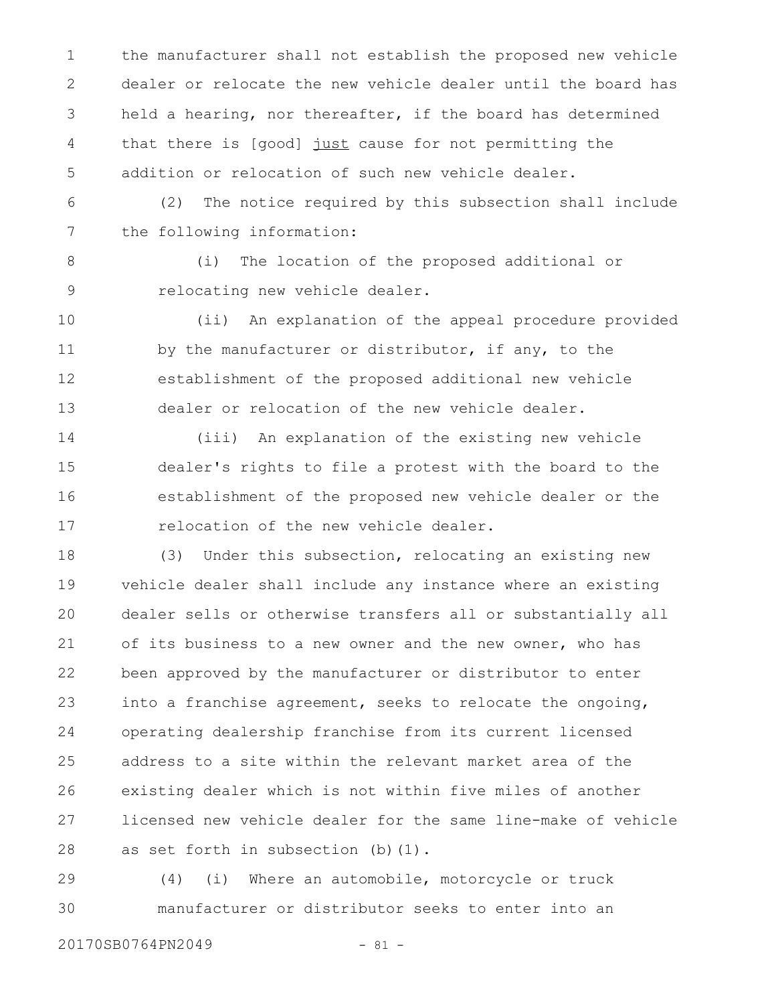the manufacturer shall not establish the proposed new vehicle dealer or relocate the new vehicle dealer until the board has held a hearing, nor thereafter, if the board has determined that there is [good] just cause for not permitting the addition or relocation of such new vehicle dealer. 1 2 3 4 5

(2) The notice required by this subsection shall include the following information: 6 7

8

9

(i) The location of the proposed additional or relocating new vehicle dealer.

(ii) An explanation of the appeal procedure provided by the manufacturer or distributor, if any, to the establishment of the proposed additional new vehicle dealer or relocation of the new vehicle dealer. 10 11 12 13

(iii) An explanation of the existing new vehicle dealer's rights to file a protest with the board to the establishment of the proposed new vehicle dealer or the relocation of the new vehicle dealer. 14 15 16 17

(3) Under this subsection, relocating an existing new vehicle dealer shall include any instance where an existing dealer sells or otherwise transfers all or substantially all of its business to a new owner and the new owner, who has been approved by the manufacturer or distributor to enter into a franchise agreement, seeks to relocate the ongoing, operating dealership franchise from its current licensed address to a site within the relevant market area of the existing dealer which is not within five miles of another licensed new vehicle dealer for the same line-make of vehicle as set forth in subsection (b)(1). 18 19 20 21 22 23 24 25 26 27 28

(4) (i) Where an automobile, motorcycle or truck manufacturer or distributor seeks to enter into an 29 30

20170SB0764PN2049 - 81 -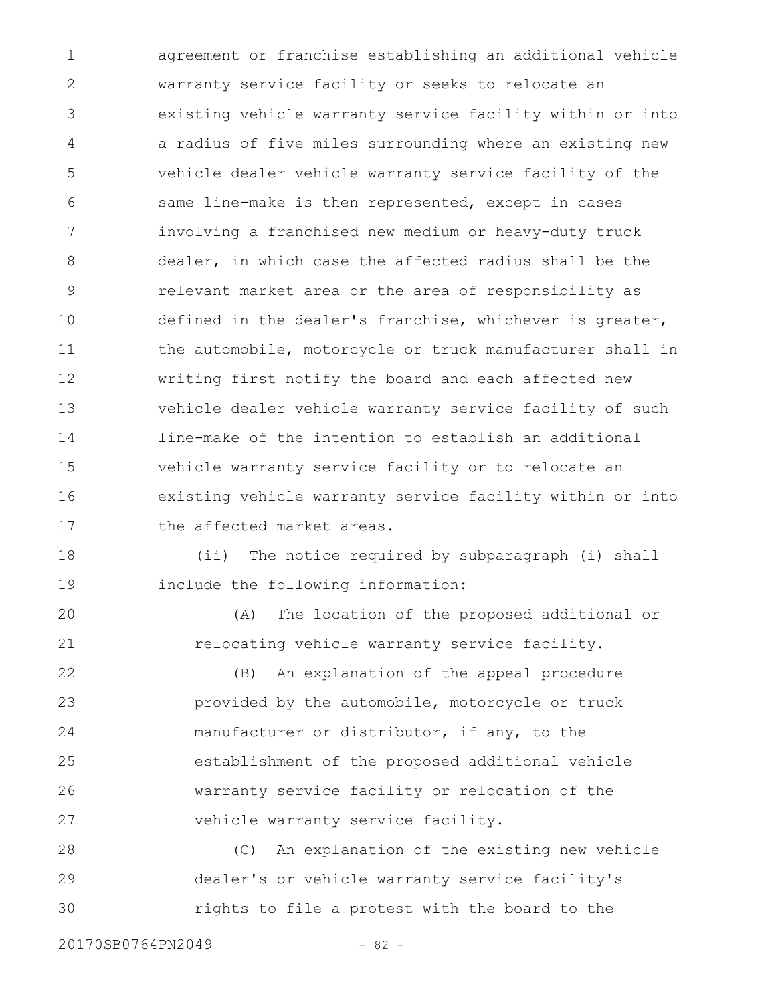agreement or franchise establishing an additional vehicle warranty service facility or seeks to relocate an existing vehicle warranty service facility within or into a radius of five miles surrounding where an existing new vehicle dealer vehicle warranty service facility of the same line-make is then represented, except in cases involving a franchised new medium or heavy-duty truck dealer, in which case the affected radius shall be the relevant market area or the area of responsibility as defined in the dealer's franchise, whichever is greater, the automobile, motorcycle or truck manufacturer shall in writing first notify the board and each affected new vehicle dealer vehicle warranty service facility of such line-make of the intention to establish an additional vehicle warranty service facility or to relocate an existing vehicle warranty service facility within or into the affected market areas. 1 2 3 4 5 6 7 8 9 10 11 12 13 14 15 16 17

(ii) The notice required by subparagraph (i) shall include the following information: 18 19

(A) The location of the proposed additional or relocating vehicle warranty service facility. 20 21

(B) An explanation of the appeal procedure provided by the automobile, motorcycle or truck manufacturer or distributor, if any, to the establishment of the proposed additional vehicle warranty service facility or relocation of the vehicle warranty service facility. 22 23 24 25 26 27

(C) An explanation of the existing new vehicle dealer's or vehicle warranty service facility's rights to file a protest with the board to the 28 29 30

20170SB0764PN2049 - 82 -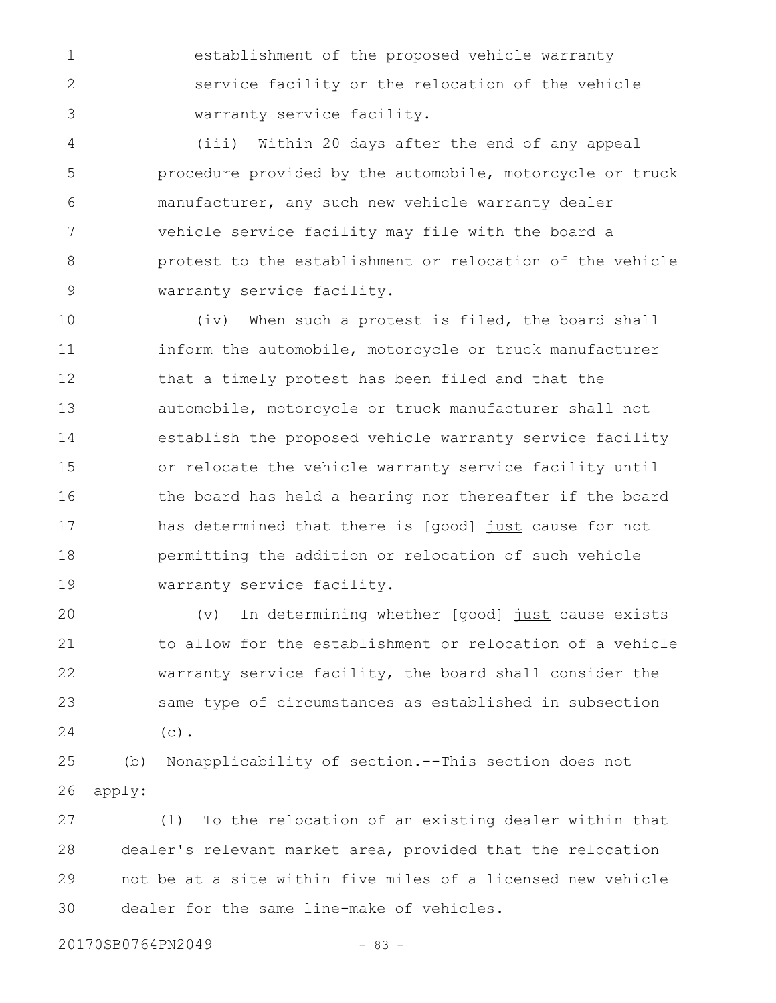establishment of the proposed vehicle warranty service facility or the relocation of the vehicle warranty service facility.

(iii) Within 20 days after the end of any appeal procedure provided by the automobile, motorcycle or truck manufacturer, any such new vehicle warranty dealer vehicle service facility may file with the board a protest to the establishment or relocation of the vehicle warranty service facility. 4 5 6 7 8 9

(iv) When such a protest is filed, the board shall inform the automobile, motorcycle or truck manufacturer that a timely protest has been filed and that the automobile, motorcycle or truck manufacturer shall not establish the proposed vehicle warranty service facility or relocate the vehicle warranty service facility until the board has held a hearing nor thereafter if the board has determined that there is [good] just cause for not permitting the addition or relocation of such vehicle warranty service facility. 10 11 12 13 14 15 16 17 18 19

(v) In determining whether [good] just cause exists to allow for the establishment or relocation of a vehicle warranty service facility, the board shall consider the same type of circumstances as established in subsection  $(c)$ . 20 21 22 23 24

(b) Nonapplicability of section.--This section does not apply: 25 26

(1) To the relocation of an existing dealer within that dealer's relevant market area, provided that the relocation not be at a site within five miles of a licensed new vehicle dealer for the same line-make of vehicles. 27 28 29 30

20170SB0764PN2049 - 83 -

1

2

3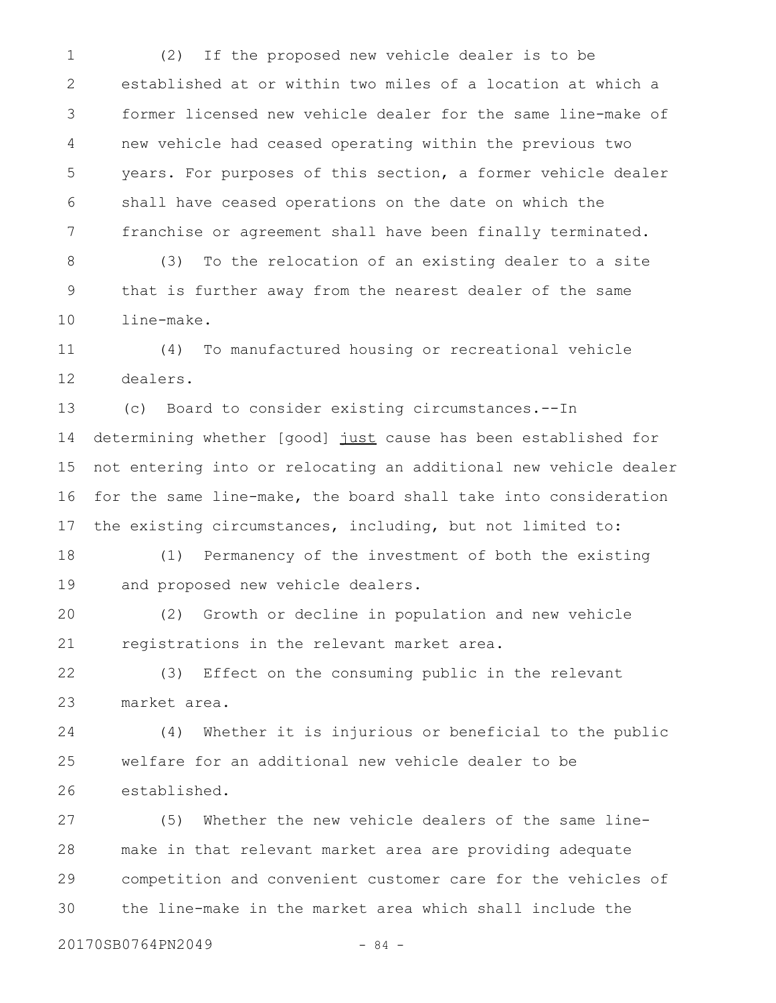(2) If the proposed new vehicle dealer is to be established at or within two miles of a location at which a former licensed new vehicle dealer for the same line-make of new vehicle had ceased operating within the previous two years. For purposes of this section, a former vehicle dealer shall have ceased operations on the date on which the franchise or agreement shall have been finally terminated. 1 2 3 4 5 6 7

(3) To the relocation of an existing dealer to a site that is further away from the nearest dealer of the same line-make. 8 9 10

(4) To manufactured housing or recreational vehicle dealers. 11 12

(c) Board to consider existing circumstances.--In determining whether [good] just cause has been established for not entering into or relocating an additional new vehicle dealer for the same line-make, the board shall take into consideration the existing circumstances, including, but not limited to: 13 14 15 16 17

(1) Permanency of the investment of both the existing and proposed new vehicle dealers. 18 19

(2) Growth or decline in population and new vehicle registrations in the relevant market area. 20 21

(3) Effect on the consuming public in the relevant market area. 22 23

(4) Whether it is injurious or beneficial to the public welfare for an additional new vehicle dealer to be established. 24 25 26

(5) Whether the new vehicle dealers of the same linemake in that relevant market area are providing adequate competition and convenient customer care for the vehicles of the line-make in the market area which shall include the 27 28 29 30

20170SB0764PN2049 - 84 -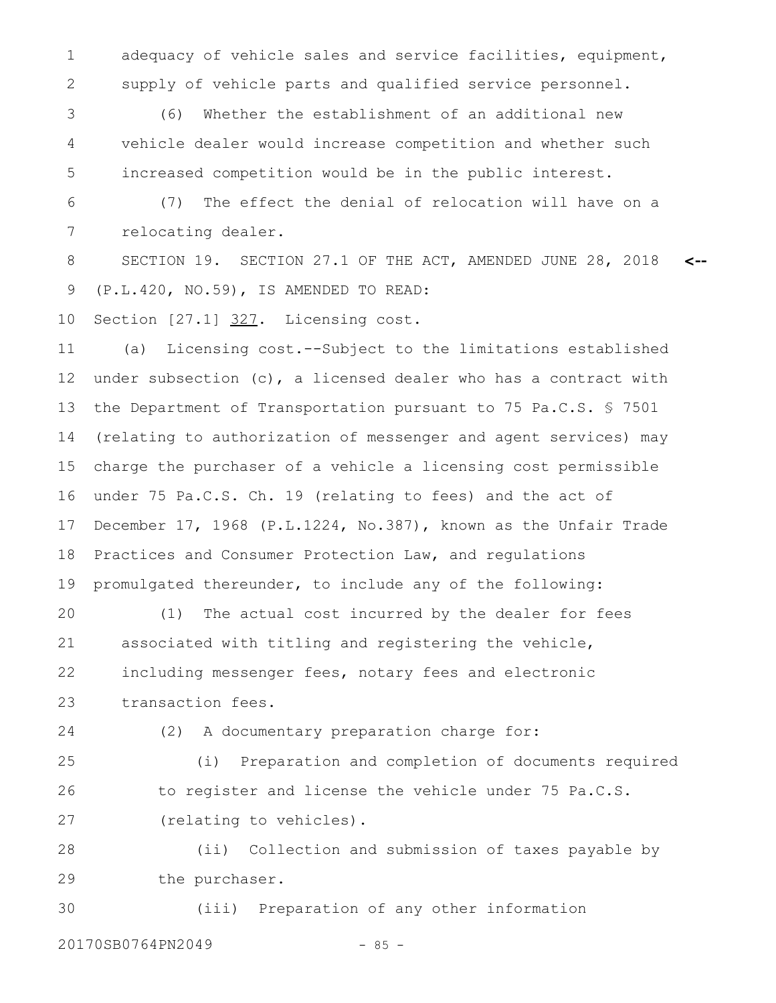adequacy of vehicle sales and service facilities, equipment, supply of vehicle parts and qualified service personnel. 1 2

(6) Whether the establishment of an additional new vehicle dealer would increase competition and whether such increased competition would be in the public interest. 3 4 5

(7) The effect the denial of relocation will have on a relocating dealer. 6 7

SECTION 19. SECTION 27.1 OF THE ACT, AMENDED JUNE 28, 2018 (P.L.420, NO.59), IS AMENDED TO READ: **<--** 8 9

Section [27.1] 327. Licensing cost. 10

(a) Licensing cost.--Subject to the limitations established under subsection (c), a licensed dealer who has a contract with the Department of Transportation pursuant to 75 Pa.C.S. § 7501 (relating to authorization of messenger and agent services) may charge the purchaser of a vehicle a licensing cost permissible under 75 Pa.C.S. Ch. 19 (relating to fees) and the act of December 17, 1968 (P.L.1224, No.387), known as the Unfair Trade Practices and Consumer Protection Law, and regulations promulgated thereunder, to include any of the following: 11 12 13 14 15 16 17 18 19

(1) The actual cost incurred by the dealer for fees associated with titling and registering the vehicle, including messenger fees, notary fees and electronic transaction fees. 20 21 22 23

(2) A documentary preparation charge for:

(i) Preparation and completion of documents required to register and license the vehicle under 75 Pa.C.S. (relating to vehicles). 25 26 27

(ii) Collection and submission of taxes payable by the purchaser. 28 29

(iii) Preparation of any other information 30

20170SB0764PN2049 - 85 -

24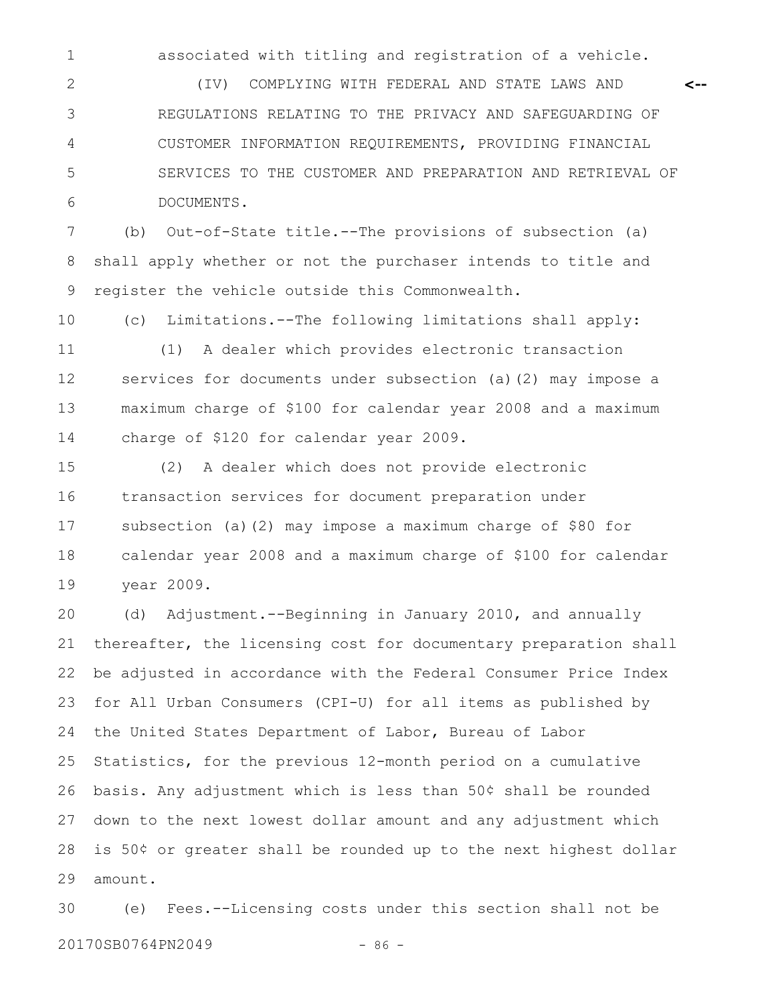associated with titling and registration of a vehicle.

**<--**

(IV) COMPLYING WITH FEDERAL AND STATE LAWS AND REGULATIONS RELATING TO THE PRIVACY AND SAFEGUARDING OF CUSTOMER INFORMATION REQUIREMENTS, PROVIDING FINANCIAL SERVICES TO THE CUSTOMER AND PREPARATION AND RETRIEVAL OF DOCUMENTS. 2 3 4 5 6

(b) Out-of-State title.--The provisions of subsection (a) shall apply whether or not the purchaser intends to title and register the vehicle outside this Commonwealth. 7 8 9

10

1

(c) Limitations.--The following limitations shall apply:

(1) A dealer which provides electronic transaction services for documents under subsection (a)(2) may impose a maximum charge of \$100 for calendar year 2008 and a maximum charge of \$120 for calendar year 2009. 11 12 13 14

(2) A dealer which does not provide electronic transaction services for document preparation under subsection (a)(2) may impose a maximum charge of \$80 for calendar year 2008 and a maximum charge of \$100 for calendar year 2009. 15 16 17 18 19

(d) Adjustment.--Beginning in January 2010, and annually thereafter, the licensing cost for documentary preparation shall be adjusted in accordance with the Federal Consumer Price Index for All Urban Consumers (CPI-U) for all items as published by the United States Department of Labor, Bureau of Labor Statistics, for the previous 12-month period on a cumulative basis. Any adjustment which is less than 50¢ shall be rounded down to the next lowest dollar amount and any adjustment which is 50¢ or greater shall be rounded up to the next highest dollar amount. 20 21 22 23 24 25 26 27 28 29

(e) Fees.--Licensing costs under this section shall not be 20170SB0764PN2049 - 86 -30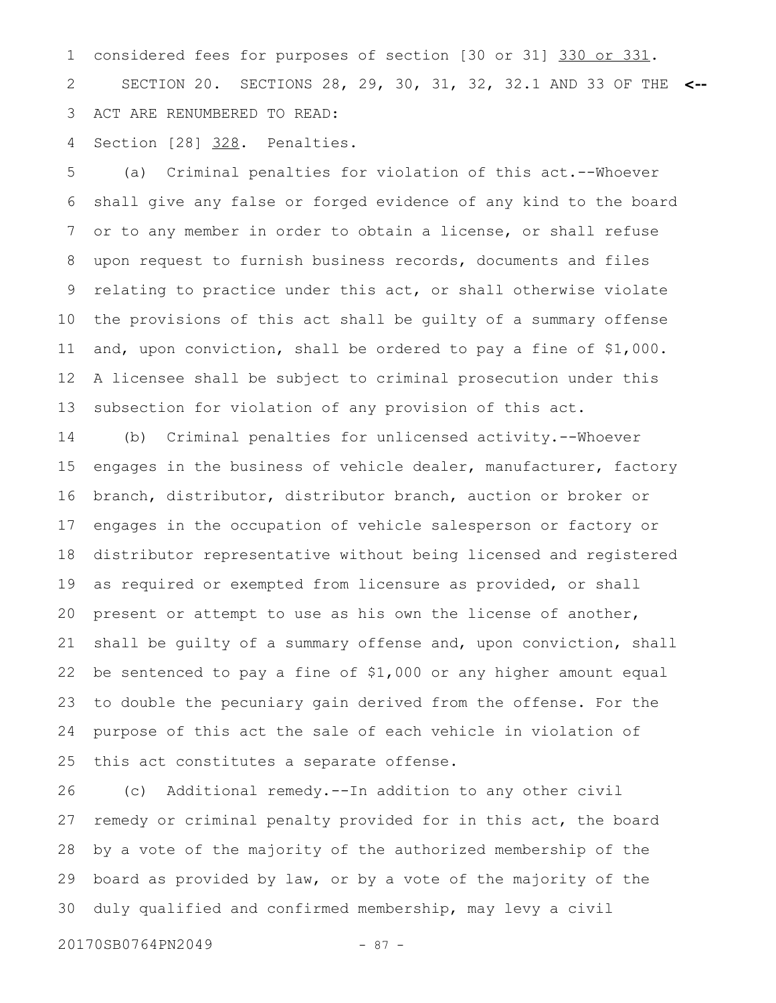considered fees for purposes of section [30 or 31] 330 or 331. SECTION 20. SECTIONS 28, 29, 30, 31, 32, 32.1 AND 33 OF THE **<--** ACT ARE RENUMBERED TO READ: 1 2 3

Section [28] 328. Penalties. 4

(a) Criminal penalties for violation of this act.--Whoever shall give any false or forged evidence of any kind to the board or to any member in order to obtain a license, or shall refuse upon request to furnish business records, documents and files relating to practice under this act, or shall otherwise violate the provisions of this act shall be guilty of a summary offense and, upon conviction, shall be ordered to pay a fine of \$1,000. A licensee shall be subject to criminal prosecution under this subsection for violation of any provision of this act. 5 6 7 8 9 10 11 12 13

(b) Criminal penalties for unlicensed activity.--Whoever engages in the business of vehicle dealer, manufacturer, factory branch, distributor, distributor branch, auction or broker or engages in the occupation of vehicle salesperson or factory or distributor representative without being licensed and registered as required or exempted from licensure as provided, or shall present or attempt to use as his own the license of another, shall be guilty of a summary offense and, upon conviction, shall be sentenced to pay a fine of \$1,000 or any higher amount equal to double the pecuniary gain derived from the offense. For the purpose of this act the sale of each vehicle in violation of this act constitutes a separate offense. 14 15 16 17 18 19 20 21 22 23 24 25

(c) Additional remedy.--In addition to any other civil remedy or criminal penalty provided for in this act, the board by a vote of the majority of the authorized membership of the board as provided by law, or by a vote of the majority of the duly qualified and confirmed membership, may levy a civil 26 27 28 29 30

20170SB0764PN2049 - 87 -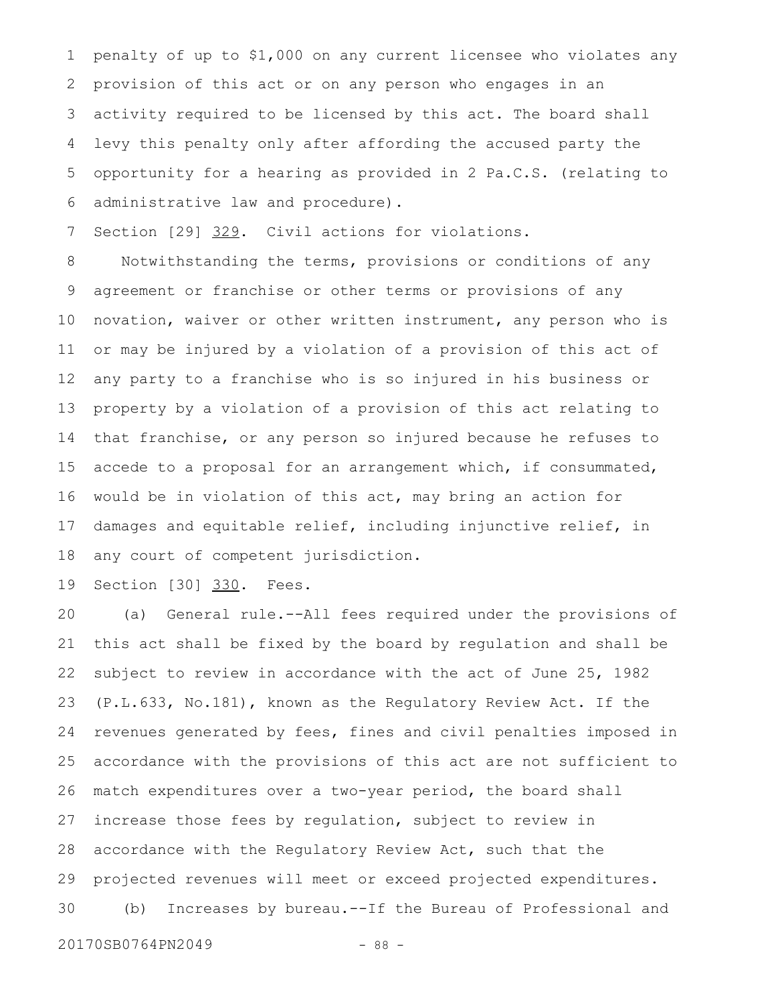penalty of up to \$1,000 on any current licensee who violates any provision of this act or on any person who engages in an activity required to be licensed by this act. The board shall levy this penalty only after affording the accused party the opportunity for a hearing as provided in 2 Pa.C.S. (relating to administrative law and procedure). 1 2 3 4 5 6

Section [29] 329. Civil actions for violations. 7

Notwithstanding the terms, provisions or conditions of any agreement or franchise or other terms or provisions of any novation, waiver or other written instrument, any person who is or may be injured by a violation of a provision of this act of any party to a franchise who is so injured in his business or property by a violation of a provision of this act relating to that franchise, or any person so injured because he refuses to accede to a proposal for an arrangement which, if consummated, would be in violation of this act, may bring an action for damages and equitable relief, including injunctive relief, in any court of competent jurisdiction. 8 9 10 11 12 13 14 15 16 17 18

Section [30] 330. Fees. 19

(a) General rule.--All fees required under the provisions of this act shall be fixed by the board by regulation and shall be subject to review in accordance with the act of June 25, 1982 (P.L.633, No.181), known as the Regulatory Review Act. If the revenues generated by fees, fines and civil penalties imposed in accordance with the provisions of this act are not sufficient to match expenditures over a two-year period, the board shall increase those fees by regulation, subject to review in accordance with the Regulatory Review Act, such that the projected revenues will meet or exceed projected expenditures. (b) Increases by bureau.--If the Bureau of Professional and 20 21 22 23 24 25 26 27 28 29 30

20170SB0764PN2049 - 88 -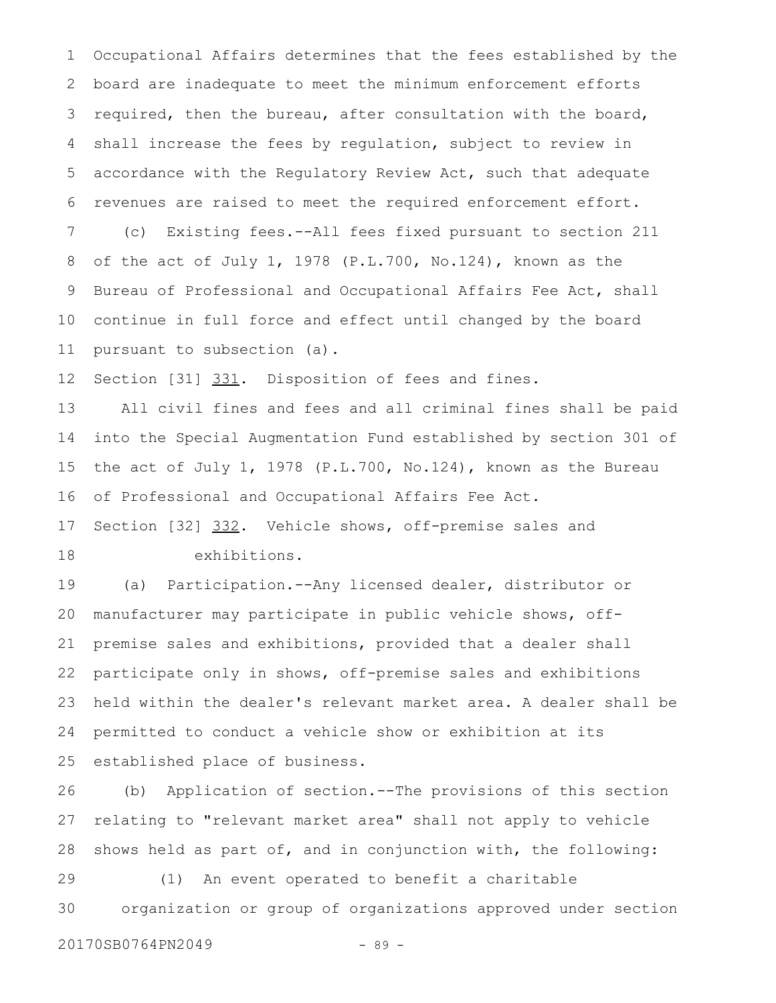Occupational Affairs determines that the fees established by the board are inadequate to meet the minimum enforcement efforts required, then the bureau, after consultation with the board, shall increase the fees by regulation, subject to review in accordance with the Regulatory Review Act, such that adequate revenues are raised to meet the required enforcement effort. (c) Existing fees.--All fees fixed pursuant to section 211 of the act of July 1, 1978 (P.L.700, No.124), known as the Bureau of Professional and Occupational Affairs Fee Act, shall continue in full force and effect until changed by the board pursuant to subsection (a). 1 2 3 4 5 6 7 8 9 10 11

Section [31] 331. Disposition of fees and fines. 12

All civil fines and fees and all criminal fines shall be paid into the Special Augmentation Fund established by section 301 of the act of July 1, 1978 (P.L.700, No.124), known as the Bureau of Professional and Occupational Affairs Fee Act. 13 14 15 16

Section [32] 332. Vehicle shows, off-premise sales and exhibitions. 17 18

(a) Participation.--Any licensed dealer, distributor or manufacturer may participate in public vehicle shows, offpremise sales and exhibitions, provided that a dealer shall participate only in shows, off-premise sales and exhibitions held within the dealer's relevant market area. A dealer shall be permitted to conduct a vehicle show or exhibition at its established place of business. 19 20 21 22 23 24 25

(b) Application of section.--The provisions of this section relating to "relevant market area" shall not apply to vehicle shows held as part of, and in conjunction with, the following: 26 27 28

(1) An event operated to benefit a charitable organization or group of organizations approved under section 29 30

20170SB0764PN2049 - 89 -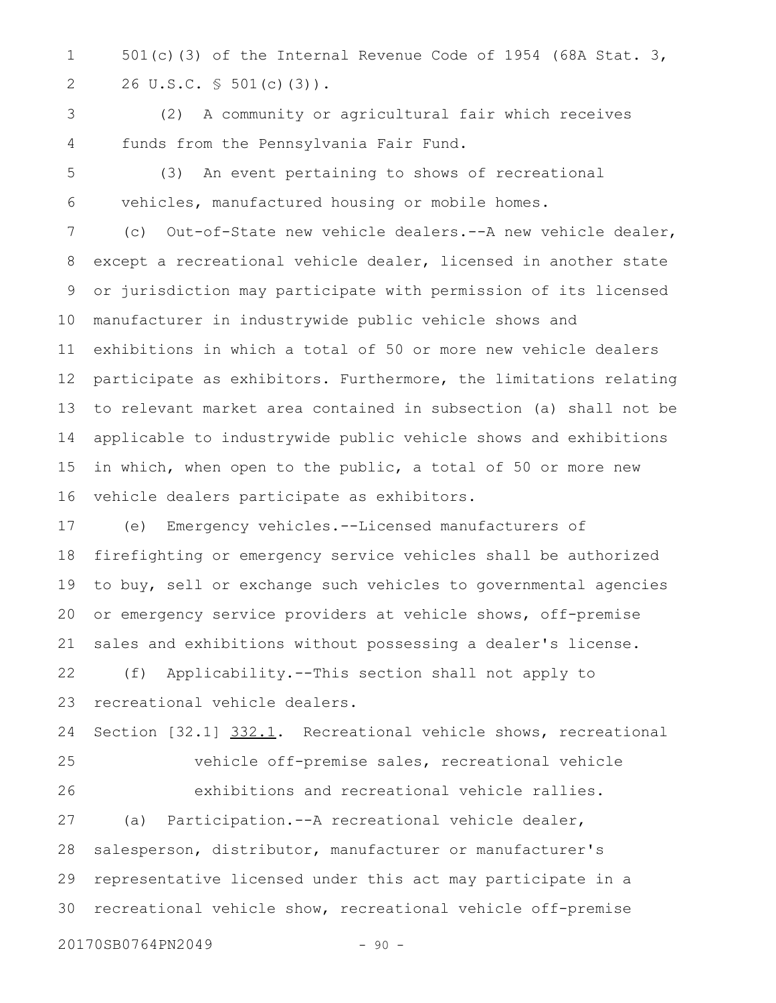501(c)(3) of the Internal Revenue Code of 1954 (68A Stat. 3, 26 U.S.C. § 501(c)(3)). 1 2

(2) A community or agricultural fair which receives funds from the Pennsylvania Fair Fund. 3 4

(3) An event pertaining to shows of recreational vehicles, manufactured housing or mobile homes. 5 6

(c) Out-of-State new vehicle dealers.--A new vehicle dealer, except a recreational vehicle dealer, licensed in another state or jurisdiction may participate with permission of its licensed manufacturer in industrywide public vehicle shows and exhibitions in which a total of 50 or more new vehicle dealers participate as exhibitors. Furthermore, the limitations relating to relevant market area contained in subsection (a) shall not be applicable to industrywide public vehicle shows and exhibitions in which, when open to the public, a total of 50 or more new vehicle dealers participate as exhibitors. 7 8 9 10 11 12 13 14 15 16

(e) Emergency vehicles.--Licensed manufacturers of firefighting or emergency service vehicles shall be authorized to buy, sell or exchange such vehicles to governmental agencies or emergency service providers at vehicle shows, off-premise sales and exhibitions without possessing a dealer's license. 17 18 19 20 21

(f) Applicability.--This section shall not apply to recreational vehicle dealers. 22 23

Section [32.1] 332.1. Recreational vehicle shows, recreational 24

25

26

vehicle off-premise sales, recreational vehicle exhibitions and recreational vehicle rallies.

(a) Participation.--A recreational vehicle dealer, salesperson, distributor, manufacturer or manufacturer's representative licensed under this act may participate in a recreational vehicle show, recreational vehicle off-premise 27 28 29 30

20170SB0764PN2049 - 90 -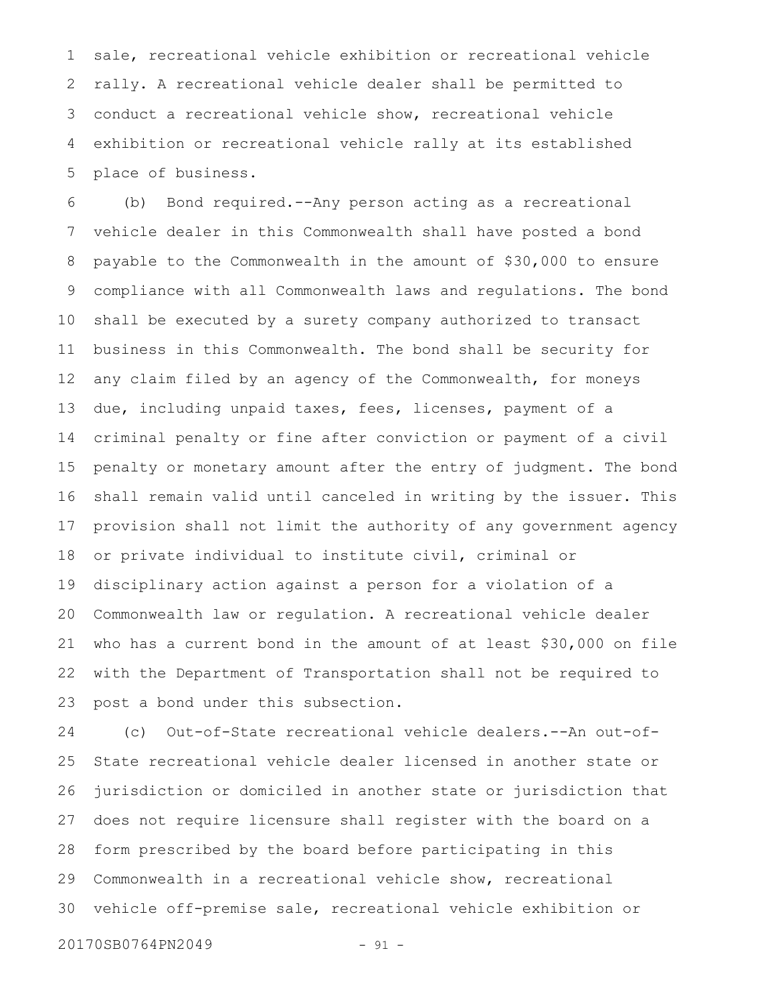sale, recreational vehicle exhibition or recreational vehicle rally. A recreational vehicle dealer shall be permitted to conduct a recreational vehicle show, recreational vehicle exhibition or recreational vehicle rally at its established place of business. 1 2 3 4 5

(b) Bond required.--Any person acting as a recreational vehicle dealer in this Commonwealth shall have posted a bond payable to the Commonwealth in the amount of \$30,000 to ensure compliance with all Commonwealth laws and regulations. The bond shall be executed by a surety company authorized to transact business in this Commonwealth. The bond shall be security for any claim filed by an agency of the Commonwealth, for moneys due, including unpaid taxes, fees, licenses, payment of a criminal penalty or fine after conviction or payment of a civil penalty or monetary amount after the entry of judgment. The bond shall remain valid until canceled in writing by the issuer. This provision shall not limit the authority of any government agency or private individual to institute civil, criminal or disciplinary action against a person for a violation of a Commonwealth law or regulation. A recreational vehicle dealer who has a current bond in the amount of at least \$30,000 on file with the Department of Transportation shall not be required to post a bond under this subsection. 6 7 8 9 10 11 12 13 14 15 16 17 18 19 20 21 22 23

(c) Out-of-State recreational vehicle dealers.--An out-of-State recreational vehicle dealer licensed in another state or jurisdiction or domiciled in another state or jurisdiction that does not require licensure shall register with the board on a form prescribed by the board before participating in this Commonwealth in a recreational vehicle show, recreational vehicle off-premise sale, recreational vehicle exhibition or 24 25 26 27 28 29 30

20170SB0764PN2049 - 91 -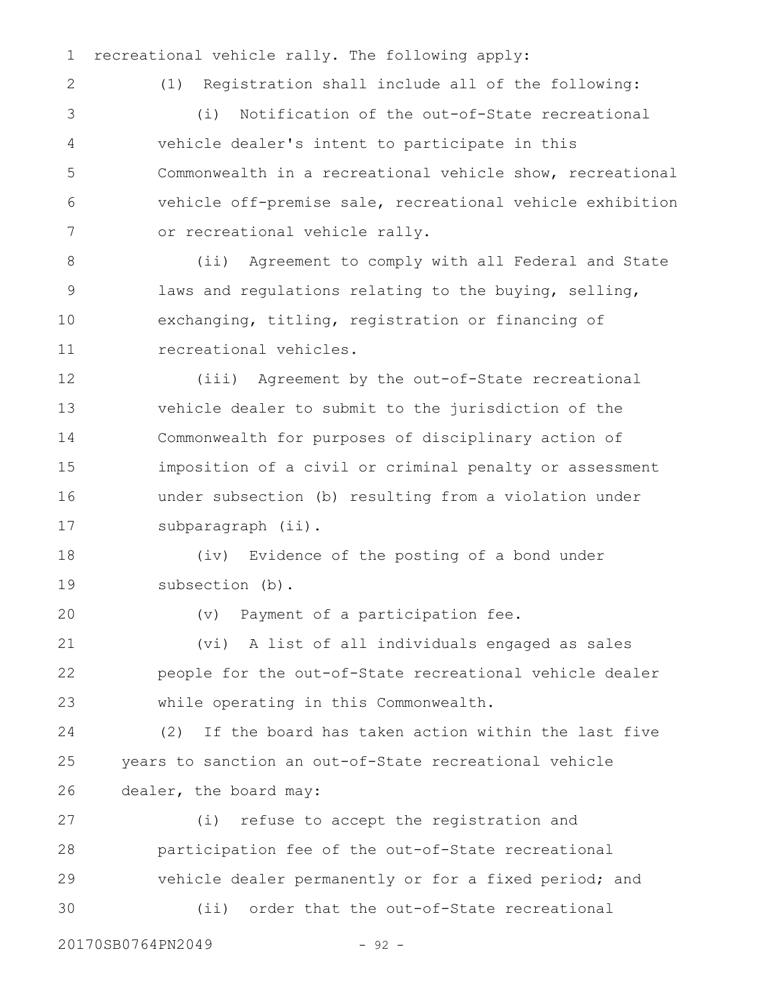recreational vehicle rally. The following apply: 1

```
2
```
(1) Registration shall include all of the following:

(i) Notification of the out-of-State recreational vehicle dealer's intent to participate in this Commonwealth in a recreational vehicle show, recreational vehicle off-premise sale, recreational vehicle exhibition or recreational vehicle rally. 3 4 5 6 7

(ii) Agreement to comply with all Federal and State laws and regulations relating to the buying, selling, exchanging, titling, registration or financing of recreational vehicles. 8 9 10 11

(iii) Agreement by the out-of-State recreational vehicle dealer to submit to the jurisdiction of the Commonwealth for purposes of disciplinary action of imposition of a civil or criminal penalty or assessment under subsection (b) resulting from a violation under subparagraph (ii). 12 13 14 15 16 17

(iv) Evidence of the posting of a bond under subsection (b). 18 19

20

(v) Payment of a participation fee.

(vi) A list of all individuals engaged as sales people for the out-of-State recreational vehicle dealer while operating in this Commonwealth. 21 22 23

(2) If the board has taken action within the last five years to sanction an out-of-State recreational vehicle dealer, the board may: 24 25 26

(i) refuse to accept the registration and participation fee of the out-of-State recreational vehicle dealer permanently or for a fixed period; and (ii) order that the out-of-State recreational 27 28 29 30

20170SB0764PN2049 - 92 -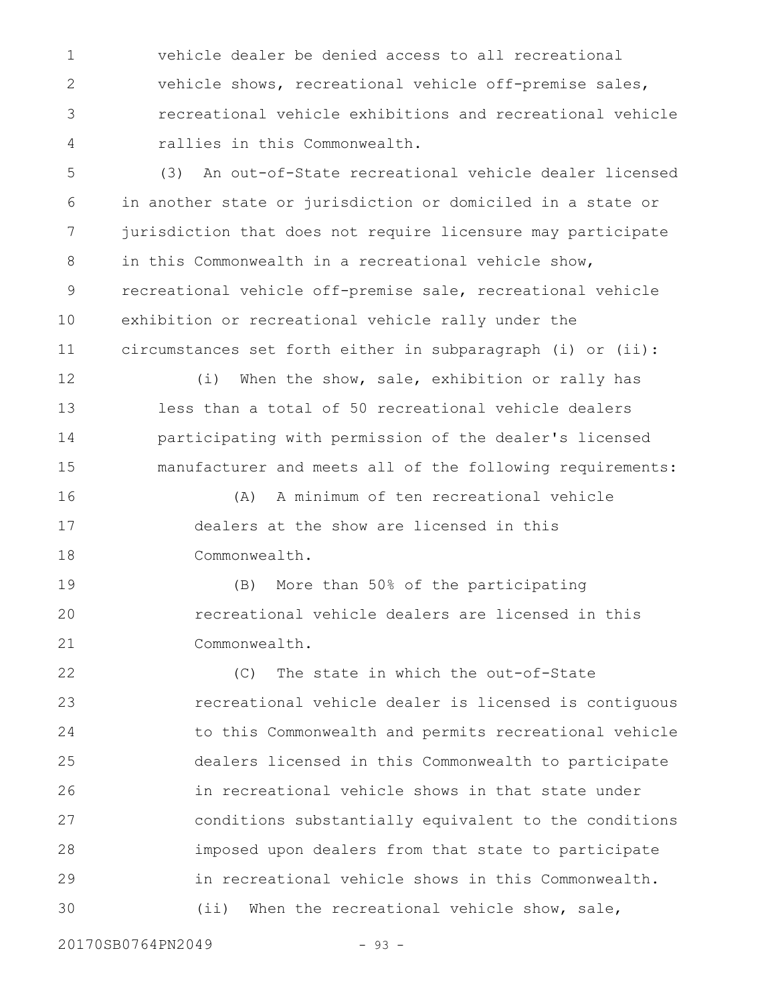vehicle dealer be denied access to all recreational vehicle shows, recreational vehicle off-premise sales, recreational vehicle exhibitions and recreational vehicle rallies in this Commonwealth. 1 2 3 4

(3) An out-of-State recreational vehicle dealer licensed in another state or jurisdiction or domiciled in a state or jurisdiction that does not require licensure may participate in this Commonwealth in a recreational vehicle show, recreational vehicle off-premise sale, recreational vehicle exhibition or recreational vehicle rally under the circumstances set forth either in subparagraph (i) or (ii): 5 6 7 8 9 10 11

(i) When the show, sale, exhibition or rally has less than a total of 50 recreational vehicle dealers participating with permission of the dealer's licensed manufacturer and meets all of the following requirements: 12 13 14 15

(A) A minimum of ten recreational vehicle dealers at the show are licensed in this Commonwealth. 16 17 18

(B) More than 50% of the participating recreational vehicle dealers are licensed in this Commonwealth. 19 20 21

(C) The state in which the out-of-State recreational vehicle dealer is licensed is contiguous to this Commonwealth and permits recreational vehicle dealers licensed in this Commonwealth to participate in recreational vehicle shows in that state under conditions substantially equivalent to the conditions imposed upon dealers from that state to participate in recreational vehicle shows in this Commonwealth. (ii) When the recreational vehicle show, sale, 22 23 24 25 26 27 28 29 30

20170SB0764PN2049 - 93 -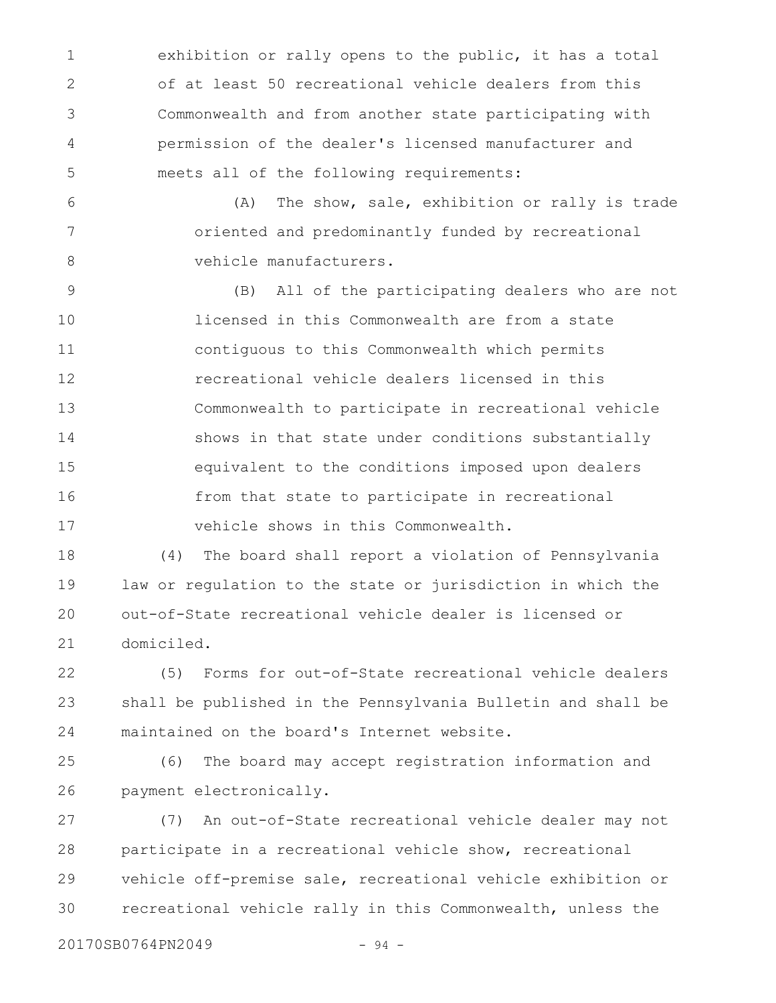exhibition or rally opens to the public, it has a total of at least 50 recreational vehicle dealers from this Commonwealth and from another state participating with permission of the dealer's licensed manufacturer and meets all of the following requirements: 1 2 3 4 5

(A) The show, sale, exhibition or rally is trade oriented and predominantly funded by recreational vehicle manufacturers. 6 7 8

(B) All of the participating dealers who are not licensed in this Commonwealth are from a state contiguous to this Commonwealth which permits recreational vehicle dealers licensed in this Commonwealth to participate in recreational vehicle shows in that state under conditions substantially equivalent to the conditions imposed upon dealers from that state to participate in recreational vehicle shows in this Commonwealth. 9 10 11 12 13 14 15 16 17

(4) The board shall report a violation of Pennsylvania law or regulation to the state or jurisdiction in which the out-of-State recreational vehicle dealer is licensed or domiciled. 18 19 20 21

(5) Forms for out-of-State recreational vehicle dealers shall be published in the Pennsylvania Bulletin and shall be maintained on the board's Internet website. 22 23 24

(6) The board may accept registration information and payment electronically. 25 26

(7) An out-of-State recreational vehicle dealer may not participate in a recreational vehicle show, recreational vehicle off-premise sale, recreational vehicle exhibition or recreational vehicle rally in this Commonwealth, unless the 27 28 29 30

20170SB0764PN2049 - 94 -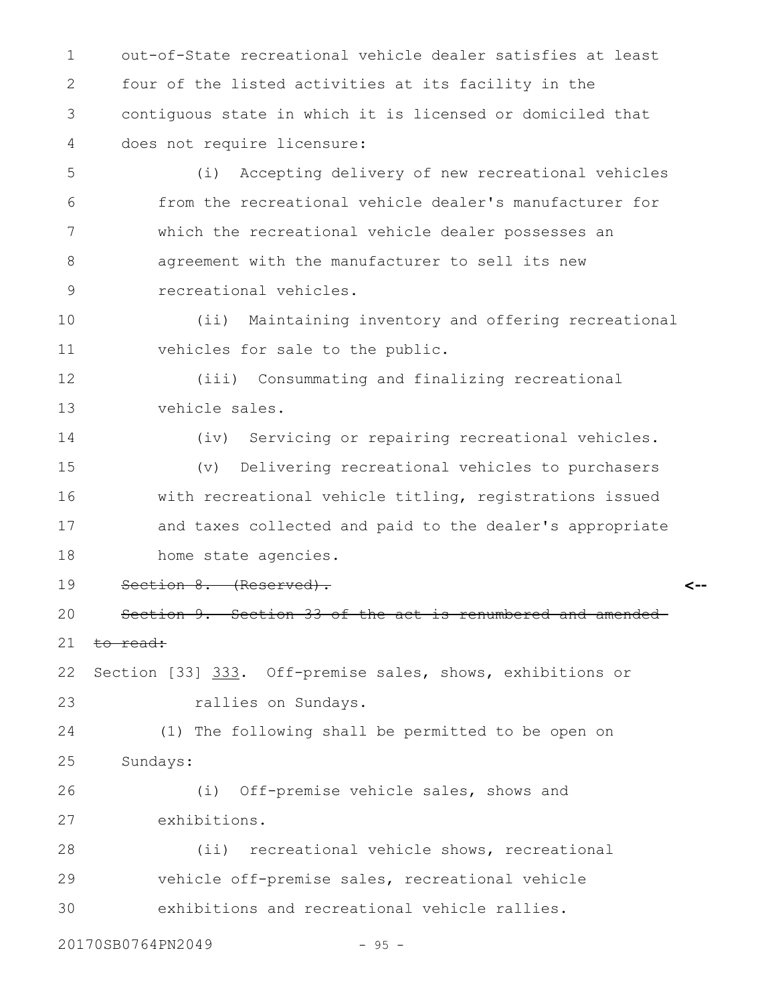out-of-State recreational vehicle dealer satisfies at least four of the listed activities at its facility in the contiguous state in which it is licensed or domiciled that does not require licensure: 1 2 3 4

(i) Accepting delivery of new recreational vehicles from the recreational vehicle dealer's manufacturer for which the recreational vehicle dealer possesses an agreement with the manufacturer to sell its new recreational vehicles. 5 6 7 8 9

(ii) Maintaining inventory and offering recreational vehicles for sale to the public. 10 11

(iii) Consummating and finalizing recreational vehicle sales. 12 13

(iv) Servicing or repairing recreational vehicles. (v) Delivering recreational vehicles to purchasers with recreational vehicle titling, registrations issued and taxes collected and paid to the dealer's appropriate 14 15 16 17

- home state agencies. 18
- Section 8. (Reserved). 19

Section 9. Section 33 of the act is renumbered and amended to read: 20 21

**<--**

Section [33] 333. Off-premise sales, shows, exhibitions or rallies on Sundays. 22 23

(1) The following shall be permitted to be open on Sundays: 24 25

(i) Off-premise vehicle sales, shows and exhibitions. 26 27

(ii) recreational vehicle shows, recreational vehicle off-premise sales, recreational vehicle exhibitions and recreational vehicle rallies. 28 29 30

20170SB0764PN2049 - 95 -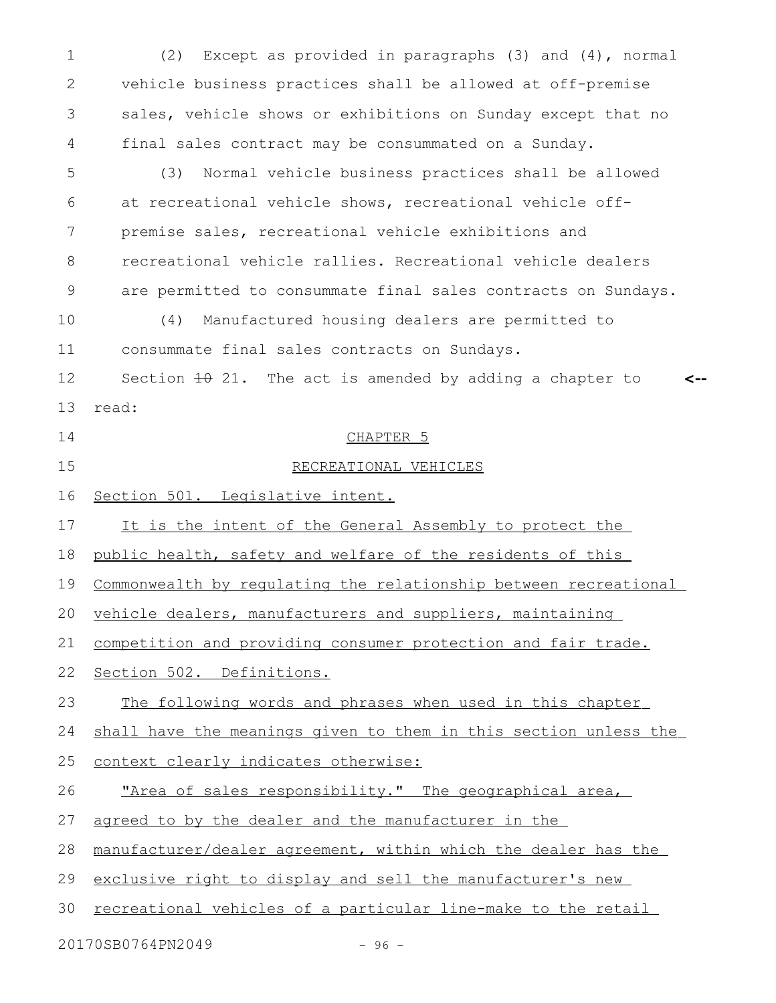(2) Except as provided in paragraphs (3) and (4), normal vehicle business practices shall be allowed at off-premise sales, vehicle shows or exhibitions on Sunday except that no final sales contract may be consummated on a Sunday. (3) Normal vehicle business practices shall be allowed at recreational vehicle shows, recreational vehicle offpremise sales, recreational vehicle exhibitions and recreational vehicle rallies. Recreational vehicle dealers are permitted to consummate final sales contracts on Sundays. (4) Manufactured housing dealers are permitted to consummate final sales contracts on Sundays. Section  $\pm 0$  21. The act is amended by adding a chapter to read: CHAPTER 5 RECREATIONAL VEHICLES Section 501. Legislative intent. It is the intent of the General Assembly to protect the public health, safety and welfare of the residents of this Commonwealth by regulating the relationship between recreational vehicle dealers, manufacturers and suppliers, maintaining competition and providing consumer protection and fair trade. Section 502. Definitions. The following words and phrases when used in this chapter shall have the meanings given to them in this section unless the context clearly indicates otherwise: "Area of sales responsibility." The geographical area, agreed to by the dealer and the manufacturer in the manufacturer/dealer agreement, within which the dealer has the exclusive right to display and sell the manufacturer's new recreational vehicles of a particular line-make to the retail **<--** 1 2 3 4 5 6 7 8 9 10 11 12 13 14 15 16 17 18 19 20 21 22 23 24 25 26 27 28 29 30

20170SB0764PN2049 - 96 -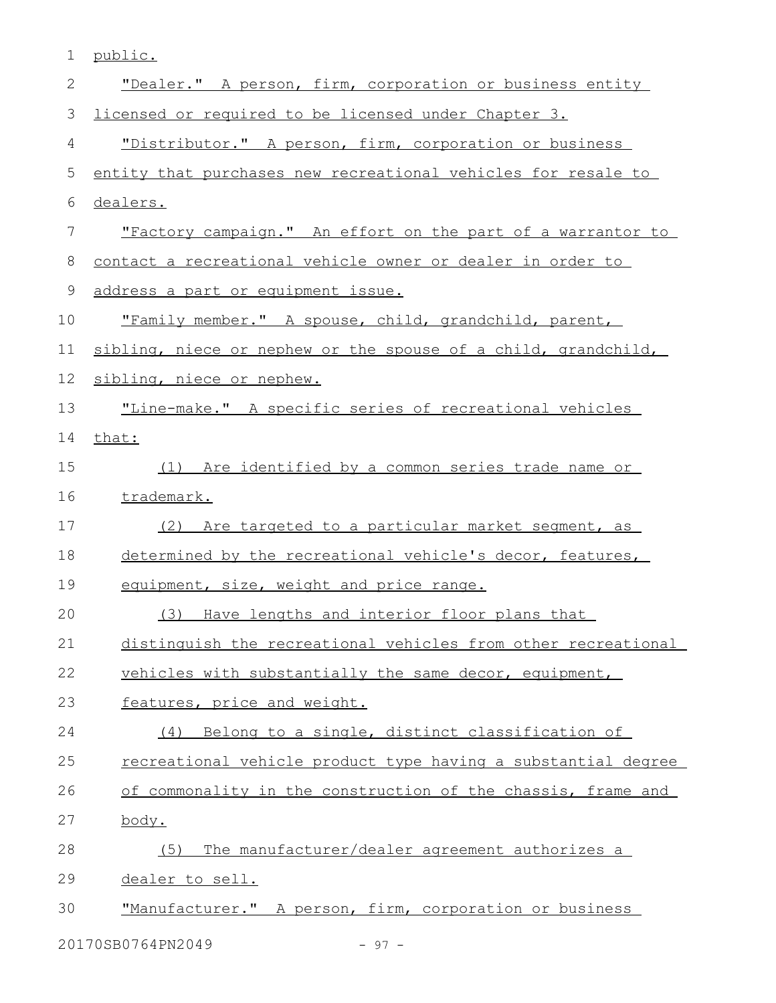| 1  | public.                                                        |
|----|----------------------------------------------------------------|
| 2  | "Dealer." A person, firm, corporation or business entity       |
| 3  | licensed or required to be licensed under Chapter 3.           |
| 4  | "Distributor." A person, firm, corporation or business         |
| 5  | entity that purchases new recreational vehicles for resale to  |
| 6  | dealers.                                                       |
| 7  | "Factory campaign." An effort on the part of a warrantor to    |
| 8  | contact a recreational vehicle owner or dealer in order to     |
| 9  | address a part or equipment issue.                             |
| 10 | "Family member." A spouse, child, grandchild, parent,          |
| 11 | sibling, niece or nephew or the spouse of a child, grandchild, |
| 12 | sibling, niece or nephew.                                      |
| 13 | "Line-make." A specific series of recreational vehicles        |
| 14 | that:                                                          |
| 15 | (1) Are identified by a common series trade name or            |
| 16 | trademark.                                                     |
| 17 | (2) Are targeted to a particular market segment, as            |
| 18 | determined by the recreational vehicle's decor, features,      |
| 19 | equipment, size, weight and price range.                       |
| 20 | (3) Have lengths and interior floor plans that                 |
| 21 | distinguish the recreational vehicles from other recreational  |
| 22 | vehicles with substantially the same decor, equipment,         |
| 23 | features, price and weight.                                    |
| 24 | (4) Belong to a single, distinct classification of             |
| 25 | recreational vehicle product type having a substantial degree  |
| 26 | of commonality in the construction of the chassis, frame and   |
| 27 | <u>body.</u>                                                   |
| 28 | The manufacturer/dealer agreement authorizes a<br>(5)          |
| 29 | dealer to sell.                                                |
| 30 | "Manufacturer." A person, firm, corporation or business        |

20170SB0764PN2049 - 97 -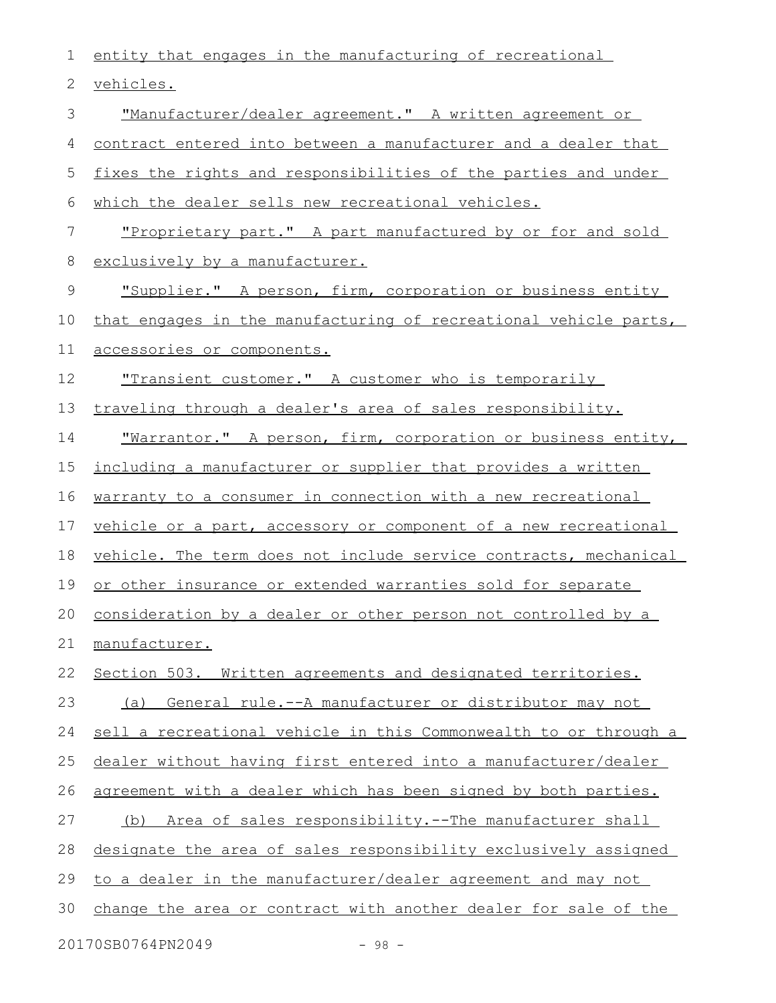entity that engages in the manufacturing of recreational vehicles. "Manufacturer/dealer agreement." A written agreement or contract entered into between a manufacturer and a dealer that fixes the rights and responsibilities of the parties and under which the dealer sells new recreational vehicles. "Proprietary part." A part manufactured by or for and sold exclusively by a manufacturer. "Supplier." A person, firm, corporation or business entity that engages in the manufacturing of recreational vehicle parts, accessories or components. "Transient customer." A customer who is temporarily traveling through a dealer's area of sales responsibility. "Warrantor." A person, firm, corporation or business entity, including a manufacturer or supplier that provides a written warranty to a consumer in connection with a new recreational vehicle or a part, accessory or component of a new recreational vehicle. The term does not include service contracts, mechanical or other insurance or extended warranties sold for separate consideration by a dealer or other person not controlled by a manufacturer. Section 503. Written agreements and designated territories. (a) General rule.--A manufacturer or distributor may not sell a recreational vehicle in this Commonwealth to or through a dealer without having first entered into a manufacturer/dealer agreement with a dealer which has been signed by both parties. (b) Area of sales responsibility.--The manufacturer shall designate the area of sales responsibility exclusively assigned to a dealer in the manufacturer/dealer agreement and may not change the area or contract with another dealer for sale of the 1 2 3 4 5 6 7 8 9 10 11 12 13 14 15 16 17 18 19 20 21 22 23 24 25 26 27 28 29 30

20170SB0764PN2049 - 98 -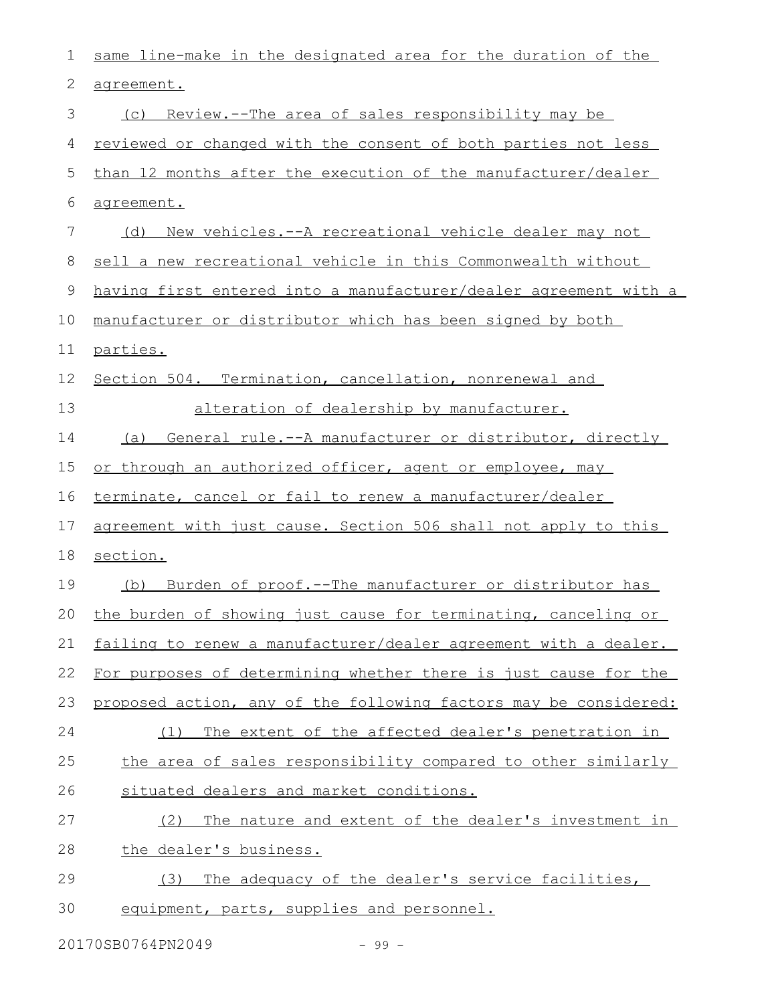| 1           | same line-make in the designated area for the duration of the    |
|-------------|------------------------------------------------------------------|
| 2           | agreement.                                                       |
| 3           | (c) Review.--The area of sales responsibility may be             |
| 4           | reviewed or changed with the consent of both parties not less    |
| 5           | than 12 months after the execution of the manufacturer/dealer    |
| 6           | agreement.                                                       |
| 7           | New vehicles. -- A recreational vehicle dealer may not<br>(d)    |
| 8           | sell a new recreational vehicle in this Commonwealth without     |
| $\mathsf 9$ | having first entered into a manufacturer/dealer agreement with a |
| 10          | manufacturer or distributor which has been signed by both        |
| 11          | parties.                                                         |
| 12          | Section 504. Termination, cancellation, nonrenewal and           |
| 13          | alteration of dealership by manufacturer.                        |
| 14          | General rule.--A manufacturer or distributor, directly<br>(a)    |
| 15          | or through an authorized officer, agent or employee, may         |
| 16          | terminate, cancel or fail to renew a manufacturer/dealer         |
| 17          | agreement with just cause. Section 506 shall not apply to this   |
| 18          | section.                                                         |
| 19          | (b) Burden of proof.--The manufacturer or distributor has        |
| 20          | the burden of showing just cause for terminating, canceling or   |
| 21          | failing to renew a manufacturer/dealer agreement with a dealer.  |
| 22          | For purposes of determining whether there is just cause for the  |
| 23          | proposed action, any of the following factors may be considered: |
| 24          | The extent of the affected dealer's penetration in<br>(1)        |
| 25          | the area of sales responsibility compared to other similarly     |
| 26          | situated dealers and market conditions.                          |
| 27          | The nature and extent of the dealer's investment in<br>(2)       |
| 28          | the dealer's business.                                           |
| 29          | The adequacy of the dealer's service facilities,<br>(3)          |
| 30          | equipment, parts, supplies and personnel.                        |
|             |                                                                  |

20170SB0764PN2049 - 99 -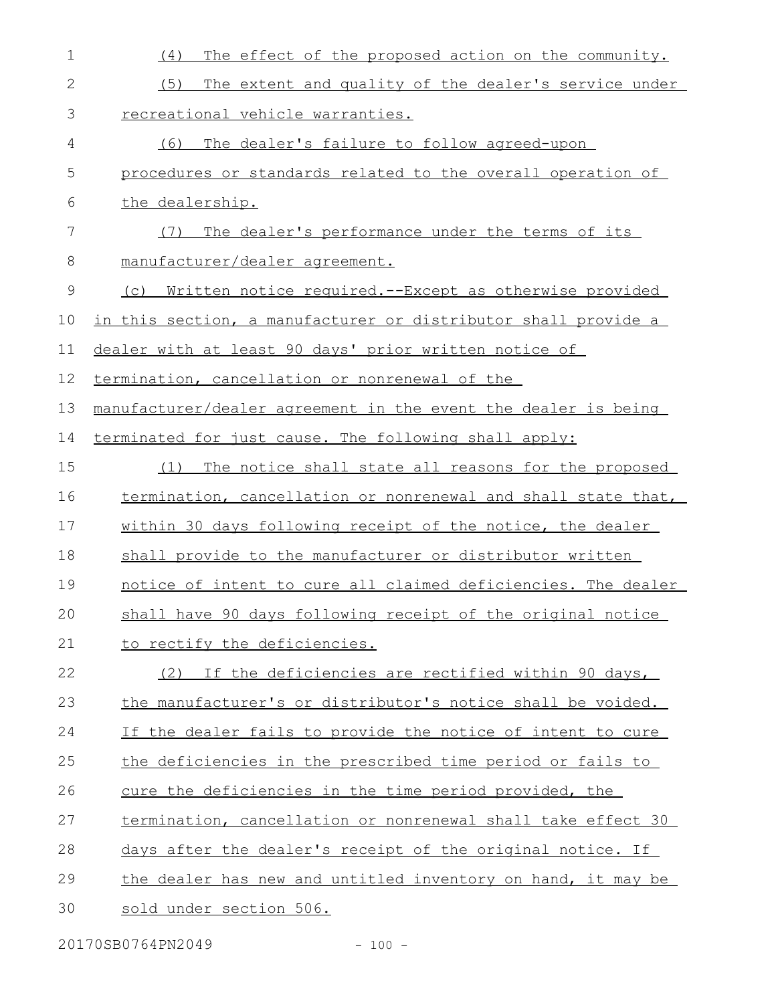| $\mathbf 1$  | (4)<br>The effect of the proposed action on the community.     |
|--------------|----------------------------------------------------------------|
| $\mathbf{2}$ | The extent and quality of the dealer's service under<br>(5)    |
| 3            | recreational vehicle warranties.                               |
| 4            | The dealer's failure to follow agreed-upon<br>(6)              |
| 5            | procedures or standards related to the overall operation of    |
| 6            | the dealership.                                                |
| 7            | (7)<br>The dealer's performance under the terms of its         |
| 8            | manufacturer/dealer agreement.                                 |
| $\mathsf 9$  | (c) Written notice required.--Except as otherwise provided     |
| 10           | in this section, a manufacturer or distributor shall provide a |
| 11           | dealer with at least 90 days' prior written notice of          |
| 12           | termination, cancellation or nonrenewal of the                 |
| 13           | manufacturer/dealer agreement in the event the dealer is being |
| 14           | terminated for just cause. The following shall apply:          |
| 15           | (1)<br>The notice shall state all reasons for the proposed     |
| 16           | termination, cancellation or nonrenewal and shall state that,  |
| 17           | within 30 days following receipt of the notice, the dealer     |
| 18           | shall provide to the manufacturer or distributor written       |
| 19           | notice of intent to cure all claimed deficiencies. The dealer  |
| 20           | shall have 90 days following receipt of the original notice    |
| 21           | to rectify the deficiencies.                                   |
| 22           | (2) If the deficiencies are rectified within 90 days,          |
| 23           | the manufacturer's or distributor's notice shall be voided.    |
| 24           | If the dealer fails to provide the notice of intent to cure    |
| 25           | the deficiencies in the prescribed time period or fails to     |
| 26           | cure the deficiencies in the time period provided, the         |
| 27           | termination, cancellation or nonrenewal shall take effect 30   |
| 28           | days after the dealer's receipt of the original notice. If     |
| 29           | the dealer has new and untitled inventory on hand, it may be   |
| 30           | sold under section 506.                                        |
|              |                                                                |

20170SB0764PN2049 - 100 -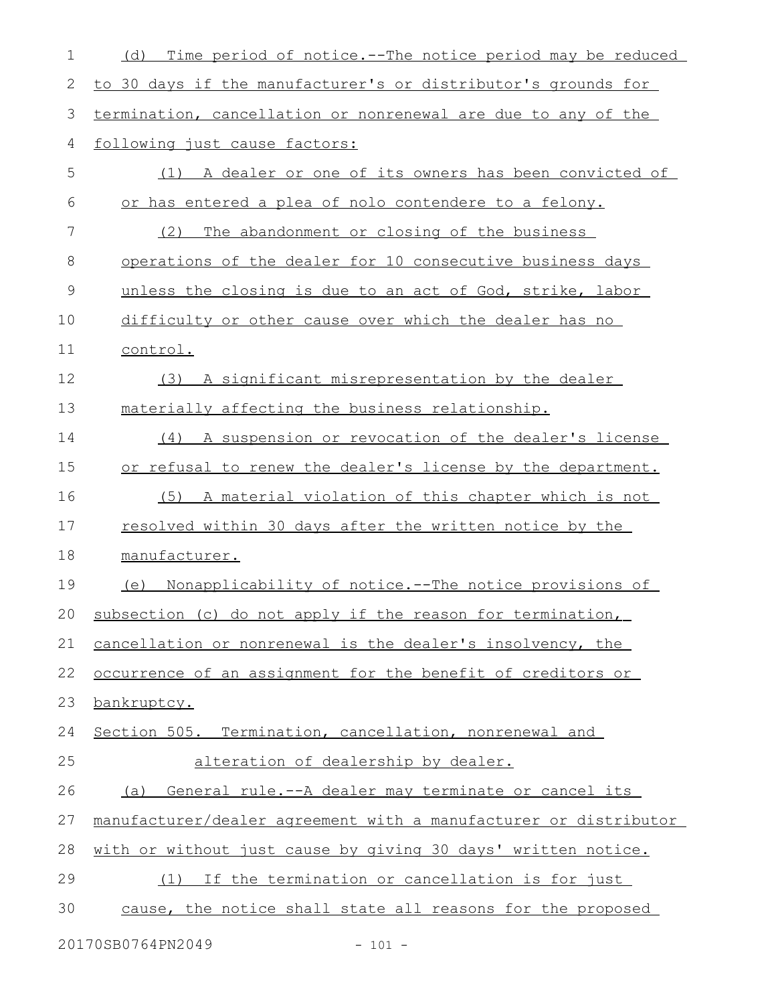| 1           | Time period of notice.--The notice period may be reduced<br>(d)  |
|-------------|------------------------------------------------------------------|
| 2           | to 30 days if the manufacturer's or distributor's grounds for    |
| 3           | termination, cancellation or nonrenewal are due to any of the    |
| 4           | following just cause factors:                                    |
| 5           | (1) A dealer or one of its owners has been convicted of          |
| 6           | or has entered a plea of nolo contendere to a felony.            |
| 7           | (2)<br>The abandonment or closing of the business                |
| 8           | operations of the dealer for 10 consecutive business days        |
| $\mathsf 9$ | unless the closing is due to an act of God, strike, labor        |
| 10          | difficulty or other cause over which the dealer has no           |
| 11          | control.                                                         |
| 12          | A significant misrepresentation by the dealer<br>(3)             |
| 13          | materially affecting the business relationship.                  |
| 14          | A suspension or revocation of the dealer's license<br>(4)        |
| 15          | or refusal to renew the dealer's license by the department.      |
| 16          | A material violation of this chapter which is not<br>(5)         |
| 17          | resolved within 30 days after the written notice by the          |
| 18          | manufacturer.                                                    |
| 19          | Nonapplicability of notice.--The notice provisions of<br>(e)     |
| $20$        | subsection (c) do not apply if the reason for termination,       |
| 21          | cancellation or nonrenewal is the dealer's insolvency, the       |
| 22          | occurrence of an assignment for the benefit of creditors or      |
| 23          | bankruptcy.                                                      |
| 24          | Section 505. Termination, cancellation, nonrenewal and           |
| 25          | alteration of dealership by dealer.                              |
| 26          | (a) General rule.--A dealer may terminate or cancel its          |
| 27          | manufacturer/dealer agreement with a manufacturer or distributor |
| 28          | with or without just cause by giving 30 days' written notice.    |
| 29          | (1) If the termination or cancellation is for just               |
| 30          | cause, the notice shall state all reasons for the proposed       |
|             |                                                                  |

20170SB0764PN2049 - 101 -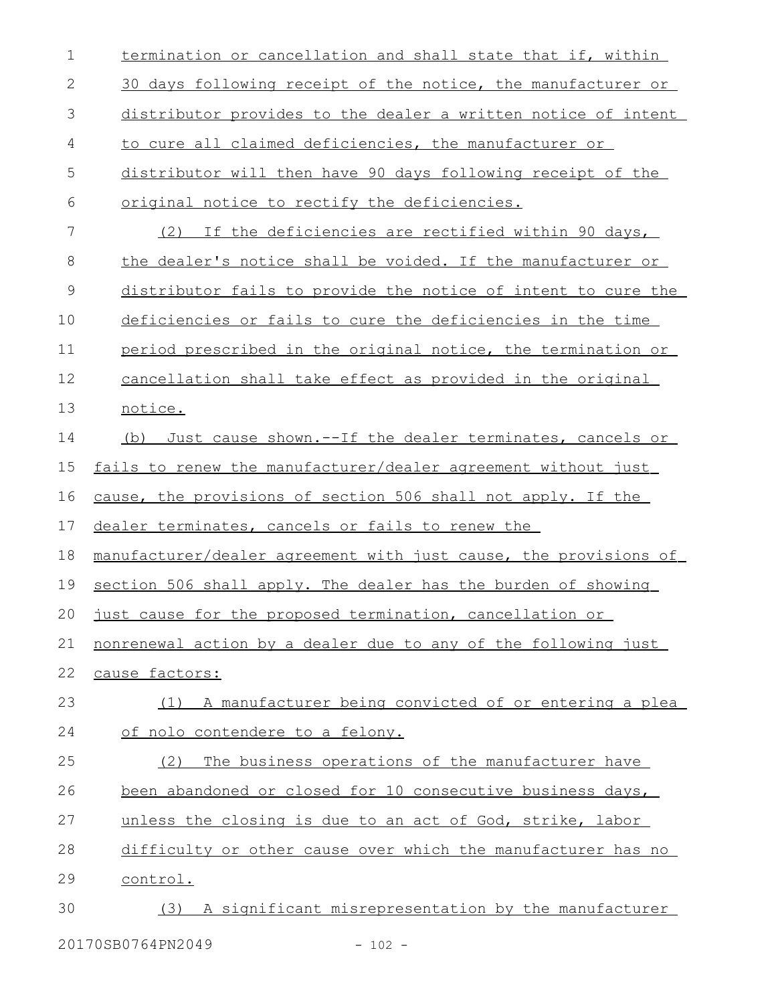| $\mathbf 1$ | termination or cancellation and shall state that if, within      |
|-------------|------------------------------------------------------------------|
| 2           | 30 days following receipt of the notice, the manufacturer or     |
| 3           | distributor provides to the dealer a written notice of intent    |
| 4           | to cure all claimed deficiencies, the manufacturer or            |
| 5           | distributor will then have 90 days following receipt of the      |
| 6           | original notice to rectify the deficiencies.                     |
| 7           | (2) If the deficiencies are rectified within 90 days,            |
| 8           | the dealer's notice shall be voided. If the manufacturer or      |
| 9           | distributor fails to provide the notice of intent to cure the    |
| 10          | deficiencies or fails to cure the deficiencies in the time       |
| 11          | period prescribed in the original notice, the termination or     |
| 12          | cancellation shall take effect as provided in the original       |
| 13          | notice.                                                          |
| 14          | Just cause shown. -- If the dealer terminates, cancels or<br>(b) |
| 15          | fails to renew the manufacturer/dealer agreement without just    |
| 16          | cause, the provisions of section 506 shall not apply. If the     |
| 17          | dealer terminates, cancels or fails to renew the                 |
| 18          | manufacturer/dealer agreement with just cause, the provisions of |
| 19          | section 506 shall apply. The dealer has the burden of showing    |
|             | 20 just cause for the proposed termination, cancellation or      |
| 21          | nonrenewal action by a dealer due to any of the following just   |
| 22          | cause factors:                                                   |
| 23          | (1) A manufacturer being convicted of or entering a plea         |
| 24          | of nolo contendere to a felony.                                  |
| 25          | The business operations of the manufacturer have<br>(2)          |
| 26          | been abandoned or closed for 10 consecutive business days,       |
| 27          | unless the closing is due to an act of God, strike, labor        |
| 28          | difficulty or other cause over which the manufacturer has no     |
| 29          | control.                                                         |
| 30          | (3) A significant misrepresentation by the manufacturer          |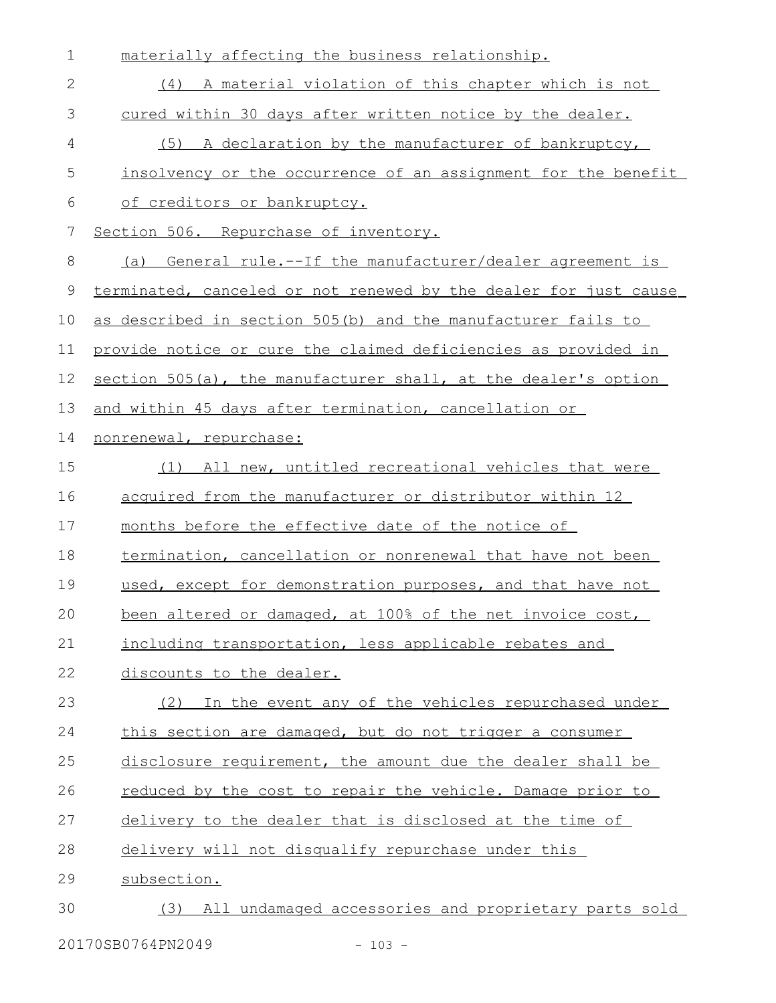| $\mathbf 1$   | materially affecting the business relationship.                      |
|---------------|----------------------------------------------------------------------|
| 2             | (4) A material violation of this chapter which is not                |
| 3             | cured within 30 days after written notice by the dealer.             |
| 4             | A declaration by the manufacturer of bankruptcy,<br>(5)              |
| 5             | insolvency or the occurrence of an assignment for the benefit        |
| 6             | of creditors or bankruptcy.                                          |
| 7             | Section 506. Repurchase of inventory.                                |
| 8             | <u>General rule.--If the manufacturer/dealer agreement is</u><br>(a) |
| $\mathcal{G}$ | terminated, canceled or not renewed by the dealer for just cause     |
| 10            | as described in section 505(b) and the manufacturer fails to         |
| 11            | provide notice or cure the claimed deficiencies as provided in       |
| 12            | section 505(a), the manufacturer shall, at the dealer's option       |
| 13            | and within 45 days after termination, cancellation or                |
| 14            | nonrenewal, repurchase:                                              |
| 15            | All new, untitled recreational vehicles that were<br>(1)             |
| 16            | acquired from the manufacturer or distributor within 12              |
| 17            | months before the effective date of the notice of                    |
| 18            | termination, cancellation or nonrenewal that have not been           |
| 19            | used, except for demonstration purposes, and that have not           |
| 20            | been altered or damaged, at 100% of the net invoice cost,            |
| 21            | including transportation, less applicable rebates and                |
| 22            | discounts to the dealer.                                             |
| 23            | In the event any of the vehicles repurchased under<br>(2)            |
| 24            | this section are damaged, but do not trigger a consumer              |
| 25            | disclosure requirement, the amount due the dealer shall be           |
| 26            | reduced by the cost to repair the vehicle. Damage prior to           |
| 27            | delivery to the dealer that is disclosed at the time of              |
| 28            | delivery will not disqualify repurchase under this                   |
| 29            | subsection.                                                          |
| 30            | (3) All undamaged accessories and proprietary parts sold             |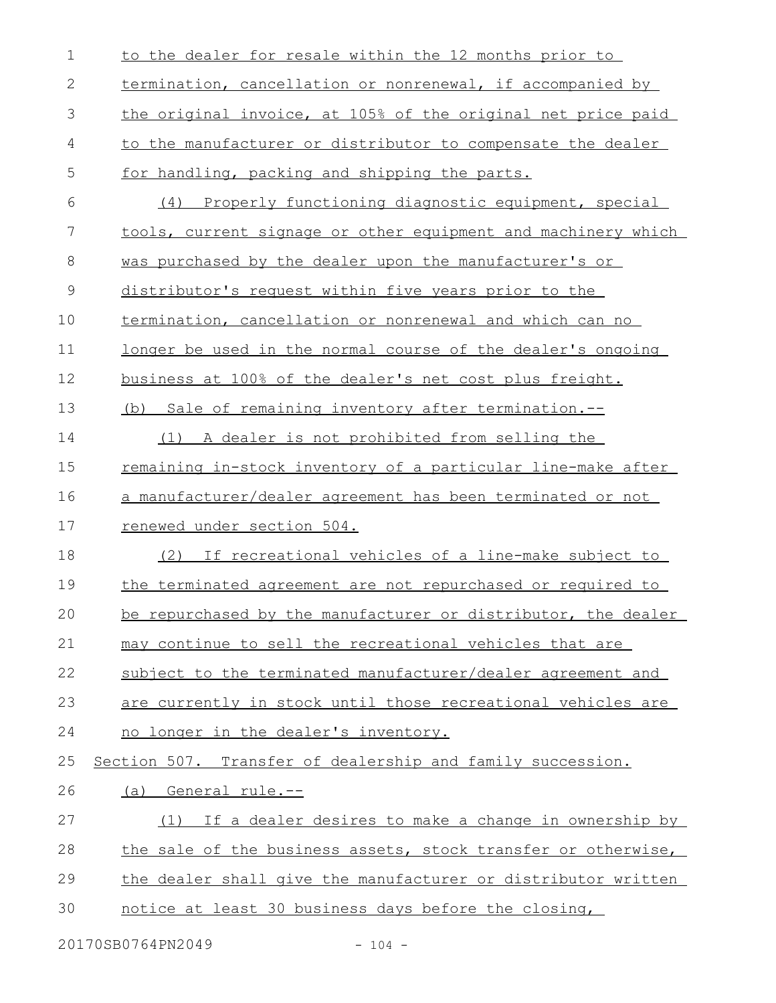| $\mathbf 1$  | to the dealer for resale within the 12 months prior to              |
|--------------|---------------------------------------------------------------------|
| $\mathbf{2}$ | termination, cancellation or nonrenewal, if accompanied by          |
| 3            | the original invoice, at 105% of the original net price paid        |
| 4            | to the manufacturer or distributor to compensate the dealer         |
| 5            | for handling, packing and shipping the parts.                       |
| 6            | (4) Properly functioning diagnostic equipment, special              |
| 7            | tools, current signage or other equipment and machinery which       |
| 8            | was purchased by the dealer upon the manufacturer's or              |
| 9            | distributor's request within five years prior to the                |
| 10           | termination, cancellation or nonrenewal and which can no            |
| 11           | <u>longer be used in the normal course of the dealer's ongoing</u>  |
| 12           | business at 100% of the dealer's net cost plus freight.             |
| 13           | Sale of remaining inventory after termination.--<br>(b)             |
| 14           | (1) A dealer is not prohibited from selling the                     |
| 15           | <u>remaining in-stock inventory of a particular line-make after</u> |
| 16           | a manufacturer/dealer agreement has been terminated or not          |
| 17           | renewed under section 504.                                          |
| 18           | (2) If recreational vehicles of a line-make subject to              |
| 19           | the terminated agreement are not repurchased or required to         |
| 20           | be repurchased by the manufacturer or distributor, the dealer       |
| 21           | may continue to sell the recreational vehicles that are             |
| 22           | subject to the terminated manufacturer/dealer agreement and         |
| 23           | are currently in stock until those recreational vehicles are        |
| 24           | no longer in the dealer's inventory.                                |
| 25           | Section 507. Transfer of dealership and family succession.          |
| 26           | (a) General rule.--                                                 |
| 27           | (1) If a dealer desires to make a change in ownership by            |
| 28           | the sale of the business assets, stock transfer or otherwise,       |
| 29           | the dealer shall give the manufacturer or distributor written       |
| 30           | notice at least 30 business days before the closing,                |
|              |                                                                     |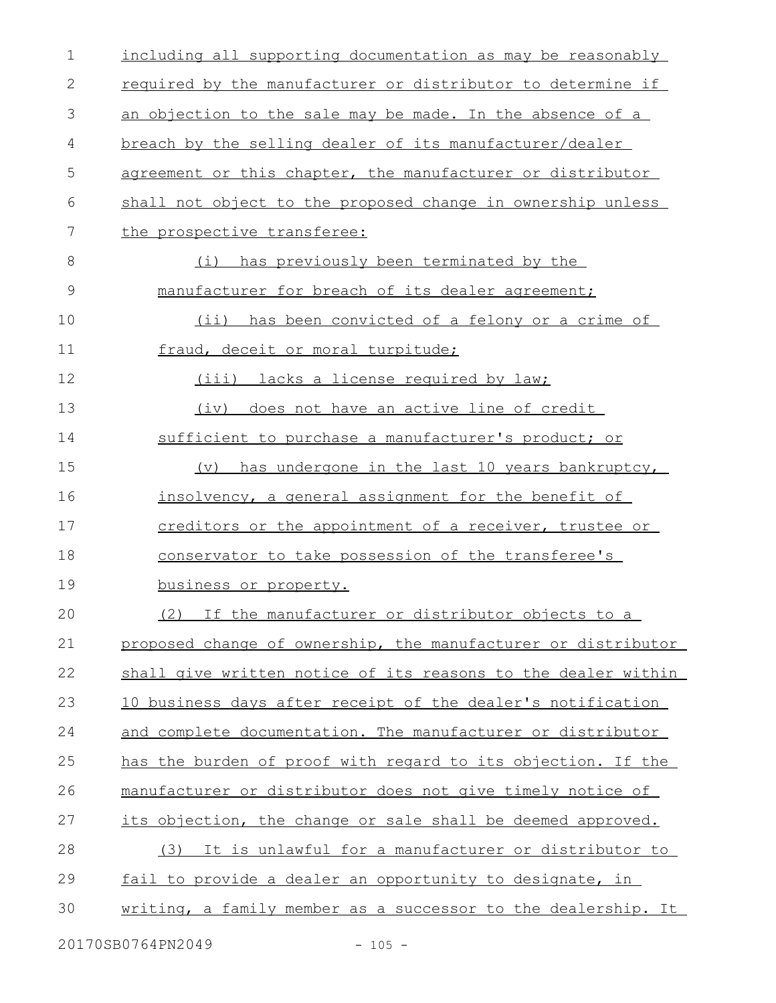| $\mathbf 1$ | including all supporting documentation as may be reasonably   |
|-------------|---------------------------------------------------------------|
| 2           | required by the manufacturer or distributor to determine if   |
| 3           | an objection to the sale may be made. In the absence of a     |
| 4           | breach by the selling dealer of its manufacturer/dealer       |
| 5           | agreement or this chapter, the manufacturer or distributor    |
| 6           | shall not object to the proposed change in ownership unless   |
| 7           | the prospective transferee:                                   |
| 8           | has previously been terminated by the<br>(i)                  |
| 9           | manufacturer for breach of its dealer agreement;              |
| 10          | has been convicted of a felony or a crime of<br>(i)           |
| 11          | fraud, deceit or moral turpitude;                             |
| 12          | (iii) lacks a license required by law;                        |
| 13          | (iv) does not have an active line of credit                   |
| 14          | sufficient to purchase a manufacturer's product; or           |
| 15          | has undergone in the last 10 years bankruptcy,<br>$(\nabla)$  |
| 16          | insolvency, a general assignment for the benefit of           |
| 17          | creditors or the appointment of a receiver, trustee or        |
| 18          | conservator to take possession of the transferee's            |
| 19          | business or property.                                         |
| 20          | (2) If the manufacturer or distributor objects to a           |
| 21          | proposed change of ownership, the manufacturer or distributor |
| 22          | shall give written notice of its reasons to the dealer within |
| 23          | 10 business days after receipt of the dealer's notification   |
| 24          | and complete documentation. The manufacturer or distributor   |
| 25          | has the burden of proof with regard to its objection. If the  |
| 26          | manufacturer or distributor does not give timely notice of    |
| 27          | its objection, the change or sale shall be deemed approved.   |
| 28          | (3) It is unlawful for a manufacturer or distributor to       |
| 29          | fail to provide a dealer an opportunity to designate, in      |
| 30          | writing, a family member as a successor to the dealership. It |
|             |                                                               |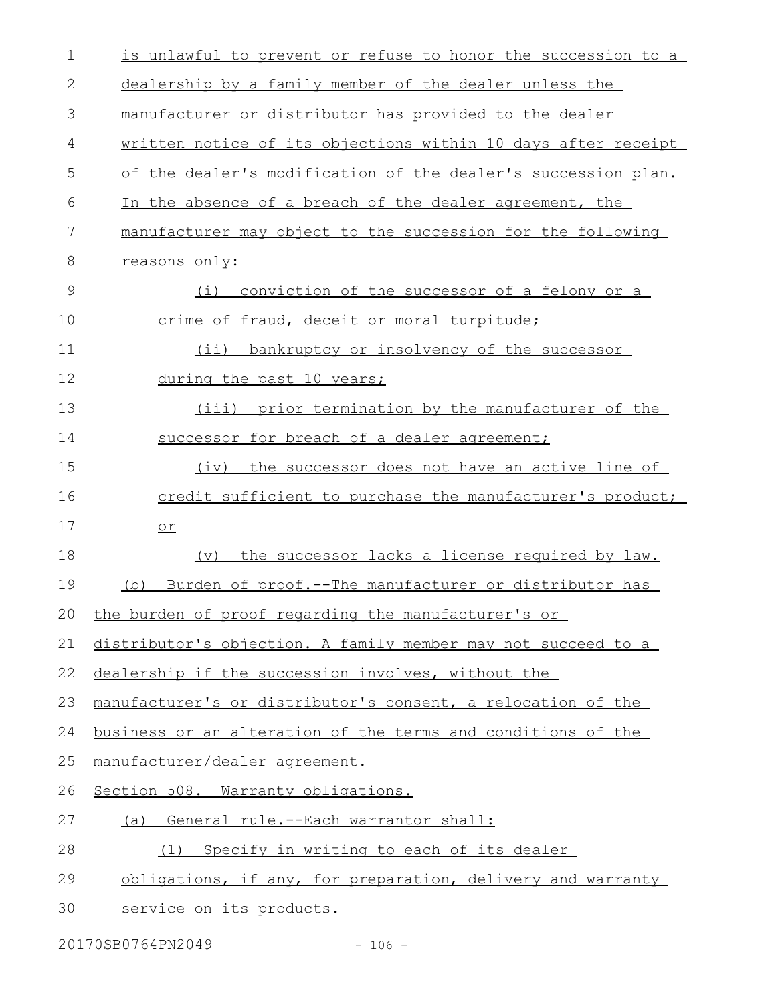| $\mathbf 1$  | is unlawful to prevent or refuse to honor the succession to a |
|--------------|---------------------------------------------------------------|
| $\mathbf{2}$ | dealership by a family member of the dealer unless the        |
| 3            | manufacturer or distributor has provided to the dealer        |
| 4            | written notice of its objections within 10 days after receipt |
| 5            | of the dealer's modification of the dealer's succession plan. |
| 6            | In the absence of a breach of the dealer agreement, the       |
| 7            | manufacturer may object to the succession for the following   |
| 8            | reasons only:                                                 |
| 9            | (i)<br>conviction of the successor of a felony or a           |
| 10           | crime of fraud, deceit or moral turpitude;                    |
| 11           | (ii) bankruptcy or insolvency of the successor                |
| 12           | during the past 10 years;                                     |
| 13           | (iii) prior termination by the manufacturer of the            |
| 14           | successor for breach of a dealer agreement;                   |
| 15           | (iv) the successor does not have an active line of            |
| 16           | credit sufficient to purchase the manufacturer's product;     |
| 17           | $or$                                                          |
| 18           | the successor lacks a license required by law.<br>(v)         |
| 19           | Burden of proof.--The manufacturer or distributor has<br>(b)  |
|              | 20 the burden of proof regarding the manufacturer's or        |
| 21           | distributor's objection. A family member may not succeed to a |
| 22           | dealership if the succession involves, without the            |
| 23           | manufacturer's or distributor's consent, a relocation of the  |
| 24           | business or an alteration of the terms and conditions of the  |
| 25           | manufacturer/dealer agreement.                                |
| 26           | Section 508. Warranty obligations.                            |
| 27           | (a) General rule.--Each warrantor shall:                      |
| 28           | Specify in writing to each of its dealer<br>(1)               |
| 29           | obligations, if any, for preparation, delivery and warranty   |
| 30           | service on its products.                                      |

20170SB0764PN2049 - 106 -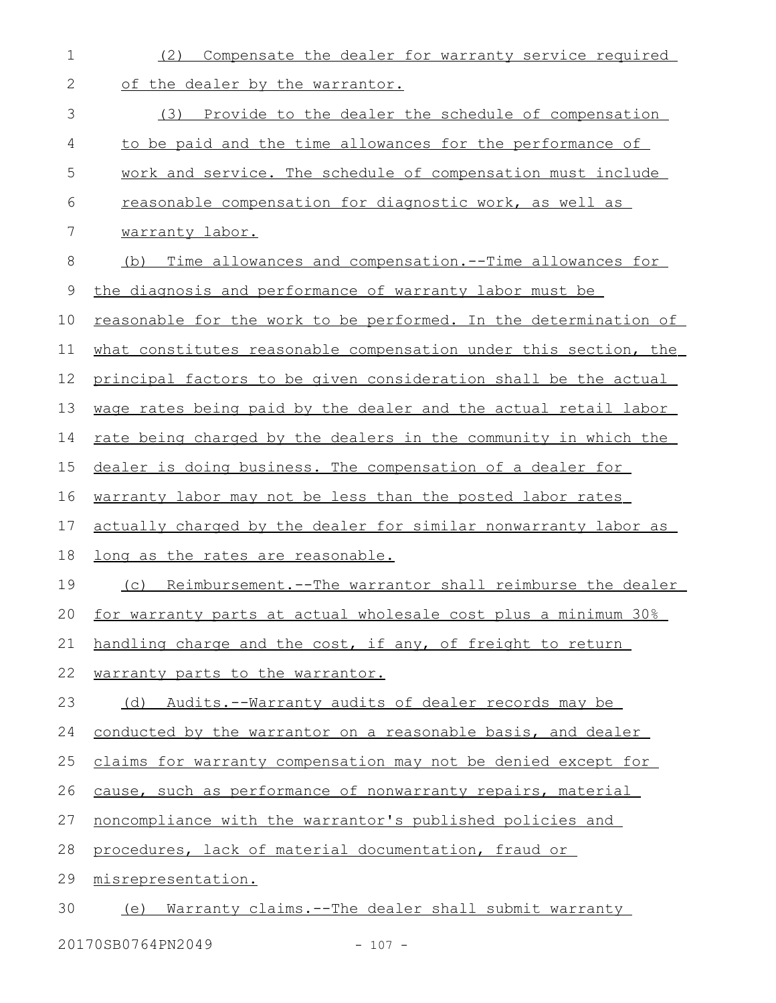| $\mathbf 1$  | Compensate the dealer for warranty service required<br>(2)           |
|--------------|----------------------------------------------------------------------|
| $\mathbf{2}$ | of the dealer by the warrantor.                                      |
| 3            | (3) Provide to the dealer the schedule of compensation               |
| 4            | to be paid and the time allowances for the performance of            |
| 5            | work and service. The schedule of compensation must include          |
| 6            | reasonable compensation for diagnostic work, as well as              |
| 7            | warranty labor.                                                      |
| $\,8\,$      | <u>Time allowances and compensation.--Time allowances for</u><br>(b) |
| $\mathsf 9$  | the diagnosis and performance of warranty labor must be              |
| 10           | reasonable for the work to be performed. In the determination of     |
| 11           | what constitutes reasonable compensation under this section, the     |
| 12           | principal factors to be given consideration shall be the actual      |
| 13           | wage rates being paid by the dealer and the actual retail labor      |
| 14           | rate being charged by the dealers in the community in which the      |
| 15           | dealer is doing business. The compensation of a dealer for           |
| 16           | warranty labor may not be less than the posted labor rates           |
| 17           | actually charged by the dealer for similar nonwarranty labor as      |
| 18           | <u>long as the rates are reasonable.</u>                             |
| 19           | Reimbursement.--The warrantor shall reimburse the dealer<br>(C)      |
| 20           | for warranty parts at actual wholesale cost plus a minimum 30%       |
| 21           | handling charge and the cost, if any, of freight to return           |
| 22           | warranty parts to the warrantor.                                     |
| 23           | (d) Audits.--Warranty audits of dealer records may be                |
| 24           | conducted by the warrantor on a reasonable basis, and dealer         |
| 25           | claims for warranty compensation may not be denied except for        |
| 26           | cause, such as performance of nonwarranty repairs, material          |
| 27           | noncompliance with the warrantor's published policies and            |
| 28           | procedures, lack of material documentation, fraud or                 |
| 29           | misrepresentation.                                                   |
| 30           | (e) Warranty claims.--The dealer shall submit warranty               |

20170SB0764PN2049 - 107 -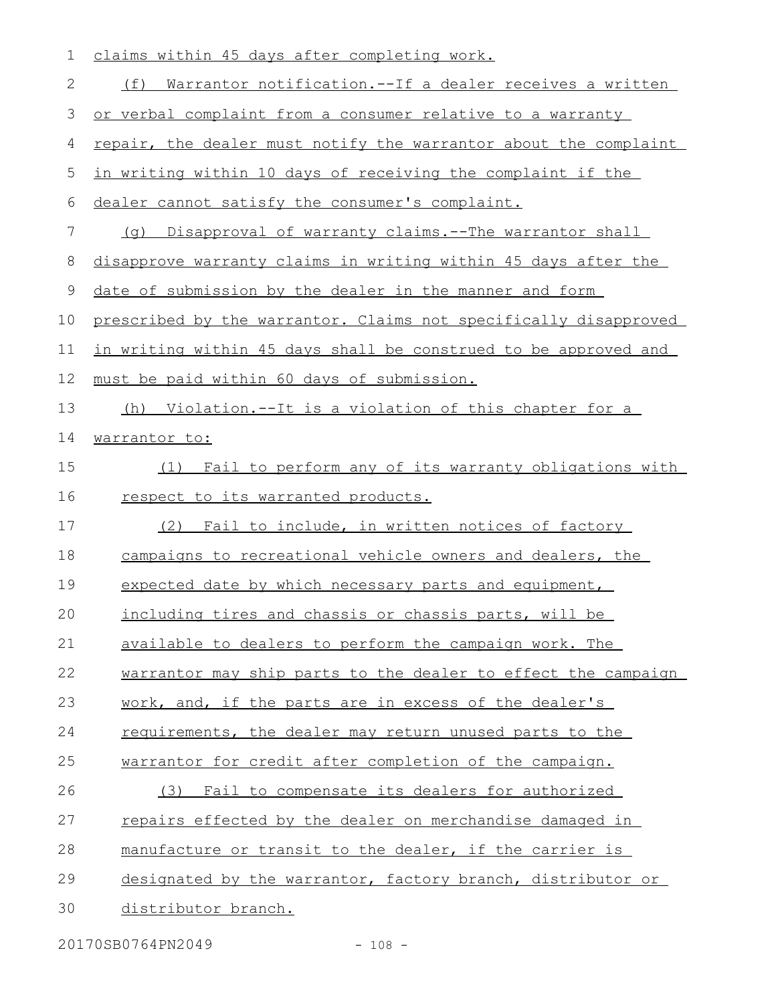| $\mathbf 1$    | claims within 45 days after completing work.                     |
|----------------|------------------------------------------------------------------|
| $\mathbf{2}$   | (f) Warrantor notification.--If a dealer receives a written      |
| $\mathfrak{Z}$ | or verbal complaint from a consumer relative to a warranty       |
| 4              | repair, the dealer must notify the warrantor about the complaint |
| 5              | in writing within 10 days of receiving the complaint if the      |
| 6              | dealer cannot satisfy the consumer's complaint.                  |
| 7              | (q) Disapproval of warranty claims.--The warrantor shall         |
| 8              | disapprove warranty claims in writing within 45 days after the   |
| 9              | date of submission by the dealer in the manner and form          |
| 10             | prescribed by the warrantor. Claims not specifically disapproved |
| 11             | in writing within 45 days shall be construed to be approved and  |
| 12             | must be paid within 60 days of submission.                       |
| 13             | (h) Violation.--It is a violation of this chapter for a          |
| 14             | warrantor to:                                                    |
| 15             | Fail to perform any of its warranty obligations with<br>(1)      |
| 16             | respect to its warranted products.                               |
| 17             | (2) Fail to include, in written notices of factory               |
| 18             | campaigns to recreational vehicle owners and dealers, the        |
| 19             | expected date by which necessary parts and equipment,            |
| 20             | including tires and chassis or chassis parts, will be            |
| 21             | available to dealers to perform the campaign work. The           |
| 22             | warrantor may ship parts to the dealer to effect the campaign    |
| 23             | work, and, if the parts are in excess of the dealer's            |
| 24             | requirements, the dealer may return unused parts to the          |
| 25             | warrantor for credit after completion of the campaign.           |
| 26             | Fail to compensate its dealers for authorized<br>(3)             |
| 27             | <u>repairs effected by the dealer on merchandise damaged in</u>  |
| 28             | manufacture or transit to the dealer, if the carrier is          |
| 29             | designated by the warrantor, factory branch, distributor or      |
| 30             | distributor branch.                                              |

20170SB0764PN2049 - 108 -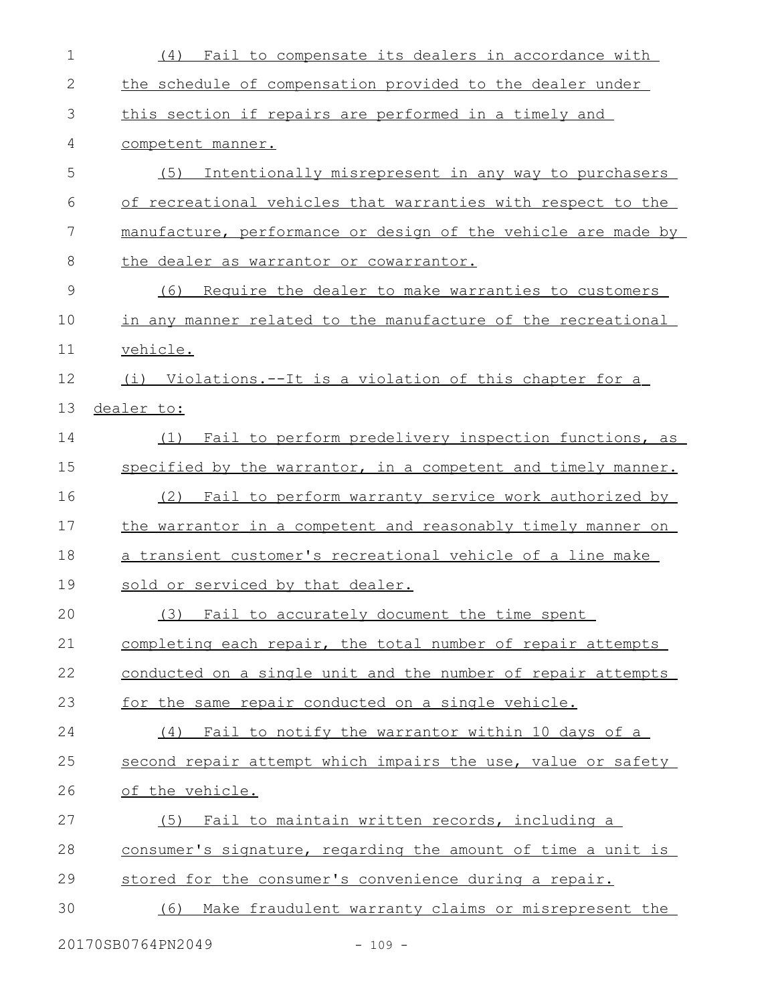| $\mathbf 1$   | (4) Fail to compensate its dealers in accordance with         |
|---------------|---------------------------------------------------------------|
| $\mathbf{2}$  | the schedule of compensation provided to the dealer under     |
| 3             | this section if repairs are performed in a timely and         |
| 4             | competent manner.                                             |
| 5             | (5)<br>Intentionally misrepresent in any way to purchasers    |
| 6             | of recreational vehicles that warranties with respect to the  |
| 7             | manufacture, performance or design of the vehicle are made by |
| 8             | the dealer as warrantor or cowarrantor.                       |
| $\mathcal{G}$ | Require the dealer to make warranties to customers<br>(6)     |
| 10            | in any manner related to the manufacture of the recreational  |
| 11            | vehicle.                                                      |
| 12            | (i) Violations.--It is a violation of this chapter for a      |
| 13            | dealer to:                                                    |
| 14            | Fail to perform predelivery inspection functions, as<br>(1)   |
| 15            | specified by the warrantor, in a competent and timely manner. |
| 16            | (2) Fail to perform warranty service work authorized by       |
| 17            | the warrantor in a competent and reasonably timely manner on  |
| 18            | a transient customer's recreational vehicle of a line make    |
| 19            | sold or serviced by that dealer.                              |
| 20            | (3) Fail to accurately document the time spent                |
| 21            | completing each repair, the total number of repair attempts   |
| 22            | conducted on a single unit and the number of repair attempts  |
| 23            | for the same repair conducted on a single vehicle.            |
| 24            | (4) Fail to notify the warrantor within 10 days of a          |
| 25            | second repair attempt which impairs the use, value or safety  |
| 26            | of the vehicle.                                               |
| 27            | Fail to maintain written records, including a<br>(5)          |
| 28            | consumer's signature, regarding the amount of time a unit is  |
| 29            | stored for the consumer's convenience during a repair.        |
| 30            | (6) Make fraudulent warranty claims or misrepresent the       |
|               |                                                               |

20170SB0764PN2049 - 109 -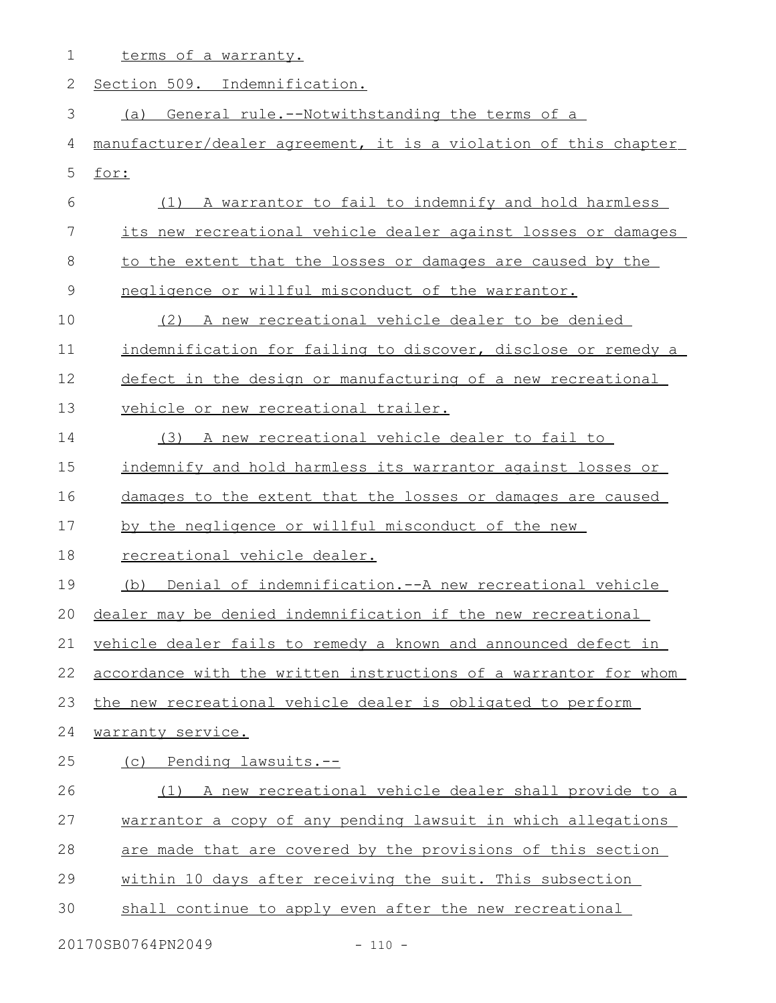| 1             | terms of a warranty.                                             |
|---------------|------------------------------------------------------------------|
| 2             | Section 509. Indemnification.                                    |
| 3             | General rule.--Notwithstanding the terms of a<br>(a)             |
| 4             | manufacturer/dealer agreement, it is a violation of this chapter |
| 5             | for:                                                             |
| 6             | (1) A warrantor to fail to indemnify and hold harmless           |
| 7             | its new recreational vehicle dealer against losses or damages    |
| 8             | to the extent that the losses or damages are caused by the       |
| $\mathcal{G}$ | negligence or willful misconduct of the warrantor.               |
| 10            | A new recreational vehicle dealer to be denied<br>(2)            |
| 11            | indemnification for failing to discover, disclose or remedy a    |
| 12            | defect in the design or manufacturing of a new recreational      |
| 13            | vehicle or new recreational trailer.                             |
| 14            | (3) A new recreational vehicle dealer to fail to                 |
| 15            | indemnify and hold harmless its warrantor against losses or      |
| 16            | damages to the extent that the losses or damages are caused      |
| 17            | by the negligence or willful misconduct of the new               |
| 18            | recreational vehicle dealer.                                     |
| 19            | Denial of indemnification.--A new recreational vehicle<br>(b)    |
|               | 20 dealer may be denied indemnification if the new recreational  |
| 21            | vehicle dealer fails to remedy a known and announced defect in   |
| 22            | accordance with the written instructions of a warrantor for whom |
| 23            | the new recreational vehicle dealer is obligated to perform      |
| 24            | warranty service.                                                |
| 25            | (c) Pending lawsuits.--                                          |
| 26            | (1) A new recreational vehicle dealer shall provide to a         |
| 27            | warrantor a copy of any pending lawsuit in which allegations     |
| 28            | are made that are covered by the provisions of this section      |
| 29            | within 10 days after receiving the suit. This subsection         |
| 30            | shall continue to apply even after the new recreational          |

20170SB0764PN2049 - 110 -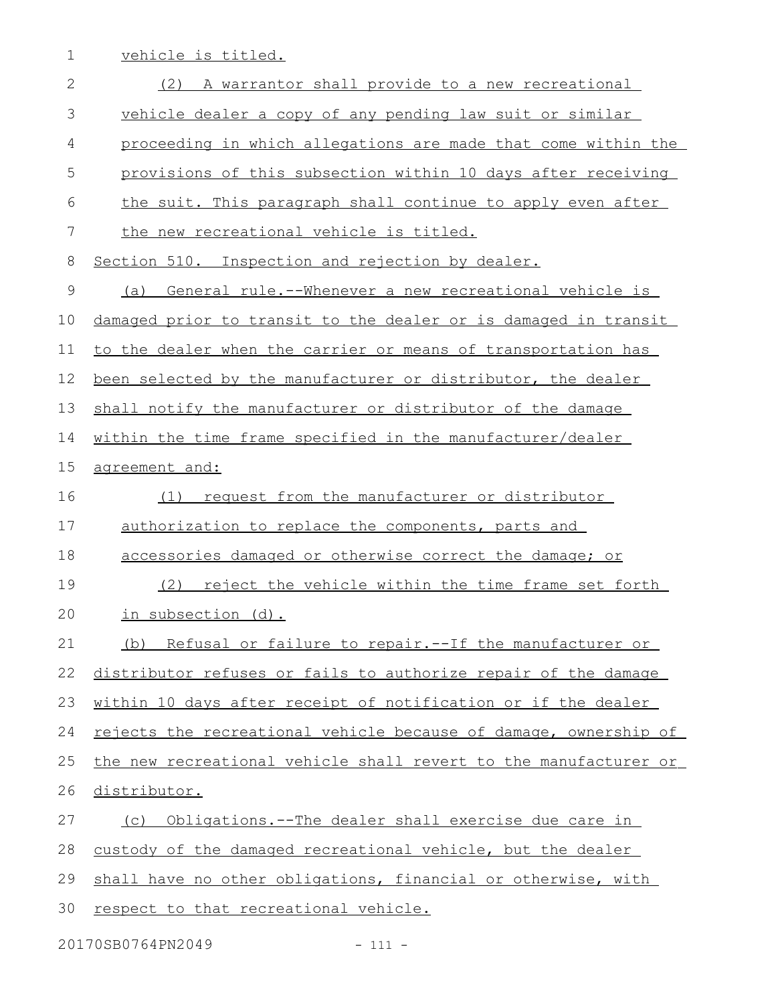1 vehicle is titled.

| $\mathbf{2}$ | (2) A warrantor shall provide to a new recreational              |
|--------------|------------------------------------------------------------------|
| 3            | vehicle dealer a copy of any pending law suit or similar         |
| 4            | proceeding in which allegations are made that come within the    |
| 5            | provisions of this subsection within 10 days after receiving     |
| 6            | the suit. This paragraph shall continue to apply even after      |
| 7            | the new recreational vehicle is titled.                          |
| 8            | Section 510. Inspection and rejection by dealer.                 |
| $\mathsf 9$  | General rule.--Whenever a new recreational vehicle is<br>(a)     |
| 10           | damaged prior to transit to the dealer or is damaged in transit  |
| 11           | to the dealer when the carrier or means of transportation has    |
| 12           | been selected by the manufacturer or distributor, the dealer     |
| 13           | shall notify the manufacturer or distributor of the damage       |
| 14           | within the time frame specified in the manufacturer/dealer       |
| 15           | agreement and:                                                   |
| 16           | request from the manufacturer or distributor<br>(1)              |
| 17           | authorization to replace the components, parts and               |
| 18           | accessories damaged or otherwise correct the damage; or          |
| 19           | reject the vehicle within the time frame set forth<br>(2)        |
| 20           | in subsection (d).                                               |
| 21           | Refusal or failure to repair.--If the manufacturer or<br>(b)     |
| 22           | distributor refuses or fails to authorize repair of the damage   |
| 23           | within 10 days after receipt of notification or if the dealer    |
| 24           | rejects the recreational vehicle because of damage, ownership of |
| 25           | the new recreational vehicle shall revert to the manufacturer or |
| 26           | distributor.                                                     |
| 27           | (c) Obligations.--The dealer shall exercise due care in          |
| 28           | custody of the damaged recreational vehicle, but the dealer      |
| 29           | shall have no other obligations, financial or otherwise, with    |
| 30           | respect to that recreational vehicle.                            |

20170SB0764PN2049 - 111 -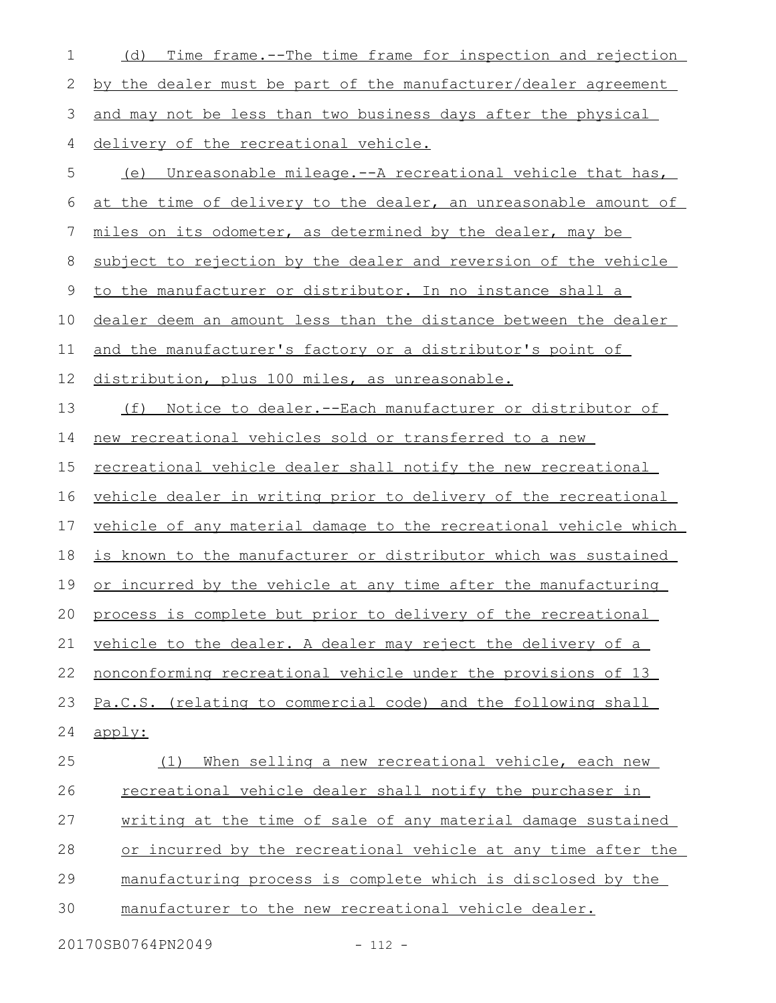| 1  | Time frame.--The time frame for inspection and rejection<br>(d)       |
|----|-----------------------------------------------------------------------|
| 2  | by the dealer must be part of the manufacturer/dealer agreement       |
| 3  | and may not be less than two business days after the physical         |
| 4  | delivery of the recreational vehicle.                                 |
| 5  | <u>Unreasonable mileage.--A recreational vehicle that has,</u><br>(e) |
| 6  | at the time of delivery to the dealer, an unreasonable amount of      |
| 7  | miles on its odometer, as determined by the dealer, may be            |
| 8  | subject to rejection by the dealer and reversion of the vehicle       |
| 9  | to the manufacturer or distributor. In no instance shall a            |
| 10 | dealer deem an amount less than the distance between the dealer       |
| 11 | and the manufacturer's factory or a distributor's point of            |
| 12 | distribution, plus 100 miles, as unreasonable.                        |
| 13 | (f)<br>Notice to dealer. -- Each manufacturer or distributor of       |
| 14 | new recreational vehicles sold or transferred to a new                |
| 15 | <u>recreational vehicle dealer shall notify the new recreational</u>  |
| 16 | vehicle dealer in writing prior to delivery of the recreational       |
| 17 | vehicle of any material damage to the recreational vehicle which      |
| 18 | is known to the manufacturer or distributor which was sustained       |
| 19 | or incurred by the vehicle at any time after the manufacturing        |
| 20 | process is complete but prior to delivery of the recreational         |
| 21 | vehicle to the dealer. A dealer may reject the delivery of a          |
| 22 | nonconforming recreational vehicle under the provisions of 13         |
| 23 | Pa.C.S. (relating to commercial code) and the following shall         |
| 24 | apply:                                                                |
| 25 | When selling a new recreational vehicle, each new<br>(1)              |
| 26 | recreational vehicle dealer shall notify the purchaser in             |
| 27 | writing at the time of sale of any material damage sustained          |
| 28 | or incurred by the recreational vehicle at any time after the         |
| 29 | manufacturing process is complete which is disclosed by the           |
| 30 | manufacturer to the new recreational vehicle dealer.                  |
|    |                                                                       |

20170SB0764PN2049 - 112 -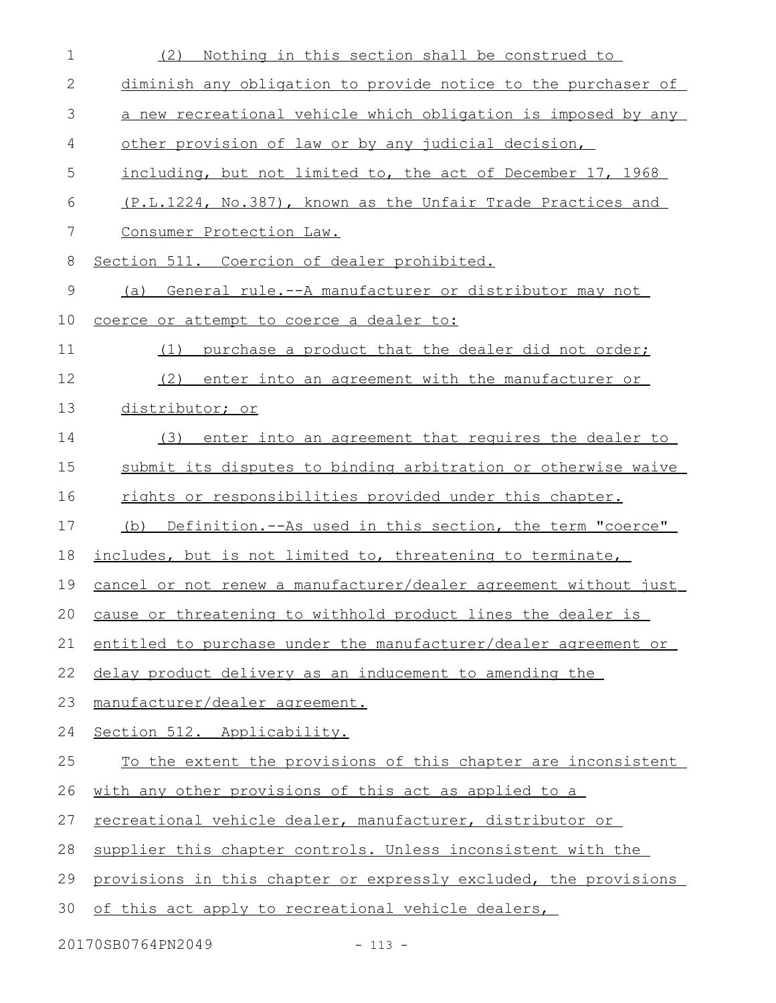| $\mathbf 1$ | Nothing in this section shall be construed to<br>(2)             |
|-------------|------------------------------------------------------------------|
| 2           | diminish any obligation to provide notice to the purchaser of    |
| 3           | a new recreational vehicle which obligation is imposed by any    |
| 4           | other provision of law or by any judicial decision,              |
| 5           | including, but not limited to, the act of December 17, 1968      |
| 6           | (P.L.1224, No.387), known as the Unfair Trade Practices and      |
| 7           | Consumer Protection Law.                                         |
| 8           | Section 511. Coercion of dealer prohibited.                      |
| 9           | General rule.--A manufacturer or distributor may not<br>(a)      |
| 10          | coerce or attempt to coerce a dealer to:                         |
| 11          | purchase a product that the dealer did not order;<br>(1)         |
| 12          | (2)<br>enter into an agreement with the manufacturer or          |
| 13          | distributor; or                                                  |
| 14          | (3) enter into an agreement that requires the dealer to          |
| 15          | submit its disputes to binding arbitration or otherwise waive    |
| 16          | rights or responsibilities provided under this chapter.          |
| 17          | (b) Definition.--As used in this section, the term "coerce"      |
| 18          | includes, but is not limited to, threatening to terminate,       |
| 19          | cancel or not renew a manufacturer/dealer agreement without just |
|             | 20 cause or threatening to withhold product lines the dealer is  |
| 21          | entitled to purchase under the manufacturer/dealer agreement or  |
| 22          | delay product delivery as an inducement to amending the          |
| 23          | manufacturer/dealer agreement.                                   |
| 24          | Section 512. Applicability.                                      |
| 25          | To the extent the provisions of this chapter are inconsistent    |
| 26          | with any other provisions of this act as applied to a            |
| 27          | recreational vehicle dealer, manufacturer, distributor or        |
| 28          | supplier this chapter controls. Unless inconsistent with the     |
| 29          | provisions in this chapter or expressly excluded, the provisions |
| 30          | of this act apply to recreational vehicle dealers,               |

20170SB0764PN2049 - 113 -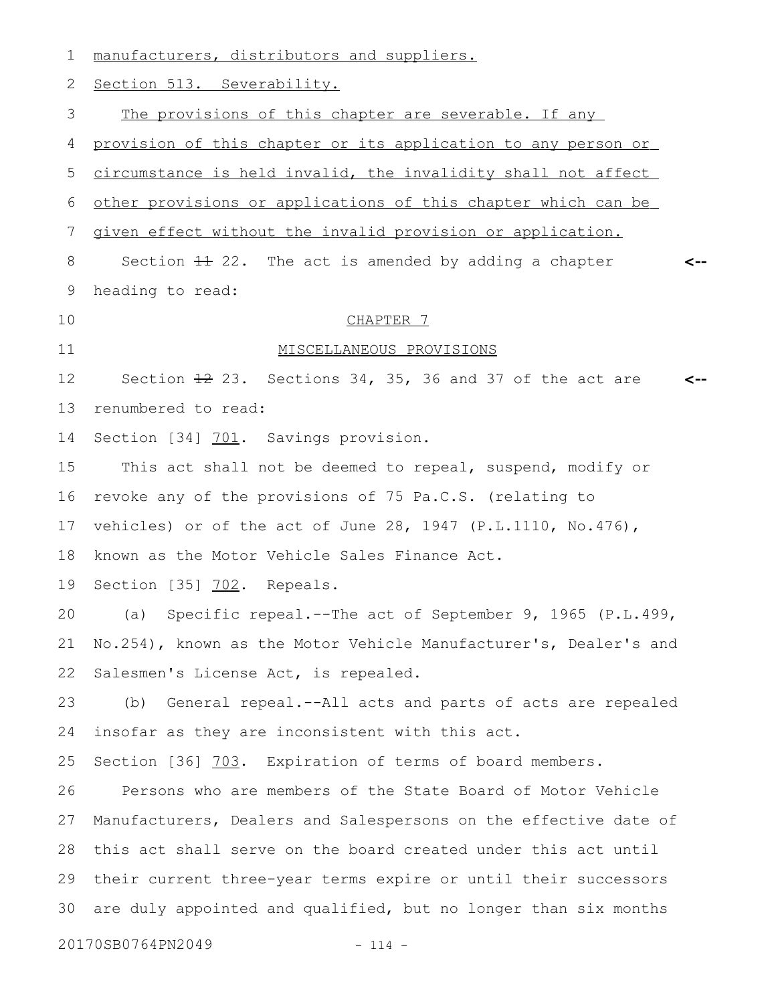| $\mathbf 1$ | manufacturers, distributors and suppliers.                       |
|-------------|------------------------------------------------------------------|
| 2           | Section 513. Severability.                                       |
| 3           | The provisions of this chapter are severable. If any             |
| 4           | provision of this chapter or its application to any person or    |
| 5           | circumstance is held invalid, the invalidity shall not affect    |
| 6           | other provisions or applications of this chapter which can be    |
| 7           | given effect without the invalid provision or application.       |
| 8           | Section $\pm 2$ . The act is amended by adding a chapter         |
| 9           | heading to read:                                                 |
| 10          | CHAPTER 7                                                        |
| 11          | MISCELLANEOUS PROVISIONS                                         |
| 12          | Section $\pm 2$ 23. Sections 34, 35, 36 and 37 of the act are    |
| 13          | renumbered to read:                                              |
| 14          | Section [34] 701. Savings provision.                             |
| 15          | This act shall not be deemed to repeal, suspend, modify or       |
| 16          | revoke any of the provisions of 75 Pa.C.S. (relating to          |
| 17          | vehicles) or of the act of June 28, 1947 (P.L.1110, No.476),     |
| 18          | known as the Motor Vehicle Sales Finance Act.                    |
| 19          | Section [35] 702. Repeals.                                       |
| 20          | (a) Specific repeal.--The act of September 9, 1965 (P.L.499,     |
| 21          | No.254), known as the Motor Vehicle Manufacturer's, Dealer's and |
| 22          | Salesmen's License Act, is repealed.                             |
| 23          | (b) General repeal.--All acts and parts of acts are repealed     |
| 24          | insofar as they are inconsistent with this act.                  |
| 25          | Section [36] 703. Expiration of terms of board members.          |
| 26          | Persons who are members of the State Board of Motor Vehicle      |
| 27          | Manufacturers, Dealers and Salespersons on the effective date of |
| 28          | this act shall serve on the board created under this act until   |
| 29          | their current three-year terms expire or until their successors  |
| 30          | are duly appointed and qualified, but no longer than six months  |
|             | 20170SB0764PN2049<br>$- 114 -$                                   |